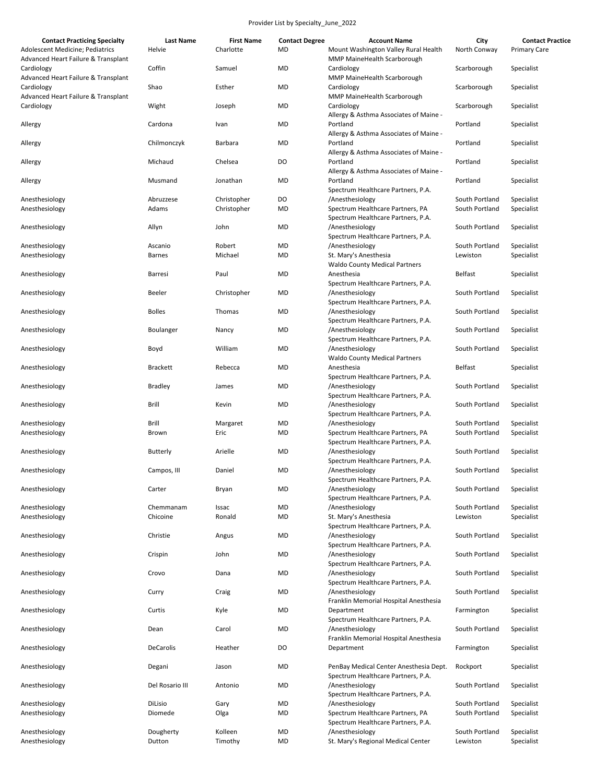| <b>Contact Practicing Specialty</b>                                    | <b>Last Name</b> | <b>First Name</b> | <b>Contact Degree</b> | <b>Account Name</b>                                                          | City           | <b>Contact Practice</b> |
|------------------------------------------------------------------------|------------------|-------------------|-----------------------|------------------------------------------------------------------------------|----------------|-------------------------|
| Adolescent Medicine; Pediatrics<br>Advanced Heart Failure & Transplant | Helvie           | Charlotte         | <b>MD</b>             | Mount Washington Valley Rural Health<br>MMP MaineHealth Scarborough          | North Conway   | <b>Primary Care</b>     |
| Cardiology<br>Advanced Heart Failure & Transplant                      | Coffin           | Samuel            | MD                    | Cardiology<br>MMP MaineHealth Scarborough                                    | Scarborough    | Specialist              |
| Cardiology<br>Advanced Heart Failure & Transplant                      | Shao             | Esther            | <b>MD</b>             | Cardiology<br>MMP MaineHealth Scarborough                                    | Scarborough    | Specialist              |
| Cardiology                                                             | Wight            | Joseph            | MD                    | Cardiology<br>Allergy & Asthma Associates of Maine -                         | Scarborough    | Specialist              |
| Allergy                                                                | Cardona          | Ivan              | <b>MD</b>             | Portland<br>Allergy & Asthma Associates of Maine -                           | Portland       | Specialist              |
| Allergy                                                                | Chilmonczyk      | Barbara           | MD                    | Portland<br>Allergy & Asthma Associates of Maine -                           | Portland       | Specialist              |
| Allergy                                                                | Michaud          | Chelsea           | DO                    | Portland<br>Allergy & Asthma Associates of Maine -                           | Portland       | Specialist              |
| Allergy                                                                | Musmand          | Jonathan          | <b>MD</b>             | Portland<br>Spectrum Healthcare Partners, P.A.                               | Portland       | Specialist              |
| Anesthesiology                                                         | Abruzzese        | Christopher       | DO                    | /Anesthesiology                                                              | South Portland | Specialist              |
| Anesthesiology                                                         | Adams            | Christopher       | <b>MD</b>             | Spectrum Healthcare Partners, PA                                             | South Portland | Specialist              |
|                                                                        |                  |                   |                       | Spectrum Healthcare Partners, P.A.                                           |                |                         |
| Anesthesiology                                                         | Allyn            | John              | MD                    | /Anesthesiology<br>Spectrum Healthcare Partners, P.A.                        | South Portland | Specialist              |
|                                                                        |                  |                   |                       |                                                                              |                |                         |
| Anesthesiology                                                         | Ascanio          | Robert            | <b>MD</b>             | /Anesthesiology                                                              | South Portland | Specialist              |
| Anesthesiology                                                         | <b>Barnes</b>    | Michael           | MD                    | St. Mary's Anesthesia<br><b>Waldo County Medical Partners</b>                | Lewiston       | Specialist              |
| Anesthesiology                                                         | Barresi          | Paul              | <b>MD</b>             | Anesthesia<br>Spectrum Healthcare Partners, P.A.                             | <b>Belfast</b> | Specialist              |
| Anesthesiology                                                         | Beeler           | Christopher       | MD                    | /Anesthesiology<br>Spectrum Healthcare Partners, P.A.                        | South Portland | Specialist              |
| Anesthesiology                                                         | <b>Bolles</b>    | Thomas            | <b>MD</b>             | /Anesthesiology<br>Spectrum Healthcare Partners, P.A.                        | South Portland | Specialist              |
| Anesthesiology                                                         | Boulanger        | Nancy             | MD                    | /Anesthesiology<br>Spectrum Healthcare Partners, P.A.                        | South Portland | Specialist              |
| Anesthesiology                                                         | Boyd             | William           | MD                    | /Anesthesiology<br><b>Waldo County Medical Partners</b>                      | South Portland | Specialist              |
| Anesthesiology                                                         | <b>Brackett</b>  | Rebecca           | <b>MD</b>             | Anesthesia<br>Spectrum Healthcare Partners, P.A.                             | Belfast        | Specialist              |
| Anesthesiology                                                         | <b>Bradley</b>   | James             | MD                    | /Anesthesiology<br>Spectrum Healthcare Partners, P.A.                        | South Portland | Specialist              |
| Anesthesiology                                                         | Brill            | Kevin             | MD                    | /Anesthesiology<br>Spectrum Healthcare Partners, P.A.                        | South Portland | Specialist              |
| Anesthesiology                                                         | Brill            | Margaret          | MD                    | /Anesthesiology                                                              | South Portland | Specialist              |
| Anesthesiology                                                         | Brown            | Eric              | MD                    | Spectrum Healthcare Partners, PA<br>Spectrum Healthcare Partners, P.A.       | South Portland | Specialist              |
| Anesthesiology                                                         | Butterly         | Arielle           | MD                    | /Anesthesiology<br>Spectrum Healthcare Partners, P.A.                        | South Portland | Specialist              |
| Anesthesiology                                                         | Campos, III      | Daniel            | <b>MD</b>             | /Anesthesiology<br>Spectrum Healthcare Partners, P.A.                        | South Portland | Specialist              |
| Anesthesiology                                                         | Carter           | Bryan             | MD                    | /Anesthesiology<br>Spectrum Healthcare Partners, P.A.                        | South Portland | Specialist              |
| Anesthesiology                                                         | Chemmanam        | Issac             | MD                    | /Anesthesiology                                                              | South Portland | Specialist              |
| Anesthesiology                                                         | Chicoine         | Ronald            | MD                    | St. Mary's Anesthesia<br>Spectrum Healthcare Partners, P.A.                  | Lewiston       | Specialist              |
| Anesthesiology                                                         | Christie         | Angus             | MD                    | /Anesthesiology<br>Spectrum Healthcare Partners, P.A.                        | South Portland | Specialist              |
| Anesthesiology                                                         | Crispin          | John              | MD                    | /Anesthesiology<br>Spectrum Healthcare Partners, P.A.                        | South Portland | Specialist              |
| Anesthesiology                                                         | Crovo            | Dana              | MD                    | /Anesthesiology<br>Spectrum Healthcare Partners, P.A.                        | South Portland | Specialist              |
| Anesthesiology                                                         | Curry            | Craig             | MD                    | /Anesthesiology<br>Franklin Memorial Hospital Anesthesia                     | South Portland | Specialist              |
| Anesthesiology                                                         | Curtis           | Kyle              | MD                    | Department<br>Spectrum Healthcare Partners, P.A.                             | Farmington     | Specialist              |
| Anesthesiology                                                         | Dean             | Carol             | MD                    | /Anesthesiology<br>Franklin Memorial Hospital Anesthesia                     | South Portland | Specialist              |
| Anesthesiology                                                         | <b>DeCarolis</b> | Heather           | DO                    | Department                                                                   | Farmington     | Specialist              |
| Anesthesiology                                                         | Degani           | Jason             | MD                    | PenBay Medical Center Anesthesia Dept.<br>Spectrum Healthcare Partners, P.A. | Rockport       | Specialist              |
| Anesthesiology                                                         | Del Rosario III  | Antonio           | MD                    | /Anesthesiology<br>Spectrum Healthcare Partners, P.A.                        | South Portland | Specialist              |
| Anesthesiology                                                         | DiLisio          | Gary              | MD                    | /Anesthesiology                                                              | South Portland | Specialist              |
| Anesthesiology                                                         | Diomede          | Olga              | MD                    | Spectrum Healthcare Partners, PA<br>Spectrum Healthcare Partners, P.A.       | South Portland | Specialist              |
| Anesthesiology                                                         | Dougherty        | Kolleen           | <b>MD</b>             | /Anesthesiology                                                              | South Portland | Specialist              |
| Anesthesiology                                                         | Dutton           | Timothy           | MD                    | St. Mary's Regional Medical Center                                           | Lewiston       | Specialist              |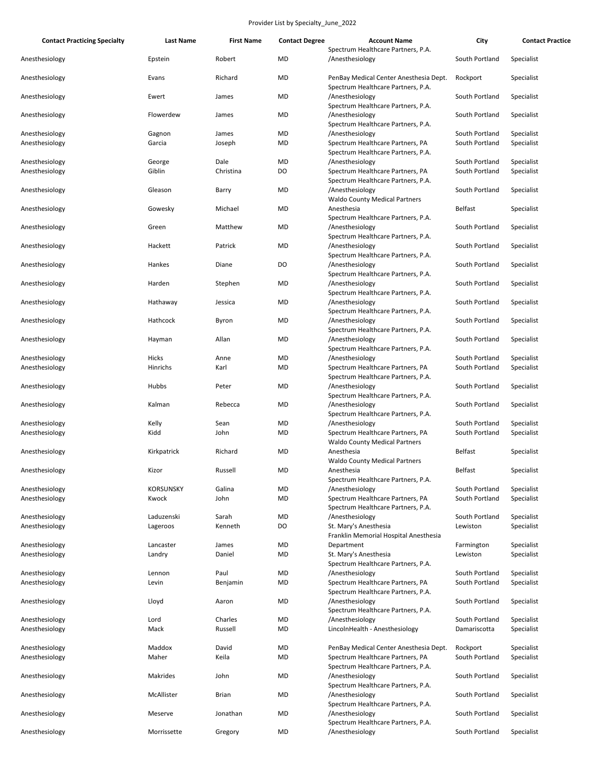| <b>Contact Practicing Specialty</b> | <b>Last Name</b>          | <b>First Name</b> | <b>Contact Degree</b>  | <b>Account Name</b>                                                                         | City                             | <b>Contact Practice</b>  |
|-------------------------------------|---------------------------|-------------------|------------------------|---------------------------------------------------------------------------------------------|----------------------------------|--------------------------|
| Anesthesiology                      | Epstein                   | Robert            | <b>MD</b>              | Spectrum Healthcare Partners, P.A.<br>/Anesthesiology                                       | South Portland                   | Specialist               |
| Anesthesiology                      | Evans                     | Richard           | <b>MD</b>              | PenBay Medical Center Anesthesia Dept.<br>Spectrum Healthcare Partners, P.A.                | Rockport                         | Specialist               |
| Anesthesiology                      | Ewert                     | James             | MD                     | /Anesthesiology<br>Spectrum Healthcare Partners, P.A.                                       | South Portland                   | Specialist               |
| Anesthesiology                      | Flowerdew                 | James             | MD                     | /Anesthesiology<br>Spectrum Healthcare Partners, P.A.                                       | South Portland                   | Specialist               |
| Anesthesiology<br>Anesthesiology    | Gagnon<br>Garcia          | James<br>Joseph   | MD<br>MD               | /Anesthesiology<br>Spectrum Healthcare Partners, PA                                         | South Portland<br>South Portland | Specialist<br>Specialist |
| Anesthesiology<br>Anesthesiology    | George<br>Giblin          | Dale<br>Christina | <b>MD</b><br>DO        | Spectrum Healthcare Partners, P.A.<br>/Anesthesiology<br>Spectrum Healthcare Partners, PA   | South Portland<br>South Portland | Specialist<br>Specialist |
| Anesthesiology                      | Gleason                   | Barry             | MD                     | Spectrum Healthcare Partners, P.A.<br>/Anesthesiology                                       | South Portland                   | Specialist               |
| Anesthesiology                      | Gowesky                   | Michael           | MD                     | <b>Waldo County Medical Partners</b><br>Anesthesia<br>Spectrum Healthcare Partners, P.A.    | <b>Belfast</b>                   | Specialist               |
| Anesthesiology                      | Green                     | Matthew           | <b>MD</b>              | /Anesthesiology<br>Spectrum Healthcare Partners, P.A.                                       | South Portland                   | Specialist               |
| Anesthesiology                      | Hackett                   | Patrick           | MD                     | /Anesthesiology<br>Spectrum Healthcare Partners, P.A.                                       | South Portland                   | Specialist               |
| Anesthesiology                      | Hankes                    | Diane             | DO                     | /Anesthesiology<br>Spectrum Healthcare Partners, P.A.                                       | South Portland                   | Specialist               |
| Anesthesiology                      | Harden                    | Stephen           | <b>MD</b>              | /Anesthesiology<br>Spectrum Healthcare Partners, P.A.                                       | South Portland                   | Specialist               |
| Anesthesiology                      | Hathaway                  | Jessica           | MD                     | /Anesthesiology<br>Spectrum Healthcare Partners, P.A.                                       | South Portland                   | Specialist               |
| Anesthesiology                      | Hathcock                  | Byron             | MD                     | /Anesthesiology<br>Spectrum Healthcare Partners, P.A.                                       | South Portland                   | Specialist               |
| Anesthesiology                      | Hayman                    | Allan             | MD                     | /Anesthesiology<br>Spectrum Healthcare Partners, P.A.                                       | South Portland                   | Specialist               |
| Anesthesiology                      | Hicks                     | Anne              | MD                     | /Anesthesiology                                                                             | South Portland                   | Specialist               |
| Anesthesiology                      | Hinrichs                  | Karl              | <b>MD</b>              | Spectrum Healthcare Partners, PA<br>Spectrum Healthcare Partners, P.A.                      | South Portland                   | Specialist               |
| Anesthesiology                      | Hubbs                     | Peter             | <b>MD</b>              | /Anesthesiology<br>Spectrum Healthcare Partners, P.A.                                       | South Portland                   | Specialist               |
| Anesthesiology                      | Kalman                    | Rebecca           | MD                     | /Anesthesiology<br>Spectrum Healthcare Partners, P.A.                                       | South Portland                   | Specialist               |
| Anesthesiology<br>Anesthesiology    | Kelly<br>Kidd             | Sean<br>John      | MD<br>MD               | /Anesthesiology<br>Spectrum Healthcare Partners, PA                                         | South Portland<br>South Portland | Specialist<br>Specialist |
| Anesthesiology                      | Kirkpatrick               | Richard           | <b>MD</b>              | <b>Waldo County Medical Partners</b><br>Anesthesia                                          | <b>Belfast</b>                   | Specialist               |
| Anesthesiology                      | Kizor                     | Russell           | MD                     | <b>Waldo County Medical Partners</b><br>Anesthesia                                          | <b>Belfast</b>                   | Specialist               |
|                                     |                           |                   |                        | Spectrum Healthcare Partners, P.A.                                                          |                                  |                          |
| Anesthesiology<br>Anesthesiology    | <b>KORSUNSKY</b><br>Kwock | Galina<br>John    | <b>MD</b><br><b>MD</b> | /Anesthesiology<br>Spectrum Healthcare Partners, PA                                         | South Portland<br>South Portland | Specialist<br>Specialist |
|                                     |                           |                   |                        | Spectrum Healthcare Partners, P.A.                                                          |                                  |                          |
| Anesthesiology<br>Anesthesiology    | Laduzenski<br>Lageroos    | Sarah<br>Kenneth  | MD<br>DO               | /Anesthesiology<br>St. Mary's Anesthesia<br>Franklin Memorial Hospital Anesthesia           | South Portland<br>Lewiston       | Specialist<br>Specialist |
| Anesthesiology                      | Lancaster                 | James             | MD                     | Department                                                                                  | Farmington                       | Specialist               |
| Anesthesiology                      | Landry                    | Daniel            | MD                     | St. Mary's Anesthesia<br>Spectrum Healthcare Partners, P.A.                                 | Lewiston                         | Specialist               |
| Anesthesiology<br>Anesthesiology    | Lennon<br>Levin           | Paul<br>Benjamin  | MD<br>MD               | /Anesthesiology<br>Spectrum Healthcare Partners, PA                                         | South Portland<br>South Portland | Specialist<br>Specialist |
| Anesthesiology                      | Lloyd                     | Aaron             | MD                     | Spectrum Healthcare Partners, P.A.<br>/Anesthesiology                                       | South Portland                   | Specialist               |
| Anesthesiology                      | Lord                      | Charles           | <b>MD</b>              | Spectrum Healthcare Partners, P.A.<br>/Anesthesiology                                       | South Portland                   | Specialist               |
| Anesthesiology                      | Mack                      | Russell           | <b>MD</b>              | LincolnHealth - Anesthesiology                                                              | Damariscotta                     | Specialist               |
| Anesthesiology<br>Anesthesiology    | Maddox<br>Maher           | David<br>Keila    | MD<br>MD               | PenBay Medical Center Anesthesia Dept.<br>Spectrum Healthcare Partners, PA                  | Rockport<br>South Portland       | Specialist<br>Specialist |
| Anesthesiology                      | Makrides                  | John              | MD                     | Spectrum Healthcare Partners, P.A.<br>/Anesthesiology<br>Spectrum Healthcare Partners, P.A. | South Portland                   | Specialist               |
| Anesthesiology                      | McAllister                | <b>Brian</b>      | MD                     | /Anesthesiology<br>Spectrum Healthcare Partners, P.A.                                       | South Portland                   | Specialist               |
| Anesthesiology                      | Meserve                   | Jonathan          | MD                     | /Anesthesiology<br>Spectrum Healthcare Partners, P.A.                                       | South Portland                   | Specialist               |
| Anesthesiology                      | Morrissette               | Gregory           | MD                     | /Anesthesiology                                                                             | South Portland                   | Specialist               |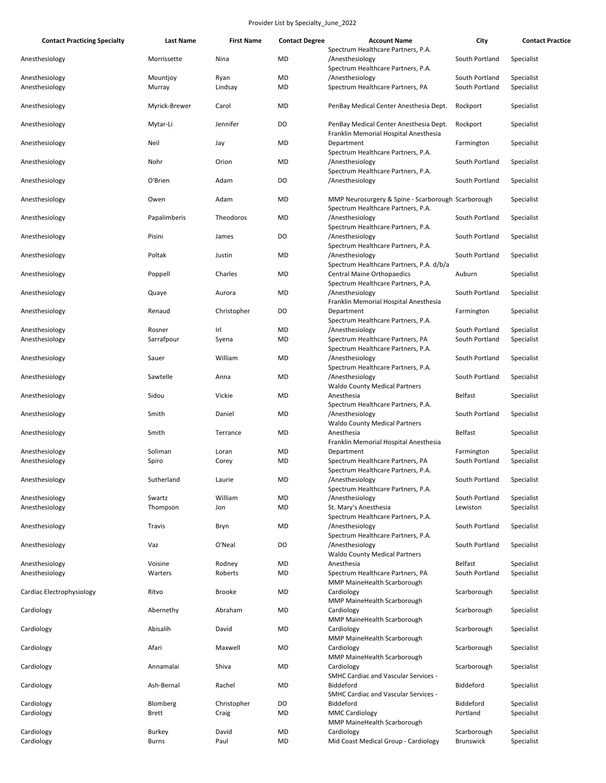| <b>Contact Practicing Specialty</b> | Last Name     | <b>First Name</b> | <b>Contact Degree</b> | <b>Account Name</b>                                                                      | City             | <b>Contact Practice</b> |
|-------------------------------------|---------------|-------------------|-----------------------|------------------------------------------------------------------------------------------|------------------|-------------------------|
| Anesthesiology                      | Morrissette   | Nina              | <b>MD</b>             | Spectrum Healthcare Partners, P.A.<br>/Anesthesiology                                    | South Portland   | Specialist              |
| Anesthesiology                      | Mountjoy      | Ryan              | <b>MD</b>             | Spectrum Healthcare Partners, P.A.<br>/Anesthesiology                                    | South Portland   | Specialist              |
| Anesthesiology                      | Murray        | Lindsay           | <b>MD</b>             | Spectrum Healthcare Partners, PA                                                         | South Portland   | Specialist              |
| Anesthesiology                      | Myrick-Brewer | Carol             | <b>MD</b>             | PenBay Medical Center Anesthesia Dept.                                                   | Rockport         | Specialist              |
| Anesthesiology                      | Mytar-Li      | Jennifer          | DO                    | PenBay Medical Center Anesthesia Dept.<br>Franklin Memorial Hospital Anesthesia          | Rockport         | Specialist              |
| Anesthesiology                      | Neil          | Jay               | <b>MD</b>             | Department<br>Spectrum Healthcare Partners, P.A.                                         | Farmington       | Specialist              |
| Anesthesiology                      | Nohr          | Orion             | MD                    | /Anesthesiology<br>Spectrum Healthcare Partners, P.A.                                    | South Portland   | Specialist              |
| Anesthesiology                      | O'Brien       | Adam              | DO                    | /Anesthesiology                                                                          | South Portland   | Specialist              |
| Anesthesiology                      | Owen          | Adam              | <b>MD</b>             | MMP Neurosurgery & Spine - Scarborough Scarborough<br>Spectrum Healthcare Partners, P.A. |                  | Specialist              |
| Anesthesiology                      | Papalimberis  | Theodoros         | MD                    | /Anesthesiology<br>Spectrum Healthcare Partners, P.A.                                    | South Portland   | Specialist              |
| Anesthesiology                      | Pisini        | James             | DO                    | /Anesthesiology<br>Spectrum Healthcare Partners, P.A.                                    | South Portland   | Specialist              |
| Anesthesiology                      | Poltak        | Justin            | MD                    | /Anesthesiology<br>Spectrum Healthcare Partners, P.A. d/b/a                              | South Portland   | Specialist              |
| Anesthesiology                      | Poppell       | Charles           | MD                    | <b>Central Maine Orthopaedics</b><br>Spectrum Healthcare Partners, P.A.                  | Auburn           | Specialist              |
| Anesthesiology                      | Quaye         | Aurora            | <b>MD</b>             | /Anesthesiology<br>Franklin Memorial Hospital Anesthesia                                 | South Portland   | Specialist              |
| Anesthesiology                      | Renaud        | Christopher       | DO                    | Department<br>Spectrum Healthcare Partners, P.A.                                         | Farmington       | Specialist              |
| Anesthesiology                      | Rosner        | Irl               | <b>MD</b>             | /Anesthesiology                                                                          | South Portland   | Specialist              |
| Anesthesiology                      | Sarrafpour    | Syena             | MD                    | Spectrum Healthcare Partners, PA<br>Spectrum Healthcare Partners, P.A.                   | South Portland   | Specialist              |
| Anesthesiology                      | Sauer         | William           | <b>MD</b>             | /Anesthesiology<br>Spectrum Healthcare Partners, P.A.                                    | South Portland   | Specialist              |
| Anesthesiology                      | Sawtelle      | Anna              | MD                    | /Anesthesiology<br><b>Waldo County Medical Partners</b>                                  | South Portland   | Specialist              |
| Anesthesiology                      | Sidou         | Vickie            | <b>MD</b>             | Anesthesia<br>Spectrum Healthcare Partners, P.A.                                         | <b>Belfast</b>   | Specialist              |
| Anesthesiology                      | Smith         | Daniel            | <b>MD</b>             | /Anesthesiology<br><b>Waldo County Medical Partners</b>                                  | South Portland   | Specialist              |
| Anesthesiology                      | Smith         | Terrance          | MD                    | Anesthesia<br>Franklin Memorial Hospital Anesthesia                                      | <b>Belfast</b>   | Specialist              |
| Anesthesiology                      | Soliman       | Loran             | MD                    | Department                                                                               | Farmington       | Specialist              |
| Anesthesiology                      | Spiro         | Corey             | MD                    | Spectrum Healthcare Partners, PA                                                         | South Portland   | Specialist              |
| Anesthesiology                      | Sutherland    | Laurie            | MD                    | Spectrum Healthcare Partners, P.A.<br>/Anesthesiology                                    | South Portland   | Specialist              |
|                                     |               |                   |                       | Spectrum Healthcare Partners, P.A.                                                       |                  |                         |
| Anesthesiology                      | Swartz        | William           | MD                    | /Anesthesiology                                                                          | South Portland   | Specialist              |
| Anesthesiology                      | Thompson      | Jon               | <b>MD</b>             | St. Mary's Anesthesia<br>Spectrum Healthcare Partners, P.A.                              | Lewiston         | Specialist              |
| Anesthesiology                      | Travis        | Bryn              | <b>MD</b>             | /Anesthesiology<br>Spectrum Healthcare Partners, P.A.                                    | South Portland   | Specialist              |
| Anesthesiology                      | Vaz           | O'Neal            | DO                    | /Anesthesiology<br><b>Waldo County Medical Partners</b>                                  | South Portland   | Specialist              |
| Anesthesiology                      | Voisine       | Rodney            | MD                    | Anesthesia                                                                               | <b>Belfast</b>   | Specialist              |
| Anesthesiology                      | Warters       | Roberts           | MD                    | Spectrum Healthcare Partners, PA<br>MMP MaineHealth Scarborough                          | South Portland   | Specialist              |
| Cardiac Electrophysiology           | Ritvo         | <b>Brooke</b>     | MD                    | Cardiology<br>MMP MaineHealth Scarborough                                                | Scarborough      | Specialist              |
| Cardiology                          | Abernethy     | Abraham           | MD                    | Cardiology<br>MMP MaineHealth Scarborough                                                | Scarborough      | Specialist              |
| Cardiology                          | Abisalih      | David             | <b>MD</b>             | Cardiology<br>MMP MaineHealth Scarborough                                                | Scarborough      | Specialist              |
| Cardiology                          | Afari         | Maxwell           | MD                    | Cardiology<br>MMP MaineHealth Scarborough                                                | Scarborough      | Specialist              |
| Cardiology                          | Annamalai     | Shiva             | MD                    | Cardiology<br><b>SMHC Cardiac and Vascular Services -</b>                                | Scarborough      | Specialist              |
| Cardiology                          | Ash-Bernal    | Rachel            | MD                    | Biddeford<br><b>SMHC Cardiac and Vascular Services -</b>                                 | Biddeford        | Specialist              |
| Cardiology                          | Blomberg      | Christopher       | DO                    | Biddeford                                                                                | Biddeford        | Specialist              |
| Cardiology                          | Brett         | Craig             | MD                    | <b>MMC Cardiology</b><br>MMP MaineHealth Scarborough                                     | Portland         | Specialist              |
| Cardiology                          | Burkey        | David             | MD                    | Cardiology                                                                               | Scarborough      | Specialist              |
| Cardiology                          | <b>Burns</b>  | Paul              | <b>MD</b>             | Mid Coast Medical Group - Cardiology                                                     | <b>Brunswick</b> | Specialist              |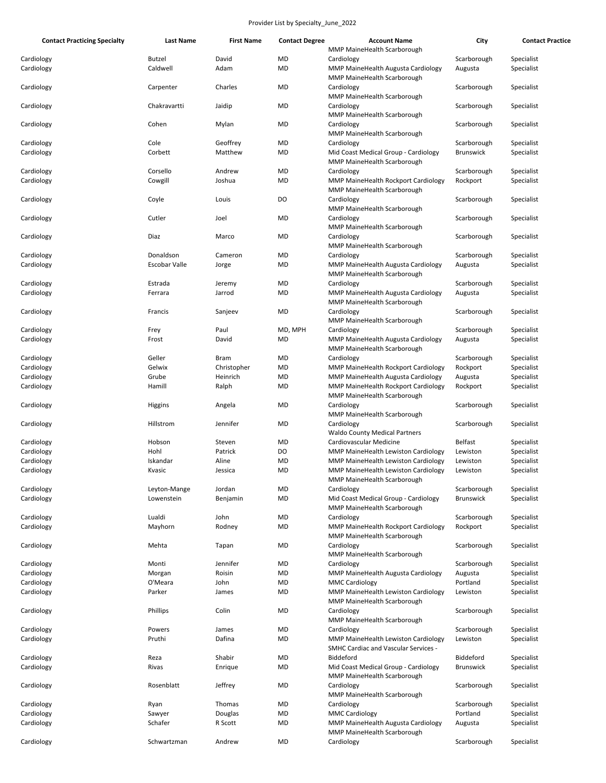| <b>Contact Practicing Specialty</b> | <b>Last Name</b>          | <b>First Name</b> | <b>Contact Degree</b> | <b>Account Name</b>                                                      | City                   | <b>Contact Practice</b>  |
|-------------------------------------|---------------------------|-------------------|-----------------------|--------------------------------------------------------------------------|------------------------|--------------------------|
|                                     |                           |                   |                       | MMP MaineHealth Scarborough                                              |                        |                          |
| Cardiology<br>Cardiology            | <b>Butzel</b><br>Caldwell | David<br>Adam     | MD<br>MD              | Cardiology<br>MMP MaineHealth Augusta Cardiology                         | Scarborough<br>Augusta | Specialist<br>Specialist |
| Cardiology                          | Carpenter                 | Charles           | MD                    | MMP MaineHealth Scarborough<br>Cardiology                                | Scarborough            | Specialist               |
| Cardiology                          | Chakravartti              | Jaidip            | MD                    | MMP MaineHealth Scarborough<br>Cardiology                                | Scarborough            | Specialist               |
| Cardiology                          | Cohen                     | Mylan             | MD                    | MMP MaineHealth Scarborough<br>Cardiology                                | Scarborough            | Specialist               |
|                                     |                           |                   |                       | MMP MaineHealth Scarborough                                              |                        |                          |
| Cardiology                          | Cole                      | Geoffrey          | MD                    | Cardiology                                                               | Scarborough            | Specialist               |
| Cardiology                          | Corbett                   | Matthew           | MD                    | Mid Coast Medical Group - Cardiology<br>MMP MaineHealth Scarborough      | <b>Brunswick</b>       | Specialist               |
| Cardiology                          | Corsello                  | Andrew            | MD                    | Cardiology                                                               | Scarborough            | Specialist               |
| Cardiology                          | Cowgill                   | Joshua            | MD                    | MMP MaineHealth Rockport Cardiology                                      | Rockport               | Specialist               |
| Cardiology                          | Coyle                     | Louis             | DO                    | MMP MaineHealth Scarborough<br>Cardiology<br>MMP MaineHealth Scarborough | Scarborough            | Specialist               |
| Cardiology                          | Cutler                    | Joel              | MD                    | Cardiology                                                               | Scarborough            | Specialist               |
| Cardiology                          | Diaz                      | Marco             | MD                    | MMP MaineHealth Scarborough<br>Cardiology                                | Scarborough            | Specialist               |
|                                     |                           |                   |                       | MMP MaineHealth Scarborough                                              |                        |                          |
| Cardiology                          | Donaldson                 | Cameron           | MD                    | Cardiology                                                               | Scarborough            | Specialist               |
| Cardiology                          | Escobar Valle             | Jorge             | MD                    | MMP MaineHealth Augusta Cardiology<br>MMP MaineHealth Scarborough        | Augusta                | Specialist               |
| Cardiology                          | Estrada                   | Jeremy            | MD                    | Cardiology                                                               | Scarborough            | Specialist               |
| Cardiology                          | Ferrara                   | Jarrod            | MD                    | MMP MaineHealth Augusta Cardiology<br>MMP MaineHealth Scarborough        | Augusta                | Specialist               |
| Cardiology                          | Francis                   | Sanjeev           | MD                    | Cardiology<br>MMP MaineHealth Scarborough                                | Scarborough            | Specialist               |
| Cardiology                          | Frey                      | Paul              | MD, MPH               | Cardiology                                                               | Scarborough            | Specialist               |
| Cardiology                          | Frost                     | David             | MD                    | MMP MaineHealth Augusta Cardiology<br>MMP MaineHealth Scarborough        | Augusta                | Specialist               |
| Cardiology                          | Geller                    | Bram              | MD                    | Cardiology                                                               | Scarborough            | Specialist               |
| Cardiology                          | Gelwix                    | Christopher       | MD                    | MMP MaineHealth Rockport Cardiology                                      | Rockport               | Specialist               |
| Cardiology                          | Grube                     | Heinrich          | MD                    | MMP MaineHealth Augusta Cardiology                                       | Augusta                | Specialist               |
| Cardiology                          | Hamill                    | Ralph             | MD                    | MMP MaineHealth Rockport Cardiology<br>MMP MaineHealth Scarborough       | Rockport               | Specialist               |
| Cardiology                          | Higgins                   | Angela            | MD                    | Cardiology<br>MMP MaineHealth Scarborough                                | Scarborough            | Specialist               |
| Cardiology                          | Hillstrom                 | Jennifer          | MD                    | Cardiology<br><b>Waldo County Medical Partners</b>                       | Scarborough            | Specialist               |
| Cardiology                          | Hobson                    | Steven            | MD                    | Cardiovascular Medicine                                                  | Belfast                | Specialist               |
| Cardiology                          | Hohl                      | Patrick           | DO                    | MMP MaineHealth Lewiston Cardiology                                      | Lewiston               | Specialist               |
| Cardiology                          | Iskandar                  | Aline             | MD                    | MMP MaineHealth Lewiston Cardiology                                      | Lewiston               | Specialist               |
| Cardiology                          | Kvasic                    | Jessica           | MD                    | MMP MaineHealth Lewiston Cardiology<br>MMP MaineHealth Scarborough       | Lewiston               | Specialist               |
| Cardiology                          | Leyton-Mange              | Jordan            | MD                    | Cardiology                                                               | Scarborough            | Specialist               |
| Cardiology                          | Lowenstein                | Benjamin          | MD                    | Mid Coast Medical Group - Cardiology<br>MMP MaineHealth Scarborough      | <b>Brunswick</b>       | Specialist               |
| Cardiology                          | Lualdi                    | John              | MD                    | Cardiology                                                               | Scarborough            | Specialist               |
| Cardiology                          | Mayhorn                   | Rodney            | MD                    | MMP MaineHealth Rockport Cardiology<br>MMP MaineHealth Scarborough       | Rockport               | Specialist               |
| Cardiology                          | Mehta                     | Tapan             | MD                    | Cardiology<br>MMP MaineHealth Scarborough                                | Scarborough            | Specialist               |
| Cardiology                          | Monti                     | Jennifer          | MD                    | Cardiology                                                               | Scarborough            | Specialist               |
| Cardiology                          | Morgan                    | Roisin            | MD                    | MMP MaineHealth Augusta Cardiology                                       | Augusta                | Specialist               |
| Cardiology                          | O'Meara                   | John              | MD                    | <b>MMC Cardiology</b>                                                    | Portland               | Specialist               |
| Cardiology                          | Parker                    | James             | MD                    | MMP MaineHealth Lewiston Cardiology<br>MMP MaineHealth Scarborough       | Lewiston               | Specialist               |
| Cardiology                          | Phillips                  | Colin             | MD                    | Cardiology<br>MMP MaineHealth Scarborough                                | Scarborough            | Specialist               |
| Cardiology                          | Powers                    | James             | MD                    | Cardiology                                                               | Scarborough            | Specialist               |
| Cardiology                          | Pruthi                    | Dafina            | MD                    | MMP MaineHealth Lewiston Cardiology                                      | Lewiston               | Specialist               |
| Cardiology                          | Reza                      | Shabir            | MD                    | <b>SMHC Cardiac and Vascular Services -</b><br>Biddeford                 | Biddeford              | Specialist               |
| Cardiology                          | Rivas                     | Enrique           | MD                    | Mid Coast Medical Group - Cardiology                                     | <b>Brunswick</b>       | Specialist               |
| Cardiology                          | Rosenblatt                | Jeffrey           | MD                    | MMP MaineHealth Scarborough<br>Cardiology                                | Scarborough            | Specialist               |
|                                     |                           |                   |                       | MMP MaineHealth Scarborough                                              |                        |                          |
| Cardiology                          | Ryan                      | Thomas            | MD                    | Cardiology                                                               | Scarborough            | Specialist               |
| Cardiology                          | Sawyer                    | Douglas           | MD                    | <b>MMC Cardiology</b>                                                    | Portland               | Specialist               |
| Cardiology                          | Schafer                   | R Scott           | MD                    | MMP MaineHealth Augusta Cardiology<br>MMP MaineHealth Scarborough        | Augusta                | Specialist               |
| Cardiology                          | Schwartzman               | Andrew            | MD                    | Cardiology                                                               | Scarborough            | Specialist               |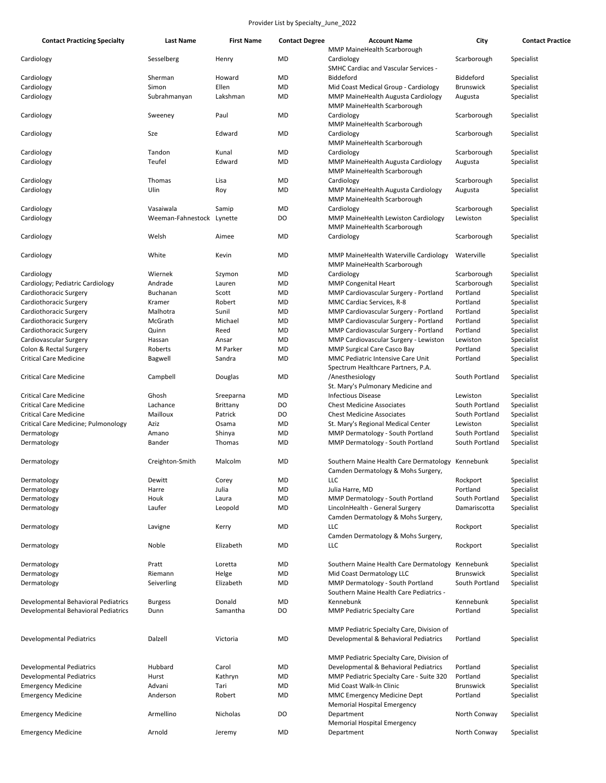| <b>Contact Practicing Specialty</b> | Last Name         | <b>First Name</b> | <b>Contact Degree</b> | <b>Account Name</b>                                                                    | City             | <b>Contact Practice</b>  |
|-------------------------------------|-------------------|-------------------|-----------------------|----------------------------------------------------------------------------------------|------------------|--------------------------|
|                                     |                   |                   |                       | MMP MaineHealth Scarborough                                                            |                  |                          |
| Cardiology                          | Sesselberg        | Henry             | <b>MD</b>             | Cardiology                                                                             | Scarborough      | Specialist               |
|                                     |                   |                   |                       | <b>SMHC Cardiac and Vascular Services -</b>                                            |                  |                          |
| Cardiology                          | Sherman           | Howard            | <b>MD</b>             | Biddeford                                                                              | <b>Biddeford</b> | Specialist               |
| Cardiology                          | Simon             | Ellen             | <b>MD</b>             | Mid Coast Medical Group - Cardiology                                                   | Brunswick        | Specialist               |
| Cardiology                          | Subrahmanyan      | Lakshman          | MD                    | MMP MaineHealth Augusta Cardiology<br><b>MMP MaineHealth Scarborough</b>               | Augusta          | Specialist               |
| Cardiology                          | Sweeney           | Paul              | <b>MD</b>             | Cardiology<br>MMP MaineHealth Scarborough                                              | Scarborough      | Specialist               |
| Cardiology                          | Sze               | Edward            | MD                    | Cardiology<br>MMP MaineHealth Scarborough                                              | Scarborough      | Specialist               |
| Cardiology                          | Tandon            | Kunal             | <b>MD</b>             | Cardiology                                                                             | Scarborough      | Specialist               |
| Cardiology                          | Teufel            | Edward            | MD                    | MMP MaineHealth Augusta Cardiology                                                     | Augusta          | Specialist               |
|                                     | Thomas            |                   |                       | MMP MaineHealth Scarborough                                                            |                  |                          |
| Cardiology                          | Ulin              | Lisa<br>Roy       | MD<br>MD              | Cardiology                                                                             | Scarborough      | Specialist<br>Specialist |
| Cardiology                          |                   |                   |                       | MMP MaineHealth Augusta Cardiology<br>MMP MaineHealth Scarborough                      | Augusta          |                          |
| Cardiology                          | Vasaiwala         | Samip             | MD                    | Cardiology                                                                             | Scarborough      | Specialist               |
| Cardiology                          | Weeman-Fahnestock | Lynette           | DO                    | MMP MaineHealth Lewiston Cardiology<br>MMP MaineHealth Scarborough                     | Lewiston         | Specialist               |
| Cardiology                          | Welsh             | Aimee             | <b>MD</b>             | Cardiology                                                                             | Scarborough      | Specialist               |
| Cardiology                          | White             | Kevin             | <b>MD</b>             | MMP MaineHealth Waterville Cardiology<br>MMP MaineHealth Scarborough                   | Waterville       | Specialist               |
| Cardiology                          | Wiernek           | Szymon            | MD                    | Cardiology                                                                             | Scarborough      | Specialist               |
| Cardiology; Pediatric Cardiology    | Andrade           | Lauren            | MD                    | <b>MMP Congenital Heart</b>                                                            | Scarborough      | Specialist               |
| Cardiothoracic Surgery              | Buchanan          | Scott             | MD                    | MMP Cardiovascular Surgery - Portland                                                  | Portland         | Specialist               |
| Cardiothoracic Surgery              | Kramer            | Robert            | MD                    | MMC Cardiac Services, R-8                                                              | Portland         | Specialist               |
| Cardiothoracic Surgery              | Malhotra          | Sunil             | MD                    | MMP Cardiovascular Surgery - Portland                                                  | Portland         | Specialist               |
| Cardiothoracic Surgery              | McGrath           | Michael           | MD                    | MMP Cardiovascular Surgery - Portland                                                  | Portland         | Specialist               |
| Cardiothoracic Surgery              | Quinn             | Reed              | MD                    | MMP Cardiovascular Surgery - Portland                                                  | Portland         | Specialist               |
| Cardiovascular Surgery              | Hassan            | Ansar             | MD                    | MMP Cardiovascular Surgery - Lewiston                                                  | Lewiston         | Specialist               |
| Colon & Rectal Surgery              | Roberts           | M Parker          | MD                    | MMP Surgical Care Casco Bay                                                            | Portland         | Specialist               |
|                                     |                   |                   |                       |                                                                                        |                  |                          |
| <b>Critical Care Medicine</b>       | Bagwell           | Sandra            | MD                    | MMC Pediatric Intensive Care Unit<br>Spectrum Healthcare Partners, P.A.                | Portland         | Specialist               |
| Critical Care Medicine              | Campbell          | Douglas           | MD                    | /Anesthesiology<br>St. Mary's Pulmonary Medicine and                                   | South Portland   | Specialist               |
| <b>Critical Care Medicine</b>       | Ghosh             | Sreeparna         | MD                    | <b>Infectious Disease</b>                                                              | Lewiston         | Specialist               |
| <b>Critical Care Medicine</b>       | Lachance          | Brittany          | DO                    | <b>Chest Medicine Associates</b>                                                       | South Portland   | Specialist               |
| <b>Critical Care Medicine</b>       | Mailloux          | Patrick           | DO                    | <b>Chest Medicine Associates</b>                                                       | South Portland   | Specialist               |
| Critical Care Medicine; Pulmonology | Aziz              | Osama             | MD                    | St. Mary's Regional Medical Center                                                     | Lewiston         | Specialist               |
| Dermatology                         | Amano             | Shinya            | MD                    | MMP Dermatology - South Portland                                                       | South Portland   | Specialist               |
| Dermatology                         | Bander            | Thomas            | <b>MD</b>             | MMP Dermatology - South Portland                                                       | South Portland   | Specialist               |
| Dermatology                         | Creighton-Smith   | Malcolm           | <b>MD</b>             | Southern Maine Health Care Dermatology Kennebunk<br>Camden Dermatology & Mohs Surgery, |                  | Specialist               |
| Dermatology                         | Dewitt            | Corey             | MD                    | <b>LLC</b>                                                                             | Rockport         | Specialist               |
| Dermatology                         | Harre             | Julia             | MD                    | Julia Harre, MD                                                                        | Portland         | Specialist               |
| Dermatology                         | Houk              | Laura             | MD                    | MMP Dermatology - South Portland                                                       | South Portland   | Specialist               |
| Dermatology                         | Laufer            | Leopold           | MD                    | LincolnHealth - General Surgery                                                        | Damariscotta     | Specialist               |
|                                     |                   |                   |                       | Camden Dermatology & Mohs Surgery,                                                     |                  |                          |
| Dermatology                         | Lavigne           | Kerry             | MD                    | <b>LLC</b><br>Camden Dermatology & Mohs Surgery,                                       | Rockport         | Specialist               |
| Dermatology                         | Noble             | Elizabeth         | MD                    | LLC                                                                                    | Rockport         | Specialist               |
| Dermatology                         | Pratt             | Loretta           | MD                    | Southern Maine Health Care Dermatology                                                 | Kennebunk        | Specialist               |
| Dermatology                         | Riemann           | Helge             | MD                    | Mid Coast Dermatology LLC                                                              | <b>Brunswick</b> | Specialist               |
| Dermatology                         | Seiverling        | Elizabeth         | MD                    | MMP Dermatology - South Portland<br>Southern Maine Health Care Pediatrics -            | South Portland   | Specialist               |
| Developmental Behavioral Pediatrics | <b>Burgess</b>    | Donald            | MD                    | Kennebunk                                                                              | Kennebunk        | Specialist               |
| Developmental Behavioral Pediatrics | Dunn              | Samantha          | DO                    | <b>MMP Pediatric Specialty Care</b>                                                    | Portland         | Specialist               |
| Developmental Pediatrics            | Dalzell           | Victoria          | MD                    | MMP Pediatric Specialty Care, Division of<br>Developmental & Behavioral Pediatrics     | Portland         | Specialist               |
|                                     |                   |                   |                       | MMP Pediatric Specialty Care, Division of                                              |                  |                          |
| Developmental Pediatrics            | Hubbard           | Carol             | MD                    | Developmental & Behavioral Pediatrics                                                  | Portland         | Specialist               |
| Developmental Pediatrics            | Hurst             | Kathryn           | MD                    | MMP Pediatric Specialty Care - Suite 320                                               | Portland         | Specialist               |
| <b>Emergency Medicine</b>           | Advani            | Tari              | MD                    | Mid Coast Walk-In Clinic                                                               | Brunswick        | Specialist               |
| <b>Emergency Medicine</b>           | Anderson          | Robert            | MD                    | MMC Emergency Medicine Dept<br><b>Memorial Hospital Emergency</b>                      | Portland         | Specialist               |
| <b>Emergency Medicine</b>           | Armellino         | Nicholas          | DO                    | Department<br><b>Memorial Hospital Emergency</b>                                       | North Conway     | Specialist               |
| <b>Emergency Medicine</b>           | Arnold            | Jeremy            | MD                    | Department                                                                             | North Conway     | Specialist               |
|                                     |                   |                   |                       |                                                                                        |                  |                          |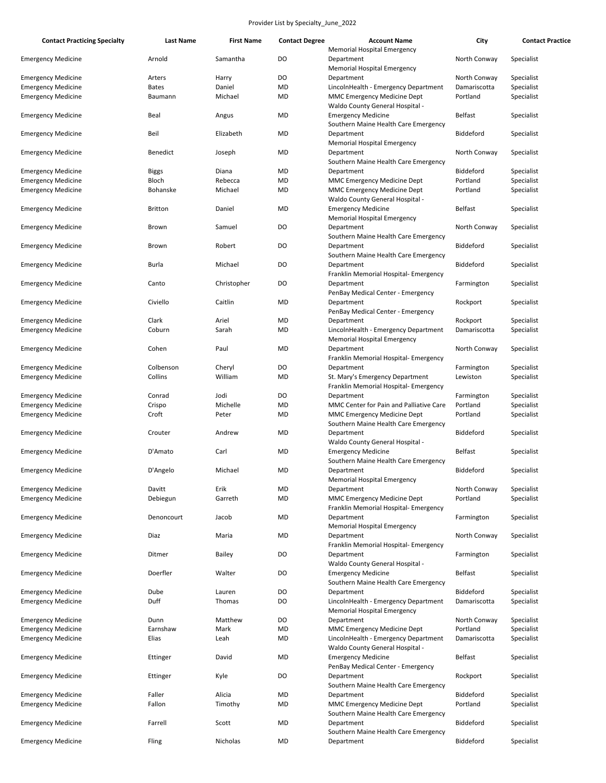| <b>Contact Practicing Specialty</b>                    | Last Name      | <b>First Name</b> | <b>Contact Degree</b> | <b>Account Name</b><br>Memorial Hospital Emergency                                         | City             | <b>Contact Practice</b> |
|--------------------------------------------------------|----------------|-------------------|-----------------------|--------------------------------------------------------------------------------------------|------------------|-------------------------|
| <b>Emergency Medicine</b>                              | Arnold         | Samantha          | DO                    | Department<br><b>Memorial Hospital Emergency</b>                                           | North Conway     | Specialist              |
| <b>Emergency Medicine</b>                              | Arters         | Harry             | DO                    | Department                                                                                 | North Conway     | Specialist              |
| <b>Emergency Medicine</b>                              | <b>Bates</b>   | Daniel            | <b>MD</b>             | LincolnHealth - Emergency Department                                                       | Damariscotta     | Specialist              |
| <b>Emergency Medicine</b>                              | Baumann        | Michael           | MD                    | <b>MMC Emergency Medicine Dept</b><br>Waldo County General Hospital -                      | Portland         | Specialist              |
| <b>Emergency Medicine</b>                              | Beal           | Angus             | <b>MD</b>             | <b>Emergency Medicine</b><br>Southern Maine Health Care Emergency                          | <b>Belfast</b>   | Specialist              |
| <b>Emergency Medicine</b>                              | Beil           | Elizabeth         | MD                    | Department<br><b>Memorial Hospital Emergency</b>                                           | Biddeford        | Specialist              |
| <b>Emergency Medicine</b>                              | Benedict       | Joseph            | <b>MD</b>             | Department<br>Southern Maine Health Care Emergency                                         | North Conway     | Specialist              |
| <b>Emergency Medicine</b>                              | <b>Biggs</b>   | Diana             | <b>MD</b>             | Department                                                                                 | <b>Biddeford</b> | Specialist              |
| <b>Emergency Medicine</b>                              | Bloch          | Rebecca           | <b>MD</b>             | MMC Emergency Medicine Dept                                                                | Portland         | Specialist              |
| <b>Emergency Medicine</b>                              | Bohanske       | Michael           | <b>MD</b>             | MMC Emergency Medicine Dept<br>Waldo County General Hospital -                             | Portland         | Specialist              |
| <b>Emergency Medicine</b>                              | <b>Britton</b> | Daniel            | <b>MD</b>             | <b>Emergency Medicine</b><br><b>Memorial Hospital Emergency</b>                            | <b>Belfast</b>   | Specialist              |
| <b>Emergency Medicine</b>                              | Brown          | Samuel            | DO                    | Department<br>Southern Maine Health Care Emergency                                         | North Conway     | Specialist              |
| <b>Emergency Medicine</b>                              | Brown          | Robert            | DO                    | Department<br>Southern Maine Health Care Emergency                                         | Biddeford        | Specialist              |
| <b>Emergency Medicine</b>                              | Burla          | Michael           | DO                    | Department<br>Franklin Memorial Hospital- Emergency                                        | Biddeford        | Specialist              |
| <b>Emergency Medicine</b>                              | Canto          | Christopher       | DO                    | Department<br>PenBay Medical Center - Emergency                                            | Farmington       | Specialist              |
| <b>Emergency Medicine</b>                              | Civiello       | Caitlin           | <b>MD</b>             | Department<br>PenBay Medical Center - Emergency                                            | Rockport         | Specialist              |
| <b>Emergency Medicine</b>                              | Clark          | Ariel             | <b>MD</b>             | Department                                                                                 | Rockport         | Specialist              |
| <b>Emergency Medicine</b>                              | Coburn         | Sarah             | <b>MD</b>             | LincolnHealth - Emergency Department                                                       | Damariscotta     | Specialist              |
|                                                        |                |                   |                       | <b>Memorial Hospital Emergency</b>                                                         |                  |                         |
| <b>Emergency Medicine</b>                              | Cohen          | Paul              | MD                    | Department<br>Franklin Memorial Hospital- Emergency                                        | North Conway     | Specialist              |
| <b>Emergency Medicine</b>                              | Colbenson      | Cheryl            | DO                    | Department                                                                                 | Farmington       | Specialist              |
| <b>Emergency Medicine</b>                              | Collins        | William           | <b>MD</b>             | St. Mary's Emergency Department<br>Franklin Memorial Hospital- Emergency                   | Lewiston         | Specialist              |
| <b>Emergency Medicine</b>                              | Conrad         | Jodi              | DO                    | Department                                                                                 | Farmington       | Specialist              |
| <b>Emergency Medicine</b>                              | Crispo         | Michelle          | MD                    | MMC Center for Pain and Palliative Care                                                    | Portland         | Specialist              |
| <b>Emergency Medicine</b>                              | Croft          | Peter             | MD                    | MMC Emergency Medicine Dept<br>Southern Maine Health Care Emergency                        | Portland         | Specialist              |
| <b>Emergency Medicine</b>                              | Crouter        | Andrew            | MD                    | Department<br>Waldo County General Hospital -                                              | Biddeford        | Specialist              |
| <b>Emergency Medicine</b>                              | D'Amato        | Carl              | MD                    | <b>Emergency Medicine</b><br>Southern Maine Health Care Emergency                          | <b>Belfast</b>   | Specialist              |
| <b>Emergency Medicine</b>                              | D'Angelo       | Michael           | <b>MD</b>             | Department<br>Memorial Hospital Emergency                                                  | <b>Biddeford</b> | Specialist              |
| <b>Emergency Medicine</b>                              | Davitt         | Erik              | MD                    | Department                                                                                 | North Conway     | Specialist              |
| <b>Emergency Medicine</b>                              | Debiegun       | Garreth           | MD                    | MMC Emergency Medicine Dept<br>Franklin Memorial Hospital- Emergency                       | Portland         | Specialist              |
| <b>Emergency Medicine</b>                              | Denoncourt     | Jacob             | MD                    | Department<br><b>Memorial Hospital Emergency</b>                                           | Farmington       | Specialist              |
| <b>Emergency Medicine</b>                              | Diaz           | Maria             | <b>MD</b>             | Department<br>Franklin Memorial Hospital- Emergency                                        | North Conway     | Specialist              |
| <b>Emergency Medicine</b>                              | Ditmer         | Bailey            | DO                    | Department<br>Waldo County General Hospital -                                              | Farmington       | Specialist              |
| <b>Emergency Medicine</b>                              | Doerfler       | Walter            | DO                    | <b>Emergency Medicine</b><br>Southern Maine Health Care Emergency                          | <b>Belfast</b>   | Specialist              |
| <b>Emergency Medicine</b>                              | Dube           | Lauren            | DO                    | Department                                                                                 | Biddeford        | Specialist              |
| <b>Emergency Medicine</b>                              | Duff           | Thomas            | DO                    | LincolnHealth - Emergency Department<br><b>Memorial Hospital Emergency</b>                 | Damariscotta     | Specialist              |
| <b>Emergency Medicine</b>                              | Dunn           | Matthew           | DO                    | Department                                                                                 | North Conway     | Specialist              |
| <b>Emergency Medicine</b>                              | Earnshaw       | Mark              | MD                    | MMC Emergency Medicine Dept                                                                | Portland         | Specialist              |
| <b>Emergency Medicine</b>                              | Elias          | Leah              | MD                    | LincolnHealth - Emergency Department                                                       | Damariscotta     | Specialist              |
| <b>Emergency Medicine</b>                              | Ettinger       | David             | <b>MD</b>             | Waldo County General Hospital -<br><b>Emergency Medicine</b>                               | <b>Belfast</b>   | Specialist              |
| <b>Emergency Medicine</b>                              | Ettinger       | Kyle              | DO                    | PenBay Medical Center - Emergency<br>Department                                            | Rockport         | Specialist              |
|                                                        | Faller         | Alicia            | MD                    | Southern Maine Health Care Emergency                                                       | Biddeford        | Specialist              |
| <b>Emergency Medicine</b><br><b>Emergency Medicine</b> | Fallon         | Timothy           | MD                    | Department<br>MMC Emergency Medicine Dept                                                  | Portland         | Specialist              |
| <b>Emergency Medicine</b>                              | Farrell        | Scott             | <b>MD</b>             | Southern Maine Health Care Emergency<br>Department<br>Southern Maine Health Care Emergency | Biddeford        | Specialist              |
| <b>Emergency Medicine</b>                              | Fling          | Nicholas          | MD                    | Department                                                                                 | Biddeford        | Specialist              |
|                                                        |                |                   |                       |                                                                                            |                  |                         |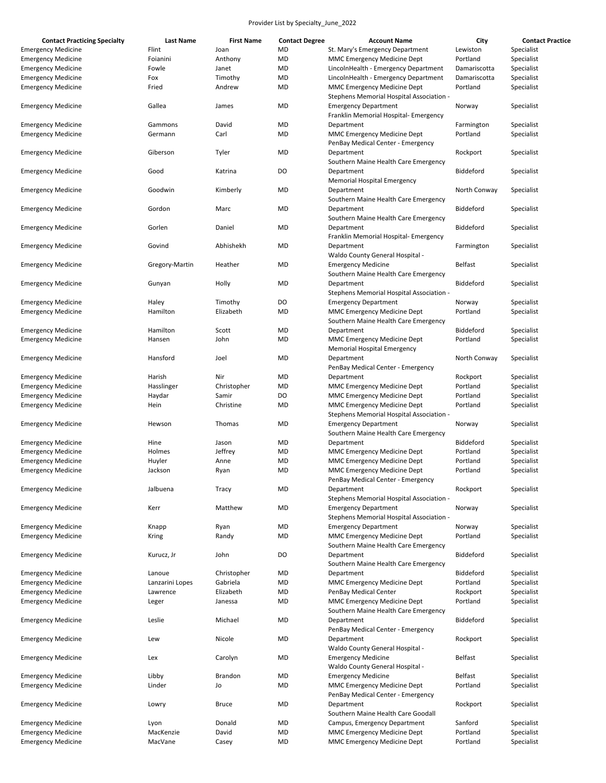| <b>Contact Practicing Specialty</b> | <b>Last Name</b> | <b>First Name</b> | <b>Contact Degree</b> | <b>Account Name</b>                                                          | City             | <b>Contact Practice</b> |
|-------------------------------------|------------------|-------------------|-----------------------|------------------------------------------------------------------------------|------------------|-------------------------|
| <b>Emergency Medicine</b>           | Flint            | Joan              | <b>MD</b>             | St. Mary's Emergency Department                                              | Lewiston         | Specialist              |
| <b>Emergency Medicine</b>           | Foianini         | Anthony           | <b>MD</b>             | MMC Emergency Medicine Dept                                                  | Portland         | Specialist              |
| <b>Emergency Medicine</b>           | Fowle            | Janet             | MD                    | LincolnHealth - Emergency Department                                         | Damariscotta     | Specialist              |
| <b>Emergency Medicine</b>           | Fox              | Timothy           | MD                    | LincolnHealth - Emergency Department                                         | Damariscotta     | Specialist              |
| <b>Emergency Medicine</b>           | Fried            | Andrew            | MD                    | <b>MMC Emergency Medicine Dept</b>                                           | Portland         | Specialist              |
|                                     |                  |                   |                       | Stephens Memorial Hospital Association -                                     |                  |                         |
| <b>Emergency Medicine</b>           | Gallea           | James             | MD                    | <b>Emergency Department</b><br>Franklin Memorial Hospital- Emergency         | Norway           | Specialist              |
| <b>Emergency Medicine</b>           | Gammons          | David             | MD                    | Department                                                                   | Farmington       | Specialist              |
| <b>Emergency Medicine</b>           | Germann          | Carl              | MD                    | <b>MMC Emergency Medicine Dept</b>                                           | Portland         | Specialist              |
|                                     |                  |                   |                       | PenBay Medical Center - Emergency                                            |                  |                         |
| <b>Emergency Medicine</b>           | Giberson         | Tyler             | <b>MD</b>             | Department<br>Southern Maine Health Care Emergency                           | Rockport         | Specialist              |
|                                     |                  |                   |                       |                                                                              |                  |                         |
| <b>Emergency Medicine</b>           | Good             | Katrina           | DO                    | Department<br><b>Memorial Hospital Emergency</b>                             | <b>Biddeford</b> | Specialist              |
| <b>Emergency Medicine</b>           | Goodwin          | Kimberly          | MD                    | Department<br>Southern Maine Health Care Emergency                           | North Conway     | Specialist              |
| <b>Emergency Medicine</b>           | Gordon           | Marc              | MD                    | Department<br>Southern Maine Health Care Emergency                           | Biddeford        | Specialist              |
| <b>Emergency Medicine</b>           | Gorlen           | Daniel            | MD                    | Department                                                                   | <b>Biddeford</b> | Specialist              |
|                                     |                  |                   |                       | Franklin Memorial Hospital- Emergency                                        |                  |                         |
| <b>Emergency Medicine</b>           | Govind           | Abhishekh         | MD                    | Department<br>Waldo County General Hospital -                                | Farmington       | Specialist              |
| <b>Emergency Medicine</b>           | Gregory-Martin   | Heather           | <b>MD</b>             | <b>Emergency Medicine</b>                                                    | <b>Belfast</b>   | Specialist              |
|                                     |                  |                   |                       | Southern Maine Health Care Emergency                                         |                  |                         |
| <b>Emergency Medicine</b>           | Gunyan           | Holly             | MD                    | Department                                                                   | <b>Biddeford</b> | Specialist              |
|                                     |                  |                   |                       | Stephens Memorial Hospital Association -                                     |                  |                         |
| <b>Emergency Medicine</b>           | Haley            | Timothy           | DO                    | <b>Emergency Department</b>                                                  | Norway           | Specialist              |
| <b>Emergency Medicine</b>           | Hamilton         | Elizabeth         | MD                    | MMC Emergency Medicine Dept                                                  | Portland         | Specialist              |
|                                     |                  |                   |                       | Southern Maine Health Care Emergency                                         |                  |                         |
| <b>Emergency Medicine</b>           | Hamilton         | Scott             | MD                    | Department                                                                   | <b>Biddeford</b> | Specialist              |
| <b>Emergency Medicine</b>           | Hansen           | John              | MD                    | MMC Emergency Medicine Dept<br><b>Memorial Hospital Emergency</b>            | Portland         | Specialist              |
| <b>Emergency Medicine</b>           | Hansford         | Joel              | <b>MD</b>             | Department                                                                   | North Conway     | Specialist              |
|                                     |                  |                   |                       | PenBay Medical Center - Emergency                                            |                  |                         |
| <b>Emergency Medicine</b>           | Harish           | Nir               | MD                    | Department                                                                   | Rockport         | Specialist              |
| <b>Emergency Medicine</b>           | Hasslinger       | Christopher       | MD                    | <b>MMC Emergency Medicine Dept</b>                                           | Portland         | Specialist              |
|                                     |                  | Samir             | DO                    |                                                                              | Portland         |                         |
| <b>Emergency Medicine</b>           | Haydar           |                   |                       | <b>MMC Emergency Medicine Dept</b>                                           |                  | Specialist              |
| <b>Emergency Medicine</b>           | Hein             | Christine         | MD                    | <b>MMC Emergency Medicine Dept</b><br>Stephens Memorial Hospital Association | Portland         | Specialist              |
| <b>Emergency Medicine</b>           | Hewson           | Thomas            | MD                    | <b>Emergency Department</b>                                                  | Norway           | Specialist              |
|                                     |                  |                   |                       | Southern Maine Health Care Emergency                                         |                  |                         |
| <b>Emergency Medicine</b>           | Hine             | Jason             | MD                    | Department                                                                   | Biddeford        | Specialist              |
| <b>Emergency Medicine</b>           | Holmes           | Jeffrey           | MD                    | MMC Emergency Medicine Dept                                                  | Portland         | Specialist              |
| <b>Emergency Medicine</b>           | Huyler           | Anne              | MD                    | MMC Emergency Medicine Dept                                                  | Portland         | Specialist              |
| <b>Emergency Medicine</b>           | Jackson          | Ryan              | MD                    | <b>MMC Emergency Medicine Dept</b>                                           | Portland         | Specialist              |
|                                     |                  |                   |                       | PenBay Medical Center - Emergency                                            |                  |                         |
| <b>Emergency Medicine</b>           | Jalbuena         | Tracy             | MD                    | Department                                                                   | Rockport         | Specialist              |
|                                     |                  |                   |                       | Stephens Memorial Hospital Association -                                     |                  |                         |
| <b>Emergency Medicine</b>           | Kerr             | Matthew           | <b>MD</b>             | <b>Emergency Department</b>                                                  | Norway           | Specialist              |
|                                     |                  |                   |                       | Stephens Memorial Hospital Association -                                     |                  |                         |
| <b>Emergency Medicine</b>           | Knapp            | Ryan              | MD                    | <b>Emergency Department</b>                                                  | Norway           | Specialist              |
| <b>Emergency Medicine</b>           | Kring            | Randy             | <b>MD</b>             | MMC Emergency Medicine Dept                                                  | Portland         | Specialist              |
|                                     |                  |                   |                       | Southern Maine Health Care Emergency                                         |                  |                         |
| <b>Emergency Medicine</b>           | Kurucz, Jr       | John              | DO                    | Department<br>Southern Maine Health Care Emergency                           | Biddeford        | Specialist              |
|                                     |                  |                   |                       |                                                                              |                  |                         |
| <b>Emergency Medicine</b>           | Lanoue           | Christopher       | MD                    | Department                                                                   | <b>Biddeford</b> | Specialist              |
| <b>Emergency Medicine</b>           | Lanzarini Lopes  | Gabriela          | MD                    | MMC Emergency Medicine Dept                                                  | Portland         | Specialist              |
| <b>Emergency Medicine</b>           | Lawrence         | Elizabeth         | MD                    | PenBay Medical Center                                                        | Rockport         | Specialist              |
| <b>Emergency Medicine</b>           | Leger            | Janessa           | MD                    | MMC Emergency Medicine Dept<br>Southern Maine Health Care Emergency          | Portland         | Specialist              |
| <b>Emergency Medicine</b>           | Leslie           | Michael           | <b>MD</b>             | Department                                                                   | Biddeford        | Specialist              |
|                                     |                  |                   |                       | PenBay Medical Center - Emergency                                            |                  |                         |
| <b>Emergency Medicine</b>           | Lew              | Nicole            | <b>MD</b>             | Department                                                                   | Rockport         | Specialist              |
|                                     |                  |                   |                       | Waldo County General Hospital -                                              |                  |                         |
| <b>Emergency Medicine</b>           | Lex              | Carolyn           | MD                    | <b>Emergency Medicine</b>                                                    | <b>Belfast</b>   | Specialist              |
|                                     |                  |                   |                       | Waldo County General Hospital -                                              |                  |                         |
| <b>Emergency Medicine</b>           | Libby            | <b>Brandon</b>    | MD                    | <b>Emergency Medicine</b>                                                    | <b>Belfast</b>   | Specialist              |
| <b>Emergency Medicine</b>           | Linder           | Jo                | MD                    | MMC Emergency Medicine Dept                                                  | Portland         | Specialist              |
|                                     |                  |                   |                       | PenBay Medical Center - Emergency                                            |                  |                         |
| <b>Emergency Medicine</b>           | Lowry            | <b>Bruce</b>      | MD                    | Department                                                                   | Rockport         | Specialist              |
|                                     |                  |                   |                       | Southern Maine Health Care Goodall                                           |                  |                         |
| <b>Emergency Medicine</b>           | Lyon             | Donald            | <b>MD</b>             | Campus, Emergency Department                                                 | Sanford          | Specialist              |
| <b>Emergency Medicine</b>           | MacKenzie        | David             | MD                    | MMC Emergency Medicine Dept                                                  | Portland         | Specialist              |
|                                     |                  |                   |                       |                                                                              |                  |                         |
| <b>Emergency Medicine</b>           | MacVane          | Casey             | <b>MD</b>             | MMC Emergency Medicine Dept                                                  | Portland         | Specialist              |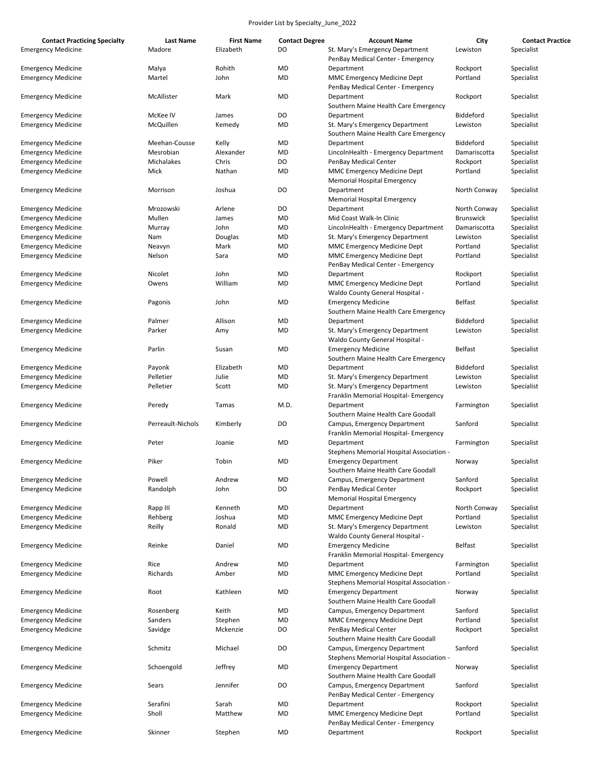| Madore<br>Elizabeth<br>DO<br>St. Mary's Emergency Department<br>Lewiston<br>Specialist<br><b>Emergency Medicine</b><br>PenBay Medical Center - Emergency<br><b>MD</b><br>Malya<br>Rohith<br>Rockport<br>Specialist<br><b>Emergency Medicine</b><br>Department<br><b>MD</b><br>Martel<br>John<br>MMC Emergency Medicine Dept<br>Portland<br>Specialist<br><b>Emergency Medicine</b><br>PenBay Medical Center - Emergency<br>McAllister<br>Mark<br>MD<br>Rockport<br>Specialist<br><b>Emergency Medicine</b><br>Department<br>Southern Maine Health Care Emergency<br>DO<br>McKee IV<br>James<br>Biddeford<br>Specialist<br><b>Emergency Medicine</b><br>Department<br>McQuillen<br>Kemedy<br>MD<br>St. Mary's Emergency Department<br>Lewiston<br>Specialist<br><b>Emergency Medicine</b><br>Southern Maine Health Care Emergency<br>Meehan-Cousse<br>Kelly<br>MD<br>Biddeford<br>Specialist<br><b>Emergency Medicine</b><br>Department<br>Mesrobian<br>Alexander<br>MD<br>LincolnHealth - Emergency Department<br>Damariscotta<br>Specialist<br><b>Emergency Medicine</b><br>Michalakes<br>Chris<br>DO<br>Rockport<br>Specialist<br><b>Emergency Medicine</b><br>PenBay Medical Center<br>Mick<br>Nathan<br>MD<br>MMC Emergency Medicine Dept<br>Portland<br>Specialist<br><b>Emergency Medicine</b><br><b>Memorial Hospital Emergency</b><br>DO<br>Joshua<br>Specialist<br><b>Emergency Medicine</b><br>Morrison<br>Department<br>North Conway<br>Memorial Hospital Emergency<br>DO<br>Mrozowski<br>Arlene<br>Department<br>North Conway<br>Specialist<br><b>Emergency Medicine</b><br>Mullen<br>MD<br>Mid Coast Walk-In Clinic<br><b>Brunswick</b><br>Specialist<br><b>Emergency Medicine</b><br>James<br>John<br>MD<br>Damariscotta<br>Specialist<br><b>Emergency Medicine</b><br>Murray<br>LincolnHealth - Emergency Department<br>Douglas<br>MD<br>Specialist<br><b>Emergency Medicine</b><br>Nam<br>St. Mary's Emergency Department<br>Lewiston<br>Mark<br>MD<br>MMC Emergency Medicine Dept<br>Portland<br>Specialist<br><b>Emergency Medicine</b><br>Neavyn<br>Sara<br>MD<br>Portland<br>Specialist<br><b>Emergency Medicine</b><br>Nelson<br>MMC Emergency Medicine Dept<br>PenBay Medical Center - Emergency<br>Nicolet<br>John<br>MD<br>Department<br>Specialist<br><b>Emergency Medicine</b><br>Rockport<br>William<br>MD<br>MMC Emergency Medicine Dept<br>Portland<br>Specialist<br><b>Emergency Medicine</b><br>Owens<br>Waldo County General Hospital -<br><b>MD</b><br>John<br><b>Emergency Medicine</b><br><b>Belfast</b><br>Specialist<br><b>Emergency Medicine</b><br>Pagonis<br>Southern Maine Health Care Emergency<br><b>Emergency Medicine</b><br>Palmer<br>Allison<br>MD<br><b>Biddeford</b><br>Specialist<br>Department<br>Parker<br>Amy<br>MD<br>St. Mary's Emergency Department<br>Specialist<br><b>Emergency Medicine</b><br>Lewiston<br>Waldo County General Hospital -<br><b>Belfast</b><br>Parlin<br>MD<br><b>Emergency Medicine</b><br>Specialist<br><b>Emergency Medicine</b><br>Susan<br>Southern Maine Health Care Emergency<br>Elizabeth<br>MD<br><b>Biddeford</b><br>Specialist<br><b>Emergency Medicine</b><br>Payonk<br>Department<br>Pelletier<br>Julie<br>MD<br>St. Mary's Emergency Department<br>Specialist<br><b>Emergency Medicine</b><br>Lewiston<br>Pelletier<br>Scott<br>MD<br>St. Mary's Emergency Department<br>Specialist<br><b>Emergency Medicine</b><br>Lewiston<br>Franklin Memorial Hospital- Emergency<br>M.D.<br>Department<br>Specialist<br><b>Emergency Medicine</b><br>Peredy<br>Tamas<br>Farmington<br>Southern Maine Health Care Goodall<br>DO<br>Perreault-Nichols<br>Kimberly<br>Campus, Emergency Department<br>Sanford<br>Specialist<br><b>Emergency Medicine</b><br>Franklin Memorial Hospital- Emergency<br><b>Emergency Medicine</b><br>Peter<br>MD<br>Department<br>Specialist<br>Joanie<br>Farmington<br>Stephens Memorial Hospital Association -<br>Piker<br>Tobin<br>MD<br>Specialist<br><b>Emergency Medicine</b><br><b>Emergency Department</b><br>Norway<br>Southern Maine Health Care Goodall<br>Powell<br>Sanford<br><b>Emergency Medicine</b><br>MD<br>Specialist<br>Andrew<br>Campus, Emergency Department<br>Randolph<br>John<br>DO<br>PenBay Medical Center<br>Rockport<br>Specialist<br><b>Emergency Medicine</b><br><b>Memorial Hospital Emergency</b><br><b>Emergency Medicine</b><br>Rapp III<br>Kenneth<br>MD<br>Department<br>North Conway<br>Specialist<br><b>MD</b><br><b>Emergency Medicine</b><br>Rehberg<br>Joshua<br>MMC Emergency Medicine Dept<br>Portland<br>Specialist<br><b>Emergency Medicine</b><br>Reilly<br>Ronald<br>MD<br>St. Mary's Emergency Department<br>Lewiston<br>Specialist<br>Waldo County General Hospital -<br><b>MD</b><br>Reinke<br>Daniel<br><b>Emergency Medicine</b><br><b>Belfast</b><br>Specialist<br><b>Emergency Medicine</b><br>Franklin Memorial Hospital- Emergency<br><b>Emergency Medicine</b><br>Rice<br>Andrew<br>MD<br>Department<br>Farmington<br>Specialist<br><b>Emergency Medicine</b><br>Richards<br>Amber<br>MD<br>MMC Emergency Medicine Dept<br>Portland<br>Specialist<br>Stephens Memorial Hospital Association -<br>Kathleen<br>MD<br><b>Emergency Department</b><br>Specialist<br><b>Emergency Medicine</b><br>Root<br>Norway<br>Southern Maine Health Care Goodall<br>Keith<br>MD<br>Campus, Emergency Department<br>Sanford<br>Specialist<br><b>Emergency Medicine</b><br>Rosenberg<br><b>Emergency Medicine</b><br>Sanders<br>Stephen<br>MD<br>MMC Emergency Medicine Dept<br>Portland<br>Specialist<br><b>Emergency Medicine</b><br>Savidge<br>Mckenzie<br>DO<br>PenBay Medical Center<br>Rockport<br>Specialist<br>Southern Maine Health Care Goodall<br><b>Emergency Medicine</b><br>Schmitz<br>Michael<br>DO<br>Campus, Emergency Department<br>Sanford<br>Specialist<br>Stephens Memorial Hospital Association -<br>Jeffrey<br>MD<br><b>Emergency Medicine</b><br>Schoengold<br><b>Emergency Department</b><br>Specialist<br>Norway<br>Southern Maine Health Care Goodall<br>DO<br><b>Emergency Medicine</b><br>Sears<br>Jennifer<br>Campus, Emergency Department<br>Sanford<br>Specialist<br>PenBay Medical Center - Emergency<br><b>Emergency Medicine</b><br>Serafini<br>Sarah<br>MD<br>Rockport<br>Specialist<br>Department<br>Portland<br><b>Emergency Medicine</b><br>Sholl<br>Matthew<br>MD<br>MMC Emergency Medicine Dept<br>Specialist<br>PenBay Medical Center - Emergency | <b>Contact Practicing Specialty</b> | <b>Last Name</b> | <b>First Name</b> | <b>Contact Degree</b> | <b>Account Name</b> | City | <b>Contact Practice</b> |
|-----------------------------------------------------------------------------------------------------------------------------------------------------------------------------------------------------------------------------------------------------------------------------------------------------------------------------------------------------------------------------------------------------------------------------------------------------------------------------------------------------------------------------------------------------------------------------------------------------------------------------------------------------------------------------------------------------------------------------------------------------------------------------------------------------------------------------------------------------------------------------------------------------------------------------------------------------------------------------------------------------------------------------------------------------------------------------------------------------------------------------------------------------------------------------------------------------------------------------------------------------------------------------------------------------------------------------------------------------------------------------------------------------------------------------------------------------------------------------------------------------------------------------------------------------------------------------------------------------------------------------------------------------------------------------------------------------------------------------------------------------------------------------------------------------------------------------------------------------------------------------------------------------------------------------------------------------------------------------------------------------------------------------------------------------------------------------------------------------------------------------------------------------------------------------------------------------------------------------------------------------------------------------------------------------------------------------------------------------------------------------------------------------------------------------------------------------------------------------------------------------------------------------------------------------------------------------------------------------------------------------------------------------------------------------------------------------------------------------------------------------------------------------------------------------------------------------------------------------------------------------------------------------------------------------------------------------------------------------------------------------------------------------------------------------------------------------------------------------------------------------------------------------------------------------------------------------------------------------------------------------------------------------------------------------------------------------------------------------------------------------------------------------------------------------------------------------------------------------------------------------------------------------------------------------------------------------------------------------------------------------------------------------------------------------------------------------------------------------------------------------------------------------------------------------------------------------------------------------------------------------------------------------------------------------------------------------------------------------------------------------------------------------------------------------------------------------------------------------------------------------------------------------------------------------------------------------------------------------------------------------------------------------------------------------------------------------------------------------------------------------------------------------------------------------------------------------------------------------------------------------------------------------------------------------------------------------------------------------------------------------------------------------------------------------------------------------------------------------------------------------------------------------------------------------------------------------------------------------------------------------------------------------------------------------------------------------------------------------------------------------------------------------------------------------------------------------------------------------------------------------------------------------------------------------------------------------------------------------------------------------------------------------------------------------------------------------------------------------------------------------------------------------------------------------------------------------------------------------------------------------------------------------------------------------------------------------------------------------------------------------------------------------------------------------------------------------------------------------------------------------------------------------------------------------------------------------------------------------------------------------------------------------------------------------------------------------------------------------------------------------------------------------------------------------------------------------------------------------------------------------------------------------------------------------------------------------------------------------------------------------------------------------------------------------------------------------------------------------------------------------------------------------------------------------------------------|-------------------------------------|------------------|-------------------|-----------------------|---------------------|------|-------------------------|
|                                                                                                                                                                                                                                                                                                                                                                                                                                                                                                                                                                                                                                                                                                                                                                                                                                                                                                                                                                                                                                                                                                                                                                                                                                                                                                                                                                                                                                                                                                                                                                                                                                                                                                                                                                                                                                                                                                                                                                                                                                                                                                                                                                                                                                                                                                                                                                                                                                                                                                                                                                                                                                                                                                                                                                                                                                                                                                                                                                                                                                                                                                                                                                                                                                                                                                                                                                                                                                                                                                                                                                                                                                                                                                                                                                                                                                                                                                                                                                                                                                                                                                                                                                                                                                                                                                                                                                                                                                                                                                                                                                                                                                                                                                                                                                                                                                                                                                                                                                                                                                                                                                                                                                                                                                                                                                                                                                                                                                                                                                                                                                                                                                                                                                                                                                                                                                                                                                                                                                                                                                                                                                                                                                                                                                                                                                                                                                                                                                               |                                     |                  |                   |                       |                     |      |                         |
|                                                                                                                                                                                                                                                                                                                                                                                                                                                                                                                                                                                                                                                                                                                                                                                                                                                                                                                                                                                                                                                                                                                                                                                                                                                                                                                                                                                                                                                                                                                                                                                                                                                                                                                                                                                                                                                                                                                                                                                                                                                                                                                                                                                                                                                                                                                                                                                                                                                                                                                                                                                                                                                                                                                                                                                                                                                                                                                                                                                                                                                                                                                                                                                                                                                                                                                                                                                                                                                                                                                                                                                                                                                                                                                                                                                                                                                                                                                                                                                                                                                                                                                                                                                                                                                                                                                                                                                                                                                                                                                                                                                                                                                                                                                                                                                                                                                                                                                                                                                                                                                                                                                                                                                                                                                                                                                                                                                                                                                                                                                                                                                                                                                                                                                                                                                                                                                                                                                                                                                                                                                                                                                                                                                                                                                                                                                                                                                                                                               |                                     |                  |                   |                       |                     |      |                         |
|                                                                                                                                                                                                                                                                                                                                                                                                                                                                                                                                                                                                                                                                                                                                                                                                                                                                                                                                                                                                                                                                                                                                                                                                                                                                                                                                                                                                                                                                                                                                                                                                                                                                                                                                                                                                                                                                                                                                                                                                                                                                                                                                                                                                                                                                                                                                                                                                                                                                                                                                                                                                                                                                                                                                                                                                                                                                                                                                                                                                                                                                                                                                                                                                                                                                                                                                                                                                                                                                                                                                                                                                                                                                                                                                                                                                                                                                                                                                                                                                                                                                                                                                                                                                                                                                                                                                                                                                                                                                                                                                                                                                                                                                                                                                                                                                                                                                                                                                                                                                                                                                                                                                                                                                                                                                                                                                                                                                                                                                                                                                                                                                                                                                                                                                                                                                                                                                                                                                                                                                                                                                                                                                                                                                                                                                                                                                                                                                                                               |                                     |                  |                   |                       |                     |      |                         |
|                                                                                                                                                                                                                                                                                                                                                                                                                                                                                                                                                                                                                                                                                                                                                                                                                                                                                                                                                                                                                                                                                                                                                                                                                                                                                                                                                                                                                                                                                                                                                                                                                                                                                                                                                                                                                                                                                                                                                                                                                                                                                                                                                                                                                                                                                                                                                                                                                                                                                                                                                                                                                                                                                                                                                                                                                                                                                                                                                                                                                                                                                                                                                                                                                                                                                                                                                                                                                                                                                                                                                                                                                                                                                                                                                                                                                                                                                                                                                                                                                                                                                                                                                                                                                                                                                                                                                                                                                                                                                                                                                                                                                                                                                                                                                                                                                                                                                                                                                                                                                                                                                                                                                                                                                                                                                                                                                                                                                                                                                                                                                                                                                                                                                                                                                                                                                                                                                                                                                                                                                                                                                                                                                                                                                                                                                                                                                                                                                                               |                                     |                  |                   |                       |                     |      |                         |
|                                                                                                                                                                                                                                                                                                                                                                                                                                                                                                                                                                                                                                                                                                                                                                                                                                                                                                                                                                                                                                                                                                                                                                                                                                                                                                                                                                                                                                                                                                                                                                                                                                                                                                                                                                                                                                                                                                                                                                                                                                                                                                                                                                                                                                                                                                                                                                                                                                                                                                                                                                                                                                                                                                                                                                                                                                                                                                                                                                                                                                                                                                                                                                                                                                                                                                                                                                                                                                                                                                                                                                                                                                                                                                                                                                                                                                                                                                                                                                                                                                                                                                                                                                                                                                                                                                                                                                                                                                                                                                                                                                                                                                                                                                                                                                                                                                                                                                                                                                                                                                                                                                                                                                                                                                                                                                                                                                                                                                                                                                                                                                                                                                                                                                                                                                                                                                                                                                                                                                                                                                                                                                                                                                                                                                                                                                                                                                                                                                               |                                     |                  |                   |                       |                     |      |                         |
|                                                                                                                                                                                                                                                                                                                                                                                                                                                                                                                                                                                                                                                                                                                                                                                                                                                                                                                                                                                                                                                                                                                                                                                                                                                                                                                                                                                                                                                                                                                                                                                                                                                                                                                                                                                                                                                                                                                                                                                                                                                                                                                                                                                                                                                                                                                                                                                                                                                                                                                                                                                                                                                                                                                                                                                                                                                                                                                                                                                                                                                                                                                                                                                                                                                                                                                                                                                                                                                                                                                                                                                                                                                                                                                                                                                                                                                                                                                                                                                                                                                                                                                                                                                                                                                                                                                                                                                                                                                                                                                                                                                                                                                                                                                                                                                                                                                                                                                                                                                                                                                                                                                                                                                                                                                                                                                                                                                                                                                                                                                                                                                                                                                                                                                                                                                                                                                                                                                                                                                                                                                                                                                                                                                                                                                                                                                                                                                                                                               |                                     |                  |                   |                       |                     |      |                         |
|                                                                                                                                                                                                                                                                                                                                                                                                                                                                                                                                                                                                                                                                                                                                                                                                                                                                                                                                                                                                                                                                                                                                                                                                                                                                                                                                                                                                                                                                                                                                                                                                                                                                                                                                                                                                                                                                                                                                                                                                                                                                                                                                                                                                                                                                                                                                                                                                                                                                                                                                                                                                                                                                                                                                                                                                                                                                                                                                                                                                                                                                                                                                                                                                                                                                                                                                                                                                                                                                                                                                                                                                                                                                                                                                                                                                                                                                                                                                                                                                                                                                                                                                                                                                                                                                                                                                                                                                                                                                                                                                                                                                                                                                                                                                                                                                                                                                                                                                                                                                                                                                                                                                                                                                                                                                                                                                                                                                                                                                                                                                                                                                                                                                                                                                                                                                                                                                                                                                                                                                                                                                                                                                                                                                                                                                                                                                                                                                                                               |                                     |                  |                   |                       |                     |      |                         |
|                                                                                                                                                                                                                                                                                                                                                                                                                                                                                                                                                                                                                                                                                                                                                                                                                                                                                                                                                                                                                                                                                                                                                                                                                                                                                                                                                                                                                                                                                                                                                                                                                                                                                                                                                                                                                                                                                                                                                                                                                                                                                                                                                                                                                                                                                                                                                                                                                                                                                                                                                                                                                                                                                                                                                                                                                                                                                                                                                                                                                                                                                                                                                                                                                                                                                                                                                                                                                                                                                                                                                                                                                                                                                                                                                                                                                                                                                                                                                                                                                                                                                                                                                                                                                                                                                                                                                                                                                                                                                                                                                                                                                                                                                                                                                                                                                                                                                                                                                                                                                                                                                                                                                                                                                                                                                                                                                                                                                                                                                                                                                                                                                                                                                                                                                                                                                                                                                                                                                                                                                                                                                                                                                                                                                                                                                                                                                                                                                                               |                                     |                  |                   |                       |                     |      |                         |
|                                                                                                                                                                                                                                                                                                                                                                                                                                                                                                                                                                                                                                                                                                                                                                                                                                                                                                                                                                                                                                                                                                                                                                                                                                                                                                                                                                                                                                                                                                                                                                                                                                                                                                                                                                                                                                                                                                                                                                                                                                                                                                                                                                                                                                                                                                                                                                                                                                                                                                                                                                                                                                                                                                                                                                                                                                                                                                                                                                                                                                                                                                                                                                                                                                                                                                                                                                                                                                                                                                                                                                                                                                                                                                                                                                                                                                                                                                                                                                                                                                                                                                                                                                                                                                                                                                                                                                                                                                                                                                                                                                                                                                                                                                                                                                                                                                                                                                                                                                                                                                                                                                                                                                                                                                                                                                                                                                                                                                                                                                                                                                                                                                                                                                                                                                                                                                                                                                                                                                                                                                                                                                                                                                                                                                                                                                                                                                                                                                               |                                     |                  |                   |                       |                     |      |                         |
|                                                                                                                                                                                                                                                                                                                                                                                                                                                                                                                                                                                                                                                                                                                                                                                                                                                                                                                                                                                                                                                                                                                                                                                                                                                                                                                                                                                                                                                                                                                                                                                                                                                                                                                                                                                                                                                                                                                                                                                                                                                                                                                                                                                                                                                                                                                                                                                                                                                                                                                                                                                                                                                                                                                                                                                                                                                                                                                                                                                                                                                                                                                                                                                                                                                                                                                                                                                                                                                                                                                                                                                                                                                                                                                                                                                                                                                                                                                                                                                                                                                                                                                                                                                                                                                                                                                                                                                                                                                                                                                                                                                                                                                                                                                                                                                                                                                                                                                                                                                                                                                                                                                                                                                                                                                                                                                                                                                                                                                                                                                                                                                                                                                                                                                                                                                                                                                                                                                                                                                                                                                                                                                                                                                                                                                                                                                                                                                                                                               |                                     |                  |                   |                       |                     |      |                         |
|                                                                                                                                                                                                                                                                                                                                                                                                                                                                                                                                                                                                                                                                                                                                                                                                                                                                                                                                                                                                                                                                                                                                                                                                                                                                                                                                                                                                                                                                                                                                                                                                                                                                                                                                                                                                                                                                                                                                                                                                                                                                                                                                                                                                                                                                                                                                                                                                                                                                                                                                                                                                                                                                                                                                                                                                                                                                                                                                                                                                                                                                                                                                                                                                                                                                                                                                                                                                                                                                                                                                                                                                                                                                                                                                                                                                                                                                                                                                                                                                                                                                                                                                                                                                                                                                                                                                                                                                                                                                                                                                                                                                                                                                                                                                                                                                                                                                                                                                                                                                                                                                                                                                                                                                                                                                                                                                                                                                                                                                                                                                                                                                                                                                                                                                                                                                                                                                                                                                                                                                                                                                                                                                                                                                                                                                                                                                                                                                                                               |                                     |                  |                   |                       |                     |      |                         |
|                                                                                                                                                                                                                                                                                                                                                                                                                                                                                                                                                                                                                                                                                                                                                                                                                                                                                                                                                                                                                                                                                                                                                                                                                                                                                                                                                                                                                                                                                                                                                                                                                                                                                                                                                                                                                                                                                                                                                                                                                                                                                                                                                                                                                                                                                                                                                                                                                                                                                                                                                                                                                                                                                                                                                                                                                                                                                                                                                                                                                                                                                                                                                                                                                                                                                                                                                                                                                                                                                                                                                                                                                                                                                                                                                                                                                                                                                                                                                                                                                                                                                                                                                                                                                                                                                                                                                                                                                                                                                                                                                                                                                                                                                                                                                                                                                                                                                                                                                                                                                                                                                                                                                                                                                                                                                                                                                                                                                                                                                                                                                                                                                                                                                                                                                                                                                                                                                                                                                                                                                                                                                                                                                                                                                                                                                                                                                                                                                                               |                                     |                  |                   |                       |                     |      |                         |
|                                                                                                                                                                                                                                                                                                                                                                                                                                                                                                                                                                                                                                                                                                                                                                                                                                                                                                                                                                                                                                                                                                                                                                                                                                                                                                                                                                                                                                                                                                                                                                                                                                                                                                                                                                                                                                                                                                                                                                                                                                                                                                                                                                                                                                                                                                                                                                                                                                                                                                                                                                                                                                                                                                                                                                                                                                                                                                                                                                                                                                                                                                                                                                                                                                                                                                                                                                                                                                                                                                                                                                                                                                                                                                                                                                                                                                                                                                                                                                                                                                                                                                                                                                                                                                                                                                                                                                                                                                                                                                                                                                                                                                                                                                                                                                                                                                                                                                                                                                                                                                                                                                                                                                                                                                                                                                                                                                                                                                                                                                                                                                                                                                                                                                                                                                                                                                                                                                                                                                                                                                                                                                                                                                                                                                                                                                                                                                                                                                               |                                     |                  |                   |                       |                     |      |                         |
|                                                                                                                                                                                                                                                                                                                                                                                                                                                                                                                                                                                                                                                                                                                                                                                                                                                                                                                                                                                                                                                                                                                                                                                                                                                                                                                                                                                                                                                                                                                                                                                                                                                                                                                                                                                                                                                                                                                                                                                                                                                                                                                                                                                                                                                                                                                                                                                                                                                                                                                                                                                                                                                                                                                                                                                                                                                                                                                                                                                                                                                                                                                                                                                                                                                                                                                                                                                                                                                                                                                                                                                                                                                                                                                                                                                                                                                                                                                                                                                                                                                                                                                                                                                                                                                                                                                                                                                                                                                                                                                                                                                                                                                                                                                                                                                                                                                                                                                                                                                                                                                                                                                                                                                                                                                                                                                                                                                                                                                                                                                                                                                                                                                                                                                                                                                                                                                                                                                                                                                                                                                                                                                                                                                                                                                                                                                                                                                                                                               |                                     |                  |                   |                       |                     |      |                         |
|                                                                                                                                                                                                                                                                                                                                                                                                                                                                                                                                                                                                                                                                                                                                                                                                                                                                                                                                                                                                                                                                                                                                                                                                                                                                                                                                                                                                                                                                                                                                                                                                                                                                                                                                                                                                                                                                                                                                                                                                                                                                                                                                                                                                                                                                                                                                                                                                                                                                                                                                                                                                                                                                                                                                                                                                                                                                                                                                                                                                                                                                                                                                                                                                                                                                                                                                                                                                                                                                                                                                                                                                                                                                                                                                                                                                                                                                                                                                                                                                                                                                                                                                                                                                                                                                                                                                                                                                                                                                                                                                                                                                                                                                                                                                                                                                                                                                                                                                                                                                                                                                                                                                                                                                                                                                                                                                                                                                                                                                                                                                                                                                                                                                                                                                                                                                                                                                                                                                                                                                                                                                                                                                                                                                                                                                                                                                                                                                                                               |                                     |                  |                   |                       |                     |      |                         |
|                                                                                                                                                                                                                                                                                                                                                                                                                                                                                                                                                                                                                                                                                                                                                                                                                                                                                                                                                                                                                                                                                                                                                                                                                                                                                                                                                                                                                                                                                                                                                                                                                                                                                                                                                                                                                                                                                                                                                                                                                                                                                                                                                                                                                                                                                                                                                                                                                                                                                                                                                                                                                                                                                                                                                                                                                                                                                                                                                                                                                                                                                                                                                                                                                                                                                                                                                                                                                                                                                                                                                                                                                                                                                                                                                                                                                                                                                                                                                                                                                                                                                                                                                                                                                                                                                                                                                                                                                                                                                                                                                                                                                                                                                                                                                                                                                                                                                                                                                                                                                                                                                                                                                                                                                                                                                                                                                                                                                                                                                                                                                                                                                                                                                                                                                                                                                                                                                                                                                                                                                                                                                                                                                                                                                                                                                                                                                                                                                                               |                                     |                  |                   |                       |                     |      |                         |
|                                                                                                                                                                                                                                                                                                                                                                                                                                                                                                                                                                                                                                                                                                                                                                                                                                                                                                                                                                                                                                                                                                                                                                                                                                                                                                                                                                                                                                                                                                                                                                                                                                                                                                                                                                                                                                                                                                                                                                                                                                                                                                                                                                                                                                                                                                                                                                                                                                                                                                                                                                                                                                                                                                                                                                                                                                                                                                                                                                                                                                                                                                                                                                                                                                                                                                                                                                                                                                                                                                                                                                                                                                                                                                                                                                                                                                                                                                                                                                                                                                                                                                                                                                                                                                                                                                                                                                                                                                                                                                                                                                                                                                                                                                                                                                                                                                                                                                                                                                                                                                                                                                                                                                                                                                                                                                                                                                                                                                                                                                                                                                                                                                                                                                                                                                                                                                                                                                                                                                                                                                                                                                                                                                                                                                                                                                                                                                                                                                               |                                     |                  |                   |                       |                     |      |                         |
|                                                                                                                                                                                                                                                                                                                                                                                                                                                                                                                                                                                                                                                                                                                                                                                                                                                                                                                                                                                                                                                                                                                                                                                                                                                                                                                                                                                                                                                                                                                                                                                                                                                                                                                                                                                                                                                                                                                                                                                                                                                                                                                                                                                                                                                                                                                                                                                                                                                                                                                                                                                                                                                                                                                                                                                                                                                                                                                                                                                                                                                                                                                                                                                                                                                                                                                                                                                                                                                                                                                                                                                                                                                                                                                                                                                                                                                                                                                                                                                                                                                                                                                                                                                                                                                                                                                                                                                                                                                                                                                                                                                                                                                                                                                                                                                                                                                                                                                                                                                                                                                                                                                                                                                                                                                                                                                                                                                                                                                                                                                                                                                                                                                                                                                                                                                                                                                                                                                                                                                                                                                                                                                                                                                                                                                                                                                                                                                                                                               |                                     |                  |                   |                       |                     |      |                         |
|                                                                                                                                                                                                                                                                                                                                                                                                                                                                                                                                                                                                                                                                                                                                                                                                                                                                                                                                                                                                                                                                                                                                                                                                                                                                                                                                                                                                                                                                                                                                                                                                                                                                                                                                                                                                                                                                                                                                                                                                                                                                                                                                                                                                                                                                                                                                                                                                                                                                                                                                                                                                                                                                                                                                                                                                                                                                                                                                                                                                                                                                                                                                                                                                                                                                                                                                                                                                                                                                                                                                                                                                                                                                                                                                                                                                                                                                                                                                                                                                                                                                                                                                                                                                                                                                                                                                                                                                                                                                                                                                                                                                                                                                                                                                                                                                                                                                                                                                                                                                                                                                                                                                                                                                                                                                                                                                                                                                                                                                                                                                                                                                                                                                                                                                                                                                                                                                                                                                                                                                                                                                                                                                                                                                                                                                                                                                                                                                                                               |                                     |                  |                   |                       |                     |      |                         |
|                                                                                                                                                                                                                                                                                                                                                                                                                                                                                                                                                                                                                                                                                                                                                                                                                                                                                                                                                                                                                                                                                                                                                                                                                                                                                                                                                                                                                                                                                                                                                                                                                                                                                                                                                                                                                                                                                                                                                                                                                                                                                                                                                                                                                                                                                                                                                                                                                                                                                                                                                                                                                                                                                                                                                                                                                                                                                                                                                                                                                                                                                                                                                                                                                                                                                                                                                                                                                                                                                                                                                                                                                                                                                                                                                                                                                                                                                                                                                                                                                                                                                                                                                                                                                                                                                                                                                                                                                                                                                                                                                                                                                                                                                                                                                                                                                                                                                                                                                                                                                                                                                                                                                                                                                                                                                                                                                                                                                                                                                                                                                                                                                                                                                                                                                                                                                                                                                                                                                                                                                                                                                                                                                                                                                                                                                                                                                                                                                                               |                                     |                  |                   |                       |                     |      |                         |
|                                                                                                                                                                                                                                                                                                                                                                                                                                                                                                                                                                                                                                                                                                                                                                                                                                                                                                                                                                                                                                                                                                                                                                                                                                                                                                                                                                                                                                                                                                                                                                                                                                                                                                                                                                                                                                                                                                                                                                                                                                                                                                                                                                                                                                                                                                                                                                                                                                                                                                                                                                                                                                                                                                                                                                                                                                                                                                                                                                                                                                                                                                                                                                                                                                                                                                                                                                                                                                                                                                                                                                                                                                                                                                                                                                                                                                                                                                                                                                                                                                                                                                                                                                                                                                                                                                                                                                                                                                                                                                                                                                                                                                                                                                                                                                                                                                                                                                                                                                                                                                                                                                                                                                                                                                                                                                                                                                                                                                                                                                                                                                                                                                                                                                                                                                                                                                                                                                                                                                                                                                                                                                                                                                                                                                                                                                                                                                                                                                               |                                     |                  |                   |                       |                     |      |                         |
|                                                                                                                                                                                                                                                                                                                                                                                                                                                                                                                                                                                                                                                                                                                                                                                                                                                                                                                                                                                                                                                                                                                                                                                                                                                                                                                                                                                                                                                                                                                                                                                                                                                                                                                                                                                                                                                                                                                                                                                                                                                                                                                                                                                                                                                                                                                                                                                                                                                                                                                                                                                                                                                                                                                                                                                                                                                                                                                                                                                                                                                                                                                                                                                                                                                                                                                                                                                                                                                                                                                                                                                                                                                                                                                                                                                                                                                                                                                                                                                                                                                                                                                                                                                                                                                                                                                                                                                                                                                                                                                                                                                                                                                                                                                                                                                                                                                                                                                                                                                                                                                                                                                                                                                                                                                                                                                                                                                                                                                                                                                                                                                                                                                                                                                                                                                                                                                                                                                                                                                                                                                                                                                                                                                                                                                                                                                                                                                                                                               |                                     |                  |                   |                       |                     |      |                         |
|                                                                                                                                                                                                                                                                                                                                                                                                                                                                                                                                                                                                                                                                                                                                                                                                                                                                                                                                                                                                                                                                                                                                                                                                                                                                                                                                                                                                                                                                                                                                                                                                                                                                                                                                                                                                                                                                                                                                                                                                                                                                                                                                                                                                                                                                                                                                                                                                                                                                                                                                                                                                                                                                                                                                                                                                                                                                                                                                                                                                                                                                                                                                                                                                                                                                                                                                                                                                                                                                                                                                                                                                                                                                                                                                                                                                                                                                                                                                                                                                                                                                                                                                                                                                                                                                                                                                                                                                                                                                                                                                                                                                                                                                                                                                                                                                                                                                                                                                                                                                                                                                                                                                                                                                                                                                                                                                                                                                                                                                                                                                                                                                                                                                                                                                                                                                                                                                                                                                                                                                                                                                                                                                                                                                                                                                                                                                                                                                                                               |                                     |                  |                   |                       |                     |      |                         |
|                                                                                                                                                                                                                                                                                                                                                                                                                                                                                                                                                                                                                                                                                                                                                                                                                                                                                                                                                                                                                                                                                                                                                                                                                                                                                                                                                                                                                                                                                                                                                                                                                                                                                                                                                                                                                                                                                                                                                                                                                                                                                                                                                                                                                                                                                                                                                                                                                                                                                                                                                                                                                                                                                                                                                                                                                                                                                                                                                                                                                                                                                                                                                                                                                                                                                                                                                                                                                                                                                                                                                                                                                                                                                                                                                                                                                                                                                                                                                                                                                                                                                                                                                                                                                                                                                                                                                                                                                                                                                                                                                                                                                                                                                                                                                                                                                                                                                                                                                                                                                                                                                                                                                                                                                                                                                                                                                                                                                                                                                                                                                                                                                                                                                                                                                                                                                                                                                                                                                                                                                                                                                                                                                                                                                                                                                                                                                                                                                                               |                                     |                  |                   |                       |                     |      |                         |
|                                                                                                                                                                                                                                                                                                                                                                                                                                                                                                                                                                                                                                                                                                                                                                                                                                                                                                                                                                                                                                                                                                                                                                                                                                                                                                                                                                                                                                                                                                                                                                                                                                                                                                                                                                                                                                                                                                                                                                                                                                                                                                                                                                                                                                                                                                                                                                                                                                                                                                                                                                                                                                                                                                                                                                                                                                                                                                                                                                                                                                                                                                                                                                                                                                                                                                                                                                                                                                                                                                                                                                                                                                                                                                                                                                                                                                                                                                                                                                                                                                                                                                                                                                                                                                                                                                                                                                                                                                                                                                                                                                                                                                                                                                                                                                                                                                                                                                                                                                                                                                                                                                                                                                                                                                                                                                                                                                                                                                                                                                                                                                                                                                                                                                                                                                                                                                                                                                                                                                                                                                                                                                                                                                                                                                                                                                                                                                                                                                               |                                     |                  |                   |                       |                     |      |                         |
|                                                                                                                                                                                                                                                                                                                                                                                                                                                                                                                                                                                                                                                                                                                                                                                                                                                                                                                                                                                                                                                                                                                                                                                                                                                                                                                                                                                                                                                                                                                                                                                                                                                                                                                                                                                                                                                                                                                                                                                                                                                                                                                                                                                                                                                                                                                                                                                                                                                                                                                                                                                                                                                                                                                                                                                                                                                                                                                                                                                                                                                                                                                                                                                                                                                                                                                                                                                                                                                                                                                                                                                                                                                                                                                                                                                                                                                                                                                                                                                                                                                                                                                                                                                                                                                                                                                                                                                                                                                                                                                                                                                                                                                                                                                                                                                                                                                                                                                                                                                                                                                                                                                                                                                                                                                                                                                                                                                                                                                                                                                                                                                                                                                                                                                                                                                                                                                                                                                                                                                                                                                                                                                                                                                                                                                                                                                                                                                                                                               |                                     |                  |                   |                       |                     |      |                         |
|                                                                                                                                                                                                                                                                                                                                                                                                                                                                                                                                                                                                                                                                                                                                                                                                                                                                                                                                                                                                                                                                                                                                                                                                                                                                                                                                                                                                                                                                                                                                                                                                                                                                                                                                                                                                                                                                                                                                                                                                                                                                                                                                                                                                                                                                                                                                                                                                                                                                                                                                                                                                                                                                                                                                                                                                                                                                                                                                                                                                                                                                                                                                                                                                                                                                                                                                                                                                                                                                                                                                                                                                                                                                                                                                                                                                                                                                                                                                                                                                                                                                                                                                                                                                                                                                                                                                                                                                                                                                                                                                                                                                                                                                                                                                                                                                                                                                                                                                                                                                                                                                                                                                                                                                                                                                                                                                                                                                                                                                                                                                                                                                                                                                                                                                                                                                                                                                                                                                                                                                                                                                                                                                                                                                                                                                                                                                                                                                                                               |                                     |                  |                   |                       |                     |      |                         |
|                                                                                                                                                                                                                                                                                                                                                                                                                                                                                                                                                                                                                                                                                                                                                                                                                                                                                                                                                                                                                                                                                                                                                                                                                                                                                                                                                                                                                                                                                                                                                                                                                                                                                                                                                                                                                                                                                                                                                                                                                                                                                                                                                                                                                                                                                                                                                                                                                                                                                                                                                                                                                                                                                                                                                                                                                                                                                                                                                                                                                                                                                                                                                                                                                                                                                                                                                                                                                                                                                                                                                                                                                                                                                                                                                                                                                                                                                                                                                                                                                                                                                                                                                                                                                                                                                                                                                                                                                                                                                                                                                                                                                                                                                                                                                                                                                                                                                                                                                                                                                                                                                                                                                                                                                                                                                                                                                                                                                                                                                                                                                                                                                                                                                                                                                                                                                                                                                                                                                                                                                                                                                                                                                                                                                                                                                                                                                                                                                                               |                                     |                  |                   |                       |                     |      |                         |
|                                                                                                                                                                                                                                                                                                                                                                                                                                                                                                                                                                                                                                                                                                                                                                                                                                                                                                                                                                                                                                                                                                                                                                                                                                                                                                                                                                                                                                                                                                                                                                                                                                                                                                                                                                                                                                                                                                                                                                                                                                                                                                                                                                                                                                                                                                                                                                                                                                                                                                                                                                                                                                                                                                                                                                                                                                                                                                                                                                                                                                                                                                                                                                                                                                                                                                                                                                                                                                                                                                                                                                                                                                                                                                                                                                                                                                                                                                                                                                                                                                                                                                                                                                                                                                                                                                                                                                                                                                                                                                                                                                                                                                                                                                                                                                                                                                                                                                                                                                                                                                                                                                                                                                                                                                                                                                                                                                                                                                                                                                                                                                                                                                                                                                                                                                                                                                                                                                                                                                                                                                                                                                                                                                                                                                                                                                                                                                                                                                               |                                     |                  |                   |                       |                     |      |                         |
|                                                                                                                                                                                                                                                                                                                                                                                                                                                                                                                                                                                                                                                                                                                                                                                                                                                                                                                                                                                                                                                                                                                                                                                                                                                                                                                                                                                                                                                                                                                                                                                                                                                                                                                                                                                                                                                                                                                                                                                                                                                                                                                                                                                                                                                                                                                                                                                                                                                                                                                                                                                                                                                                                                                                                                                                                                                                                                                                                                                                                                                                                                                                                                                                                                                                                                                                                                                                                                                                                                                                                                                                                                                                                                                                                                                                                                                                                                                                                                                                                                                                                                                                                                                                                                                                                                                                                                                                                                                                                                                                                                                                                                                                                                                                                                                                                                                                                                                                                                                                                                                                                                                                                                                                                                                                                                                                                                                                                                                                                                                                                                                                                                                                                                                                                                                                                                                                                                                                                                                                                                                                                                                                                                                                                                                                                                                                                                                                                                               |                                     |                  |                   |                       |                     |      |                         |
|                                                                                                                                                                                                                                                                                                                                                                                                                                                                                                                                                                                                                                                                                                                                                                                                                                                                                                                                                                                                                                                                                                                                                                                                                                                                                                                                                                                                                                                                                                                                                                                                                                                                                                                                                                                                                                                                                                                                                                                                                                                                                                                                                                                                                                                                                                                                                                                                                                                                                                                                                                                                                                                                                                                                                                                                                                                                                                                                                                                                                                                                                                                                                                                                                                                                                                                                                                                                                                                                                                                                                                                                                                                                                                                                                                                                                                                                                                                                                                                                                                                                                                                                                                                                                                                                                                                                                                                                                                                                                                                                                                                                                                                                                                                                                                                                                                                                                                                                                                                                                                                                                                                                                                                                                                                                                                                                                                                                                                                                                                                                                                                                                                                                                                                                                                                                                                                                                                                                                                                                                                                                                                                                                                                                                                                                                                                                                                                                                                               |                                     |                  |                   |                       |                     |      |                         |
|                                                                                                                                                                                                                                                                                                                                                                                                                                                                                                                                                                                                                                                                                                                                                                                                                                                                                                                                                                                                                                                                                                                                                                                                                                                                                                                                                                                                                                                                                                                                                                                                                                                                                                                                                                                                                                                                                                                                                                                                                                                                                                                                                                                                                                                                                                                                                                                                                                                                                                                                                                                                                                                                                                                                                                                                                                                                                                                                                                                                                                                                                                                                                                                                                                                                                                                                                                                                                                                                                                                                                                                                                                                                                                                                                                                                                                                                                                                                                                                                                                                                                                                                                                                                                                                                                                                                                                                                                                                                                                                                                                                                                                                                                                                                                                                                                                                                                                                                                                                                                                                                                                                                                                                                                                                                                                                                                                                                                                                                                                                                                                                                                                                                                                                                                                                                                                                                                                                                                                                                                                                                                                                                                                                                                                                                                                                                                                                                                                               |                                     |                  |                   |                       |                     |      |                         |
|                                                                                                                                                                                                                                                                                                                                                                                                                                                                                                                                                                                                                                                                                                                                                                                                                                                                                                                                                                                                                                                                                                                                                                                                                                                                                                                                                                                                                                                                                                                                                                                                                                                                                                                                                                                                                                                                                                                                                                                                                                                                                                                                                                                                                                                                                                                                                                                                                                                                                                                                                                                                                                                                                                                                                                                                                                                                                                                                                                                                                                                                                                                                                                                                                                                                                                                                                                                                                                                                                                                                                                                                                                                                                                                                                                                                                                                                                                                                                                                                                                                                                                                                                                                                                                                                                                                                                                                                                                                                                                                                                                                                                                                                                                                                                                                                                                                                                                                                                                                                                                                                                                                                                                                                                                                                                                                                                                                                                                                                                                                                                                                                                                                                                                                                                                                                                                                                                                                                                                                                                                                                                                                                                                                                                                                                                                                                                                                                                                               |                                     |                  |                   |                       |                     |      |                         |
|                                                                                                                                                                                                                                                                                                                                                                                                                                                                                                                                                                                                                                                                                                                                                                                                                                                                                                                                                                                                                                                                                                                                                                                                                                                                                                                                                                                                                                                                                                                                                                                                                                                                                                                                                                                                                                                                                                                                                                                                                                                                                                                                                                                                                                                                                                                                                                                                                                                                                                                                                                                                                                                                                                                                                                                                                                                                                                                                                                                                                                                                                                                                                                                                                                                                                                                                                                                                                                                                                                                                                                                                                                                                                                                                                                                                                                                                                                                                                                                                                                                                                                                                                                                                                                                                                                                                                                                                                                                                                                                                                                                                                                                                                                                                                                                                                                                                                                                                                                                                                                                                                                                                                                                                                                                                                                                                                                                                                                                                                                                                                                                                                                                                                                                                                                                                                                                                                                                                                                                                                                                                                                                                                                                                                                                                                                                                                                                                                                               |                                     |                  |                   |                       |                     |      |                         |
|                                                                                                                                                                                                                                                                                                                                                                                                                                                                                                                                                                                                                                                                                                                                                                                                                                                                                                                                                                                                                                                                                                                                                                                                                                                                                                                                                                                                                                                                                                                                                                                                                                                                                                                                                                                                                                                                                                                                                                                                                                                                                                                                                                                                                                                                                                                                                                                                                                                                                                                                                                                                                                                                                                                                                                                                                                                                                                                                                                                                                                                                                                                                                                                                                                                                                                                                                                                                                                                                                                                                                                                                                                                                                                                                                                                                                                                                                                                                                                                                                                                                                                                                                                                                                                                                                                                                                                                                                                                                                                                                                                                                                                                                                                                                                                                                                                                                                                                                                                                                                                                                                                                                                                                                                                                                                                                                                                                                                                                                                                                                                                                                                                                                                                                                                                                                                                                                                                                                                                                                                                                                                                                                                                                                                                                                                                                                                                                                                                               |                                     |                  |                   |                       |                     |      |                         |
|                                                                                                                                                                                                                                                                                                                                                                                                                                                                                                                                                                                                                                                                                                                                                                                                                                                                                                                                                                                                                                                                                                                                                                                                                                                                                                                                                                                                                                                                                                                                                                                                                                                                                                                                                                                                                                                                                                                                                                                                                                                                                                                                                                                                                                                                                                                                                                                                                                                                                                                                                                                                                                                                                                                                                                                                                                                                                                                                                                                                                                                                                                                                                                                                                                                                                                                                                                                                                                                                                                                                                                                                                                                                                                                                                                                                                                                                                                                                                                                                                                                                                                                                                                                                                                                                                                                                                                                                                                                                                                                                                                                                                                                                                                                                                                                                                                                                                                                                                                                                                                                                                                                                                                                                                                                                                                                                                                                                                                                                                                                                                                                                                                                                                                                                                                                                                                                                                                                                                                                                                                                                                                                                                                                                                                                                                                                                                                                                                                               |                                     |                  |                   |                       |                     |      |                         |
|                                                                                                                                                                                                                                                                                                                                                                                                                                                                                                                                                                                                                                                                                                                                                                                                                                                                                                                                                                                                                                                                                                                                                                                                                                                                                                                                                                                                                                                                                                                                                                                                                                                                                                                                                                                                                                                                                                                                                                                                                                                                                                                                                                                                                                                                                                                                                                                                                                                                                                                                                                                                                                                                                                                                                                                                                                                                                                                                                                                                                                                                                                                                                                                                                                                                                                                                                                                                                                                                                                                                                                                                                                                                                                                                                                                                                                                                                                                                                                                                                                                                                                                                                                                                                                                                                                                                                                                                                                                                                                                                                                                                                                                                                                                                                                                                                                                                                                                                                                                                                                                                                                                                                                                                                                                                                                                                                                                                                                                                                                                                                                                                                                                                                                                                                                                                                                                                                                                                                                                                                                                                                                                                                                                                                                                                                                                                                                                                                                               |                                     |                  |                   |                       |                     |      |                         |
|                                                                                                                                                                                                                                                                                                                                                                                                                                                                                                                                                                                                                                                                                                                                                                                                                                                                                                                                                                                                                                                                                                                                                                                                                                                                                                                                                                                                                                                                                                                                                                                                                                                                                                                                                                                                                                                                                                                                                                                                                                                                                                                                                                                                                                                                                                                                                                                                                                                                                                                                                                                                                                                                                                                                                                                                                                                                                                                                                                                                                                                                                                                                                                                                                                                                                                                                                                                                                                                                                                                                                                                                                                                                                                                                                                                                                                                                                                                                                                                                                                                                                                                                                                                                                                                                                                                                                                                                                                                                                                                                                                                                                                                                                                                                                                                                                                                                                                                                                                                                                                                                                                                                                                                                                                                                                                                                                                                                                                                                                                                                                                                                                                                                                                                                                                                                                                                                                                                                                                                                                                                                                                                                                                                                                                                                                                                                                                                                                                               |                                     |                  |                   |                       |                     |      |                         |
|                                                                                                                                                                                                                                                                                                                                                                                                                                                                                                                                                                                                                                                                                                                                                                                                                                                                                                                                                                                                                                                                                                                                                                                                                                                                                                                                                                                                                                                                                                                                                                                                                                                                                                                                                                                                                                                                                                                                                                                                                                                                                                                                                                                                                                                                                                                                                                                                                                                                                                                                                                                                                                                                                                                                                                                                                                                                                                                                                                                                                                                                                                                                                                                                                                                                                                                                                                                                                                                                                                                                                                                                                                                                                                                                                                                                                                                                                                                                                                                                                                                                                                                                                                                                                                                                                                                                                                                                                                                                                                                                                                                                                                                                                                                                                                                                                                                                                                                                                                                                                                                                                                                                                                                                                                                                                                                                                                                                                                                                                                                                                                                                                                                                                                                                                                                                                                                                                                                                                                                                                                                                                                                                                                                                                                                                                                                                                                                                                                               |                                     |                  |                   |                       |                     |      |                         |
|                                                                                                                                                                                                                                                                                                                                                                                                                                                                                                                                                                                                                                                                                                                                                                                                                                                                                                                                                                                                                                                                                                                                                                                                                                                                                                                                                                                                                                                                                                                                                                                                                                                                                                                                                                                                                                                                                                                                                                                                                                                                                                                                                                                                                                                                                                                                                                                                                                                                                                                                                                                                                                                                                                                                                                                                                                                                                                                                                                                                                                                                                                                                                                                                                                                                                                                                                                                                                                                                                                                                                                                                                                                                                                                                                                                                                                                                                                                                                                                                                                                                                                                                                                                                                                                                                                                                                                                                                                                                                                                                                                                                                                                                                                                                                                                                                                                                                                                                                                                                                                                                                                                                                                                                                                                                                                                                                                                                                                                                                                                                                                                                                                                                                                                                                                                                                                                                                                                                                                                                                                                                                                                                                                                                                                                                                                                                                                                                                                               |                                     |                  |                   |                       |                     |      |                         |
|                                                                                                                                                                                                                                                                                                                                                                                                                                                                                                                                                                                                                                                                                                                                                                                                                                                                                                                                                                                                                                                                                                                                                                                                                                                                                                                                                                                                                                                                                                                                                                                                                                                                                                                                                                                                                                                                                                                                                                                                                                                                                                                                                                                                                                                                                                                                                                                                                                                                                                                                                                                                                                                                                                                                                                                                                                                                                                                                                                                                                                                                                                                                                                                                                                                                                                                                                                                                                                                                                                                                                                                                                                                                                                                                                                                                                                                                                                                                                                                                                                                                                                                                                                                                                                                                                                                                                                                                                                                                                                                                                                                                                                                                                                                                                                                                                                                                                                                                                                                                                                                                                                                                                                                                                                                                                                                                                                                                                                                                                                                                                                                                                                                                                                                                                                                                                                                                                                                                                                                                                                                                                                                                                                                                                                                                                                                                                                                                                                               |                                     |                  |                   |                       |                     |      |                         |
|                                                                                                                                                                                                                                                                                                                                                                                                                                                                                                                                                                                                                                                                                                                                                                                                                                                                                                                                                                                                                                                                                                                                                                                                                                                                                                                                                                                                                                                                                                                                                                                                                                                                                                                                                                                                                                                                                                                                                                                                                                                                                                                                                                                                                                                                                                                                                                                                                                                                                                                                                                                                                                                                                                                                                                                                                                                                                                                                                                                                                                                                                                                                                                                                                                                                                                                                                                                                                                                                                                                                                                                                                                                                                                                                                                                                                                                                                                                                                                                                                                                                                                                                                                                                                                                                                                                                                                                                                                                                                                                                                                                                                                                                                                                                                                                                                                                                                                                                                                                                                                                                                                                                                                                                                                                                                                                                                                                                                                                                                                                                                                                                                                                                                                                                                                                                                                                                                                                                                                                                                                                                                                                                                                                                                                                                                                                                                                                                                                               |                                     |                  |                   |                       |                     |      |                         |
|                                                                                                                                                                                                                                                                                                                                                                                                                                                                                                                                                                                                                                                                                                                                                                                                                                                                                                                                                                                                                                                                                                                                                                                                                                                                                                                                                                                                                                                                                                                                                                                                                                                                                                                                                                                                                                                                                                                                                                                                                                                                                                                                                                                                                                                                                                                                                                                                                                                                                                                                                                                                                                                                                                                                                                                                                                                                                                                                                                                                                                                                                                                                                                                                                                                                                                                                                                                                                                                                                                                                                                                                                                                                                                                                                                                                                                                                                                                                                                                                                                                                                                                                                                                                                                                                                                                                                                                                                                                                                                                                                                                                                                                                                                                                                                                                                                                                                                                                                                                                                                                                                                                                                                                                                                                                                                                                                                                                                                                                                                                                                                                                                                                                                                                                                                                                                                                                                                                                                                                                                                                                                                                                                                                                                                                                                                                                                                                                                                               |                                     |                  |                   |                       |                     |      |                         |
|                                                                                                                                                                                                                                                                                                                                                                                                                                                                                                                                                                                                                                                                                                                                                                                                                                                                                                                                                                                                                                                                                                                                                                                                                                                                                                                                                                                                                                                                                                                                                                                                                                                                                                                                                                                                                                                                                                                                                                                                                                                                                                                                                                                                                                                                                                                                                                                                                                                                                                                                                                                                                                                                                                                                                                                                                                                                                                                                                                                                                                                                                                                                                                                                                                                                                                                                                                                                                                                                                                                                                                                                                                                                                                                                                                                                                                                                                                                                                                                                                                                                                                                                                                                                                                                                                                                                                                                                                                                                                                                                                                                                                                                                                                                                                                                                                                                                                                                                                                                                                                                                                                                                                                                                                                                                                                                                                                                                                                                                                                                                                                                                                                                                                                                                                                                                                                                                                                                                                                                                                                                                                                                                                                                                                                                                                                                                                                                                                                               |                                     |                  |                   |                       |                     |      |                         |
|                                                                                                                                                                                                                                                                                                                                                                                                                                                                                                                                                                                                                                                                                                                                                                                                                                                                                                                                                                                                                                                                                                                                                                                                                                                                                                                                                                                                                                                                                                                                                                                                                                                                                                                                                                                                                                                                                                                                                                                                                                                                                                                                                                                                                                                                                                                                                                                                                                                                                                                                                                                                                                                                                                                                                                                                                                                                                                                                                                                                                                                                                                                                                                                                                                                                                                                                                                                                                                                                                                                                                                                                                                                                                                                                                                                                                                                                                                                                                                                                                                                                                                                                                                                                                                                                                                                                                                                                                                                                                                                                                                                                                                                                                                                                                                                                                                                                                                                                                                                                                                                                                                                                                                                                                                                                                                                                                                                                                                                                                                                                                                                                                                                                                                                                                                                                                                                                                                                                                                                                                                                                                                                                                                                                                                                                                                                                                                                                                                               |                                     |                  |                   |                       |                     |      |                         |
|                                                                                                                                                                                                                                                                                                                                                                                                                                                                                                                                                                                                                                                                                                                                                                                                                                                                                                                                                                                                                                                                                                                                                                                                                                                                                                                                                                                                                                                                                                                                                                                                                                                                                                                                                                                                                                                                                                                                                                                                                                                                                                                                                                                                                                                                                                                                                                                                                                                                                                                                                                                                                                                                                                                                                                                                                                                                                                                                                                                                                                                                                                                                                                                                                                                                                                                                                                                                                                                                                                                                                                                                                                                                                                                                                                                                                                                                                                                                                                                                                                                                                                                                                                                                                                                                                                                                                                                                                                                                                                                                                                                                                                                                                                                                                                                                                                                                                                                                                                                                                                                                                                                                                                                                                                                                                                                                                                                                                                                                                                                                                                                                                                                                                                                                                                                                                                                                                                                                                                                                                                                                                                                                                                                                                                                                                                                                                                                                                                               |                                     |                  |                   |                       |                     |      |                         |
|                                                                                                                                                                                                                                                                                                                                                                                                                                                                                                                                                                                                                                                                                                                                                                                                                                                                                                                                                                                                                                                                                                                                                                                                                                                                                                                                                                                                                                                                                                                                                                                                                                                                                                                                                                                                                                                                                                                                                                                                                                                                                                                                                                                                                                                                                                                                                                                                                                                                                                                                                                                                                                                                                                                                                                                                                                                                                                                                                                                                                                                                                                                                                                                                                                                                                                                                                                                                                                                                                                                                                                                                                                                                                                                                                                                                                                                                                                                                                                                                                                                                                                                                                                                                                                                                                                                                                                                                                                                                                                                                                                                                                                                                                                                                                                                                                                                                                                                                                                                                                                                                                                                                                                                                                                                                                                                                                                                                                                                                                                                                                                                                                                                                                                                                                                                                                                                                                                                                                                                                                                                                                                                                                                                                                                                                                                                                                                                                                                               |                                     |                  |                   |                       |                     |      |                         |
|                                                                                                                                                                                                                                                                                                                                                                                                                                                                                                                                                                                                                                                                                                                                                                                                                                                                                                                                                                                                                                                                                                                                                                                                                                                                                                                                                                                                                                                                                                                                                                                                                                                                                                                                                                                                                                                                                                                                                                                                                                                                                                                                                                                                                                                                                                                                                                                                                                                                                                                                                                                                                                                                                                                                                                                                                                                                                                                                                                                                                                                                                                                                                                                                                                                                                                                                                                                                                                                                                                                                                                                                                                                                                                                                                                                                                                                                                                                                                                                                                                                                                                                                                                                                                                                                                                                                                                                                                                                                                                                                                                                                                                                                                                                                                                                                                                                                                                                                                                                                                                                                                                                                                                                                                                                                                                                                                                                                                                                                                                                                                                                                                                                                                                                                                                                                                                                                                                                                                                                                                                                                                                                                                                                                                                                                                                                                                                                                                                               |                                     |                  |                   |                       |                     |      |                         |
|                                                                                                                                                                                                                                                                                                                                                                                                                                                                                                                                                                                                                                                                                                                                                                                                                                                                                                                                                                                                                                                                                                                                                                                                                                                                                                                                                                                                                                                                                                                                                                                                                                                                                                                                                                                                                                                                                                                                                                                                                                                                                                                                                                                                                                                                                                                                                                                                                                                                                                                                                                                                                                                                                                                                                                                                                                                                                                                                                                                                                                                                                                                                                                                                                                                                                                                                                                                                                                                                                                                                                                                                                                                                                                                                                                                                                                                                                                                                                                                                                                                                                                                                                                                                                                                                                                                                                                                                                                                                                                                                                                                                                                                                                                                                                                                                                                                                                                                                                                                                                                                                                                                                                                                                                                                                                                                                                                                                                                                                                                                                                                                                                                                                                                                                                                                                                                                                                                                                                                                                                                                                                                                                                                                                                                                                                                                                                                                                                                               |                                     |                  |                   |                       |                     |      |                         |
|                                                                                                                                                                                                                                                                                                                                                                                                                                                                                                                                                                                                                                                                                                                                                                                                                                                                                                                                                                                                                                                                                                                                                                                                                                                                                                                                                                                                                                                                                                                                                                                                                                                                                                                                                                                                                                                                                                                                                                                                                                                                                                                                                                                                                                                                                                                                                                                                                                                                                                                                                                                                                                                                                                                                                                                                                                                                                                                                                                                                                                                                                                                                                                                                                                                                                                                                                                                                                                                                                                                                                                                                                                                                                                                                                                                                                                                                                                                                                                                                                                                                                                                                                                                                                                                                                                                                                                                                                                                                                                                                                                                                                                                                                                                                                                                                                                                                                                                                                                                                                                                                                                                                                                                                                                                                                                                                                                                                                                                                                                                                                                                                                                                                                                                                                                                                                                                                                                                                                                                                                                                                                                                                                                                                                                                                                                                                                                                                                                               |                                     |                  |                   |                       |                     |      |                         |
|                                                                                                                                                                                                                                                                                                                                                                                                                                                                                                                                                                                                                                                                                                                                                                                                                                                                                                                                                                                                                                                                                                                                                                                                                                                                                                                                                                                                                                                                                                                                                                                                                                                                                                                                                                                                                                                                                                                                                                                                                                                                                                                                                                                                                                                                                                                                                                                                                                                                                                                                                                                                                                                                                                                                                                                                                                                                                                                                                                                                                                                                                                                                                                                                                                                                                                                                                                                                                                                                                                                                                                                                                                                                                                                                                                                                                                                                                                                                                                                                                                                                                                                                                                                                                                                                                                                                                                                                                                                                                                                                                                                                                                                                                                                                                                                                                                                                                                                                                                                                                                                                                                                                                                                                                                                                                                                                                                                                                                                                                                                                                                                                                                                                                                                                                                                                                                                                                                                                                                                                                                                                                                                                                                                                                                                                                                                                                                                                                                               |                                     |                  |                   |                       |                     |      |                         |
|                                                                                                                                                                                                                                                                                                                                                                                                                                                                                                                                                                                                                                                                                                                                                                                                                                                                                                                                                                                                                                                                                                                                                                                                                                                                                                                                                                                                                                                                                                                                                                                                                                                                                                                                                                                                                                                                                                                                                                                                                                                                                                                                                                                                                                                                                                                                                                                                                                                                                                                                                                                                                                                                                                                                                                                                                                                                                                                                                                                                                                                                                                                                                                                                                                                                                                                                                                                                                                                                                                                                                                                                                                                                                                                                                                                                                                                                                                                                                                                                                                                                                                                                                                                                                                                                                                                                                                                                                                                                                                                                                                                                                                                                                                                                                                                                                                                                                                                                                                                                                                                                                                                                                                                                                                                                                                                                                                                                                                                                                                                                                                                                                                                                                                                                                                                                                                                                                                                                                                                                                                                                                                                                                                                                                                                                                                                                                                                                                                               |                                     |                  |                   |                       |                     |      |                         |
| <b>MD</b><br>Department<br><b>Emergency Medicine</b><br>Skinner<br>Stephen<br>Rockport<br>Specialist                                                                                                                                                                                                                                                                                                                                                                                                                                                                                                                                                                                                                                                                                                                                                                                                                                                                                                                                                                                                                                                                                                                                                                                                                                                                                                                                                                                                                                                                                                                                                                                                                                                                                                                                                                                                                                                                                                                                                                                                                                                                                                                                                                                                                                                                                                                                                                                                                                                                                                                                                                                                                                                                                                                                                                                                                                                                                                                                                                                                                                                                                                                                                                                                                                                                                                                                                                                                                                                                                                                                                                                                                                                                                                                                                                                                                                                                                                                                                                                                                                                                                                                                                                                                                                                                                                                                                                                                                                                                                                                                                                                                                                                                                                                                                                                                                                                                                                                                                                                                                                                                                                                                                                                                                                                                                                                                                                                                                                                                                                                                                                                                                                                                                                                                                                                                                                                                                                                                                                                                                                                                                                                                                                                                                                                                                                                                          |                                     |                  |                   |                       |                     |      |                         |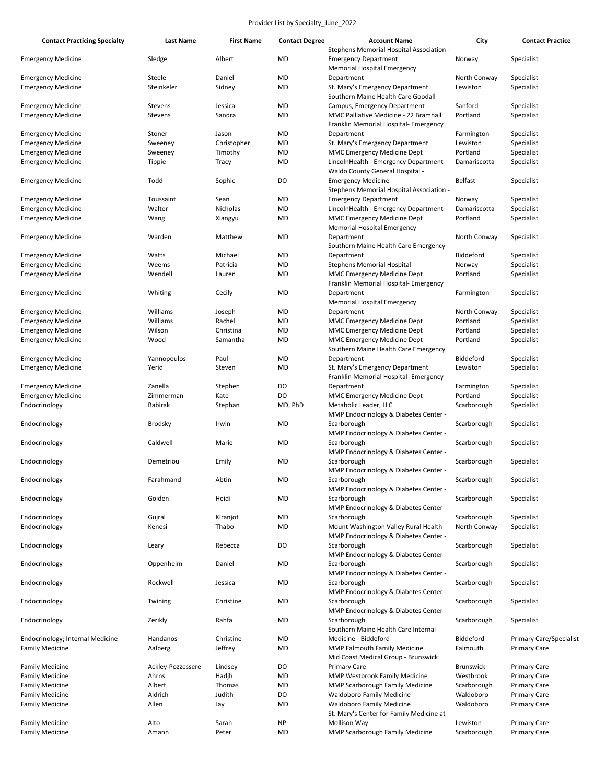| <b>Contact Practicing Specialty</b>                    | Last Name           | <b>First Name</b> | <b>Contact Degree</b> | <b>Account Name</b>                                                 | City                     | <b>Contact Practice</b>        |
|--------------------------------------------------------|---------------------|-------------------|-----------------------|---------------------------------------------------------------------|--------------------------|--------------------------------|
|                                                        |                     |                   |                       | Stephens Memorial Hospital Association -                            |                          |                                |
| <b>Emergency Medicine</b>                              | Sledge              | Albert            | MD                    | <b>Emergency Department</b>                                         | Norway                   | Specialist                     |
| <b>Emergency Medicine</b>                              | Steele              | Daniel            | MD                    | Memorial Hospital Emergency<br>Department                           | North Conway             | Specialist                     |
| <b>Emergency Medicine</b>                              | Steinkeler          | Sidney            | MD                    | St. Mary's Emergency Department                                     | Lewiston                 | Specialist                     |
|                                                        |                     |                   |                       | Southern Maine Health Care Goodall                                  |                          |                                |
| <b>Emergency Medicine</b>                              | Stevens             | Jessica           | MD                    | Campus, Emergency Department                                        | Sanford                  | Specialist                     |
| <b>Emergency Medicine</b>                              | Stevens             | Sandra            | MD                    | MMC Palliative Medicine - 22 Bramhall                               | Portland                 | Specialist                     |
|                                                        |                     |                   |                       | Franklin Memorial Hospital- Emergency                               |                          |                                |
| <b>Emergency Medicine</b>                              | Stoner              | Jason             | MD                    | Department                                                          | Farmington               | Specialist                     |
| <b>Emergency Medicine</b>                              | Sweeney             | Christopher       | MD                    | St. Mary's Emergency Department                                     | Lewiston                 | Specialist                     |
| <b>Emergency Medicine</b>                              | Sweeney             | Timothy           | MD                    | <b>MMC Emergency Medicine Dept</b>                                  | Portland                 | Specialist                     |
| <b>Emergency Medicine</b>                              | Tippie              | Tracy             | MD                    | LincolnHealth - Emergency Department                                | Damariscotta             | Specialist                     |
|                                                        |                     |                   |                       | Waldo County General Hospital -                                     |                          |                                |
| <b>Emergency Medicine</b>                              | Todd                | Sophie            | DO                    | <b>Emergency Medicine</b>                                           | Belfast                  | Specialist                     |
|                                                        |                     |                   |                       | Stephens Memorial Hospital Association -                            |                          |                                |
| <b>Emergency Medicine</b>                              | Toussaint<br>Walter | Sean<br>Nicholas  | MD<br>MD              | <b>Emergency Department</b>                                         | Norway                   | Specialist                     |
| <b>Emergency Medicine</b><br><b>Emergency Medicine</b> | Wang                | Xiangyu           | MD                    | LincolnHealth - Emergency Department<br>MMC Emergency Medicine Dept | Damariscotta<br>Portland | Specialist<br>Specialist       |
|                                                        |                     |                   |                       | <b>Memorial Hospital Emergency</b>                                  |                          |                                |
| <b>Emergency Medicine</b>                              | Warden              | Matthew           | MD                    | Department                                                          | North Conway             | Specialist                     |
|                                                        |                     |                   |                       | Southern Maine Health Care Emergency                                |                          |                                |
| <b>Emergency Medicine</b>                              | Watts               | Michael           | MD                    | Department                                                          | Biddeford                | Specialist                     |
| <b>Emergency Medicine</b>                              | Weems               | Patricia          | MD                    | <b>Stephens Memorial Hospital</b>                                   | Norway                   | Specialist                     |
| <b>Emergency Medicine</b>                              | Wendell             | Lauren            | MD                    | MMC Emergency Medicine Dept                                         | Portland                 | Specialist                     |
|                                                        |                     |                   |                       | Franklin Memorial Hospital- Emergency                               |                          |                                |
| <b>Emergency Medicine</b>                              | Whiting             | Cecily            | MD                    | Department                                                          | Farmington               | Specialist                     |
|                                                        |                     |                   |                       | Memorial Hospital Emergency                                         |                          |                                |
| <b>Emergency Medicine</b>                              | Williams            | Joseph            | MD                    | Department                                                          | North Conway             | Specialist                     |
| <b>Emergency Medicine</b>                              | Williams            | Rachel            | MD                    | <b>MMC Emergency Medicine Dept</b>                                  | Portland                 | Specialist                     |
| <b>Emergency Medicine</b>                              | Wilson              | Christina         | MD                    | MMC Emergency Medicine Dept                                         | Portland                 | Specialist                     |
| <b>Emergency Medicine</b>                              | Wood                | Samantha          | MD                    | MMC Emergency Medicine Dept                                         | Portland                 | Specialist                     |
|                                                        | Yannopoulos         | Paul              | MD                    | Southern Maine Health Care Emergency<br>Department                  | Biddeford                | Specialist                     |
| <b>Emergency Medicine</b><br><b>Emergency Medicine</b> | Yerid               | Steven            | MD                    | St. Mary's Emergency Department                                     | Lewiston                 | Specialist                     |
|                                                        |                     |                   |                       | Franklin Memorial Hospital- Emergency                               |                          |                                |
| <b>Emergency Medicine</b>                              | Zanella             | Stephen           | DO                    | Department                                                          | Farmington               | Specialist                     |
| <b>Emergency Medicine</b>                              | Zimmerman           | Kate              | DO                    | MMC Emergency Medicine Dept                                         | Portland                 | Specialist                     |
| Endocrinology                                          | Babirak             | Stephan           | MD, PhD               | Metabolic Leader, LLC                                               | Scarborough              | Specialist                     |
|                                                        |                     |                   |                       | MMP Endocrinology & Diabetes Center -                               |                          |                                |
| Endocrinology                                          | Brodsky             | Irwin             | MD                    | Scarborough                                                         | Scarborough              | Specialist                     |
|                                                        |                     |                   |                       | MMP Endocrinology & Diabetes Center -                               |                          |                                |
| Endocrinology                                          | Caldwell            | Marie             | MD                    | Scarborough                                                         | Scarborough              | Specialist                     |
|                                                        |                     |                   |                       | MMP Endocrinology & Diabetes Center -                               |                          |                                |
| Endocrinology                                          | Demetriou           | Emily             | MD                    | Scarborough                                                         | Scarborough              | Specialist                     |
|                                                        |                     |                   |                       | MMP Endocrinology & Diabetes Center -                               |                          |                                |
| Endocrinology                                          | Farahmand           | Abtin             | MD                    | Scarborough                                                         | Scarborough              | Specialist                     |
| Endocrinology                                          | Golden              | Heidi             | MD                    | MMP Endocrinology & Diabetes Center -<br>Scarborough                | Scarborough              | Specialist                     |
|                                                        |                     |                   |                       | MMP Endocrinology & Diabetes Center -                               |                          |                                |
| Endocrinology                                          | Gujral              | Kiranjot          | MD                    | Scarborough                                                         | Scarborough              | Specialist                     |
| Endocrinology                                          | Kenosi              | Thabo             | MD                    | Mount Washington Valley Rural Health                                | North Conway             | Specialist                     |
|                                                        |                     |                   |                       | MMP Endocrinology & Diabetes Center -                               |                          |                                |
| Endocrinology                                          | Leary               | Rebecca           | DO                    | Scarborough                                                         | Scarborough              | Specialist                     |
|                                                        |                     |                   |                       | MMP Endocrinology & Diabetes Center -                               |                          |                                |
| Endocrinology                                          | Oppenheim           | Daniel            | MD                    | Scarborough                                                         | Scarborough              | Specialist                     |
|                                                        |                     |                   |                       | MMP Endocrinology & Diabetes Center -                               |                          |                                |
| Endocrinology                                          | Rockwell            | Jessica           | MD                    | Scarborough                                                         | Scarborough              | Specialist                     |
|                                                        |                     |                   |                       | MMP Endocrinology & Diabetes Center -                               |                          |                                |
| Endocrinology                                          | Twining             | Christine         | MD                    | Scarborough                                                         | Scarborough              | Specialist                     |
|                                                        |                     |                   |                       | MMP Endocrinology & Diabetes Center -                               |                          |                                |
| Endocrinology                                          | Zerikly             | Rahfa             | MD                    | Scarborough<br>Southern Maine Health Care Internal                  | Scarborough              | Specialist                     |
| Endocrinology; Internal Medicine                       | Handanos            | Christine         | MD                    | Medicine - Biddeford                                                | Biddeford                | <b>Primary Care/Specialist</b> |
| <b>Family Medicine</b>                                 | Aalberg             | Jeffrey           | MD                    | MMP Falmouth Family Medicine                                        | Falmouth                 | <b>Primary Care</b>            |
|                                                        |                     |                   |                       | Mid Coast Medical Group - Brunswick                                 |                          |                                |
| <b>Family Medicine</b>                                 | Ackley-Pozzessere   | Lindsey           | DO                    | <b>Primary Care</b>                                                 | <b>Brunswick</b>         | <b>Primary Care</b>            |
| <b>Family Medicine</b>                                 | Ahrns               | Hadjh             | MD                    | <b>MMP Westbrook Family Medicine</b>                                | Westbrook                | <b>Primary Care</b>            |
| <b>Family Medicine</b>                                 | Albert              | Thomas            | MD                    | MMP Scarborough Family Medicine                                     | Scarborough              | <b>Primary Care</b>            |
| <b>Family Medicine</b>                                 | Aldrich             | Judith            | DO                    | <b>Waldoboro Family Medicine</b>                                    | Waldoboro                | <b>Primary Care</b>            |
| <b>Family Medicine</b>                                 | Allen               | Jay               | MD                    | <b>Waldoboro Family Medicine</b>                                    | Waldoboro                | <b>Primary Care</b>            |
|                                                        |                     |                   |                       | St. Mary's Center for Family Medicine at                            |                          |                                |
| <b>Family Medicine</b>                                 | Alto                | Sarah             | ΝP                    | Mollison Way                                                        | Lewiston                 | <b>Primary Care</b>            |
| <b>Family Medicine</b>                                 | Amann               | Peter             | MD                    | MMP Scarborough Family Medicine                                     | Scarborough              | <b>Primary Care</b>            |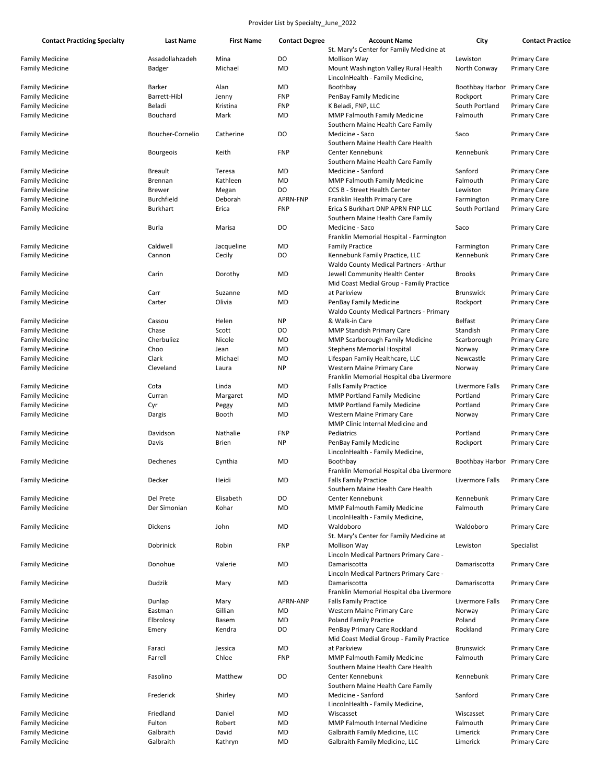| <b>Contact Practicing Specialty</b>              | <b>Last Name</b>                 | <b>First Name</b> | <b>Contact Degree</b> | <b>Account Name</b>                                  | City                         | <b>Contact Practice</b>                    |
|--------------------------------------------------|----------------------------------|-------------------|-----------------------|------------------------------------------------------|------------------------------|--------------------------------------------|
|                                                  |                                  |                   |                       | St. Mary's Center for Family Medicine at             |                              |                                            |
| <b>Family Medicine</b><br><b>Family Medicine</b> | Assadollahzadeh<br><b>Badger</b> | Mina<br>Michael   | DO<br>MD              | Mollison Way<br>Mount Washington Valley Rural Health | Lewiston<br>North Conway     | <b>Primary Care</b><br><b>Primary Care</b> |
|                                                  |                                  |                   |                       | LincolnHealth - Family Medicine,                     |                              |                                            |
| <b>Family Medicine</b>                           | Barker                           | Alan              | MD                    | Boothbay                                             | Boothbay Harbor              | <b>Primary Care</b>                        |
| <b>Family Medicine</b>                           | Barrett-Hibl                     | Jenny             | <b>FNP</b>            | PenBay Family Medicine                               | Rockport                     | <b>Primary Care</b>                        |
| <b>Family Medicine</b>                           | Beladi                           | Kristina          | <b>FNP</b>            | K Beladi, FNP, LLC                                   | South Portland               | <b>Primary Care</b>                        |
| <b>Family Medicine</b>                           | Bouchard                         | Mark              | MD                    | MMP Falmouth Family Medicine                         | Falmouth                     | <b>Primary Care</b>                        |
|                                                  |                                  |                   |                       | Southern Maine Health Care Family                    |                              |                                            |
| <b>Family Medicine</b>                           | Boucher-Cornelio                 | Catherine         | DO                    | Medicine - Saco                                      | Saco                         | <b>Primary Care</b>                        |
|                                                  |                                  |                   |                       | Southern Maine Health Care Health                    |                              |                                            |
| <b>Family Medicine</b>                           | <b>Bourgeois</b>                 | Keith             | <b>FNP</b>            | Center Kennebunk                                     | Kennebunk                    | <b>Primary Care</b>                        |
|                                                  |                                  |                   |                       | Southern Maine Health Care Family                    |                              |                                            |
| <b>Family Medicine</b>                           | <b>Breault</b>                   | Teresa            | MD                    | Medicine - Sanford                                   | Sanford                      | <b>Primary Care</b>                        |
| <b>Family Medicine</b>                           | Brennan                          | Kathleen          | MD                    | MMP Falmouth Family Medicine                         | Falmouth                     | <b>Primary Care</b>                        |
| <b>Family Medicine</b>                           | <b>Brewer</b>                    | Megan             | DO                    | <b>CCS B - Street Health Center</b>                  | Lewiston                     | <b>Primary Care</b>                        |
| <b>Family Medicine</b>                           | <b>Burchfield</b>                | Deborah           | APRN-FNP              | Franklin Health Primary Care                         | Farmington                   | <b>Primary Care</b>                        |
| <b>Family Medicine</b>                           | <b>Burkhart</b>                  | Erica             | <b>FNP</b>            | Erica S Burkhart DNP APRN FNP LLC                    | South Portland               | <b>Primary Care</b>                        |
|                                                  |                                  |                   |                       | Southern Maine Health Care Family                    |                              |                                            |
| <b>Family Medicine</b>                           | Burla                            | Marisa            | DO                    | Medicine - Saco                                      | Saco                         | <b>Primary Care</b>                        |
|                                                  |                                  |                   |                       | Franklin Memorial Hospital - Farmington              |                              |                                            |
| <b>Family Medicine</b>                           | Caldwell                         | Jacqueline        | MD                    | <b>Family Practice</b>                               | Farmington                   | <b>Primary Care</b>                        |
| <b>Family Medicine</b>                           | Cannon                           | Cecily            | DO                    | Kennebunk Family Practice, LLC                       | Kennebunk                    | <b>Primary Care</b>                        |
|                                                  |                                  |                   |                       | Waldo County Medical Partners - Arthur               |                              |                                            |
| <b>Family Medicine</b>                           | Carin                            | Dorothy           | MD                    | Jewell Community Health Center                       | <b>Brooks</b>                | <b>Primary Care</b>                        |
|                                                  |                                  |                   |                       | Mid Coast Medial Group - Family Practice             |                              |                                            |
| <b>Family Medicine</b>                           | Carr                             | Suzanne           | MD                    | at Parkview                                          | <b>Brunswick</b>             | <b>Primary Care</b>                        |
| <b>Family Medicine</b>                           | Carter                           | Olivia            | MD                    | PenBay Family Medicine                               | Rockport                     | <b>Primary Care</b>                        |
|                                                  |                                  |                   |                       | Waldo County Medical Partners - Primary              |                              |                                            |
| <b>Family Medicine</b>                           | Cassou                           | Helen             | <b>NP</b>             | & Walk-in Care                                       | <b>Belfast</b>               | <b>Primary Care</b>                        |
| <b>Family Medicine</b>                           | Chase                            | Scott             | DO                    | <b>MMP Standish Primary Care</b>                     | Standish                     | <b>Primary Care</b>                        |
| <b>Family Medicine</b>                           | Cherbuliez                       | Nicole            | MD                    | MMP Scarborough Family Medicine                      | Scarborough                  | <b>Primary Care</b>                        |
| <b>Family Medicine</b>                           | Choo                             | Jean              | MD                    | <b>Stephens Memorial Hospital</b>                    | Norway                       | <b>Primary Care</b>                        |
| <b>Family Medicine</b>                           | Clark                            | Michael           | MD                    | Lifespan Family Healthcare, LLC                      | Newcastle                    | <b>Primary Care</b>                        |
| <b>Family Medicine</b>                           | Cleveland                        | Laura             | <b>NP</b>             | Western Maine Primary Care                           | Norway                       | <b>Primary Care</b>                        |
|                                                  |                                  |                   |                       | Franklin Memorial Hospital dba Livermore             |                              |                                            |
|                                                  | Cota                             | Linda             | MD                    |                                                      | Livermore Falls              |                                            |
| <b>Family Medicine</b>                           |                                  |                   |                       | <b>Falls Family Practice</b>                         |                              | <b>Primary Care</b>                        |
| <b>Family Medicine</b>                           | Curran                           | Margaret          | MD                    | <b>MMP Portland Family Medicine</b>                  | Portland                     | <b>Primary Care</b>                        |
| <b>Family Medicine</b>                           | Cyr                              | Peggy             | MD                    | <b>MMP Portland Family Medicine</b>                  | Portland                     | <b>Primary Care</b>                        |
| <b>Family Medicine</b>                           | Dargis                           | Booth             | MD                    | Western Maine Primary Care                           | Norway                       | <b>Primary Care</b>                        |
|                                                  |                                  |                   |                       | MMP Clinic Internal Medicine and                     |                              |                                            |
| <b>Family Medicine</b>                           | Davidson                         | Nathalie          | <b>FNP</b>            | Pediatrics                                           | Portland                     | <b>Primary Care</b>                        |
| <b>Family Medicine</b>                           | Davis                            | <b>Brien</b>      | <b>NP</b>             | PenBay Family Medicine                               | Rockport                     | <b>Primary Care</b>                        |
|                                                  |                                  |                   |                       | LincolnHealth - Family Medicine,                     |                              |                                            |
| <b>Family Medicine</b>                           | Dechenes                         | Cynthia           | MD                    | Boothbay                                             | Boothbay Harbor Primary Care |                                            |
|                                                  |                                  |                   |                       | Franklin Memorial Hospital dba Livermore             |                              |                                            |
| <b>Family Medicine</b>                           | Decker                           | Heidi             | MD                    | <b>Falls Family Practice</b>                         | Livermore Falls              | <b>Primary Care</b>                        |
|                                                  |                                  |                   |                       | Southern Maine Health Care Health                    |                              |                                            |
| <b>Family Medicine</b>                           | Del Prete                        | Elisabeth         | DO                    | Center Kennebunk                                     | Kennebunk                    | <b>Primary Care</b>                        |
| <b>Family Medicine</b>                           | Der Simonian                     | Kohar             | MD                    | MMP Falmouth Family Medicine                         | Falmouth                     | <b>Primary Care</b>                        |
|                                                  |                                  |                   |                       | LincolnHealth - Family Medicine,                     |                              |                                            |
| <b>Family Medicine</b>                           | Dickens                          | John              | MD                    | Waldoboro                                            | Waldoboro                    | <b>Primary Care</b>                        |
|                                                  |                                  |                   |                       | St. Mary's Center for Family Medicine at             |                              |                                            |
| <b>Family Medicine</b>                           | Dobrinick                        | Robin             | <b>FNP</b>            | Mollison Way                                         | Lewiston                     | Specialist                                 |
|                                                  |                                  |                   |                       | Lincoln Medical Partners Primary Care -              |                              |                                            |
| <b>Family Medicine</b>                           | Donohue                          | Valerie           | MD                    | Damariscotta                                         | Damariscotta                 | <b>Primary Care</b>                        |
|                                                  |                                  |                   |                       | Lincoln Medical Partners Primary Care -              |                              |                                            |
| <b>Family Medicine</b>                           | Dudzik                           | Mary              | MD                    | Damariscotta                                         | Damariscotta                 | <b>Primary Care</b>                        |
|                                                  |                                  |                   |                       | Franklin Memorial Hospital dba Livermore             |                              |                                            |
| <b>Family Medicine</b>                           | Dunlap                           | Mary              | APRN-ANP              | <b>Falls Family Practice</b>                         | Livermore Falls              | <b>Primary Care</b>                        |
| <b>Family Medicine</b>                           | Eastman                          | Gillian           | MD                    | Western Maine Primary Care                           | Norway                       | <b>Primary Care</b>                        |
| <b>Family Medicine</b>                           | Elbrolosy                        | Basem             | MD                    | <b>Poland Family Practice</b>                        | Poland                       | <b>Primary Care</b>                        |
| <b>Family Medicine</b>                           | Emery                            | Kendra            | DO                    | PenBay Primary Care Rockland                         | Rockland                     | <b>Primary Care</b>                        |
|                                                  |                                  |                   |                       | Mid Coast Medial Group - Family Practice             |                              |                                            |
| <b>Family Medicine</b>                           | Faraci                           | Jessica           | MD                    | at Parkview                                          | <b>Brunswick</b>             | <b>Primary Care</b>                        |
| <b>Family Medicine</b>                           | Farrell                          | Chloe             | <b>FNP</b>            | <b>MMP Falmouth Family Medicine</b>                  | Falmouth                     | <b>Primary Care</b>                        |
|                                                  |                                  |                   |                       | Southern Maine Health Care Health                    |                              |                                            |
| <b>Family Medicine</b>                           | Fasolino                         | Matthew           | DO                    | Center Kennebunk                                     | Kennebunk                    | <b>Primary Care</b>                        |
|                                                  |                                  |                   |                       | Southern Maine Health Care Family                    |                              |                                            |
| <b>Family Medicine</b>                           | Frederick                        | Shirley           | MD                    | Medicine - Sanford                                   | Sanford                      | <b>Primary Care</b>                        |
|                                                  |                                  |                   |                       | LincolnHealth - Family Medicine,                     |                              |                                            |
| <b>Family Medicine</b>                           | Friedland                        | Daniel            | MD                    | Wiscasset                                            | Wiscasset                    | <b>Primary Care</b>                        |
| <b>Family Medicine</b>                           | Fulton                           | Robert            | MD                    | <b>MMP Falmouth Internal Medicine</b>                | Falmouth                     | <b>Primary Care</b>                        |
| <b>Family Medicine</b>                           | Galbraith                        | David             | MD                    | Galbraith Family Medicine, LLC                       | Limerick                     | <b>Primary Care</b>                        |
| <b>Family Medicine</b>                           | Galbraith                        | Kathryn           | MD                    | Galbraith Family Medicine, LLC                       | Limerick                     | <b>Primary Care</b>                        |
|                                                  |                                  |                   |                       |                                                      |                              |                                            |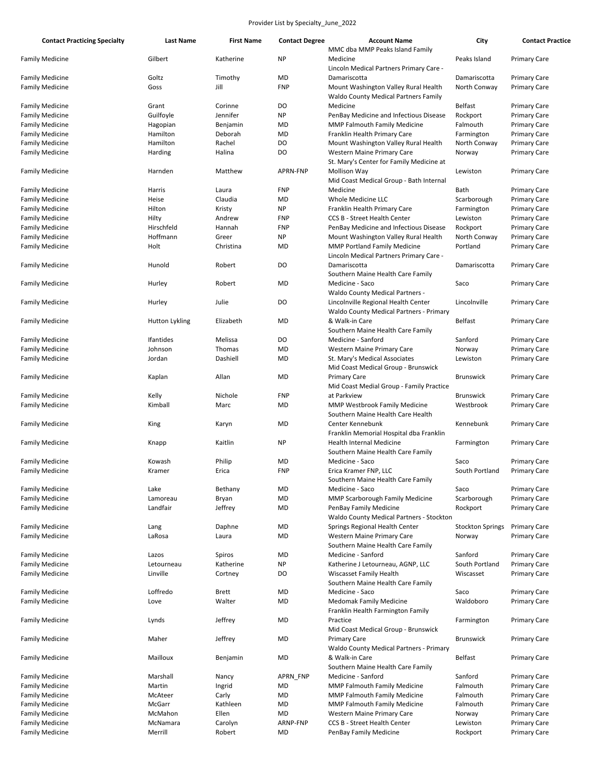| <b>Contact Practicing Specialty</b> | Last Name      | <b>First Name</b> | <b>Contact Degree</b> | <b>Account Name</b>                                                                 | City                    | <b>Contact Practice</b> |
|-------------------------------------|----------------|-------------------|-----------------------|-------------------------------------------------------------------------------------|-------------------------|-------------------------|
|                                     |                |                   |                       | MMC dba MMP Peaks Island Family                                                     |                         |                         |
| <b>Family Medicine</b>              | Gilbert        | Katherine         | <b>NP</b>             | Medicine<br>Lincoln Medical Partners Primary Care -                                 | Peaks Island            | <b>Primary Care</b>     |
| <b>Family Medicine</b>              | Goltz          | Timothy           | <b>MD</b>             | Damariscotta                                                                        | Damariscotta            | <b>Primary Care</b>     |
| <b>Family Medicine</b>              | Goss           | Jill              | <b>FNP</b>            | Mount Washington Valley Rural Health<br><b>Waldo County Medical Partners Family</b> | North Conway            | <b>Primary Care</b>     |
| <b>Family Medicine</b>              | Grant          | Corinne           | DO                    | Medicine                                                                            | <b>Belfast</b>          | <b>Primary Care</b>     |
| <b>Family Medicine</b>              | Guilfoyle      | Jennifer          | <b>NP</b>             | PenBay Medicine and Infectious Disease                                              | Rockport                | <b>Primary Care</b>     |
| <b>Family Medicine</b>              | Hagopian       | Benjamin          | MD                    | <b>MMP Falmouth Family Medicine</b>                                                 | Falmouth                | <b>Primary Care</b>     |
| <b>Family Medicine</b>              | Hamilton       | Deborah           | MD                    | Franklin Health Primary Care                                                        | Farmington              | <b>Primary Care</b>     |
| <b>Family Medicine</b>              | Hamilton       | Rachel            | DO                    | Mount Washington Valley Rural Health                                                | North Conway            | <b>Primary Care</b>     |
| <b>Family Medicine</b>              | Harding        | Halina            | DO                    | Western Maine Primary Care                                                          | Norway                  | <b>Primary Care</b>     |
|                                     |                |                   |                       | St. Mary's Center for Family Medicine at                                            |                         |                         |
| <b>Family Medicine</b>              | Harnden        | Matthew           | APRN-FNP              | Mollison Way<br>Mid Coast Medical Group - Bath Internal                             | Lewiston                | <b>Primary Care</b>     |
| <b>Family Medicine</b>              | Harris         | Laura             | <b>FNP</b>            | Medicine                                                                            | Bath                    | <b>Primary Care</b>     |
| <b>Family Medicine</b>              | Heise          | Claudia           | <b>MD</b>             | Whole Medicine LLC                                                                  | Scarborough             | <b>Primary Care</b>     |
| <b>Family Medicine</b>              | Hilton         | Kristy            | <b>NP</b>             | Franklin Health Primary Care                                                        | Farmington              | <b>Primary Care</b>     |
| <b>Family Medicine</b>              | Hilty          | Andrew            | <b>FNP</b>            | <b>CCS B - Street Health Center</b>                                                 | Lewiston                | <b>Primary Care</b>     |
| <b>Family Medicine</b>              | Hirschfeld     | Hannah            | <b>FNP</b>            | PenBay Medicine and Infectious Disease                                              | Rockport                | <b>Primary Care</b>     |
| <b>Family Medicine</b>              | Hoffmann       | Greer             | <b>NP</b>             | Mount Washington Valley Rural Health                                                | North Conway            |                         |
|                                     |                |                   |                       |                                                                                     |                         | <b>Primary Care</b>     |
| <b>Family Medicine</b>              | Holt           | Christina         | <b>MD</b>             | <b>MMP Portland Family Medicine</b><br>Lincoln Medical Partners Primary Care -      | Portland                | <b>Primary Care</b>     |
| <b>Family Medicine</b>              | Hunold         | Robert            | DO                    | Damariscotta<br>Southern Maine Health Care Family                                   | Damariscotta            | <b>Primary Care</b>     |
| <b>Family Medicine</b>              | Hurley         | Robert            | <b>MD</b>             | Medicine - Saco                                                                     | Saco                    | <b>Primary Care</b>     |
| <b>Family Medicine</b>              | Hurley         | Julie             | DO                    | Waldo County Medical Partners -<br>Lincolnville Regional Health Center              | Lincolnville            | <b>Primary Care</b>     |
| <b>Family Medicine</b>              | Hutton Lykling | Elizabeth         | <b>MD</b>             | <b>Waldo County Medical Partners - Primary</b><br>& Walk-in Care                    | <b>Belfast</b>          | <b>Primary Care</b>     |
|                                     |                |                   |                       | Southern Maine Health Care Family                                                   |                         |                         |
| <b>Family Medicine</b>              | Ifantides      | Melissa           | DO                    | Medicine - Sanford                                                                  | Sanford                 | <b>Primary Care</b>     |
| <b>Family Medicine</b>              | Johnson        | Thomas            | <b>MD</b>             | Western Maine Primary Care                                                          | Norway                  | <b>Primary Care</b>     |
| <b>Family Medicine</b>              | Jordan         | Dashiell          | <b>MD</b>             | St. Mary's Medical Associates<br>Mid Coast Medical Group - Brunswick                | Lewiston                | <b>Primary Care</b>     |
| <b>Family Medicine</b>              | Kaplan         | Allan             | MD                    | <b>Primary Care</b>                                                                 | <b>Brunswick</b>        | <b>Primary Care</b>     |
|                                     |                |                   |                       | Mid Coast Medial Group - Family Practice                                            |                         |                         |
| <b>Family Medicine</b>              | Kelly          | Nichole           | <b>FNP</b>            | at Parkview                                                                         | <b>Brunswick</b>        | <b>Primary Care</b>     |
| <b>Family Medicine</b>              | Kimball        | Marc              | <b>MD</b>             | <b>MMP Westbrook Family Medicine</b><br>Southern Maine Health Care Health           | Westbrook               | <b>Primary Care</b>     |
| <b>Family Medicine</b>              | King           | Karyn             | <b>MD</b>             | Center Kennebunk<br>Franklin Memorial Hospital dba Franklin                         | Kennebunk               | <b>Primary Care</b>     |
| <b>Family Medicine</b>              | Knapp          | Kaitlin           | <b>NP</b>             | Health Internal Medicine<br>Southern Maine Health Care Family                       | Farmington              | <b>Primary Care</b>     |
| <b>Family Medicine</b>              | Kowash         | Philip            | MD                    | Medicine - Saco                                                                     | Saco                    | <b>Primary Care</b>     |
| <b>Family Medicine</b>              | Kramer         | Erica             | <b>FNP</b>            | Erica Kramer FNP, LLC                                                               | South Portland          | <b>Primary Care</b>     |
|                                     |                |                   |                       | Southern Maine Health Care Family                                                   |                         |                         |
| <b>Family Medicine</b>              | Lake           | Bethany           | MD                    | Medicine - Saco                                                                     | Saco                    | <b>Primary Care</b>     |
| <b>Family Medicine</b>              | Lamoreau       | Bryan             | MD                    | <b>MMP Scarborough Family Medicine</b>                                              | Scarborough             | <b>Primary Care</b>     |
| <b>Family Medicine</b>              | Landfair       | Jeffrey           | MD                    | PenBay Family Medicine<br><b>Waldo County Medical Partners - Stockton</b>           | Rockport                | <b>Primary Care</b>     |
| <b>Family Medicine</b>              | Lang           | Daphne            | <b>MD</b>             | Springs Regional Health Center                                                      | <b>Stockton Springs</b> | <b>Primary Care</b>     |
| <b>Family Medicine</b>              | LaRosa         | Laura             | <b>MD</b>             | Western Maine Primary Care                                                          | Norway                  | <b>Primary Care</b>     |
|                                     |                |                   |                       | Southern Maine Health Care Family                                                   |                         |                         |
| <b>Family Medicine</b>              | Lazos          | Spiros            | MD                    | Medicine - Sanford                                                                  | Sanford                 | <b>Primary Care</b>     |
| <b>Family Medicine</b>              | Letourneau     | Katherine         | <b>NP</b>             | Katherine J Letourneau, AGNP, LLC                                                   | South Portland          | <b>Primary Care</b>     |
| <b>Family Medicine</b>              | Linville       | Cortney           | DO                    | Wiscasset Family Health<br>Southern Maine Health Care Family                        | Wiscasset               | <b>Primary Care</b>     |
| <b>Family Medicine</b>              | Loffredo       | <b>Brett</b>      | MD                    | Medicine - Saco                                                                     | Saco                    | <b>Primary Care</b>     |
| <b>Family Medicine</b>              | Love           | Walter            | <b>MD</b>             | Medomak Family Medicine                                                             | Waldoboro               | <b>Primary Care</b>     |
|                                     |                |                   |                       | Franklin Health Farmington Family                                                   |                         |                         |
| <b>Family Medicine</b>              | Lynds          | Jeffrey           | MD                    | Practice<br>Mid Coast Medical Group - Brunswick                                     | Farmington              | <b>Primary Care</b>     |
| <b>Family Medicine</b>              | Maher          | Jeffrey           | MD                    | Primary Care<br>Waldo County Medical Partners - Primary                             | <b>Brunswick</b>        | <b>Primary Care</b>     |
| <b>Family Medicine</b>              | Mailloux       | Benjamin          | MD                    | & Walk-in Care<br>Southern Maine Health Care Family                                 | <b>Belfast</b>          | <b>Primary Care</b>     |
| <b>Family Medicine</b>              | Marshall       | Nancy             | APRN_FNP              | Medicine - Sanford                                                                  | Sanford                 | <b>Primary Care</b>     |
| <b>Family Medicine</b>              | Martin         | Ingrid            | MD                    | MMP Falmouth Family Medicine                                                        | Falmouth                | <b>Primary Care</b>     |
| <b>Family Medicine</b>              | McAteer        | Carly             | <b>MD</b>             | <b>MMP Falmouth Family Medicine</b>                                                 | Falmouth                | <b>Primary Care</b>     |
| <b>Family Medicine</b>              | McGarr         | Kathleen          | MD                    | <b>MMP Falmouth Family Medicine</b>                                                 | Falmouth                | <b>Primary Care</b>     |
|                                     |                |                   |                       |                                                                                     |                         |                         |
| <b>Family Medicine</b>              | McMahon        | Ellen             | <b>MD</b>             | Western Maine Primary Care                                                          | Norway                  | <b>Primary Care</b>     |
| <b>Family Medicine</b>              | McNamara       | Carolyn           | ARNP-FNP              | CCS B - Street Health Center                                                        | Lewiston                | <b>Primary Care</b>     |
| <b>Family Medicine</b>              | Merrill        | Robert            | MD                    | PenBay Family Medicine                                                              | Rockport                | <b>Primary Care</b>     |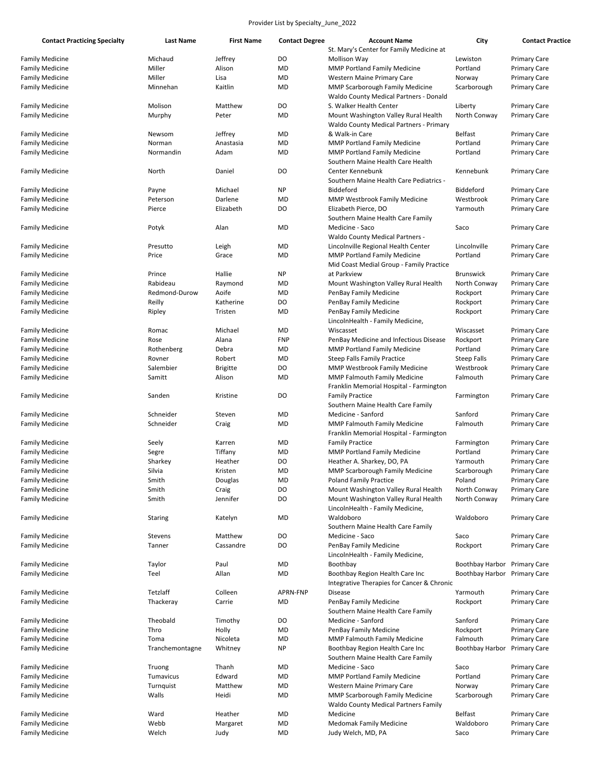| <b>Contact Practicing Specialty</b> | <b>Last Name</b> | <b>First Name</b> | <b>Contact Degree</b> | <b>Account Name</b>                           | City               | <b>Contact Practice</b> |
|-------------------------------------|------------------|-------------------|-----------------------|-----------------------------------------------|--------------------|-------------------------|
|                                     |                  |                   |                       | St. Mary's Center for Family Medicine at      |                    |                         |
| <b>Family Medicine</b>              | Michaud          | Jeffrey           | DO                    | Mollison Way                                  | Lewiston           | <b>Primary Care</b>     |
| <b>Family Medicine</b>              | Miller           | Alison            | <b>MD</b>             | MMP Portland Family Medicine                  | Portland           | <b>Primary Care</b>     |
| <b>Family Medicine</b>              | Miller           | Lisa              | <b>MD</b>             | Western Maine Primary Care                    | Norway             | <b>Primary Care</b>     |
| <b>Family Medicine</b>              | Minnehan         | Kaitlin           | MD                    | <b>MMP Scarborough Family Medicine</b>        | Scarborough        | <b>Primary Care</b>     |
|                                     |                  |                   |                       | <b>Waldo County Medical Partners - Donald</b> |                    |                         |
| <b>Family Medicine</b>              | Molison          | Matthew           | DO                    | S. Walker Health Center                       | Liberty            | <b>Primary Care</b>     |
| <b>Family Medicine</b>              | Murphy           | Peter             | <b>MD</b>             | Mount Washington Valley Rural Health          | North Conway       | <b>Primary Care</b>     |
|                                     |                  |                   |                       | Waldo County Medical Partners - Primary       |                    |                         |
|                                     |                  |                   |                       | & Walk-in Care                                | <b>Belfast</b>     |                         |
| <b>Family Medicine</b>              | Newsom           | Jeffrey           | MD                    |                                               |                    | <b>Primary Care</b>     |
| <b>Family Medicine</b>              | Norman           | Anastasia         | MD                    | MMP Portland Family Medicine                  | Portland           | <b>Primary Care</b>     |
| <b>Family Medicine</b>              | Normandin        | Adam              | MD                    | <b>MMP Portland Family Medicine</b>           | Portland           | <b>Primary Care</b>     |
|                                     |                  |                   |                       | Southern Maine Health Care Health             |                    |                         |
| <b>Family Medicine</b>              | North            | Daniel            | DO                    | Center Kennebunk                              | Kennebunk          | <b>Primary Care</b>     |
|                                     |                  |                   |                       | Southern Maine Health Care Pediatrics -       |                    |                         |
| <b>Family Medicine</b>              | Payne            | Michael           | <b>NP</b>             | Biddeford                                     | Biddeford          | <b>Primary Care</b>     |
| <b>Family Medicine</b>              | Peterson         | Darlene           | <b>MD</b>             | MMP Westbrook Family Medicine                 | Westbrook          | <b>Primary Care</b>     |
| <b>Family Medicine</b>              | Pierce           | Elizabeth         | DO                    | Elizabeth Pierce, DO                          | Yarmouth           | <b>Primary Care</b>     |
|                                     |                  |                   |                       | Southern Maine Health Care Family             |                    |                         |
| <b>Family Medicine</b>              | Potyk            | Alan              | MD                    | Medicine - Saco                               | Saco               | <b>Primary Care</b>     |
|                                     |                  |                   |                       | <b>Waldo County Medical Partners -</b>        |                    |                         |
|                                     |                  |                   | <b>MD</b>             |                                               | Lincolnville       |                         |
| <b>Family Medicine</b>              | Presutto         | Leigh             |                       | Lincolnville Regional Health Center           |                    | <b>Primary Care</b>     |
| <b>Family Medicine</b>              | Price            | Grace             | MD                    | <b>MMP Portland Family Medicine</b>           | Portland           | <b>Primary Care</b>     |
|                                     |                  |                   |                       | Mid Coast Medial Group - Family Practice      |                    |                         |
| <b>Family Medicine</b>              | Prince           | Hallie            | <b>NP</b>             | at Parkview                                   | <b>Brunswick</b>   | <b>Primary Care</b>     |
| <b>Family Medicine</b>              | Rabideau         | Raymond           | MD                    | Mount Washington Valley Rural Health          | North Conway       | <b>Primary Care</b>     |
| <b>Family Medicine</b>              | Redmond-Durow    | Aoife             | MD                    | PenBay Family Medicine                        | Rockport           | <b>Primary Care</b>     |
| <b>Family Medicine</b>              | Reilly           | Katherine         | DO                    | PenBay Family Medicine                        | Rockport           | <b>Primary Care</b>     |
| <b>Family Medicine</b>              | Ripley           | Tristen           | <b>MD</b>             | PenBay Family Medicine                        | Rockport           | <b>Primary Care</b>     |
|                                     |                  |                   |                       | LincolnHealth - Family Medicine,              |                    |                         |
| <b>Family Medicine</b>              | Romac            | Michael           | MD                    | Wiscasset                                     | Wiscasset          | <b>Primary Care</b>     |
| <b>Family Medicine</b>              | Rose             | Alana             | <b>FNP</b>            | PenBay Medicine and Infectious Disease        | Rockport           | <b>Primary Care</b>     |
| <b>Family Medicine</b>              | Rothenberg       | Debra             | MD                    | <b>MMP Portland Family Medicine</b>           | Portland           | <b>Primary Care</b>     |
| <b>Family Medicine</b>              | Rovner           | Robert            | MD                    | <b>Steep Falls Family Practice</b>            | <b>Steep Falls</b> | <b>Primary Care</b>     |
|                                     | Salembier        |                   | DO                    |                                               | Westbrook          |                         |
| <b>Family Medicine</b>              |                  | <b>Brigitte</b>   |                       | <b>MMP Westbrook Family Medicine</b>          |                    | <b>Primary Care</b>     |
| <b>Family Medicine</b>              | Samitt           | Alison            | <b>MD</b>             | <b>MMP Falmouth Family Medicine</b>           | Falmouth           | <b>Primary Care</b>     |
|                                     |                  |                   |                       | Franklin Memorial Hospital - Farmington       |                    |                         |
| <b>Family Medicine</b>              | Sanden           | Kristine          | DO                    | <b>Family Practice</b>                        | Farmington         | <b>Primary Care</b>     |
|                                     |                  |                   |                       | Southern Maine Health Care Family             |                    |                         |
| <b>Family Medicine</b>              | Schneider        | Steven            | MD                    | Medicine - Sanford                            | Sanford            | <b>Primary Care</b>     |
| <b>Family Medicine</b>              | Schneider        | Craig             | MD                    | MMP Falmouth Family Medicine                  | Falmouth           | <b>Primary Care</b>     |
|                                     |                  |                   |                       | Franklin Memorial Hospital - Farmington       |                    |                         |
| <b>Family Medicine</b>              | Seely            | Karren            | MD                    | <b>Family Practice</b>                        | Farmington         | <b>Primary Care</b>     |
| <b>Family Medicine</b>              | Segre            | Tiffany           | MD                    | MMP Portland Family Medicine                  | Portland           | <b>Primary Care</b>     |
| <b>Family Medicine</b>              | Sharkey          | Heather           | DO                    | Heather A. Sharkey, DO, PA                    | Yarmouth           | <b>Primary Care</b>     |
| <b>Family Medicine</b>              | Silvia           | Kristen           | <b>MD</b>             | MMP Scarborough Family Medicine               | Scarborough        | <b>Primary Care</b>     |
| <b>Family Medicine</b>              | Smith            | Douglas           | MD                    | Poland Family Practice                        | Poland             | <b>Primary Care</b>     |
| <b>Family Medicine</b>              | Smith            | Craig             | DO                    | Mount Washington Valley Rural Health          | North Conway       | <b>Primary Care</b>     |
| <b>Family Medicine</b>              | Smith            | Jennifer          | DO                    | Mount Washington Valley Rural Health          | North Conway       | <b>Primary Care</b>     |
|                                     |                  |                   |                       |                                               |                    |                         |
|                                     |                  |                   |                       | LincolnHealth - Family Medicine,              |                    |                         |
| <b>Family Medicine</b>              | Staring          | Katelyn           | MD                    | Waldoboro                                     | Waldoboro          | <b>Primary Care</b>     |
|                                     |                  |                   |                       | Southern Maine Health Care Family             |                    |                         |
| <b>Family Medicine</b>              | Stevens          | Matthew           | DO                    | Medicine - Saco                               | Saco               | <b>Primary Care</b>     |
| <b>Family Medicine</b>              | Tanner           | Cassandre         | DO                    | PenBay Family Medicine                        | Rockport           | Primary Care            |
|                                     |                  |                   |                       | LincolnHealth - Family Medicine,              |                    |                         |
| <b>Family Medicine</b>              | Taylor           | Paul              | MD                    | Boothbay                                      | Boothbay Harbor    | <b>Primary Care</b>     |
| <b>Family Medicine</b>              | Teel             | Allan             | MD                    | Boothbay Region Health Care Inc               | Boothbay Harbor    | <b>Primary Care</b>     |
|                                     |                  |                   |                       | Integrative Therapies for Cancer & Chronic    |                    |                         |
| <b>Family Medicine</b>              | Tetzlaff         | Colleen           | APRN-FNP              | Disease                                       | Yarmouth           | <b>Primary Care</b>     |
| <b>Family Medicine</b>              | Thackeray        | Carrie            | MD                    | PenBay Family Medicine                        | Rockport           | <b>Primary Care</b>     |
|                                     |                  |                   |                       | Southern Maine Health Care Family             |                    |                         |
| <b>Family Medicine</b>              | Theobald         | Timothy           | DO                    | Medicine - Sanford                            | Sanford            | <b>Primary Care</b>     |
|                                     |                  |                   |                       |                                               |                    |                         |
| <b>Family Medicine</b>              | Thro             | Holly             | MD                    | PenBay Family Medicine                        | Rockport           | <b>Primary Care</b>     |
| <b>Family Medicine</b>              | Toma             | Nicoleta          | MD                    | MMP Falmouth Family Medicine                  | Falmouth           | <b>Primary Care</b>     |
| <b>Family Medicine</b>              | Tranchemontagne  | Whitney           | <b>NP</b>             | Boothbay Region Health Care Inc               | Boothbay Harbor    | <b>Primary Care</b>     |
|                                     |                  |                   |                       | Southern Maine Health Care Family             |                    |                         |
| <b>Family Medicine</b>              | Truong           | Thanh             | MD                    | Medicine - Saco                               | Saco               | <b>Primary Care</b>     |
| <b>Family Medicine</b>              | Tumavicus        | Edward            | MD                    | MMP Portland Family Medicine                  | Portland           | <b>Primary Care</b>     |
| <b>Family Medicine</b>              | Turnquist        | Matthew           | MD                    | Western Maine Primary Care                    | Norway             | <b>Primary Care</b>     |
| <b>Family Medicine</b>              | Walls            | Heidi             | MD                    | MMP Scarborough Family Medicine               | Scarborough        | <b>Primary Care</b>     |
|                                     |                  |                   |                       | <b>Waldo County Medical Partners Family</b>   |                    |                         |
| <b>Family Medicine</b>              | Ward             | Heather           | MD                    | Medicine                                      | <b>Belfast</b>     | <b>Primary Care</b>     |
| <b>Family Medicine</b>              | Webb             | Margaret          | MD                    | <b>Medomak Family Medicine</b>                | Waldoboro          | <b>Primary Care</b>     |
| <b>Family Medicine</b>              | Welch            | Judy              | MD                    | Judy Welch, MD, PA                            | Saco               | <b>Primary Care</b>     |
|                                     |                  |                   |                       |                                               |                    |                         |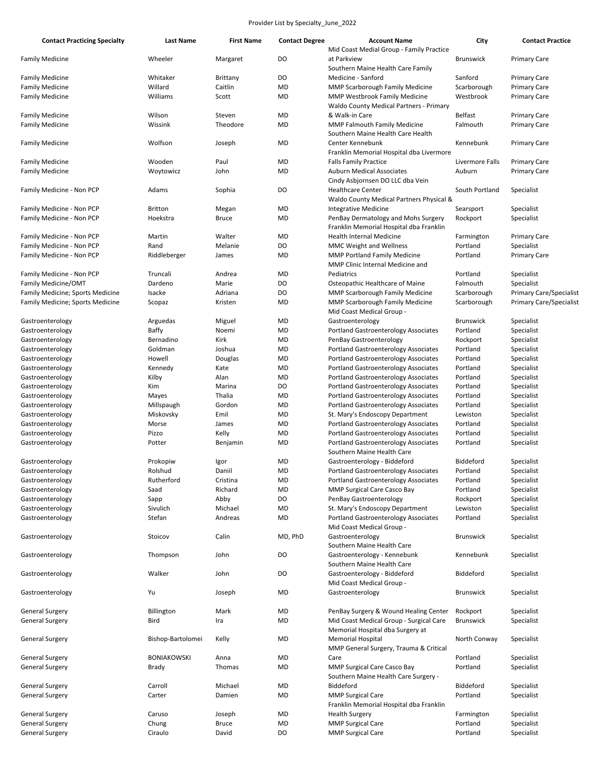| <b>Contact Practicing Specialty</b>                    | <b>Last Name</b>    | <b>First Name</b>   | <b>Contact Degree</b> | <b>Account Name</b>                                                            | City                     | <b>Contact Practice</b>                    |
|--------------------------------------------------------|---------------------|---------------------|-----------------------|--------------------------------------------------------------------------------|--------------------------|--------------------------------------------|
|                                                        |                     |                     |                       | Mid Coast Medial Group - Family Practice                                       |                          |                                            |
| <b>Family Medicine</b>                                 | Wheeler             | Margaret            | DO                    | at Parkview                                                                    | <b>Brunswick</b>         | <b>Primary Care</b>                        |
|                                                        |                     |                     |                       | Southern Maine Health Care Family                                              |                          |                                            |
| <b>Family Medicine</b>                                 | Whitaker<br>Willard | Brittany<br>Caitlin | DO<br>MD              | Medicine - Sanford                                                             | Sanford                  | <b>Primary Care</b><br><b>Primary Care</b> |
| <b>Family Medicine</b><br><b>Family Medicine</b>       | Williams            | Scott               | MD                    | MMP Scarborough Family Medicine<br><b>MMP Westbrook Family Medicine</b>        | Scarborough<br>Westbrook | <b>Primary Care</b>                        |
|                                                        |                     |                     |                       | Waldo County Medical Partners - Primary                                        |                          |                                            |
| <b>Family Medicine</b>                                 | Wilson              | Steven              | <b>MD</b>             | & Walk-in Care                                                                 | <b>Belfast</b>           | <b>Primary Care</b>                        |
| <b>Family Medicine</b>                                 | Wissink             | Theodore            | <b>MD</b>             | <b>MMP Falmouth Family Medicine</b>                                            | Falmouth                 | <b>Primary Care</b>                        |
|                                                        |                     |                     |                       | Southern Maine Health Care Health                                              |                          |                                            |
| <b>Family Medicine</b>                                 | Wolfson             | Joseph              | MD                    | Center Kennebunk                                                               | Kennebunk                | <b>Primary Care</b>                        |
|                                                        |                     |                     |                       | Franklin Memorial Hospital dba Livermore                                       |                          |                                            |
| <b>Family Medicine</b>                                 | Wooden              | Paul                | MD                    | <b>Falls Family Practice</b>                                                   | Livermore Falls          | <b>Primary Care</b>                        |
| <b>Family Medicine</b>                                 | Woytowicz           | John                | <b>MD</b>             | <b>Auburn Medical Associates</b>                                               | Auburn                   | <b>Primary Care</b>                        |
|                                                        |                     |                     |                       | Cindy Asbjornsen DO LLC dba Vein                                               |                          |                                            |
| Family Medicine - Non PCP                              | Adams               | Sophia              | DO                    | <b>Healthcare Center</b>                                                       | South Portland           | Specialist                                 |
|                                                        |                     |                     |                       | Waldo County Medical Partners Physical &                                       |                          |                                            |
| Family Medicine - Non PCP                              | <b>Britton</b>      | Megan               | MD                    | Integrative Medicine                                                           | Searsport                | Specialist                                 |
| Family Medicine - Non PCP                              | Hoekstra            | Bruce               | MD                    | PenBay Dermatology and Mohs Surgery                                            | Rockport                 | Specialist                                 |
|                                                        |                     |                     |                       | Franklin Memorial Hospital dba Franklin                                        |                          |                                            |
| Family Medicine - Non PCP<br>Family Medicine - Non PCP | Martin<br>Rand      | Walter<br>Melanie   | MD<br>DO              | <b>Health Internal Medicine</b>                                                | Farmington<br>Portland   | <b>Primary Care</b><br>Specialist          |
| Family Medicine - Non PCP                              | Riddleberger        | James               | MD                    | <b>MMC Weight and Wellness</b><br><b>MMP Portland Family Medicine</b>          | Portland                 | <b>Primary Care</b>                        |
|                                                        |                     |                     |                       | MMP Clinic Internal Medicine and                                               |                          |                                            |
| Family Medicine - Non PCP                              | Truncali            | Andrea              | MD                    | Pediatrics                                                                     | Portland                 | Specialist                                 |
| Family Medicine/OMT                                    | Dardeno             | Marie               | DO                    | Osteopathic Healthcare of Maine                                                | Falmouth                 | Specialist                                 |
| Family Medicine; Sports Medicine                       | Isacke              | Adriana             | DO                    | <b>MMP Scarborough Family Medicine</b>                                         | Scarborough              | <b>Primary Care/Specialist</b>             |
| Family Medicine; Sports Medicine                       | Scopaz              | Kristen             | MD                    | MMP Scarborough Family Medicine                                                | Scarborough              | <b>Primary Care/Specialist</b>             |
|                                                        |                     |                     |                       | Mid Coast Medical Group -                                                      |                          |                                            |
| Gastroenterology                                       | Arguedas            | Miguel              | MD                    | Gastroenterology                                                               | <b>Brunswick</b>         | Specialist                                 |
| Gastroenterology                                       | Baffy               | Noemi               | MD                    | <b>Portland Gastroenterology Associates</b>                                    | Portland                 | Specialist                                 |
| Gastroenterology                                       | Bernadino           | Kirk                | MD                    | PenBay Gastroenterology                                                        | Rockport                 | Specialist                                 |
| Gastroenterology                                       | Goldman             | Joshua              | MD                    | Portland Gastroenterology Associates                                           | Portland                 | Specialist                                 |
| Gastroenterology                                       | Howell              | Douglas             | MD                    | Portland Gastroenterology Associates                                           | Portland                 | Specialist                                 |
| Gastroenterology                                       | Kennedy             | Kate                | MD                    | Portland Gastroenterology Associates                                           | Portland                 | Specialist                                 |
| Gastroenterology                                       | Kilby               | Alan                | MD                    | Portland Gastroenterology Associates                                           | Portland                 | Specialist                                 |
| Gastroenterology                                       | Kim                 | Marina              | DO                    | Portland Gastroenterology Associates                                           | Portland                 | Specialist                                 |
| Gastroenterology                                       | Mayes               | Thalia              | MD                    | <b>Portland Gastroenterology Associates</b>                                    | Portland                 | Specialist                                 |
| Gastroenterology                                       | Millspaugh          | Gordon              | MD                    | Portland Gastroenterology Associates                                           | Portland                 | Specialist                                 |
| Gastroenterology<br>Gastroenterology                   | Miskovsky           | Emil<br>James       | MD<br>MD              | St. Mary's Endoscopy Department<br><b>Portland Gastroenterology Associates</b> | Lewiston<br>Portland     | Specialist<br>Specialist                   |
| Gastroenterology                                       | Morse<br>Pizzo      | Kelly               | MD                    | Portland Gastroenterology Associates                                           | Portland                 | Specialist                                 |
| Gastroenterology                                       | Potter              | Benjamin            | MD                    | Portland Gastroenterology Associates                                           | Portland                 | Specialist                                 |
|                                                        |                     |                     |                       | Southern Maine Health Care                                                     |                          |                                            |
| Gastroenterology                                       | Prokopiw            | Igor                | MD                    | Gastroenterology - Biddeford                                                   | Biddeford                | Specialist                                 |
| Gastroenterology                                       | Rolshud             | Daniil              | <b>MD</b>             | <b>Portland Gastroenterology Associates</b>                                    | Portland                 | Specialist                                 |
| Gastroenterology                                       | Rutherford          | Cristina            | MD                    | <b>Portland Gastroenterology Associates</b>                                    | Portland                 | Specialist                                 |
| Gastroenterology                                       | Saad                | Richard             | MD                    | MMP Surgical Care Casco Bay                                                    | Portland                 | Specialist                                 |
| Gastroenterology                                       | Sapp                | Abby                | DO                    | PenBay Gastroenterology                                                        | Rockport                 | Specialist                                 |
| Gastroenterology                                       | Sivulich            | Michael             | MD                    | St. Mary's Endoscopy Department                                                | Lewiston                 | Specialist                                 |
| Gastroenterology                                       | Stefan              | Andreas             | MD                    | Portland Gastroenterology Associates                                           | Portland                 | Specialist                                 |
|                                                        |                     |                     |                       | Mid Coast Medical Group -                                                      |                          |                                            |
| Gastroenterology                                       | Stoicov             | Calin               | MD, PhD               | Gastroenterology                                                               | <b>Brunswick</b>         | Specialist                                 |
|                                                        |                     |                     |                       | Southern Maine Health Care                                                     |                          |                                            |
| Gastroenterology                                       | Thompson            | John                | DO                    | Gastroenterology - Kennebunk                                                   | Kennebunk                | Specialist                                 |
|                                                        |                     |                     |                       | Southern Maine Health Care                                                     |                          |                                            |
| Gastroenterology                                       | Walker              | John                | DO                    | Gastroenterology - Biddeford<br>Mid Coast Medical Group -                      | Biddeford                | Specialist                                 |
| Gastroenterology                                       | Yu                  | Joseph              | MD                    | Gastroenterology                                                               | <b>Brunswick</b>         | Specialist                                 |
|                                                        |                     |                     |                       |                                                                                |                          |                                            |
| <b>General Surgery</b>                                 | Billington          | Mark                | MD                    | PenBay Surgery & Wound Healing Center                                          | Rockport                 | Specialist                                 |
| <b>General Surgery</b>                                 | Bird                | Ira                 | MD                    | Mid Coast Medical Group - Surgical Care                                        | <b>Brunswick</b>         | Specialist                                 |
|                                                        |                     |                     |                       | Memorial Hospital dba Surgery at                                               |                          |                                            |
| <b>General Surgery</b>                                 | Bishop-Bartolomei   | Kelly               | MD                    | <b>Memorial Hospital</b>                                                       | North Conway             | Specialist                                 |
|                                                        |                     |                     |                       | MMP General Surgery, Trauma & Critical                                         |                          |                                            |
| General Surgery                                        | <b>BONIAKOWSKI</b>  | Anna                | MD                    | Care                                                                           | Portland                 | Specialist                                 |
| General Surgery                                        | Brady               | Thomas              | MD                    | MMP Surgical Care Casco Bay                                                    | Portland                 | Specialist                                 |
|                                                        |                     |                     |                       | Southern Maine Health Care Surgery -                                           |                          |                                            |
| <b>General Surgery</b>                                 | Carroll             | Michael             | MD                    | Biddeford                                                                      | Biddeford                | Specialist                                 |
| <b>General Surgery</b>                                 | Carter              | Damien              | MD                    | <b>MMP Surgical Care</b>                                                       | Portland                 | Specialist                                 |
|                                                        |                     |                     |                       | Franklin Memorial Hospital dba Franklin                                        |                          |                                            |
| <b>General Surgery</b>                                 | Caruso              | Joseph              | MD                    | <b>Health Surgery</b>                                                          | Farmington               | Specialist                                 |
| General Surgery                                        | Chung               | <b>Bruce</b>        | MD                    | <b>MMP Surgical Care</b>                                                       | Portland                 | Specialist                                 |
| <b>General Surgery</b>                                 | Ciraulo             | David               | DO                    | <b>MMP Surgical Care</b>                                                       | Portland                 | Specialist                                 |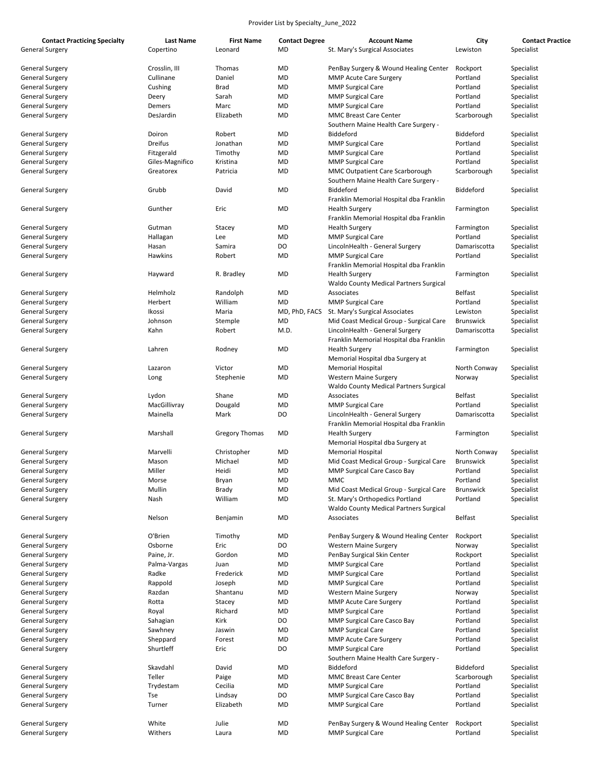| <b>Contact Practicing Specialty</b><br><b>General Surgery</b> | <b>Last Name</b><br>Copertino | <b>First Name</b><br>Leonard | <b>Contact Degree</b><br><b>MD</b> | <b>Account Name</b><br>St. Mary's Surgical Associates | City<br>Lewiston | <b>Contact Practice</b><br>Specialist |
|---------------------------------------------------------------|-------------------------------|------------------------------|------------------------------------|-------------------------------------------------------|------------------|---------------------------------------|
|                                                               |                               |                              |                                    |                                                       |                  |                                       |
| General Surgery                                               | Crosslin, III                 | Thomas                       | MD                                 | PenBay Surgery & Wound Healing Center                 | Rockport         | Specialist                            |
| <b>General Surgery</b>                                        | Cullinane                     | Daniel                       | MD                                 | <b>MMP Acute Care Surgery</b>                         | Portland         | Specialist                            |
| <b>General Surgery</b>                                        | Cushing                       | <b>Brad</b>                  | MD                                 | <b>MMP Surgical Care</b>                              | Portland         | Specialist                            |
| <b>General Surgery</b>                                        | Deery                         | Sarah                        | MD                                 | <b>MMP Surgical Care</b>                              | Portland         | Specialist                            |
| <b>General Surgery</b>                                        | Demers                        | Marc                         | MD                                 | <b>MMP Surgical Care</b>                              | Portland         | Specialist                            |
| General Surgery                                               | DesJardin                     | Elizabeth                    | <b>MD</b>                          | <b>MMC Breast Care Center</b>                         | Scarborough      | Specialist                            |
|                                                               |                               |                              |                                    | Southern Maine Health Care Surgery -                  |                  |                                       |
| General Surgery                                               | Doiron                        | Robert                       | MD                                 | Biddeford                                             | Biddeford        | Specialist                            |
| General Surgery                                               | Dreifus                       | Jonathan                     | <b>MD</b>                          | <b>MMP Surgical Care</b>                              | Portland         | Specialist                            |
| General Surgery                                               | Fitzgerald                    | Timothy                      | MD                                 | <b>MMP Surgical Care</b>                              | Portland         | Specialist                            |
|                                                               |                               |                              |                                    |                                                       | Portland         |                                       |
| <b>General Surgery</b>                                        | Giles-Magnifico               | Kristina                     | MD                                 | <b>MMP Surgical Care</b>                              |                  | Specialist                            |
| <b>General Surgery</b>                                        | Greatorex                     | Patricia                     | <b>MD</b>                          | MMC Outpatient Care Scarborough                       | Scarborough      | Specialist                            |
|                                                               |                               |                              |                                    | Southern Maine Health Care Surgery -                  |                  |                                       |
| General Surgery                                               | Grubb                         | David                        | MD                                 | Biddeford                                             | Biddeford        | Specialist                            |
|                                                               |                               |                              |                                    | Franklin Memorial Hospital dba Franklin               |                  |                                       |
| General Surgery                                               | Gunther                       | Eric                         | MD                                 | <b>Health Surgery</b>                                 | Farmington       | Specialist                            |
|                                                               |                               |                              |                                    | Franklin Memorial Hospital dba Franklin               |                  |                                       |
| General Surgery                                               | Gutman                        | Stacey                       | MD                                 | <b>Health Surgery</b>                                 | Farmington       | Specialist                            |
| <b>General Surgery</b>                                        | Hallagan                      | Lee                          | <b>MD</b>                          | <b>MMP Surgical Care</b>                              | Portland         | Specialist                            |
| <b>General Surgery</b>                                        | Hasan                         | Samira                       | DO                                 | LincolnHealth - General Surgery                       | Damariscotta     | Specialist                            |
| <b>General Surgery</b>                                        | Hawkins                       | Robert                       | MD                                 | <b>MMP Surgical Care</b>                              | Portland         | Specialist                            |
|                                                               |                               |                              |                                    | Franklin Memorial Hospital dba Franklin               |                  |                                       |
|                                                               |                               |                              |                                    | <b>Health Surgery</b>                                 |                  |                                       |
| General Surgery                                               | Hayward                       | R. Bradley                   | MD                                 |                                                       | Farmington       | Specialist                            |
|                                                               |                               |                              |                                    | <b>Waldo County Medical Partners Surgical</b>         |                  |                                       |
| General Surgery                                               | Helmholz                      | Randolph                     | <b>MD</b>                          | Associates                                            | <b>Belfast</b>   | Specialist                            |
| <b>General Surgery</b>                                        | Herbert                       | William                      | <b>MD</b>                          | <b>MMP Surgical Care</b>                              | Portland         | Specialist                            |
| <b>General Surgery</b>                                        | Ikossi                        | Maria                        | MD, PhD, FACS                      | St. Mary's Surgical Associates                        | Lewiston         | Specialist                            |
| <b>General Surgery</b>                                        | Johnson                       | Stemple                      | MD                                 | Mid Coast Medical Group - Surgical Care               | <b>Brunswick</b> | Specialist                            |
| General Surgery                                               | Kahn                          | Robert                       | M.D.                               | LincolnHealth - General Surgery                       | Damariscotta     | Specialist                            |
|                                                               |                               |                              |                                    | Franklin Memorial Hospital dba Franklin               |                  |                                       |
| <b>General Surgery</b>                                        | Lahren                        | Rodney                       | <b>MD</b>                          | <b>Health Surgery</b>                                 | Farmington       | Specialist                            |
|                                                               |                               |                              |                                    | Memorial Hospital dba Surgery at                      |                  |                                       |
| <b>General Surgery</b>                                        | Lazaron                       | Victor                       | MD                                 | <b>Memorial Hospital</b>                              | North Conway     | Specialist                            |
| <b>General Surgery</b>                                        | Long                          | Stephenie                    | MD                                 | <b>Western Maine Surgery</b>                          | Norway           | Specialist                            |
|                                                               |                               |                              |                                    |                                                       |                  |                                       |
|                                                               |                               |                              |                                    | Waldo County Medical Partners Surgical                |                  |                                       |
| <b>General Surgery</b>                                        | Lydon                         | Shane                        | MD                                 | Associates                                            | <b>Belfast</b>   | Specialist                            |
| <b>General Surgery</b>                                        | MacGillivray                  | Dougald                      | MD                                 | <b>MMP Surgical Care</b>                              | Portland         | Specialist                            |
| <b>General Surgery</b>                                        | Mainella                      | Mark                         | DO                                 | LincolnHealth - General Surgery                       | Damariscotta     | Specialist                            |
|                                                               |                               |                              |                                    | Franklin Memorial Hospital dba Franklin               |                  |                                       |
| General Surgery                                               | Marshall                      | <b>Gregory Thomas</b>        | MD                                 | <b>Health Surgery</b>                                 | Farmington       | Specialist                            |
|                                                               |                               |                              |                                    | Memorial Hospital dba Surgery at                      |                  |                                       |
| General Surgery                                               | Marvelli                      | Christopher                  | MD                                 | <b>Memorial Hospital</b>                              | North Conway     | Specialist                            |
| <b>General Surgery</b>                                        | Mason                         | Michael                      | MD                                 | Mid Coast Medical Group - Surgical Care               | Brunswick        | Specialist                            |
| General Surgery                                               | Miller                        | Heidi                        | <b>MD</b>                          | <b>MMP Surgical Care Casco Bay</b>                    | Portland         | Specialist                            |
| <b>General Surgery</b>                                        | Morse                         | Bryan                        | MD                                 | <b>MMC</b>                                            | Portland         | Specialist                            |
| <b>General Surgery</b>                                        | Mullin                        | <b>Brady</b>                 | <b>MD</b>                          | Mid Coast Medical Group - Surgical Care               | <b>Brunswick</b> | Specialist                            |
| <b>General Surgery</b>                                        | Nash                          | William                      | <b>MD</b>                          | St. Mary's Orthopedics Portland                       | Portland         | Specialist                            |
|                                                               |                               |                              |                                    |                                                       |                  |                                       |
|                                                               |                               |                              |                                    | <b>Waldo County Medical Partners Surgical</b>         |                  |                                       |
| <b>General Surgery</b>                                        | Nelson                        | Benjamin                     | MD                                 | Associates                                            | <b>Belfast</b>   | Specialist                            |
|                                                               |                               |                              |                                    |                                                       |                  |                                       |
| <b>General Surgery</b>                                        | O'Brien                       | Timothy                      | <b>MD</b>                          | PenBay Surgery & Wound Healing Center                 | Rockport         | Specialist                            |
| <b>General Surgery</b>                                        | Osborne                       | Eric                         | DO                                 | <b>Western Maine Surgery</b>                          | Norway           | Specialist                            |
| <b>General Surgery</b>                                        | Paine, Jr.                    | Gordon                       | MD                                 | PenBay Surgical Skin Center                           | Rockport         | Specialist                            |
| <b>General Surgery</b>                                        | Palma-Vargas                  | Juan                         | MD                                 | <b>MMP Surgical Care</b>                              | Portland         | Specialist                            |
| <b>General Surgery</b>                                        | Radke                         | Frederick                    | MD                                 | <b>MMP Surgical Care</b>                              | Portland         | Specialist                            |
| <b>General Surgery</b>                                        | Rappold                       | Joseph                       | MD                                 | <b>MMP Surgical Care</b>                              | Portland         | Specialist                            |
| <b>General Surgery</b>                                        | Razdan                        | Shantanu                     | <b>MD</b>                          | <b>Western Maine Surgery</b>                          | Norway           | Specialist                            |
| <b>General Surgery</b>                                        | Rotta                         | Stacey                       | MD                                 | <b>MMP Acute Care Surgery</b>                         | Portland         | Specialist                            |
| <b>General Surgery</b>                                        | Royal                         | Richard                      | MD                                 | <b>MMP Surgical Care</b>                              | Portland         | Specialist                            |
| <b>General Surgery</b>                                        |                               | Kirk                         | DO                                 |                                                       | Portland         |                                       |
|                                                               | Sahagian                      |                              |                                    | MMP Surgical Care Casco Bay                           |                  | Specialist                            |
| <b>General Surgery</b>                                        | Sawhney                       | Jaswin                       | MD                                 | <b>MMP Surgical Care</b>                              | Portland         | Specialist                            |
| <b>General Surgery</b>                                        | Sheppard                      | Forest                       | <b>MD</b>                          | <b>MMP Acute Care Surgery</b>                         | Portland         | Specialist                            |
| <b>General Surgery</b>                                        | Shurtleff                     | Eric                         | DO                                 | <b>MMP Surgical Care</b>                              | Portland         | Specialist                            |
|                                                               |                               |                              |                                    | Southern Maine Health Care Surgery -                  |                  |                                       |
| General Surgery                                               | Skavdahl                      | David                        | MD                                 | Biddeford                                             | Biddeford        | Specialist                            |
| <b>General Surgery</b>                                        | Teller                        | Paige                        | <b>MD</b>                          | MMC Breast Care Center                                | Scarborough      | Specialist                            |
| <b>General Surgery</b>                                        | Trydestam                     | Cecilia                      | <b>MD</b>                          | <b>MMP Surgical Care</b>                              | Portland         | Specialist                            |
| <b>General Surgery</b>                                        | Tse                           | Lindsay                      | DO                                 | MMP Surgical Care Casco Bay                           | Portland         | Specialist                            |
| <b>General Surgery</b>                                        | Turner                        | Elizabeth                    | <b>MD</b>                          | <b>MMP Surgical Care</b>                              | Portland         | Specialist                            |
|                                                               |                               |                              |                                    |                                                       |                  |                                       |
| <b>General Surgery</b>                                        | White                         | Julie                        | MD                                 | PenBay Surgery & Wound Healing Center                 | Rockport         | Specialist                            |
| General Surgery                                               | Withers                       | Laura                        | <b>MD</b>                          | <b>MMP Surgical Care</b>                              | Portland         | Specialist                            |
|                                                               |                               |                              |                                    |                                                       |                  |                                       |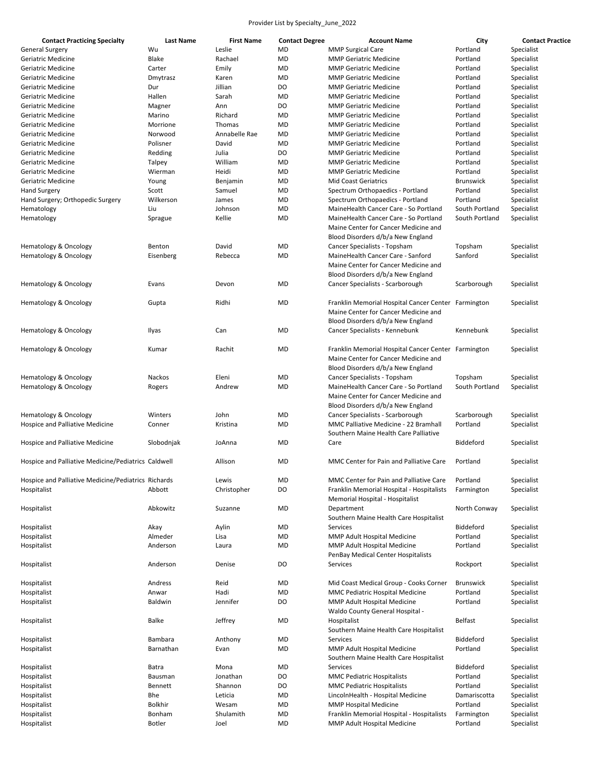| <b>Contact Practicing Specialty</b>                 | Last Name      | <b>First Name</b> | <b>Contact Degree</b> | <b>Account Name</b>                                                                                                              | City             | <b>Contact Practice</b> |
|-----------------------------------------------------|----------------|-------------------|-----------------------|----------------------------------------------------------------------------------------------------------------------------------|------------------|-------------------------|
| <b>General Surgery</b>                              | Wu             | Leslie            | MD                    | <b>MMP Surgical Care</b>                                                                                                         | Portland         | Specialist              |
| Geriatric Medicine                                  | Blake          | Rachael           | <b>MD</b>             | <b>MMP Geriatric Medicine</b>                                                                                                    | Portland         | Specialist              |
| Geriatric Medicine                                  | Carter         | Emily             | <b>MD</b>             | <b>MMP Geriatric Medicine</b>                                                                                                    | Portland         | Specialist              |
| Geriatric Medicine                                  | Dmytrasz       | Karen             | MD                    | <b>MMP Geriatric Medicine</b>                                                                                                    | Portland         | Specialist              |
| Geriatric Medicine                                  | Dur            | Jillian           | D <sub>O</sub>        | <b>MMP Geriatric Medicine</b>                                                                                                    | Portland         | Specialist              |
| Geriatric Medicine                                  | Hallen         | Sarah             | <b>MD</b>             | <b>MMP Geriatric Medicine</b>                                                                                                    | Portland         | Specialist              |
| Geriatric Medicine                                  | Magner         | Ann               | DO                    | <b>MMP Geriatric Medicine</b>                                                                                                    | Portland         | Specialist              |
| Geriatric Medicine                                  | Marino         | Richard           | <b>MD</b>             | <b>MMP Geriatric Medicine</b>                                                                                                    | Portland         | Specialist              |
| Geriatric Medicine                                  | Morrione       | Thomas            | <b>MD</b>             | <b>MMP Geriatric Medicine</b>                                                                                                    | Portland         | Specialist              |
| Geriatric Medicine                                  | Norwood        | Annabelle Rae     | MD                    | <b>MMP Geriatric Medicine</b>                                                                                                    | Portland         | Specialist              |
| Geriatric Medicine                                  | Polisner       | David             | MD                    | <b>MMP Geriatric Medicine</b>                                                                                                    | Portland         | Specialist              |
| <b>Geriatric Medicine</b>                           | Redding        | Julia             | DO                    | <b>MMP Geriatric Medicine</b>                                                                                                    | Portland         | Specialist              |
| Geriatric Medicine                                  | Talpey         | William           | MD                    | <b>MMP Geriatric Medicine</b>                                                                                                    | Portland         | Specialist              |
| Geriatric Medicine                                  | Wierman        | Heidi             | MD                    | <b>MMP Geriatric Medicine</b>                                                                                                    | Portland         | Specialist              |
|                                                     |                |                   |                       | <b>Mid Coast Geriatrics</b>                                                                                                      |                  |                         |
| Geriatric Medicine                                  | Young          | Benjamin          | MD                    |                                                                                                                                  | <b>Brunswick</b> | Specialist              |
| <b>Hand Surgery</b>                                 | Scott          | Samuel            | MD                    | Spectrum Orthopaedics - Portland                                                                                                 | Portland         | Specialist              |
| Hand Surgery; Orthopedic Surgery                    | Wilkerson      | James             | MD                    | Spectrum Orthopaedics - Portland                                                                                                 | Portland         | Specialist              |
| Hematology                                          | Liu            | Johnson           | <b>MD</b>             | MaineHealth Cancer Care - So Portland                                                                                            | South Portland   | Specialist              |
| Hematology                                          | Sprague        | Kellie            | MD                    | MaineHealth Cancer Care - So Portland<br>Maine Center for Cancer Medicine and                                                    | South Portland   | Specialist              |
|                                                     |                |                   |                       | Blood Disorders d/b/a New England                                                                                                |                  |                         |
| Hematology & Oncology                               | Benton         | David             | <b>MD</b>             | Cancer Specialists - Topsham                                                                                                     | Topsham          | Specialist              |
| Hematology & Oncology                               | Eisenberg      | Rebecca           | <b>MD</b>             | MaineHealth Cancer Care - Sanford                                                                                                | Sanford          | Specialist              |
|                                                     |                |                   |                       | Maine Center for Cancer Medicine and<br>Blood Disorders d/b/a New England                                                        |                  |                         |
| Hematology & Oncology                               | Evans          | Devon             | MD                    | Cancer Specialists - Scarborough                                                                                                 | Scarborough      | Specialist              |
|                                                     |                |                   |                       |                                                                                                                                  |                  |                         |
| Hematology & Oncology                               | Gupta          | Ridhi             | <b>MD</b>             | Franklin Memorial Hospital Cancer Center Farmington<br>Maine Center for Cancer Medicine and                                      |                  | Specialist              |
|                                                     |                |                   |                       | Blood Disorders d/b/a New England                                                                                                |                  |                         |
| Hematology & Oncology                               | Ilyas          | Can               | <b>MD</b>             | Cancer Specialists - Kennebunk                                                                                                   | Kennebunk        | Specialist              |
| Hematology & Oncology                               | Kumar          | Rachit            | <b>MD</b>             | Franklin Memorial Hospital Cancer Center Farmington<br>Maine Center for Cancer Medicine and<br>Blood Disorders d/b/a New England |                  | Specialist              |
| Hematology & Oncology                               | Nackos         | Eleni             | MD                    | Cancer Specialists - Topsham                                                                                                     | Topsham          | Specialist              |
| Hematology & Oncology                               | Rogers         | Andrew            | <b>MD</b>             | MaineHealth Cancer Care - So Portland<br>Maine Center for Cancer Medicine and<br>Blood Disorders d/b/a New England               | South Portland   | Specialist              |
| Hematology & Oncology                               | Winters        | John              | MD                    | Cancer Specialists - Scarborough                                                                                                 | Scarborough      | Specialist              |
| Hospice and Palliative Medicine                     | Conner         | Kristina          | <b>MD</b>             | <b>MMC Palliative Medicine - 22 Bramhall</b><br>Southern Maine Health Care Palliative                                            | Portland         | Specialist              |
| Hospice and Palliative Medicine                     | Slobodnjak     | JoAnna            | MD                    | Care                                                                                                                             | Biddeford        | Specialist              |
| Hospice and Palliative Medicine/Pediatrics Caldwell |                | Allison           | <b>MD</b>             | MMC Center for Pain and Palliative Care                                                                                          | Portland         | Specialist              |
| Hospice and Palliative Medicine/Pediatrics Richards |                | Lewis             | MD                    | MMC Center for Pain and Palliative Care                                                                                          | Portland         | Specialist              |
| Hospitalist                                         | Abbott         | Christopher       | DO                    |                                                                                                                                  |                  | Specialist              |
|                                                     |                |                   |                       | Franklin Memorial Hospital - Hospitalists<br>Memorial Hospital - Hospitalist                                                     | Farmington       |                         |
| Hospitalist                                         | Abkowitz       | Suzanne           | <b>MD</b>             | Department<br>Southern Maine Health Care Hospitalist                                                                             | North Conway     | Specialist              |
| Hospitalist                                         | Akay           | Aylin             | MD                    | Services                                                                                                                         | Biddeford        | Specialist              |
| Hospitalist                                         | Almeder        | Lisa              | MD                    | MMP Adult Hospital Medicine                                                                                                      | Portland         | Specialist              |
| Hospitalist                                         | Anderson       | Laura             | MD                    | MMP Adult Hospital Medicine<br>PenBay Medical Center Hospitalists                                                                | Portland         | Specialist              |
| Hospitalist                                         | Anderson       | Denise            | DO                    | Services                                                                                                                         | Rockport         | Specialist              |
| Hospitalist                                         | Andress        | Reid              | MD                    | Mid Coast Medical Group - Cooks Corner                                                                                           | <b>Brunswick</b> | Specialist              |
| Hospitalist                                         | Anwar          | Hadi              | <b>MD</b>             | MMC Pediatric Hospital Medicine                                                                                                  | Portland         | Specialist              |
| Hospitalist                                         | Baldwin        | Jennifer          | DO                    | MMP Adult Hospital Medicine<br>Waldo County General Hospital -                                                                   | Portland         | Specialist              |
| Hospitalist                                         | Balke          | Jeffrey           | MD                    | Hospitalist<br>Southern Maine Health Care Hospitalist                                                                            | <b>Belfast</b>   | Specialist              |
| Hospitalist                                         | Bambara        | Anthony           | MD                    | Services                                                                                                                         | Biddeford        | Specialist              |
| Hospitalist                                         | Barnathan      | Evan              | MD                    | MMP Adult Hospital Medicine<br>Southern Maine Health Care Hospitalist                                                            | Portland         | Specialist              |
| Hospitalist                                         | Batra          | Mona              | MD                    | Services                                                                                                                         | Biddeford        | Specialist              |
| Hospitalist                                         | Bausman        | Jonathan          | DO                    | <b>MMC Pediatric Hospitalists</b>                                                                                                | Portland         | Specialist              |
| Hospitalist                                         | Bennett        | Shannon           | DO                    | <b>MMC Pediatric Hospitalists</b>                                                                                                | Portland         | Specialist              |
| Hospitalist                                         | Bhe            | Leticia           | MD                    | LincolnHealth - Hospital Medicine                                                                                                | Damariscotta     | Specialist              |
| Hospitalist                                         | <b>Bolkhir</b> | Wesam             | MD                    | <b>MMP Hospital Medicine</b>                                                                                                     | Portland         | Specialist              |
| Hospitalist                                         | Bonham         | Shulamith         | MD                    | Franklin Memorial Hospital - Hospitalists                                                                                        | Farmington       | Specialist              |
| Hospitalist                                         | <b>Botler</b>  | Joel              | <b>MD</b>             | MMP Adult Hospital Medicine                                                                                                      | Portland         | Specialist              |
|                                                     |                |                   |                       |                                                                                                                                  |                  |                         |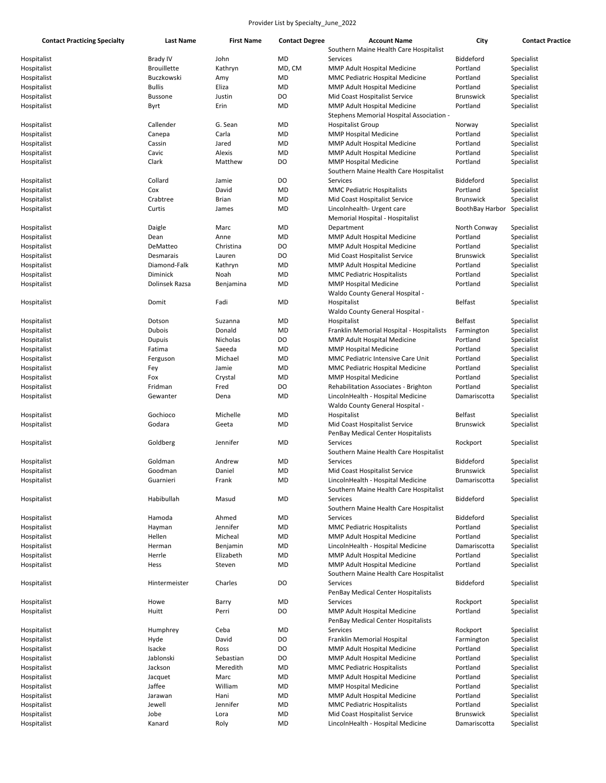| <b>Contact Practicing Specialty</b> | Last Name          | <b>First Name</b> | <b>Contact Degree</b> | <b>Account Name</b>                       | City             | <b>Contact Practice</b> |
|-------------------------------------|--------------------|-------------------|-----------------------|-------------------------------------------|------------------|-------------------------|
|                                     |                    |                   |                       | Southern Maine Health Care Hospitalist    |                  |                         |
| Hospitalist                         | <b>Brady IV</b>    | John              | <b>MD</b>             | Services                                  | Biddeford        | Specialist              |
| Hospitalist                         | <b>Brouillette</b> | Kathryn           | MD, CM                | MMP Adult Hospital Medicine               | Portland         | Specialist              |
| Hospitalist                         | Buczkowski         | Amy               | MD                    | MMC Pediatric Hospital Medicine           | Portland         | Specialist              |
| Hospitalist                         | <b>Bullis</b>      | Eliza             | <b>MD</b>             | MMP Adult Hospital Medicine               | Portland         | Specialist              |
| Hospitalist                         | <b>Bussone</b>     | Justin            | DO                    | Mid Coast Hospitalist Service             | <b>Brunswick</b> | Specialist              |
| Hospitalist                         | Byrt               | Erin              | <b>MD</b>             | MMP Adult Hospital Medicine               | Portland         | Specialist              |
|                                     |                    |                   |                       | - Stephens Memorial Hospital Association  |                  |                         |
| Hospitalist                         | Callender          | G. Sean           | MD                    | <b>Hospitalist Group</b>                  | Norway           | Specialist              |
| Hospitalist                         | Canepa             | Carla             | MD                    | <b>MMP Hospital Medicine</b>              | Portland         | Specialist              |
| Hospitalist                         | Cassin             | Jared             | MD                    | MMP Adult Hospital Medicine               | Portland         | Specialist              |
| Hospitalist                         | Cavic              | Alexis            | <b>MD</b>             | MMP Adult Hospital Medicine               | Portland         | Specialist              |
| Hospitalist                         | Clark              | Matthew           | DO                    | <b>MMP Hospital Medicine</b>              | Portland         | Specialist              |
|                                     |                    |                   |                       | Southern Maine Health Care Hospitalist    |                  |                         |
|                                     |                    |                   |                       |                                           |                  |                         |
| Hospitalist                         | Collard            | Jamie             | DO                    | Services                                  | Biddeford        | Specialist              |
| Hospitalist                         | Cox                | David             | MD                    | <b>MMC Pediatric Hospitalists</b>         | Portland         | Specialist              |
| Hospitalist                         | Crabtree           | <b>Brian</b>      | <b>MD</b>             | Mid Coast Hospitalist Service             | <b>Brunswick</b> | Specialist              |
| Hospitalist                         | Curtis             | James             | <b>MD</b>             | Lincolnhealth- Urgent care                | BoothBay Harbor  | Specialist              |
|                                     |                    |                   |                       | Memorial Hospital - Hospitalist           |                  |                         |
| Hospitalist                         | Daigle             | Marc              | MD                    | Department                                | North Conway     | Specialist              |
| Hospitalist                         | Dean               | Anne              | <b>MD</b>             | MMP Adult Hospital Medicine               | Portland         | Specialist              |
| Hospitalist                         | DeMatteo           | Christina         | DO                    | MMP Adult Hospital Medicine               | Portland         | Specialist              |
| Hospitalist                         | Desmarais          | Lauren            | DO                    | Mid Coast Hospitalist Service             | <b>Brunswick</b> | Specialist              |
| Hospitalist                         | Diamond-Falk       | Kathryn           | <b>MD</b>             | MMP Adult Hospital Medicine               | Portland         | Specialist              |
| Hospitalist                         | Diminick           | Noah              | MD                    | <b>MMC Pediatric Hospitalists</b>         | Portland         | Specialist              |
| Hospitalist                         | Dolinsek Razsa     | Benjamina         | MD                    | <b>MMP Hospital Medicine</b>              | Portland         | Specialist              |
|                                     |                    |                   |                       | Waldo County General Hospital -           |                  |                         |
| Hospitalist                         | Domit              | Fadi              | MD                    | Hospitalist                               | <b>Belfast</b>   | Specialist              |
|                                     |                    |                   |                       | Waldo County General Hospital -           |                  |                         |
|                                     |                    |                   |                       |                                           | <b>Belfast</b>   |                         |
| Hospitalist                         | Dotson             | Suzanna           | MD                    | Hospitalist                               |                  | Specialist              |
| Hospitalist                         | Dubois             | Donald            | <b>MD</b>             | Franklin Memorial Hospital - Hospitalists | Farmington       | Specialist              |
| Hospitalist                         | Dupuis             | Nicholas          | DO                    | MMP Adult Hospital Medicine               | Portland         | Specialist              |
| Hospitalist                         | Fatima             | Saeeda            | MD                    | <b>MMP Hospital Medicine</b>              | Portland         | Specialist              |
| Hospitalist                         | Ferguson           | Michael           | MD                    | MMC Pediatric Intensive Care Unit         | Portland         | Specialist              |
| Hospitalist                         | Fey                | Jamie             | MD                    | MMC Pediatric Hospital Medicine           | Portland         | Specialist              |
| Hospitalist                         | Fox                | Crystal           | <b>MD</b>             | <b>MMP Hospital Medicine</b>              | Portland         | Specialist              |
| Hospitalist                         | Fridman            | Fred              | DO                    | Rehabilitation Associates - Brighton      | Portland         | Specialist              |
| Hospitalist                         | Gewanter           | Dena              | <b>MD</b>             | LincolnHealth - Hospital Medicine         | Damariscotta     | Specialist              |
|                                     |                    |                   |                       | Waldo County General Hospital -           |                  |                         |
| Hospitalist                         | Gochioco           | Michelle          | <b>MD</b>             | Hospitalist                               | <b>Belfast</b>   | Specialist              |
| Hospitalist                         | Godara             | Geeta             | <b>MD</b>             | Mid Coast Hospitalist Service             | <b>Brunswick</b> | Specialist              |
|                                     |                    |                   |                       |                                           |                  |                         |
|                                     |                    |                   |                       | PenBay Medical Center Hospitalists        |                  |                         |
| Hospitalist                         | Goldberg           | Jennifer          | <b>MD</b>             | Services                                  | Rockport         | Specialist              |
|                                     |                    |                   |                       | Southern Maine Health Care Hospitalist    |                  |                         |
| Hospitalist                         | Goldman            | Andrew            | MD                    | Services                                  | Biddeford        | Specialist              |
| Hospitalist                         | Goodman            | Daniel            | <b>MD</b>             | Mid Coast Hospitalist Service             | <b>Brunswick</b> | Specialist              |
| Hospitalist                         | Guarnieri          | Frank             | MD                    | LincolnHealth - Hospital Medicine         | Damariscotta     | Specialist              |
|                                     |                    |                   |                       | Southern Maine Health Care Hospitalist    |                  |                         |
| Hospitalist                         | Habibullah         | Masud             | MD                    | Services                                  | Biddeford        | Specialist              |
|                                     |                    |                   |                       | Southern Maine Health Care Hospitalist    |                  |                         |
| Hospitalist                         | Hamoda             | Ahmed             | MD                    | Services                                  | Biddeford        | Specialist              |
| Hospitalist                         | Hayman             | Jennifer          | <b>MD</b>             | <b>MMC Pediatric Hospitalists</b>         | Portland         | Specialist              |
| Hospitalist                         | Hellen             | Micheal           | MD                    | MMP Adult Hospital Medicine               | Portland         | Specialist              |
| Hospitalist                         | Herman             | Benjamin          | MD                    | LincolnHealth - Hospital Medicine         | Damariscotta     | Specialist              |
| Hospitalist                         | Herrle             | Elizabeth         | <b>MD</b>             | MMP Adult Hospital Medicine               | Portland         | Specialist              |
|                                     |                    |                   | <b>MD</b>             |                                           |                  |                         |
| Hospitalist                         | Hess               | Steven            |                       | MMP Adult Hospital Medicine               | Portland         | Specialist              |
|                                     |                    |                   |                       | Southern Maine Health Care Hospitalist    |                  |                         |
| Hospitalist                         | Hintermeister      | Charles           | DO                    | Services                                  | Biddeford        | Specialist              |
|                                     |                    |                   |                       | PenBay Medical Center Hospitalists        |                  |                         |
| Hospitalist                         | Howe               | Barry             | MD                    | Services                                  | Rockport         | Specialist              |
| Hospitalist                         | Huitt              | Perri             | DO                    | MMP Adult Hospital Medicine               | Portland         | Specialist              |
|                                     |                    |                   |                       | PenBay Medical Center Hospitalists        |                  |                         |
| Hospitalist                         | Humphrey           | Ceba              | MD                    | Services                                  | Rockport         | Specialist              |
| Hospitalist                         | Hyde               | David             | DO                    | Franklin Memorial Hospital                | Farmington       | Specialist              |
| Hospitalist                         | Isacke             | Ross              | DO                    | MMP Adult Hospital Medicine               | Portland         | Specialist              |
| Hospitalist                         | Jablonski          | Sebastian         | DO                    | MMP Adult Hospital Medicine               | Portland         | Specialist              |
| Hospitalist                         | Jackson            | Meredith          | MD                    | <b>MMC Pediatric Hospitalists</b>         | Portland         | Specialist              |
|                                     |                    |                   |                       |                                           |                  |                         |
| Hospitalist                         | Jacquet            | Marc              | MD                    | MMP Adult Hospital Medicine               | Portland         | Specialist              |
| Hospitalist                         | Jaffee             | William           | MD                    | <b>MMP Hospital Medicine</b>              | Portland         | Specialist              |
| Hospitalist                         | Jarawan            | Hani              | MD                    | MMP Adult Hospital Medicine               | Portland         | Specialist              |
| Hospitalist                         | Jewell             | Jennifer          | <b>MD</b>             | <b>MMC Pediatric Hospitalists</b>         | Portland         | Specialist              |
| Hospitalist                         | Jobe               | Lora              | MD                    | Mid Coast Hospitalist Service             | <b>Brunswick</b> | Specialist              |
| Hospitalist                         | Kanard             | Roly              | MD                    | LincolnHealth - Hospital Medicine         | Damariscotta     | Specialist              |
|                                     |                    |                   |                       |                                           |                  |                         |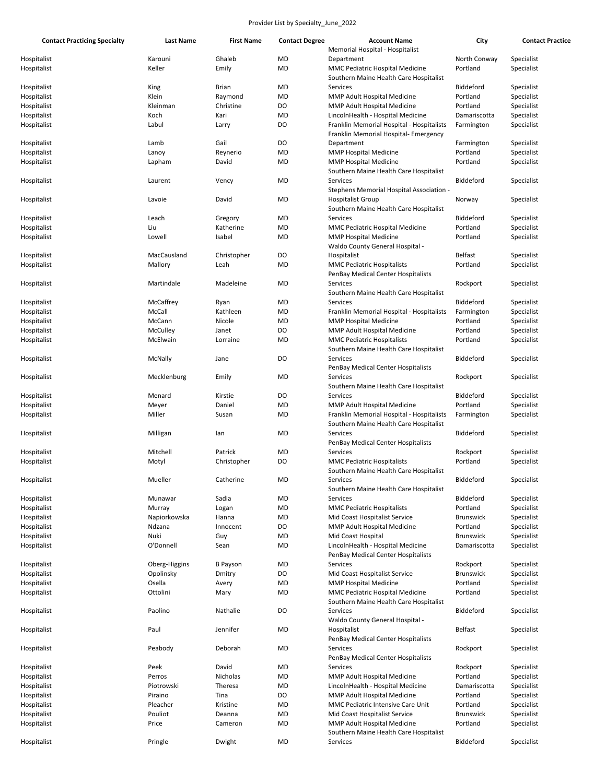| <b>Contact Practicing Specialty</b> | Last Name     | <b>First Name</b> | <b>Contact Degree</b> | <b>Account Name</b>                       | City             | <b>Contact Practice</b> |
|-------------------------------------|---------------|-------------------|-----------------------|-------------------------------------------|------------------|-------------------------|
|                                     |               |                   |                       | Memorial Hospital - Hospitalist           |                  |                         |
| Hospitalist                         | Karouni       | Ghaleb            | MD                    | Department                                | North Conway     | Specialist              |
| Hospitalist                         | Keller        | Emily             | MD                    | MMC Pediatric Hospital Medicine           | Portland         | Specialist              |
|                                     |               |                   |                       | Southern Maine Health Care Hospitalist    |                  |                         |
| Hospitalist                         | King          | Brian             | MD                    | Services                                  | Biddeford        | Specialist              |
| Hospitalist                         | Klein         | Raymond           | MD                    | MMP Adult Hospital Medicine               | Portland         | Specialist              |
| Hospitalist                         | Kleinman      | Christine         | DO                    | <b>MMP Adult Hospital Medicine</b>        | Portland         | Specialist              |
| Hospitalist                         | Koch          | Kari              | MD                    | LincolnHealth - Hospital Medicine         | Damariscotta     | Specialist              |
| Hospitalist                         | Labul         | Larry             | DO                    | Franklin Memorial Hospital - Hospitalists | Farmington       | Specialist              |
|                                     |               |                   |                       | Franklin Memorial Hospital- Emergency     |                  |                         |
| Hospitalist                         | Lamb          | Gail              | DO                    | Department                                | Farmington       | Specialist              |
| Hospitalist                         | Lanoy         | Reynerio          | MD                    | <b>MMP Hospital Medicine</b>              | Portland         | Specialist              |
| Hospitalist                         | Lapham        | David             | MD                    | <b>MMP Hospital Medicine</b>              | Portland         | Specialist              |
|                                     |               |                   |                       | Southern Maine Health Care Hospitalist    |                  |                         |
|                                     | Laurent       | Vency             | MD                    | Services                                  | Biddeford        | Specialist              |
| Hospitalist                         |               |                   |                       |                                           |                  |                         |
|                                     |               | David             |                       | Stephens Memorial Hospital Association -  |                  |                         |
| Hospitalist                         | Lavoie        |                   | MD                    | <b>Hospitalist Group</b>                  | Norway           | Specialist              |
|                                     |               |                   |                       | Southern Maine Health Care Hospitalist    |                  |                         |
| Hospitalist                         | Leach         | Gregory           | MD                    | Services                                  | Biddeford        | Specialist              |
| Hospitalist                         | Liu           | Katherine         | MD                    | MMC Pediatric Hospital Medicine           | Portland         | Specialist              |
| Hospitalist                         | Lowell        | Isabel            | MD                    | <b>MMP Hospital Medicine</b>              | Portland         | Specialist              |
|                                     |               |                   |                       | Waldo County General Hospital -           |                  |                         |
| Hospitalist                         | MacCausland   | Christopher       | DO                    | Hospitalist                               | <b>Belfast</b>   | Specialist              |
| Hospitalist                         | Mallory       | Leah              | MD                    | <b>MMC Pediatric Hospitalists</b>         | Portland         | Specialist              |
|                                     |               |                   |                       | PenBay Medical Center Hospitalists        |                  |                         |
| Hospitalist                         | Martindale    | Madeleine         | MD                    | Services                                  | Rockport         | Specialist              |
|                                     |               |                   |                       | Southern Maine Health Care Hospitalist    |                  |                         |
| Hospitalist                         | McCaffrey     | Ryan              | MD                    | Services                                  | Biddeford        | Specialist              |
| Hospitalist                         | McCall        | Kathleen          | MD                    | Franklin Memorial Hospital - Hospitalists | Farmington       | Specialist              |
| Hospitalist                         | McCann        | Nicole            | MD                    | <b>MMP Hospital Medicine</b>              | Portland         | Specialist              |
| Hospitalist                         | McCulley      | Janet             | DO                    | MMP Adult Hospital Medicine               | Portland         | Specialist              |
| Hospitalist                         | McElwain      | Lorraine          | MD                    | <b>MMC Pediatric Hospitalists</b>         | Portland         | Specialist              |
|                                     |               |                   |                       | Southern Maine Health Care Hospitalist    |                  |                         |
| Hospitalist                         | McNally       | Jane              | DO                    | Services                                  | Biddeford        | Specialist              |
|                                     |               |                   |                       | PenBay Medical Center Hospitalists        |                  |                         |
| Hospitalist                         | Mecklenburg   | Emily             | MD                    | Services                                  | Rockport         | Specialist              |
|                                     |               |                   |                       | Southern Maine Health Care Hospitalist    |                  |                         |
| Hospitalist                         | Menard        | Kirstie           | DO                    | Services                                  | Biddeford        | Specialist              |
| Hospitalist                         | Meyer         | Daniel            | MD                    | MMP Adult Hospital Medicine               | Portland         | Specialist              |
| Hospitalist                         | Miller        | Susan             | MD                    | Franklin Memorial Hospital - Hospitalists | Farmington       | Specialist              |
|                                     |               |                   |                       | Southern Maine Health Care Hospitalist    |                  |                         |
| Hospitalist                         | Milligan      | lan               | MD                    | Services                                  | Biddeford        | Specialist              |
|                                     |               |                   |                       |                                           |                  |                         |
|                                     |               |                   |                       | PenBay Medical Center Hospitalists        |                  |                         |
| Hospitalist                         | Mitchell      | Patrick           | MD<br>DO              | Services                                  | Rockport         | Specialist              |
| Hospitalist                         | Motyl         | Christopher       |                       | <b>MMC Pediatric Hospitalists</b>         | Portland         | Specialist              |
|                                     |               |                   |                       | Southern Maine Health Care Hospitalist    |                  |                         |
| Hospitalist                         | Mueller       | Catherine         | MD                    | Services                                  | Biddeford        | Specialist              |
|                                     |               |                   |                       | Southern Maine Health Care Hospitalist    |                  |                         |
| Hospitalist                         | Munawar       | Sadia             | MD                    | Services                                  | Biddeford        | Specialist              |
| Hospitalist                         | Murray        | Logan             | MD                    | <b>MMC Pediatric Hospitalists</b>         | Portland         | Specialist              |
| Hospitalist                         | Napiorkowska  | Hanna             | MD                    | Mid Coast Hospitalist Service             | <b>Brunswick</b> | Specialist              |
| Hospitalist                         | Ndzana        | Innocent          | DO                    | MMP Adult Hospital Medicine               | Portland         | Specialist              |
| Hospitalist                         | Nuki          | Guy               | <b>MD</b>             | Mid Coast Hospital                        | <b>Brunswick</b> | Specialist              |
| Hospitalist                         | O'Donnell     | Sean              | MD                    | LincolnHealth - Hospital Medicine         | Damariscotta     | Specialist              |
|                                     |               |                   |                       | PenBay Medical Center Hospitalists        |                  |                         |
| Hospitalist                         | Oberg-Higgins | <b>B</b> Payson   | MD                    | Services                                  | Rockport         | Specialist              |
| Hospitalist                         | Opolinsky     | Dmitry            | DO                    | Mid Coast Hospitalist Service             | <b>Brunswick</b> | Specialist              |
| Hospitalist                         | Osella        | Avery             | MD                    | <b>MMP Hospital Medicine</b>              | Portland         | Specialist              |
| Hospitalist                         | Ottolini      | Mary              | MD                    | MMC Pediatric Hospital Medicine           | Portland         | Specialist              |
|                                     |               |                   |                       | Southern Maine Health Care Hospitalist    |                  |                         |
| Hospitalist                         | Paolino       | Nathalie          | DO                    | Services                                  | Biddeford        | Specialist              |
|                                     |               |                   |                       | Waldo County General Hospital -           |                  |                         |
| Hospitalist                         | Paul          | Jennifer          | MD                    | Hospitalist                               | <b>Belfast</b>   | Specialist              |
|                                     |               |                   |                       | PenBay Medical Center Hospitalists        |                  |                         |
| Hospitalist                         | Peabody       | Deborah           | MD                    | Services                                  | Rockport         | Specialist              |
|                                     |               |                   |                       | PenBay Medical Center Hospitalists        |                  |                         |
| Hospitalist                         | Peek          | David             | MD                    | Services                                  | Rockport         | Specialist              |
| Hospitalist                         | Perros        | Nicholas          | MD                    | MMP Adult Hospital Medicine               | Portland         | Specialist              |
| Hospitalist                         | Piotrowski    | Theresa           | MD                    | LincolnHealth - Hospital Medicine         | Damariscotta     | Specialist              |
| Hospitalist                         | Piraino       | Tina              | DO                    | MMP Adult Hospital Medicine               | Portland         | Specialist              |
| Hospitalist                         | Pleacher      | Kristine          | MD                    | MMC Pediatric Intensive Care Unit         | Portland         | Specialist              |
| Hospitalist                         | Pouliot       | Deanna            | <b>MD</b>             | Mid Coast Hospitalist Service             | <b>Brunswick</b> | Specialist              |
| Hospitalist                         | Price         | Cameron           | MD                    | MMP Adult Hospital Medicine               | Portland         | Specialist              |
|                                     |               |                   |                       | Southern Maine Health Care Hospitalist    |                  |                         |
| Hospitalist                         | Pringle       | Dwight            | <b>MD</b>             | Services                                  | Biddeford        | Specialist              |
|                                     |               |                   |                       |                                           |                  |                         |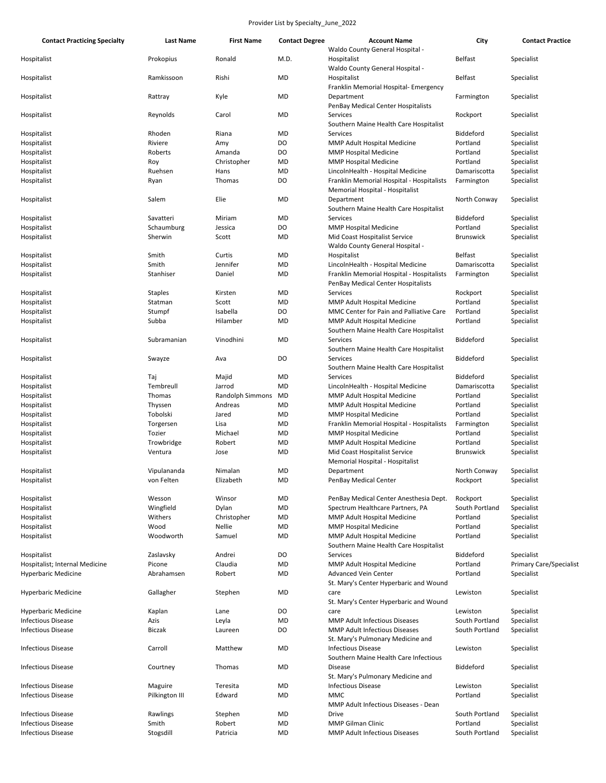| <b>Contact Practicing Specialty</b> | <b>Last Name</b> | <b>First Name</b> | <b>Contact Degree</b> | <b>Account Name</b><br>Waldo County General Hospital -                                  | City             | <b>Contact Practice</b>        |
|-------------------------------------|------------------|-------------------|-----------------------|-----------------------------------------------------------------------------------------|------------------|--------------------------------|
| Hospitalist                         | Prokopius        | Ronald            | M.D.                  | Hospitalist<br>Waldo County General Hospital -                                          | <b>Belfast</b>   | Specialist                     |
| Hospitalist                         | Ramkissoon       | Rishi             | MD                    | Hospitalist<br>Franklin Memorial Hospital-Emergency                                     | <b>Belfast</b>   | Specialist                     |
| Hospitalist                         | Rattray          | Kyle              | MD                    | Department<br>PenBay Medical Center Hospitalists                                        | Farmington       | Specialist                     |
| Hospitalist                         | Reynolds         | Carol             | MD                    | Services<br>Southern Maine Health Care Hospitalist                                      | Rockport         | Specialist                     |
| Hospitalist                         | Rhoden           | Riana             | MD                    | Services                                                                                | Biddeford        | Specialist                     |
| Hospitalist                         | Riviere          | Amy               | DO                    | MMP Adult Hospital Medicine                                                             | Portland         | Specialist                     |
| Hospitalist                         | Roberts          | Amanda            | DO                    | <b>MMP Hospital Medicine</b>                                                            | Portland         | Specialist                     |
| Hospitalist                         | Roy              | Christopher       | MD                    | <b>MMP Hospital Medicine</b>                                                            | Portland         | Specialist                     |
| Hospitalist                         | Ruehsen          | Hans              | MD                    | LincolnHealth - Hospital Medicine                                                       | Damariscotta     | Specialist                     |
| Hospitalist                         | Ryan             | Thomas            | DO                    | Franklin Memorial Hospital - Hospitalists                                               | Farmington       | Specialist                     |
| Hospitalist                         | Salem            | Elie              | MD                    | Memorial Hospital - Hospitalist<br>Department<br>Southern Maine Health Care Hospitalist | North Conway     | Specialist                     |
|                                     |                  |                   |                       |                                                                                         |                  |                                |
| Hospitalist                         | Savatteri        | Miriam            | MD                    | Services                                                                                | Biddeford        | Specialist                     |
| Hospitalist                         | Schaumburg       | Jessica           | DO                    | <b>MMP Hospital Medicine</b>                                                            | Portland         | Specialist                     |
| Hospitalist                         | Sherwin          | Scott             | MD                    | Mid Coast Hospitalist Service<br>Waldo County General Hospital -                        | Brunswick        | Specialist                     |
| Hospitalist                         | Smith            | Curtis            | MD                    | Hospitalist                                                                             | <b>Belfast</b>   | Specialist                     |
| Hospitalist                         | Smith            | Jennifer          | MD                    | LincolnHealth - Hospital Medicine                                                       | Damariscotta     | Specialist                     |
| Hospitalist                         | Stanhiser        | Daniel            | MD                    | Franklin Memorial Hospital - Hospitalists<br>PenBay Medical Center Hospitalists         | Farmington       | Specialist                     |
| Hospitalist                         | <b>Staples</b>   | Kirsten           | MD                    | Services                                                                                | Rockport         | Specialist                     |
| Hospitalist                         | Statman          | Scott             | MD                    | MMP Adult Hospital Medicine                                                             | Portland         | Specialist                     |
| Hospitalist                         | Stumpf           | Isabella          | DO                    | MMC Center for Pain and Palliative Care                                                 | Portland         | Specialist                     |
| Hospitalist                         | Subba            | Hilamber          | MD                    | MMP Adult Hospital Medicine                                                             | Portland         | Specialist                     |
|                                     |                  |                   |                       | Southern Maine Health Care Hospitalist                                                  |                  |                                |
| Hospitalist                         | Subramanian      | Vinodhini         | MD                    | Services<br>Southern Maine Health Care Hospitalist                                      | Biddeford        | Specialist                     |
| Hospitalist                         | Swayze           | Ava               | DO                    | Services<br>Southern Maine Health Care Hospitalist                                      | Biddeford        | Specialist                     |
| Hospitalist                         | Taj              | Majid             | MD                    | Services                                                                                | Biddeford        | Specialist                     |
| Hospitalist                         | Tembreull        | Jarrod            | MD                    | LincolnHealth - Hospital Medicine                                                       | Damariscotta     | Specialist                     |
| Hospitalist                         | Thomas           | Randolph Simmons  | MD                    | MMP Adult Hospital Medicine                                                             | Portland         | Specialist                     |
| Hospitalist                         | Thyssen          | Andreas           | MD                    | MMP Adult Hospital Medicine                                                             | Portland         | Specialist                     |
| Hospitalist                         | Tobolski         | Jared             | MD                    | <b>MMP Hospital Medicine</b>                                                            | Portland         | Specialist                     |
| Hospitalist                         | Torgersen        | Lisa              | MD                    | Franklin Memorial Hospital - Hospitalists                                               | Farmington       | Specialist                     |
| Hospitalist                         | Tozier           | Michael           | MD                    | <b>MMP Hospital Medicine</b>                                                            | Portland         | Specialist                     |
| Hospitalist                         | Trowbridge       | Robert            | MD                    | MMP Adult Hospital Medicine                                                             | Portland         | Specialist                     |
| Hospitalist                         | Ventura          | Jose              | MD                    | Mid Coast Hospitalist Service                                                           | <b>Brunswick</b> | Specialist                     |
|                                     |                  |                   |                       | Memorial Hospital - Hospitalist                                                         |                  |                                |
| Hospitalist                         | Vipulananda      | Nimalan           | MD                    | Department                                                                              | North Conway     | Specialist                     |
| Hospitalist                         | von Felten       | Elizabeth         | MD                    | PenBay Medical Center                                                                   | Rockport         | Specialist                     |
| Hospitalist                         | Wesson           | Winsor            | MD                    | PenBay Medical Center Anesthesia Dept.                                                  | Rockport         | Specialist                     |
| Hospitalist                         | Wingfield        | Dylan             | MD                    | Spectrum Healthcare Partners, PA                                                        | South Portland   | Specialist                     |
| Hospitalist                         | Withers          | Christopher       | MD                    | MMP Adult Hospital Medicine                                                             | Portland         | Specialist                     |
| Hospitalist                         | Wood             | Nellie            | MD                    | <b>MMP Hospital Medicine</b>                                                            | Portland         | Specialist                     |
| Hospitalist                         | Woodworth        | Samuel            | MD                    | MMP Adult Hospital Medicine<br>Southern Maine Health Care Hospitalist                   | Portland         | Specialist                     |
| Hospitalist                         | Zaslavsky        | Andrei            | DO                    | Services                                                                                | <b>Biddeford</b> | Specialist                     |
| Hospitalist; Internal Medicine      | Picone           | Claudia           | MD                    | MMP Adult Hospital Medicine                                                             | Portland         | <b>Primary Care/Specialist</b> |
| Hyperbaric Medicine                 | Abrahamsen       | Robert            | MD                    | <b>Advanced Vein Center</b><br>St. Mary's Center Hyperbaric and Wound                   | Portland         | Specialist                     |
| <b>Hyperbaric Medicine</b>          | Gallagher        | Stephen           | MD                    | care<br>St. Mary's Center Hyperbaric and Wound                                          | Lewiston         | Specialist                     |
| <b>Hyperbaric Medicine</b>          |                  | Lane              | DO                    | care                                                                                    | Lewiston         | Specialist                     |
|                                     | Kaplan           |                   |                       |                                                                                         |                  |                                |
| <b>Infectious Disease</b>           | Azis             | Leyla             | MD                    | <b>MMP Adult Infectious Diseases</b>                                                    | South Portland   | Specialist                     |
| <b>Infectious Disease</b>           | Biczak           | Laureen           | DO                    | <b>MMP Adult Infectious Diseases</b><br>St. Mary's Pulmonary Medicine and               | South Portland   | Specialist                     |
| Infectious Disease                  | Carroll          | Matthew           | MD                    | <b>Infectious Disease</b><br>Southern Maine Health Care Infectious                      | Lewiston         | Specialist                     |
| Infectious Disease                  | Courtney         | Thomas            | MD                    | <b>Disease</b><br>St. Mary's Pulmonary Medicine and                                     | Biddeford        | Specialist                     |
| <b>Infectious Disease</b>           | Maguire          | Teresita          | MD                    | <b>Infectious Disease</b>                                                               | Lewiston         | Specialist                     |
| <b>Infectious Disease</b>           | Pilkington III   | Edward            | MD                    | MMC<br>MMP Adult Infectious Diseases - Dean                                             | Portland         | Specialist                     |
| <b>Infectious Disease</b>           | Rawlings         | Stephen           | MD                    | Drive                                                                                   | South Portland   | Specialist                     |
| <b>Infectious Disease</b>           | Smith            | Robert            | MD                    | <b>MMP Gilman Clinic</b>                                                                | Portland         | Specialist                     |
| <b>Infectious Disease</b>           | Stogsdill        | Patricia          | MD                    | <b>MMP Adult Infectious Diseases</b>                                                    | South Portland   | Specialist                     |
|                                     |                  |                   |                       |                                                                                         |                  |                                |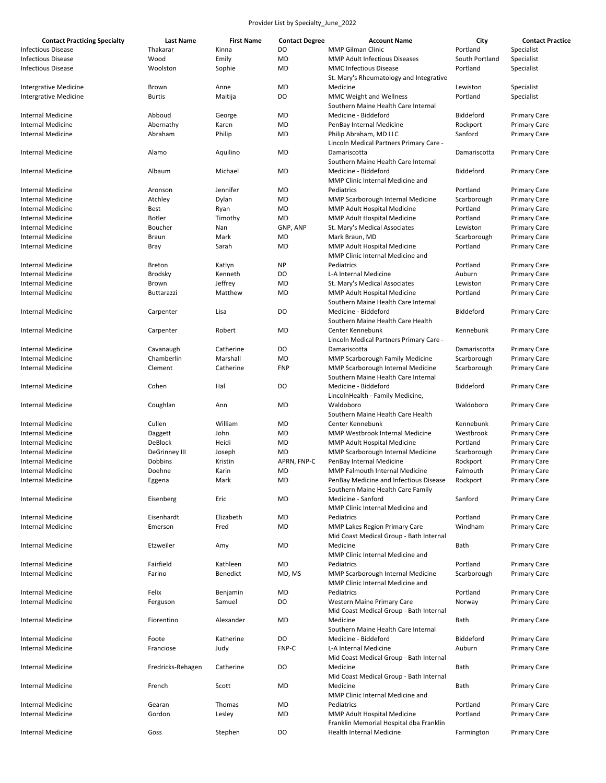| <b>Contact Practicing Specialty</b> | <b>Last Name</b>     | <b>First Name</b> | <b>Contact Degree</b> | <b>Account Name</b>                                                         | City           | <b>Contact Practice</b> |
|-------------------------------------|----------------------|-------------------|-----------------------|-----------------------------------------------------------------------------|----------------|-------------------------|
| <b>Infectious Disease</b>           | Thakarar             | Kinna             | DO                    | MMP Gilman Clinic                                                           | Portland       | Specialist              |
| <b>Infectious Disease</b>           | Wood                 | Emily             | MD                    | <b>MMP Adult Infectious Diseases</b>                                        | South Portland | Specialist              |
| <b>Infectious Disease</b>           | Woolston             | Sophie            | <b>MD</b>             | <b>MMC Infectious Disease</b><br>St. Mary's Rheumatology and Integrative    | Portland       | Specialist              |
| <b>Intergrative Medicine</b>        | Brown                | Anne              | MD                    | Medicine                                                                    | Lewiston       | Specialist              |
| Intergrative Medicine               | <b>Burtis</b>        | Maitija           | DO                    | <b>MMC Weight and Wellness</b><br>Southern Maine Health Care Internal       | Portland       | Specialist              |
| Internal Medicine                   | Abboud               | George            | MD                    | Medicine - Biddeford                                                        | Biddeford      | <b>Primary Care</b>     |
| <b>Internal Medicine</b>            |                      |                   | MD                    |                                                                             |                |                         |
|                                     | Abernathy            | Karen             |                       | PenBay Internal Medicine                                                    | Rockport       | <b>Primary Care</b>     |
| Internal Medicine                   | Abraham              | Philip            | MD                    | Philip Abraham, MD LLC<br>Lincoln Medical Partners Primary Care -           | Sanford        | <b>Primary Care</b>     |
| Internal Medicine                   | Alamo                | Aquilino          | MD                    | Damariscotta<br>Southern Maine Health Care Internal                         | Damariscotta   | <b>Primary Care</b>     |
| Internal Medicine                   | Albaum               | Michael           | <b>MD</b>             | Medicine - Biddeford<br>MMP Clinic Internal Medicine and                    | Biddeford      | <b>Primary Care</b>     |
| Internal Medicine                   | Aronson              | Jennifer          | MD                    | Pediatrics                                                                  | Portland       | <b>Primary Care</b>     |
| Internal Medicine                   | Atchley              | Dylan             | MD                    | MMP Scarborough Internal Medicine                                           | Scarborough    | <b>Primary Care</b>     |
|                                     |                      |                   | MD                    | MMP Adult Hospital Medicine                                                 | Portland       |                         |
| Internal Medicine                   | Best                 | Ryan              |                       |                                                                             |                | <b>Primary Care</b>     |
| Internal Medicine                   | <b>Botler</b>        | Timothy           | MD                    | MMP Adult Hospital Medicine                                                 | Portland       | <b>Primary Care</b>     |
| <b>Internal Medicine</b>            | Boucher              | Nan               | GNP, ANP              | St. Mary's Medical Associates                                               | Lewiston       | <b>Primary Care</b>     |
| <b>Internal Medicine</b>            | Braun                | Mark              | MD                    | Mark Braun, MD                                                              | Scarborough    | <b>Primary Care</b>     |
| <b>Internal Medicine</b>            | Bray                 | Sarah             | <b>MD</b>             | MMP Adult Hospital Medicine<br>MMP Clinic Internal Medicine and             | Portland       | <b>Primary Care</b>     |
| <b>Internal Medicine</b>            | <b>Breton</b>        | Katlyn            | <b>NP</b>             | Pediatrics                                                                  | Portland       | <b>Primary Care</b>     |
| Internal Medicine                   | <b>Brodsky</b>       | Kenneth           | DO                    | L-A Internal Medicine                                                       | Auburn         | <b>Primary Care</b>     |
| <b>Internal Medicine</b>            | Brown                | Jeffrey           | MD                    | St. Mary's Medical Associates                                               | Lewiston       | <b>Primary Care</b>     |
| Internal Medicine                   | Buttarazzi           | Matthew           | MD                    | MMP Adult Hospital Medicine                                                 | Portland       | <b>Primary Care</b>     |
|                                     |                      |                   |                       | Southern Maine Health Care Internal                                         |                |                         |
| Internal Medicine                   | Carpenter            | Lisa              | DO                    | Medicine - Biddeford<br>Southern Maine Health Care Health                   | Biddeford      | <b>Primary Care</b>     |
| Internal Medicine                   | Carpenter            | Robert            | MD                    | Center Kennebunk<br>Lincoln Medical Partners Primary Care -                 | Kennebunk      | <b>Primary Care</b>     |
| Internal Medicine                   | Cavanaugh            | Catherine         | DO                    | Damariscotta                                                                | Damariscotta   | <b>Primary Care</b>     |
| Internal Medicine                   | Chamberlin           | Marshall          | MD                    | MMP Scarborough Family Medicine                                             | Scarborough    | <b>Primary Care</b>     |
| <b>Internal Medicine</b>            | Clement              | Catherine         | <b>FNP</b>            | MMP Scarborough Internal Medicine                                           | Scarborough    | <b>Primary Care</b>     |
| <b>Internal Medicine</b>            | Cohen                | Hal               | DO                    | Southern Maine Health Care Internal<br>Medicine - Biddeford                 | Biddeford      | <b>Primary Care</b>     |
| <b>Internal Medicine</b>            | Coughlan             | Ann               | MD                    | LincolnHealth - Family Medicine,<br>Waldoboro                               | Waldoboro      | <b>Primary Care</b>     |
|                                     |                      |                   |                       | Southern Maine Health Care Health                                           |                |                         |
| Internal Medicine                   | Cullen               | William           | MD                    | Center Kennebunk                                                            | Kennebunk      | <b>Primary Care</b>     |
| <b>Internal Medicine</b>            | Daggett              | John              | MD                    | MMP Westbrook Internal Medicine                                             | Westbrook      | <b>Primary Care</b>     |
| <b>Internal Medicine</b>            | DeBlock              | Heidi             | MD                    | MMP Adult Hospital Medicine                                                 | Portland       | <b>Primary Care</b>     |
| Internal Medicine                   | <b>DeGrinney III</b> | Joseph            | MD                    | MMP Scarborough Internal Medicine                                           | Scarborough    | <b>Primary Care</b>     |
| Internal Medicine                   | Dobbins              | Kristin           | APRN, FNP-C           | PenBay Internal Medicine                                                    | Rockport       | <b>Primary Care</b>     |
| Internal Medicine                   | Doehne               | Karin             | MD                    | <b>MMP Falmouth Internal Medicine</b>                                       | Falmouth       | <b>Primary Care</b>     |
|                                     |                      |                   |                       |                                                                             |                |                         |
| Internal Medicine                   | Eggena               | Mark              | <b>MD</b>             | PenBay Medicine and Infectious Disease<br>Southern Maine Health Care Family | ROCKPOrt       | Primary Care            |
| Internal Medicine                   | Eisenberg            | Eric              | MD                    | Medicine - Sanford<br>MMP Clinic Internal Medicine and                      | Sanford        | <b>Primary Care</b>     |
| Internal Medicine                   | Eisenhardt           | Elizabeth         | MD                    | Pediatrics                                                                  | Portland       | <b>Primary Care</b>     |
| <b>Internal Medicine</b>            | Emerson              | Fred              | MD                    | MMP Lakes Region Primary Care<br>Mid Coast Medical Group - Bath Internal    | Windham        | <b>Primary Care</b>     |
| Internal Medicine                   | Etzweiler            | Amy               | MD                    | Medicine<br>MMP Clinic Internal Medicine and                                | <b>Bath</b>    | <b>Primary Care</b>     |
| Internal Medicine                   | Fairfield            | Kathleen          | MD                    | Pediatrics                                                                  | Portland       | <b>Primary Care</b>     |
| Internal Medicine                   | Farino               | Benedict          | MD, MS                | MMP Scarborough Internal Medicine                                           | Scarborough    | <b>Primary Care</b>     |
|                                     |                      |                   |                       | MMP Clinic Internal Medicine and                                            |                |                         |
| Internal Medicine                   | Felix                | Benjamin          | MD                    | Pediatrics                                                                  | Portland       | <b>Primary Care</b>     |
| <b>Internal Medicine</b>            | Ferguson             | Samuel            | DO                    | Western Maine Primary Care<br>Mid Coast Medical Group - Bath Internal       | Norway         | <b>Primary Care</b>     |
| Internal Medicine                   | Fiorentino           | Alexander         | MD                    | Medicine<br>Southern Maine Health Care Internal                             | Bath           | <b>Primary Care</b>     |
| Internal Medicine                   | Foote                | Katherine         | DO                    | Medicine - Biddeford                                                        | Biddeford      | <b>Primary Care</b>     |
| Internal Medicine                   | Franciose            | Judy              | FNP-C                 | L-A Internal Medicine                                                       | Auburn         | <b>Primary Care</b>     |
|                                     |                      |                   |                       | Mid Coast Medical Group - Bath Internal                                     |                |                         |
| Internal Medicine                   | Fredricks-Rehagen    | Catherine         | DO                    | Medicine<br>Mid Coast Medical Group - Bath Internal                         | Bath           | <b>Primary Care</b>     |
| Internal Medicine                   | French               | Scott             | MD                    | Medicine<br>MMP Clinic Internal Medicine and                                | Bath           | <b>Primary Care</b>     |
| Internal Medicine                   | Gearan               | Thomas            | MD                    | Pediatrics                                                                  | Portland       | <b>Primary Care</b>     |
|                                     |                      |                   |                       |                                                                             |                |                         |
| Internal Medicine                   | Gordon               | Lesley            | MD                    | MMP Adult Hospital Medicine<br>Franklin Memorial Hospital dba Franklin      | Portland       | <b>Primary Care</b>     |
| Internal Medicine                   | Goss                 | Stephen           | DO                    | <b>Health Internal Medicine</b>                                             | Farmington     | Primary Care            |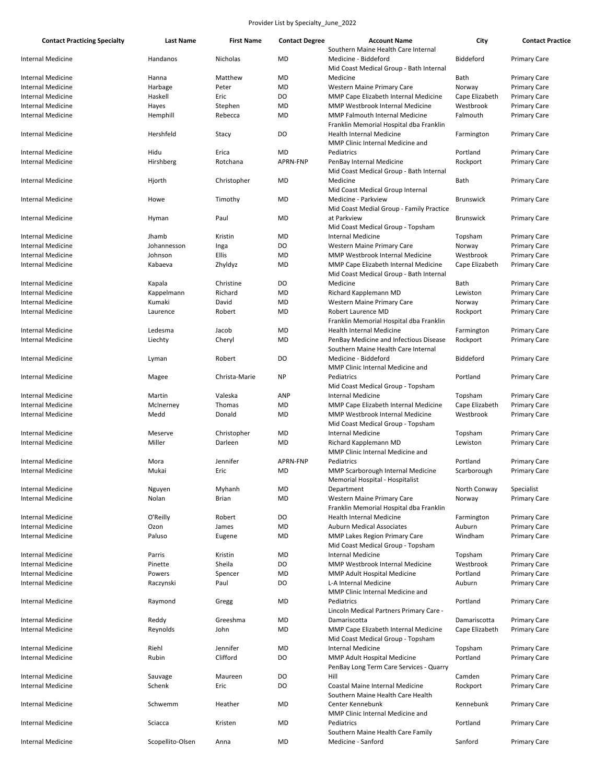| <b>Contact Practicing Specialty</b> | Last Name        | <b>First Name</b> | <b>Contact Degree</b> | <b>Account Name</b><br>Southern Maine Health Care Internal                      | City             | <b>Contact Practice</b> |
|-------------------------------------|------------------|-------------------|-----------------------|---------------------------------------------------------------------------------|------------------|-------------------------|
| Internal Medicine                   | Handanos         | Nicholas          | MD                    | Medicine - Biddeford                                                            | Biddeford        | <b>Primary Care</b>     |
|                                     |                  |                   |                       | Mid Coast Medical Group - Bath Internal                                         |                  |                         |
| Internal Medicine                   | Hanna            | Matthew           | MD                    | Medicine                                                                        | Bath             | <b>Primary Care</b>     |
| Internal Medicine                   | Harbage          | Peter             | MD                    | Western Maine Primary Care                                                      | Norway           | <b>Primary Care</b>     |
| <b>Internal Medicine</b>            | Haskell          | Eric              | DO                    | MMP Cape Elizabeth Internal Medicine                                            | Cape Elizabeth   | <b>Primary Care</b>     |
| <b>Internal Medicine</b>            | Hayes            | Stephen           | MD                    | <b>MMP Westbrook Internal Medicine</b>                                          | Westbrook        | <b>Primary Care</b>     |
| <b>Internal Medicine</b>            | Hemphill         | Rebecca           | MD                    | MMP Falmouth Internal Medicine<br>Franklin Memorial Hospital dba Franklin       | Falmouth         | <b>Primary Care</b>     |
| <b>Internal Medicine</b>            | Hershfeld        | Stacy             | DO                    | <b>Health Internal Medicine</b><br>MMP Clinic Internal Medicine and             | Farmington       | <b>Primary Care</b>     |
| <b>Internal Medicine</b>            | Hidu             | Erica             | MD                    | Pediatrics                                                                      | Portland         | <b>Primary Care</b>     |
| Internal Medicine                   | Hirshberg        | Rotchana          | APRN-FNP              | PenBay Internal Medicine<br>Mid Coast Medical Group - Bath Internal             | Rockport         | <b>Primary Care</b>     |
| <b>Internal Medicine</b>            | Hjorth           | Christopher       | MD                    | Medicine<br>Mid Coast Medical Group Internal                                    | Bath             | <b>Primary Care</b>     |
| Internal Medicine                   | Howe             | Timothy           | MD                    | Medicine - Parkview<br>Mid Coast Medial Group - Family Practice                 | <b>Brunswick</b> | <b>Primary Care</b>     |
| Internal Medicine                   | Hyman            | Paul              | <b>MD</b>             | at Parkview<br>Mid Coast Medical Group - Topsham                                | <b>Brunswick</b> | <b>Primary Care</b>     |
| Internal Medicine                   | Jhamb            | Kristin           | MD                    | Internal Medicine                                                               | Topsham          | <b>Primary Care</b>     |
| Internal Medicine                   | Johannesson      | Inga              | DO                    | Western Maine Primary Care                                                      | Norway           | <b>Primary Care</b>     |
| <b>Internal Medicine</b>            | Johnson          | Ellis             | MD                    | MMP Westbrook Internal Medicine                                                 | Westbrook        | <b>Primary Care</b>     |
| Internal Medicine                   | Kabaeva          | Zhyldyz           | MD                    | MMP Cape Elizabeth Internal Medicine<br>Mid Coast Medical Group - Bath Internal | Cape Elizabeth   | <b>Primary Care</b>     |
| Internal Medicine                   | Kapala           | Christine         | DO                    | Medicine                                                                        | Bath             | <b>Primary Care</b>     |
| <b>Internal Medicine</b>            | Kappelmann       | Richard           | MD                    | Richard Kapplemann MD                                                           | Lewiston         | <b>Primary Care</b>     |
| <b>Internal Medicine</b>            | Kumaki           | David             | MD                    | Western Maine Primary Care                                                      | Norway           | <b>Primary Care</b>     |
| Internal Medicine                   | Laurence         | Robert            | MD                    | Robert Laurence MD<br>Franklin Memorial Hospital dba Franklin                   | Rockport         | <b>Primary Care</b>     |
| <b>Internal Medicine</b>            | Ledesma          | Jacob             | MD                    | Health Internal Medicine                                                        | Farmington       | <b>Primary Care</b>     |
| Internal Medicine                   | Liechty          | Cheryl            | MD                    | PenBay Medicine and Infectious Disease<br>Southern Maine Health Care Internal   | Rockport         | <b>Primary Care</b>     |
| Internal Medicine                   | Lyman            | Robert            | DO                    | Medicine - Biddeford<br>MMP Clinic Internal Medicine and                        | Biddeford        | <b>Primary Care</b>     |
| Internal Medicine                   | Magee            | Christa-Marie     | <b>NP</b>             | Pediatrics<br>Mid Coast Medical Group - Topsham                                 | Portland         | <b>Primary Care</b>     |
| Internal Medicine                   | Martin           | Valeska           | <b>ANP</b>            | <b>Internal Medicine</b>                                                        | Topsham          | <b>Primary Care</b>     |
| <b>Internal Medicine</b>            | McInerney        | Thomas            | MD                    | MMP Cape Elizabeth Internal Medicine                                            | Cape Elizabeth   | <b>Primary Care</b>     |
| Internal Medicine                   | Medd             | Donald            | MD                    | <b>MMP Westbrook Internal Medicine</b><br>Mid Coast Medical Group - Topsham     | Westbrook        | <b>Primary Care</b>     |
| <b>Internal Medicine</b>            | Meserve          | Christopher       | MD                    | Internal Medicine                                                               | Topsham          | <b>Primary Care</b>     |
| Internal Medicine                   | Miller           | Darleen           | MD                    | Richard Kapplemann MD<br>MMP Clinic Internal Medicine and                       | Lewiston         | <b>Primary Care</b>     |
| <b>Internal Medicine</b>            | Mora             | Jennifer          | APRN-FNP              | Pediatrics                                                                      | Portland         | <b>Primary Care</b>     |
| <b>Internal Medicine</b>            | Mukai            | Eric              | MD                    | MMP Scarborough Internal Medicine<br>Memorial Hospital - Hospitalist            | Scarborough      | <b>Primary Care</b>     |
| <b>Internal Medicine</b>            | Nguyen           | Myhanh            | <b>MD</b>             | Department                                                                      | North Conway     | Specialist              |
| Internal Medicine                   | Nolan            | <b>Brian</b>      | MD                    | <b>Western Maine Primary Care</b><br>Franklin Memorial Hospital dba Franklin    | Norway           | <b>Primary Care</b>     |
| Internal Medicine                   | O'Reilly         | Robert            | DO                    | Health Internal Medicine                                                        | Farmington       | <b>Primary Care</b>     |
| <b>Internal Medicine</b>            | Ozon             | James             | MD                    | <b>Auburn Medical Associates</b>                                                | Auburn           | <b>Primary Care</b>     |
| Internal Medicine                   | Paluso           | Eugene            | MD                    | MMP Lakes Region Primary Care<br>Mid Coast Medical Group - Topsham              | Windham          | <b>Primary Care</b>     |
| Internal Medicine                   | Parris           | Kristin           | MD                    | <b>Internal Medicine</b>                                                        | Topsham          | <b>Primary Care</b>     |
| <b>Internal Medicine</b>            | Pinette          | Sheila            | DO                    | MMP Westbrook Internal Medicine                                                 | Westbrook        | <b>Primary Care</b>     |
| Internal Medicine                   | Powers           | Spencer           | MD                    | MMP Adult Hospital Medicine                                                     | Portland         | <b>Primary Care</b>     |
| Internal Medicine                   | Raczynski        | Paul              | DO                    | L-A Internal Medicine<br>MMP Clinic Internal Medicine and                       | Auburn           | <b>Primary Care</b>     |
| Internal Medicine                   | Raymond          | Gregg             | MD                    | Pediatrics<br>Lincoln Medical Partners Primary Care -                           | Portland         | <b>Primary Care</b>     |
| Internal Medicine                   | Reddy            | Greeshma          | MD                    | Damariscotta                                                                    | Damariscotta     | <b>Primary Care</b>     |
| <b>Internal Medicine</b>            | Reynolds         | John              | MD                    | MMP Cape Elizabeth Internal Medicine<br>Mid Coast Medical Group - Topsham       | Cape Elizabeth   | Primary Care            |
| <b>Internal Medicine</b>            | Riehl            | Jennifer          | MD                    | <b>Internal Medicine</b>                                                        | Topsham          | <b>Primary Care</b>     |
| Internal Medicine                   | Rubin            | Clifford          | DO                    | MMP Adult Hospital Medicine<br>PenBay Long Term Care Services - Quarry          | Portland         | <b>Primary Care</b>     |
| <b>Internal Medicine</b>            | Sauvage          | Maureen           | DO                    | Hill                                                                            | Camden           | <b>Primary Care</b>     |
| <b>Internal Medicine</b>            | Schenk           | Eric              | DO                    | Coastal Maine Internal Medicine                                                 | Rockport         | <b>Primary Care</b>     |
| <b>Internal Medicine</b>            | Schwemm          | Heather           | MD                    | Southern Maine Health Care Health<br>Center Kennebunk                           | Kennebunk        | <b>Primary Care</b>     |
| Internal Medicine                   | Sciacca          | Kristen           | MD                    | MMP Clinic Internal Medicine and<br>Pediatrics                                  | Portland         | <b>Primary Care</b>     |
| <b>Internal Medicine</b>            | Scopellito-Olsen | Anna              | MD                    | Southern Maine Health Care Family<br>Medicine - Sanford                         | Sanford          | <b>Primary Care</b>     |
|                                     |                  |                   |                       |                                                                                 |                  |                         |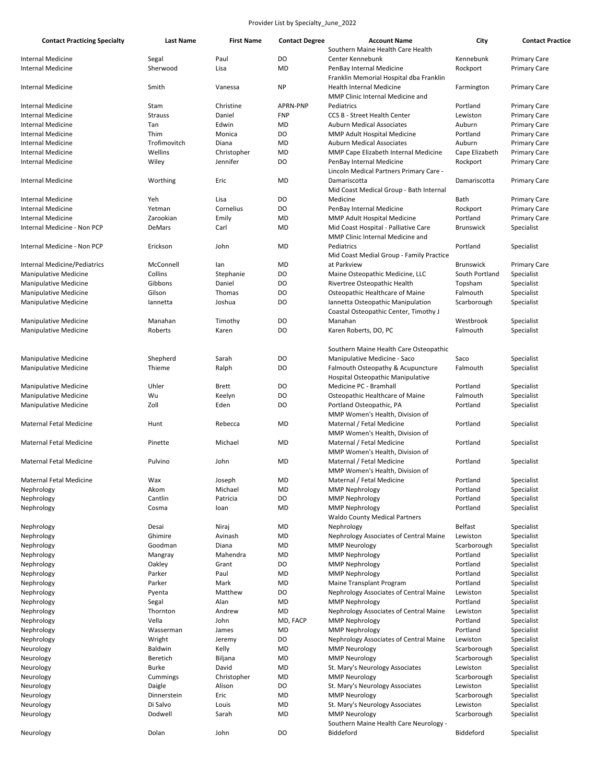| <b>Contact Practicing Specialty</b> | <b>Last Name</b> | <b>First Name</b> | <b>Contact Degree</b> | <b>Account Name</b>                                                      | City             | <b>Contact Practice</b>           |
|-------------------------------------|------------------|-------------------|-----------------------|--------------------------------------------------------------------------|------------------|-----------------------------------|
|                                     |                  |                   |                       | Southern Maine Health Care Health                                        |                  |                                   |
| <b>Internal Medicine</b>            | Segal            | Paul              | DO                    | Center Kennebunk                                                         | Kennebunk        | <b>Primary Care</b>               |
| Internal Medicine                   | Sherwood         | Lisa              | <b>MD</b>             | PenBay Internal Medicine                                                 | Rockport         | <b>Primary Care</b>               |
|                                     |                  |                   |                       | Franklin Memorial Hospital dba Franklin                                  |                  |                                   |
| Internal Medicine                   | Smith            | Vanessa           | <b>NP</b>             | <b>Health Internal Medicine</b>                                          | Farmington       | <b>Primary Care</b>               |
|                                     |                  |                   |                       | MMP Clinic Internal Medicine and                                         |                  |                                   |
| Internal Medicine                   | Stam             | Christine         | <b>APRN-PNP</b>       | Pediatrics                                                               | Portland         | <b>Primary Care</b>               |
| Internal Medicine                   | <b>Strauss</b>   | Daniel            | <b>FNP</b>            | <b>CCS B - Street Health Center</b>                                      | Lewiston         | <b>Primary Care</b>               |
| Internal Medicine                   | Tan              | Edwin             | <b>MD</b>             | <b>Auburn Medical Associates</b>                                         | Auburn           | <b>Primary Care</b>               |
| Internal Medicine                   | Thim             | Monica            | DO                    | MMP Adult Hospital Medicine                                              | Portland         | <b>Primary Care</b>               |
| Internal Medicine                   | Trofimovitch     | Diana             | <b>MD</b>             | <b>Auburn Medical Associates</b>                                         | Auburn           | <b>Primary Care</b>               |
| Internal Medicine                   | Wellins          | Christopher       | <b>MD</b>             | MMP Cape Elizabeth Internal Medicine                                     | Cape Elizabeth   | <b>Primary Care</b>               |
| <b>Internal Medicine</b>            | Wiley            | Jennifer          | DO                    | PenBay Internal Medicine                                                 | Rockport         | <b>Primary Care</b>               |
| <b>Internal Medicine</b>            |                  | Eric              | <b>MD</b>             | Lincoln Medical Partners Primary Care -<br>Damariscotta                  | Damariscotta     |                                   |
|                                     | Worthing         |                   |                       | Mid Coast Medical Group - Bath Internal                                  |                  | <b>Primary Care</b>               |
| Internal Medicine                   | Yeh              | Lisa              | DO                    | Medicine                                                                 | Bath             | <b>Primary Care</b>               |
| <b>Internal Medicine</b>            | Yetman           | Cornelius         | D <sub>O</sub>        | PenBay Internal Medicine                                                 | Rockport         | <b>Primary Care</b>               |
| <b>Internal Medicine</b>            | Zarookian        |                   | <b>MD</b>             |                                                                          | Portland         |                                   |
| Internal Medicine - Non PCP         | DeMars           | Emily             | <b>MD</b>             | MMP Adult Hospital Medicine                                              |                  | <b>Primary Care</b><br>Specialist |
|                                     |                  | Carl              |                       | Mid Coast Hospital - Palliative Care<br>MMP Clinic Internal Medicine and | Brunswick        |                                   |
|                                     |                  |                   | <b>MD</b>             |                                                                          |                  | Specialist                        |
| Internal Medicine - Non PCP         | Erickson         | John              |                       | Pediatrics                                                               | Portland         |                                   |
|                                     | McConnell        |                   |                       | Mid Coast Medial Group - Family Practice                                 |                  |                                   |
| <b>Internal Medicine/Pediatrics</b> |                  | lan               | <b>MD</b>             | at Parkview                                                              | <b>Brunswick</b> | <b>Primary Care</b>               |
| <b>Manipulative Medicine</b>        | Collins          | Stephanie         | D <sub>O</sub>        | Maine Osteopathic Medicine, LLC                                          | South Portland   | Specialist                        |
| <b>Manipulative Medicine</b>        | Gibbons          | Daniel            | DO                    | Rivertree Osteopathic Health                                             | Topsham          | Specialist                        |
| <b>Manipulative Medicine</b>        | Gilson           | Thomas            | D <sub>O</sub>        | Osteopathic Healthcare of Maine                                          | Falmouth         | Specialist                        |
| <b>Manipulative Medicine</b>        | lannetta         | Joshua            | DO                    | Iannetta Osteopathic Manipulation                                        | Scarborough      | Specialist                        |
|                                     |                  |                   |                       | Coastal Osteopathic Center, Timothy J                                    |                  |                                   |
| <b>Manipulative Medicine</b>        | Manahan          | Timothy           | DO                    | Manahan                                                                  | Westbrook        | Specialist                        |
| Manipulative Medicine               | Roberts          | Karen             | D <sub>O</sub>        | Karen Roberts, DO, PC                                                    | Falmouth         | Specialist                        |
|                                     |                  |                   |                       |                                                                          |                  |                                   |
|                                     |                  |                   |                       | Southern Maine Health Care Osteopathic                                   |                  |                                   |
| Manipulative Medicine               | Shepherd         | Sarah             | DO                    | Manipulative Medicine - Saco                                             | Saco             | Specialist                        |
| <b>Manipulative Medicine</b>        | Thieme           | Ralph             | D <sub>O</sub>        | Falmouth Osteopathy & Acupuncture                                        | Falmouth         | Specialist                        |
|                                     |                  |                   |                       | Hospital Osteopathic Manipulative                                        |                  |                                   |
| <b>Manipulative Medicine</b>        | Uhler            | <b>Brett</b>      | DO                    | Medicine PC - Bramhall                                                   | Portland         | Specialist                        |
| <b>Manipulative Medicine</b>        | Wu               | Keelyn            | D <sub>O</sub>        | Osteopathic Healthcare of Maine                                          | Falmouth         | Specialist                        |
| <b>Manipulative Medicine</b>        | Zoll             | Eden              | DO                    | Portland Osteopathic, PA                                                 | Portland         | Specialist                        |
|                                     |                  |                   |                       | MMP Women's Health, Division of                                          |                  |                                   |
| <b>Maternal Fetal Medicine</b>      | Hunt             | Rebecca           | MD                    | Maternal / Fetal Medicine                                                | Portland         | Specialist                        |
|                                     |                  |                   |                       | MMP Women's Health, Division of                                          |                  |                                   |
| Maternal Fetal Medicine             | Pinette          | Michael           | <b>MD</b>             | Maternal / Fetal Medicine                                                | Portland         | Specialist                        |
|                                     |                  |                   |                       | MMP Women's Health, Division of                                          |                  |                                   |
| Maternal Fetal Medicine             | Pulvino          | John              | <b>MD</b>             | Maternal / Fetal Medicine                                                | Portland         | Specialist                        |
|                                     |                  |                   |                       | MMP Women's Health, Division of                                          |                  |                                   |
| Maternal Fetal Medicine             | Wax              | Joseph            | MD                    | Maternal / Fetal Medicine                                                | Portland         | Specialist                        |
| Nephrology                          | Akom             | Michael           | MD                    | <b>MMP Nephrology</b>                                                    | Portland         | Specialist                        |
| Nephrology                          | Cantlin          | Patricia          | DO                    | <b>MMP Nephrology</b>                                                    | Portland         | Specialist                        |
| Nephrology                          | Cosma            | loan              | <b>MD</b>             | <b>MMP Nephrology</b>                                                    | Portland         | Specialist                        |
|                                     |                  |                   |                       | <b>Waldo County Medical Partners</b>                                     |                  |                                   |
| Nephrology                          | Desai            | Niraj             | <b>MD</b>             | Nephrology                                                               | <b>Belfast</b>   | Specialist                        |
| Nephrology                          | Ghimire          | Avinash           | <b>MD</b>             | Nephrology Associates of Central Maine                                   | Lewiston         | Specialist                        |
| Nephrology                          | Goodman          | Diana             | <b>MD</b>             | <b>MMP Neurology</b>                                                     | Scarborough      | Specialist                        |
| Nephrology                          | Mangray          | Mahendra          | <b>MD</b>             | <b>MMP Nephrology</b>                                                    | Portland         | Specialist                        |
| Nephrology                          | Oakley           | Grant             | DO                    | <b>MMP Nephrology</b>                                                    | Portland         | Specialist                        |
| Nephrology                          | Parker           | Paul              | <b>MD</b>             | <b>MMP Nephrology</b>                                                    | Portland         | Specialist                        |
| Nephrology                          | Parker           | Mark              | <b>MD</b>             | Maine Transplant Program                                                 | Portland         | Specialist                        |
| Nephrology                          | Pyenta           | Matthew           | DO                    | Nephrology Associates of Central Maine                                   | Lewiston         | Specialist                        |
| Nephrology                          | Segal            | Alan              | MD                    | <b>MMP Nephrology</b>                                                    | Portland         | Specialist                        |
| Nephrology                          | Thornton         | Andrew            | <b>MD</b>             | Nephrology Associates of Central Maine                                   | Lewiston         | Specialist                        |
| Nephrology                          | Vella            | John              | MD, FACP              | <b>MMP Nephrology</b>                                                    | Portland         | Specialist                        |
| Nephrology                          | Wasserman        | James             | <b>MD</b>             | <b>MMP Nephrology</b>                                                    | Portland         | Specialist                        |
| Nephrology                          | Wright           | Jeremy            | DO                    | Nephrology Associates of Central Maine                                   | Lewiston         | Specialist                        |
| Neurology                           | Baldwin          | Kelly             | <b>MD</b>             | <b>MMP Neurology</b>                                                     | Scarborough      | Specialist                        |
| Neurology                           | Beretich         | Biljana           | MD                    | <b>MMP Neurology</b>                                                     | Scarborough      | Specialist                        |
| Neurology                           | Burke            | David             | <b>MD</b>             | St. Mary's Neurology Associates                                          | Lewiston         | Specialist                        |
| Neurology                           | Cummings         | Christopher       | <b>MD</b>             | <b>MMP Neurology</b>                                                     | Scarborough      | Specialist                        |
| Neurology                           | Daigle           | Alison            | DO                    | St. Mary's Neurology Associates                                          | Lewiston         | Specialist                        |
| Neurology                           | Dinnerstein      | Eric              | <b>MD</b>             | <b>MMP Neurology</b>                                                     | Scarborough      | Specialist                        |
| Neurology                           | Di Salvo         | Louis             | MD                    | St. Mary's Neurology Associates                                          | Lewiston         | Specialist                        |
| Neurology                           | Dodwell          | Sarah             | <b>MD</b>             | <b>MMP Neurology</b>                                                     | Scarborough      | Specialist                        |
|                                     |                  |                   |                       | Southern Maine Health Care Neurology -                                   |                  |                                   |
| Neurology                           | Dolan            | John              | DO                    | Biddeford                                                                | Biddeford        | Specialist                        |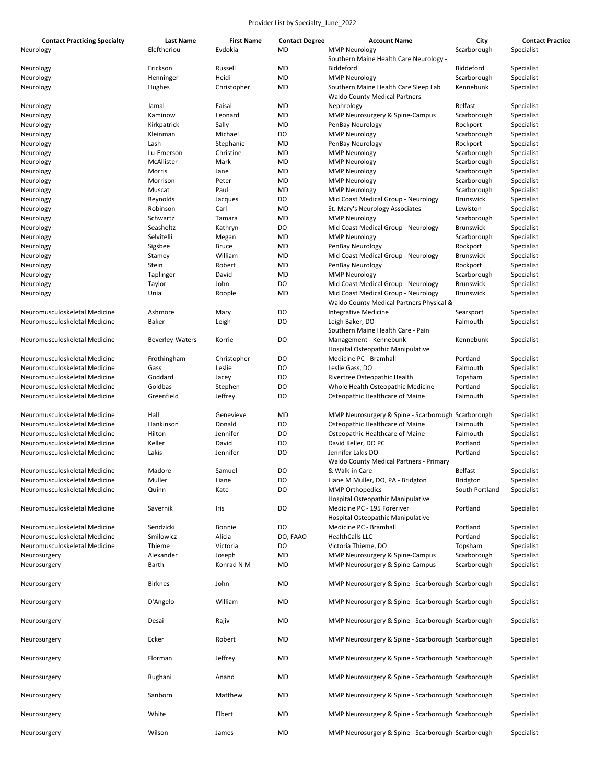| <b>Contact Practicing Specialty</b> | <b>Last Name</b>       | <b>First Name</b> | <b>Contact Degree</b> | <b>Account Name</b>                                | City             | <b>Contact Practice</b> |
|-------------------------------------|------------------------|-------------------|-----------------------|----------------------------------------------------|------------------|-------------------------|
| Neurology                           | Eleftheriou            | Evdokia           | MD                    | <b>MMP Neurology</b>                               | Scarborough      | Specialist              |
|                                     |                        |                   |                       | Southern Maine Health Care Neurology -             |                  |                         |
| Neurology                           | Erickson               | Russell           | MD                    | Biddeford                                          | <b>Biddeford</b> | Specialist              |
| Neurology                           | Henninger              | Heidi             | MD                    | <b>MMP Neurology</b>                               | Scarborough      | Specialist              |
| Neurology                           | Hughes                 | Christopher       | MD                    | Southern Maine Health Care Sleep Lab               | Kennebunk        | Specialist              |
|                                     |                        |                   |                       | <b>Waldo County Medical Partners</b>               |                  |                         |
| Neurology                           | Jamal                  | Faisal            | MD                    | Nephrology                                         | Belfast          | Specialist              |
| Neurology                           | Kaminow                | Leonard           | MD                    | MMP Neurosurgery & Spine-Campus                    | Scarborough      | Specialist              |
| Neurology                           | Kirkpatrick            | Sally             | MD                    | PenBay Neurology                                   | Rockport         | Specialist              |
| Neurology                           | Kleinman               | Michael           | DO                    | <b>MMP Neurology</b>                               | Scarborough      | Specialist              |
| Neurology                           | Lash                   | Stephanie         | MD                    | PenBay Neurology                                   | Rockport         | Specialist              |
| Neurology                           | Lu-Emerson             | Christine         | MD                    | <b>MMP Neurology</b>                               | Scarborough      | Specialist              |
| Neurology                           | McAllister             | Mark              | MD                    | <b>MMP Neurology</b>                               | Scarborough      | Specialist              |
| Neurology                           | Morris                 | Jane              | MD                    | <b>MMP Neurology</b>                               | Scarborough      | Specialist              |
| Neurology                           | Morrison               | Peter             | MD                    | <b>MMP Neurology</b>                               | Scarborough      | Specialist              |
| Neurology                           | Muscat                 | Paul              | MD                    | <b>MMP Neurology</b>                               | Scarborough      | Specialist              |
| Neurology                           | Reynolds               | Jacques           | DO                    | Mid Coast Medical Group - Neurology                | <b>Brunswick</b> | Specialist              |
| Neurology                           | Robinson               | Carl              | MD                    | St. Mary's Neurology Associates                    | Lewiston         | Specialist              |
| Neurology                           | Schwartz               | Tamara            | MD                    | <b>MMP Neurology</b>                               | Scarborough      | Specialist              |
| Neurology                           | Seasholtz              | Kathryn           | DO                    | Mid Coast Medical Group - Neurology                | <b>Brunswick</b> | Specialist              |
| Neurology                           | Selvitelli             |                   | MD                    | <b>MMP Neurology</b>                               | Scarborough      | Specialist              |
|                                     |                        | Megan             |                       |                                                    |                  |                         |
| Neurology                           | Sigsbee                | <b>Bruce</b>      | MD                    | PenBay Neurology                                   | Rockport         | Specialist              |
| Neurology                           | Stamey                 | William           | MD                    | Mid Coast Medical Group - Neurology                | <b>Brunswick</b> | Specialist              |
| Neurology                           | Stein                  | Robert            | MD                    | PenBay Neurology                                   | Rockport         | Specialist              |
| Neurology                           | Taplinger              | David             | MD                    | <b>MMP Neurology</b>                               | Scarborough      | Specialist              |
| Neurology                           | Taylor                 | John              | DO                    | Mid Coast Medical Group - Neurology                | <b>Brunswick</b> | Specialist              |
| Neurology                           | Unia                   | Roople            | MD                    | Mid Coast Medical Group - Neurology                | <b>Brunswick</b> | Specialist              |
|                                     |                        |                   |                       | Waldo County Medical Partners Physical &           |                  |                         |
| Neuromusculoskeletal Medicine       | Ashmore                | Mary              | DO                    | <b>Integrative Medicine</b>                        | Searsport        | Specialist              |
| Neuromusculoskeletal Medicine       | Baker                  | Leigh             | DO                    | Leigh Baker, DO                                    | Falmouth         | Specialist              |
|                                     |                        |                   |                       | Southern Maine Health Care - Pain                  |                  |                         |
| Neuromusculoskeletal Medicine       | <b>Beverley-Waters</b> | Korrie            | DO                    | Management - Kennebunk                             | Kennebunk        | Specialist              |
|                                     |                        |                   |                       | Hospital Osteopathic Manipulative                  |                  |                         |
| Neuromusculoskeletal Medicine       | Frothingham            | Christopher       | DO                    | Medicine PC - Bramhall                             | Portland         | Specialist              |
|                                     |                        |                   |                       |                                                    |                  |                         |
| Neuromusculoskeletal Medicine       | Gass                   | Leslie            | DO                    | Leslie Gass, DO                                    | Falmouth         | Specialist              |
| Neuromusculoskeletal Medicine       | Goddard                | Jacey             | DO                    | Rivertree Osteopathic Health                       | Topsham          | Specialist              |
| Neuromusculoskeletal Medicine       | Goldbas                | Stephen           | DO                    | Whole Health Osteopathic Medicine                  | Portland         | Specialist              |
| Neuromusculoskeletal Medicine       | Greenfield             | Jeffrey           | DO                    | Osteopathic Healthcare of Maine                    | Falmouth         | Specialist              |
|                                     |                        |                   |                       |                                                    |                  |                         |
| Neuromusculoskeletal Medicine       | Hall                   | Genevieve         | MD                    | MMP Neurosurgery & Spine - Scarborough Scarborough |                  | Specialist              |
| Neuromusculoskeletal Medicine       | Hankinson              | Donald            | DO                    | Osteopathic Healthcare of Maine                    | Falmouth         | Specialist              |
| Neuromusculoskeletal Medicine       | Hilton                 | Jennifer          | DO                    | Osteopathic Healthcare of Maine                    | Falmouth         | Specialist              |
| Neuromusculoskeletal Medicine       | Keller                 | David             | DO                    | David Keller, DO PC                                | Portland         | Specialist              |
| Neuromusculoskeletal Medicine       | Lakis                  | Jennifer          | DO                    | Jennifer Lakis DO                                  | Portland         | Specialist              |
|                                     |                        |                   |                       | Waldo County Medical Partners - Primary            |                  |                         |
| Neuromusculoskeletal Medicine       | Madore                 | Samuel            | DO                    | & Walk-in Care                                     | <b>Belfast</b>   | Specialist              |
| Neuromusculoskeletal Medicine       | Muller                 | Liane             | DO                    | Liane M Muller, DO, PA - Bridgton                  | Bridgton         | Specialist              |
| Neuromusculoskeletal Medicine       | Quinn                  | Kate              | DO                    | <b>MMP Orthopedics</b>                             | South Portland   | Specialist              |
|                                     |                        |                   |                       | Hospital Osteopathic Manipulative                  |                  |                         |
|                                     |                        |                   |                       |                                                    |                  |                         |
| Neuromusculoskeletal Medicine       | Savernik               | Iris              | DO                    | Medicine PC - 195 Foreriver                        | Portland         | Specialist              |
|                                     |                        |                   |                       | Hospital Osteopathic Manipulative                  |                  |                         |
| Neuromusculoskeletal Medicine       | Sendzicki              | Bonnie            | DO                    | Medicine PC - Bramhall                             | Portland         | Specialist              |
| Neuromusculoskeletal Medicine       | Smilowicz              | Alicia            | DO, FAAO              | <b>HealthCalls LLC</b>                             | Portland         | Specialist              |
| Neuromusculoskeletal Medicine       | Thieme                 | Victoria          | DO                    | Victoria Thieme, DO                                | Topsham          | Specialist              |
| Neurosurgery                        | Alexander              | Joseph            | MD                    | MMP Neurosurgery & Spine-Campus                    | Scarborough      | Specialist              |
| Neurosurgery                        | Barth                  | Konrad N M        | MD                    | MMP Neurosurgery & Spine-Campus                    | Scarborough      | Specialist              |
|                                     |                        |                   |                       |                                                    |                  |                         |
| Neurosurgery                        | <b>Birknes</b>         | John              | MD                    | MMP Neurosurgery & Spine - Scarborough Scarborough |                  | Specialist              |
|                                     |                        |                   |                       |                                                    |                  |                         |
| Neurosurgery                        | D'Angelo               | William           | MD                    | MMP Neurosurgery & Spine - Scarborough Scarborough |                  | Specialist              |
| Neurosurgery                        | Desai                  | Rajiv             | MD                    | MMP Neurosurgery & Spine - Scarborough Scarborough |                  | Specialist              |
|                                     |                        |                   |                       |                                                    |                  |                         |
| Neurosurgery                        | Ecker                  | Robert            | MD                    | MMP Neurosurgery & Spine - Scarborough Scarborough |                  | Specialist              |
|                                     |                        |                   |                       |                                                    |                  |                         |
| Neurosurgery                        | Florman                | Jeffrey           | MD                    | MMP Neurosurgery & Spine - Scarborough Scarborough |                  | Specialist              |
|                                     |                        |                   |                       |                                                    |                  |                         |
| Neurosurgery                        | Rughani                | Anand             | MD                    | MMP Neurosurgery & Spine - Scarborough Scarborough |                  | Specialist              |
| Neurosurgery                        | Sanborn                | Matthew           | MD                    | MMP Neurosurgery & Spine - Scarborough Scarborough |                  | Specialist              |
|                                     |                        |                   |                       |                                                    |                  |                         |
| Neurosurgery                        | White                  | Elbert            | MD                    | MMP Neurosurgery & Spine - Scarborough Scarborough |                  | Specialist              |
|                                     |                        |                   |                       |                                                    |                  |                         |
| Neurosurgery                        | Wilson                 | James             | MD                    | MMP Neurosurgery & Spine - Scarborough Scarborough |                  | Specialist              |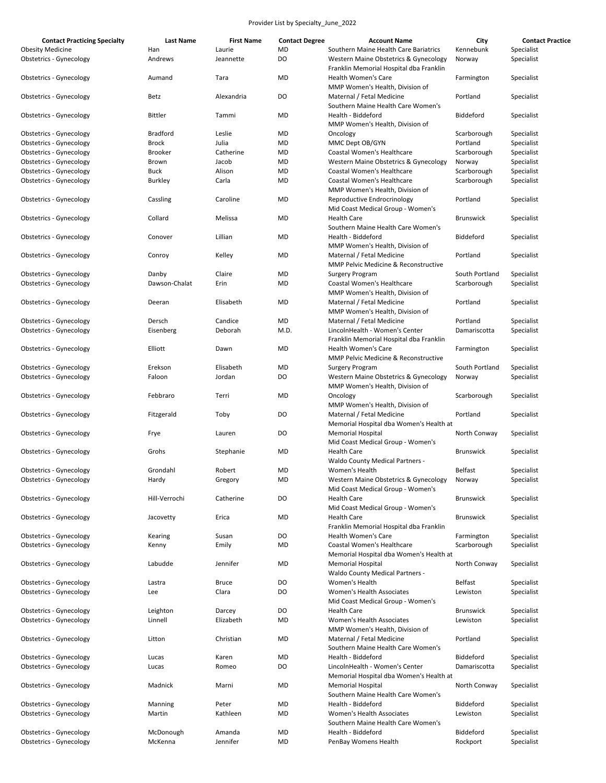| <b>Contact Practicing Specialty</b> | Last Name       | <b>First Name</b> | <b>Contact Degree</b> | <b>Account Name</b>                                                              | City             | <b>Contact Practice</b> |
|-------------------------------------|-----------------|-------------------|-----------------------|----------------------------------------------------------------------------------|------------------|-------------------------|
| <b>Obesity Medicine</b>             | Han             | Laurie            | <b>MD</b>             | Southern Maine Health Care Bariatrics                                            | Kennebunk        | Specialist              |
| <b>Obstetrics - Gynecology</b>      | Andrews         | Jeannette         | DO                    | Western Maine Obstetrics & Gynecology<br>Franklin Memorial Hospital dba Franklin | Norway           | Specialist              |
| Obstetrics - Gynecology             | Aumand          | Tara              | <b>MD</b>             | Health Women's Care<br>MMP Women's Health, Division of                           | Farmington       | Specialist              |
| <b>Obstetrics - Gynecology</b>      | Betz            | Alexandria        | D <sub>O</sub>        | Maternal / Fetal Medicine<br>Southern Maine Health Care Women's                  | Portland         | Specialist              |
| Obstetrics - Gynecology             | <b>Bittler</b>  | Tammi             | <b>MD</b>             | Health - Biddeford<br>MMP Women's Health, Division of                            | Biddeford        | Specialist              |
| <b>Obstetrics - Gynecology</b>      | <b>Bradford</b> | Leslie            | <b>MD</b>             | Oncology                                                                         | Scarborough      | Specialist              |
| <b>Obstetrics - Gynecology</b>      | <b>Brock</b>    | Julia             | <b>MD</b>             | MMC Dept OB/GYN                                                                  | Portland         | Specialist              |
| <b>Obstetrics - Gynecology</b>      | <b>Brooker</b>  | Catherine         | <b>MD</b>             | Coastal Women's Healthcare                                                       | Scarborough      | Specialist              |
| <b>Obstetrics - Gynecology</b>      | Brown           | Jacob             | MD                    | Western Maine Obstetrics & Gynecology                                            | Norway           | Specialist              |
|                                     |                 |                   | <b>MD</b>             | <b>Coastal Women's Healthcare</b>                                                |                  |                         |
| <b>Obstetrics - Gynecology</b>      | Buck            | Alison            |                       |                                                                                  | Scarborough      | Specialist              |
| <b>Obstetrics - Gynecology</b>      | Burkley         | Carla             | <b>MD</b>             | Coastal Women's Healthcare                                                       | Scarborough      | Specialist              |
| <b>Obstetrics - Gynecology</b>      | Cassling        | Caroline          | <b>MD</b>             | MMP Women's Health, Division of<br>Reproductive Endrocrinology                   | Portland         | Specialist              |
| <b>Obstetrics - Gynecology</b>      | Collard         | Melissa           | MD                    | Mid Coast Medical Group - Women's<br><b>Health Care</b>                          | <b>Brunswick</b> | Specialist              |
|                                     |                 |                   |                       | Southern Maine Health Care Women's                                               |                  |                         |
| Obstetrics - Gynecology             | Conover         | Lillian           | <b>MD</b>             | Health - Biddeford<br>MMP Women's Health, Division of                            | Biddeford        | Specialist              |
| Obstetrics - Gynecology             | Conroy          | Kelley            | <b>MD</b>             | Maternal / Fetal Medicine<br><b>MMP Pelvic Medicine &amp; Reconstructive</b>     | Portland         | Specialist              |
|                                     |                 | Claire            | <b>MD</b>             |                                                                                  | South Portland   |                         |
| <b>Obstetrics - Gynecology</b>      | Danby           |                   |                       | <b>Surgery Program</b>                                                           |                  | Specialist              |
| <b>Obstetrics - Gynecology</b>      | Dawson-Chalat   | Erin              | MD                    | <b>Coastal Women's Healthcare</b>                                                | Scarborough      | Specialist              |
|                                     |                 |                   |                       | MMP Women's Health, Division of                                                  |                  |                         |
| <b>Obstetrics - Gynecology</b>      | Deeran          | Elisabeth         | MD                    | Maternal / Fetal Medicine<br>MMP Women's Health, Division of                     | Portland         | Specialist              |
|                                     |                 |                   |                       |                                                                                  |                  |                         |
| Obstetrics - Gynecology             | Dersch          | Candice           | MD                    | Maternal / Fetal Medicine                                                        | Portland         | Specialist              |
| <b>Obstetrics - Gynecology</b>      | Eisenberg       | Deborah           | M.D.                  | LincolnHealth - Women's Center<br>Franklin Memorial Hospital dba Franklin        | Damariscotta     | Specialist              |
| Obstetrics - Gynecology             | Elliott         | Dawn              | MD                    | Health Women's Care<br><b>MMP Pelvic Medicine &amp; Reconstructive</b>           | Farmington       | Specialist              |
| <b>Obstetrics - Gynecology</b>      | Erekson         | Elisabeth         | <b>MD</b>             |                                                                                  | South Portland   | Specialist              |
| <b>Obstetrics - Gynecology</b>      | Faloon          | Jordan            | DO                    | <b>Surgery Program</b><br>Western Maine Obstetrics & Gynecology                  |                  |                         |
|                                     |                 |                   |                       | MMP Women's Health, Division of                                                  | Norway           | Specialist              |
| <b>Obstetrics - Gynecology</b>      | Febbraro        | Terri             | <b>MD</b>             | Oncology                                                                         | Scarborough      | Specialist              |
|                                     |                 |                   |                       | MMP Women's Health, Division of                                                  |                  |                         |
| Obstetrics - Gynecology             | Fitzgerald      | Toby              | DO                    | Maternal / Fetal Medicine                                                        | Portland         | Specialist              |
| Obstetrics - Gynecology             | Frye            | Lauren            | DO                    | Memorial Hospital dba Women's Health at<br><b>Memorial Hospital</b>              | North Conway     | Specialist              |
|                                     |                 |                   |                       | Mid Coast Medical Group - Women's                                                |                  |                         |
| Obstetrics - Gynecology             | Grohs           | Stephanie         | <b>MD</b>             | <b>Health Care</b><br><b>Waldo County Medical Partners -</b>                     | <b>Brunswick</b> | Specialist              |
| Obstetrics - Gynecology             | Grondahl        | Robert            | <b>MD</b>             | Women's Health                                                                   | <b>Belfast</b>   | Specialist              |
| Obstetrics - Gynecology             | Hardy           | Gregory           | MD                    | Western Maine Obstetrics & Gynecology                                            | Norway           | Specialist              |
|                                     |                 |                   |                       | Mid Coast Medical Group - Women's                                                |                  |                         |
| <b>Obstetrics - Gynecology</b>      | Hill-Verrochi   | Catherine         | DO                    | <b>Health Care</b>                                                               | <b>Brunswick</b> | Specialist              |
|                                     |                 |                   |                       | Mid Coast Medical Group - Women's                                                |                  |                         |
| <b>Obstetrics - Gynecology</b>      | Jacovetty       | Erica             | MD                    | <b>Health Care</b>                                                               | Brunswick        | Specialist              |
|                                     |                 |                   |                       | Franklin Memorial Hospital dba Franklin                                          |                  |                         |
| <b>Obstetrics - Gynecology</b>      | Kearing         | Susan             | DO                    | Health Women's Care                                                              | Farmington       | Specialist              |
| <b>Obstetrics - Gynecology</b>      | Kenny           | Emily             | MD                    | Coastal Women's Healthcare                                                       | Scarborough      | Specialist              |
|                                     |                 |                   |                       | Memorial Hospital dba Women's Health at                                          |                  |                         |
| Obstetrics - Gynecology             | Labudde         | Jennifer          | MD                    | <b>Memorial Hospital</b>                                                         | North Conway     | Specialist              |
|                                     |                 |                   |                       | <b>Waldo County Medical Partners -</b>                                           |                  |                         |
| <b>Obstetrics - Gynecology</b>      | Lastra          | <b>Bruce</b>      | DO                    | Women's Health                                                                   | <b>Belfast</b>   | Specialist              |
| <b>Obstetrics - Gynecology</b>      | Lee             | Clara             | DO                    | Women's Health Associates                                                        | Lewiston         | Specialist              |
|                                     |                 |                   |                       | Mid Coast Medical Group - Women's                                                |                  |                         |
| <b>Obstetrics - Gynecology</b>      | Leighton        | Darcey            | DO                    | <b>Health Care</b>                                                               | <b>Brunswick</b> | Specialist              |
| <b>Obstetrics - Gynecology</b>      | Linnell         | Elizabeth         | MD                    | Women's Health Associates                                                        | Lewiston         | Specialist              |
|                                     |                 |                   |                       | MMP Women's Health, Division of                                                  |                  |                         |
| <b>Obstetrics - Gynecology</b>      | Litton          | Christian         | <b>MD</b>             | Maternal / Fetal Medicine                                                        | Portland         | Specialist              |
|                                     |                 |                   |                       | Southern Maine Health Care Women's                                               |                  |                         |
| <b>Obstetrics - Gynecology</b>      | Lucas           | Karen             | MD                    | Health - Biddeford                                                               | <b>Biddeford</b> | Specialist              |
| <b>Obstetrics - Gynecology</b>      | Lucas           | Romeo             | DO                    | LincolnHealth - Women's Center                                                   | Damariscotta     | Specialist              |
|                                     |                 |                   |                       | Memorial Hospital dba Women's Health at                                          |                  |                         |
| <b>Obstetrics - Gynecology</b>      | Madnick         | Marni             | MD                    | <b>Memorial Hospital</b>                                                         | North Conway     | Specialist              |
|                                     |                 |                   |                       | Southern Maine Health Care Women's                                               |                  |                         |
| <b>Obstetrics - Gynecology</b>      | Manning         | Peter             | MD                    | Health - Biddeford                                                               | Biddeford        | Specialist              |
| <b>Obstetrics - Gynecology</b>      | Martin          | Kathleen          | <b>MD</b>             | Women's Health Associates                                                        | Lewiston         | Specialist              |
|                                     |                 |                   |                       | Southern Maine Health Care Women's                                               |                  |                         |
| <b>Obstetrics - Gynecology</b>      | McDonough       | Amanda            | <b>MD</b>             | Health - Biddeford                                                               | <b>Biddeford</b> | Specialist              |
| <b>Obstetrics - Gynecology</b>      | McKenna         | Jennifer          | <b>MD</b>             | PenBay Womens Health                                                             | Rockport         | Specialist              |
|                                     |                 |                   |                       |                                                                                  |                  |                         |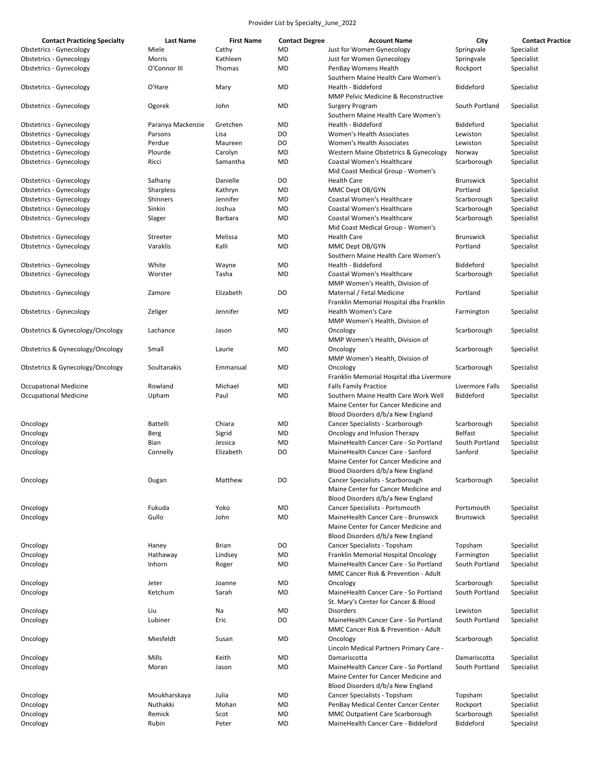| <b>Contact Practicing Specialty</b> | <b>Last Name</b>  | <b>First Name</b> | <b>Contact Degree</b> | <b>Account Name</b>                      | City             | <b>Contact Practice</b> |
|-------------------------------------|-------------------|-------------------|-----------------------|------------------------------------------|------------------|-------------------------|
| <b>Obstetrics - Gynecology</b>      | Miele             | Cathy             | MD                    | Just for Women Gynecology                | Springvale       | Specialist              |
| <b>Obstetrics - Gynecology</b>      | Morris            | Kathleen          | <b>MD</b>             | Just for Women Gynecology                | Springvale       | Specialist              |
| <b>Obstetrics - Gynecology</b>      | O'Connor III      | Thomas            | MD                    | PenBay Womens Health                     | Rockport         | Specialist              |
|                                     |                   |                   |                       | Southern Maine Health Care Women's       |                  |                         |
| <b>Obstetrics - Gynecology</b>      | O'Hare            | Mary              | MD                    | Health - Biddeford                       | Biddeford        | Specialist              |
|                                     |                   |                   |                       | MMP Pelvic Medicine & Reconstructive     |                  |                         |
| <b>Obstetrics - Gynecology</b>      | Ogorek            | John              | MD                    | <b>Surgery Program</b>                   | South Portland   | Specialist              |
|                                     |                   |                   |                       | Southern Maine Health Care Women's       |                  |                         |
| Obstetrics - Gynecology             | Paranya Mackenzie | Gretchen          | <b>MD</b>             | Health - Biddeford                       | Biddeford        | Specialist              |
| <b>Obstetrics - Gynecology</b>      | Parsons           | Lisa              | DO                    | Women's Health Associates                | Lewiston         | Specialist              |
| <b>Obstetrics - Gynecology</b>      | Perdue            | Maureen           | DO                    | Women's Health Associates                | Lewiston         | Specialist              |
| <b>Obstetrics - Gynecology</b>      | Plourde           |                   |                       | Western Maine Obstetrics & Gynecology    |                  |                         |
|                                     |                   | Carolyn           | MD                    |                                          | Norway           | Specialist              |
| <b>Obstetrics - Gynecology</b>      | Ricci             | Samantha          | MD                    | Coastal Women's Healthcare               | Scarborough      | Specialist              |
|                                     |                   |                   |                       | Mid Coast Medical Group - Women's        |                  |                         |
| <b>Obstetrics - Gynecology</b>      | Salhany           | Danielle          | DO                    | <b>Health Care</b>                       | <b>Brunswick</b> | Specialist              |
| <b>Obstetrics - Gynecology</b>      | Sharpless         | Kathryn           | <b>MD</b>             | MMC Dept OB/GYN                          | Portland         | Specialist              |
| <b>Obstetrics - Gynecology</b>      | Shinners          | Jennifer          | <b>MD</b>             | Coastal Women's Healthcare               | Scarborough      | Specialist              |
| Obstetrics - Gynecology             | Sinkin            | Joshua            | MD                    | Coastal Women's Healthcare               | Scarborough      | Specialist              |
| <b>Obstetrics - Gynecology</b>      | Slager            | Barbara           | MD                    | Coastal Women's Healthcare               | Scarborough      | Specialist              |
|                                     |                   |                   |                       | Mid Coast Medical Group - Women's        |                  |                         |
| <b>Obstetrics - Gynecology</b>      | Streeter          | Melissa           | MD                    | <b>Health Care</b>                       | <b>Brunswick</b> | Specialist              |
| <b>Obstetrics - Gynecology</b>      | Varaklis          | Kalli             | MD                    | MMC Dept OB/GYN                          | Portland         | Specialist              |
|                                     |                   |                   |                       | Southern Maine Health Care Women's       |                  |                         |
| <b>Obstetrics - Gynecology</b>      | White             | Wayne             | MD                    | Health - Biddeford                       | <b>Biddeford</b> | Specialist              |
| <b>Obstetrics - Gynecology</b>      | Worster           | Tasha             | MD                    | Coastal Women's Healthcare               | Scarborough      | Specialist              |
|                                     |                   |                   |                       | MMP Women's Health, Division of          |                  |                         |
| <b>Obstetrics - Gynecology</b>      | Zamore            | Elizabeth         | DO                    | Maternal / Fetal Medicine                | Portland         | Specialist              |
|                                     |                   |                   |                       | Franklin Memorial Hospital dba Franklin  |                  |                         |
| <b>Obstetrics - Gynecology</b>      | Zeliger           | Jennifer          | <b>MD</b>             | Health Women's Care                      | Farmington       | Specialist              |
|                                     |                   |                   |                       | MMP Women's Health, Division of          |                  |                         |
| Obstetrics & Gynecology/Oncology    | Lachance          | Jason             | MD                    | Oncology                                 | Scarborough      | Specialist              |
|                                     |                   |                   |                       | MMP Women's Health, Division of          |                  |                         |
| Obstetrics & Gynecology/Oncology    | Small             | Laurie            | <b>MD</b>             | Oncology                                 | Scarborough      | Specialist              |
|                                     |                   |                   |                       | MMP Women's Health, Division of          |                  |                         |
| Obstetrics & Gynecology/Oncology    | Soultanakis       | Emmanual          | MD                    | Oncology                                 | Scarborough      | Specialist              |
|                                     |                   |                   |                       |                                          |                  |                         |
|                                     |                   |                   | MD                    | Franklin Memorial Hospital dba Livermore |                  |                         |
| <b>Occupational Medicine</b>        | Rowland           | Michael           |                       | <b>Falls Family Practice</b>             | Livermore Falls  | Specialist              |
| <b>Occupational Medicine</b>        | Upham             | Paul              | MD                    | Southern Maine Health Care Work Well     | Biddeford        | Specialist              |
|                                     |                   |                   |                       | Maine Center for Cancer Medicine and     |                  |                         |
|                                     |                   |                   |                       | Blood Disorders d/b/a New England        |                  |                         |
| Oncology                            | Battelli          | Chiara            | MD                    | Cancer Specialists - Scarborough         | Scarborough      | Specialist              |
| Oncology                            | Berg              | Sigrid            | MD                    | Oncology and Infusion Therapy            | <b>Belfast</b>   | Specialist              |
| Oncology                            | Bian              | Jessica           | MD                    | MaineHealth Cancer Care - So Portland    | South Portland   | Specialist              |
| Oncology                            | Connelly          | Elizabeth         | DO                    | MaineHealth Cancer Care - Sanford        | Sanford          | Specialist              |
|                                     |                   |                   |                       | Maine Center for Cancer Medicine and     |                  |                         |
|                                     |                   |                   |                       | Blood Disorders d/b/a New England        |                  |                         |
| Oncology                            | Dugan             | Matthew           | DO.                   | Cancer Specialists - Scarborough         | Scarborough      | Specialist              |
|                                     |                   |                   |                       | Maine Center for Cancer Medicine and     |                  |                         |
|                                     |                   |                   |                       | Blood Disorders d/b/a New England        |                  |                         |
| Oncology                            | Fukuda            | Yoko              | MD                    | Cancer Specialists - Portsmouth          | Portsmouth       | Specialist              |
| Oncology                            | Gullo             | John              | MD                    | MaineHealth Cancer Care - Brunswick      | <b>Brunswick</b> | Specialist              |
|                                     |                   |                   |                       | Maine Center for Cancer Medicine and     |                  |                         |
|                                     |                   |                   |                       | Blood Disorders d/b/a New England        |                  |                         |
| Oncology                            | Haney             | <b>Brian</b>      | DO                    | Cancer Specialists - Topsham             | Topsham          | Specialist              |
| Oncology                            | Hathaway          | Lindsey           | MD                    | Franklin Memorial Hospital Oncology      | Farmington       | Specialist              |
| Oncology                            | Inhorn            | Roger             | MD                    | MaineHealth Cancer Care - So Portland    | South Portland   | Specialist              |
|                                     |                   |                   |                       | MMC Cancer Risk & Prevention - Adult     |                  |                         |
|                                     |                   |                   |                       |                                          |                  |                         |
| Oncology                            | Jeter             | Joanne            | MD                    | Oncology                                 | Scarborough      | Specialist              |
| Oncology                            | Ketchum           | Sarah             | MD                    | MaineHealth Cancer Care - So Portland    | South Portland   | Specialist              |
|                                     |                   |                   |                       | St. Mary's Center for Cancer & Blood     |                  |                         |
| Oncology                            | Liu               | Na                | MD                    | Disorders                                | Lewiston         | Specialist              |
| Oncology                            | Lubiner           | Eric              | DO                    | MaineHealth Cancer Care - So Portland    | South Portland   | Specialist              |
|                                     |                   |                   |                       | MMC Cancer Risk & Prevention - Adult     |                  |                         |
| Oncology                            | Miesfeldt         | Susan             | MD                    | Oncology                                 | Scarborough      | Specialist              |
|                                     |                   |                   |                       | Lincoln Medical Partners Primary Care -  |                  |                         |
| Oncology                            | Mills             | Keith             | MD                    | Damariscotta                             | Damariscotta     | Specialist              |
| Oncology                            | Moran             | Jason             | MD                    | MaineHealth Cancer Care - So Portland    | South Portland   | Specialist              |
|                                     |                   |                   |                       | Maine Center for Cancer Medicine and     |                  |                         |
|                                     |                   |                   |                       | Blood Disorders d/b/a New England        |                  |                         |
| Oncology                            | Moukharskaya      | Julia             | MD                    | Cancer Specialists - Topsham             | Topsham          | Specialist              |
| Oncology                            | Nuthakki          | Mohan             | MD                    | PenBay Medical Center Cancer Center      | Rockport         | Specialist              |
| Oncology                            | Remick            | Scot              | MD                    | MMC Outpatient Care Scarborough          | Scarborough      | Specialist              |
| Oncology                            | Rubin             | Peter             | MD                    | MaineHealth Cancer Care - Biddeford      | Biddeford        | Specialist              |
|                                     |                   |                   |                       |                                          |                  |                         |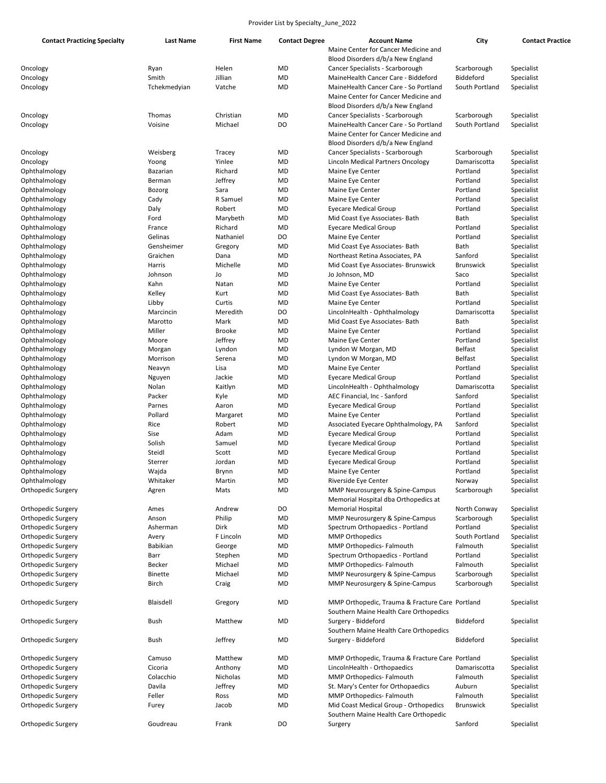| <b>Contact Practicing Specialty</b> | Last Name        | <b>First Name</b> | <b>Contact Degree</b> | <b>Account Name</b>                             | City             | <b>Contact Practice</b> |
|-------------------------------------|------------------|-------------------|-----------------------|-------------------------------------------------|------------------|-------------------------|
|                                     |                  |                   |                       | Maine Center for Cancer Medicine and            |                  |                         |
|                                     |                  |                   |                       | Blood Disorders d/b/a New England               |                  |                         |
| Oncology                            | Ryan             | Helen             | <b>MD</b>             | Cancer Specialists - Scarborough                | Scarborough      | Specialist              |
| Oncology                            | Smith            | Jillian           | MD                    | MaineHealth Cancer Care - Biddeford             | Biddeford        | Specialist              |
| Oncology                            | Tchekmedyian     | Vatche            | MD                    | MaineHealth Cancer Care - So Portland           | South Portland   | Specialist              |
|                                     |                  |                   |                       | Maine Center for Cancer Medicine and            |                  |                         |
|                                     |                  |                   |                       | Blood Disorders d/b/a New England               |                  |                         |
| Oncology                            | Thomas           | Christian         | MD                    | Cancer Specialists - Scarborough                | Scarborough      | Specialist              |
| Oncology                            | Voisine          | Michael           | DO                    | MaineHealth Cancer Care - So Portland           | South Portland   | Specialist              |
|                                     |                  |                   |                       | Maine Center for Cancer Medicine and            |                  |                         |
|                                     |                  |                   |                       | Blood Disorders d/b/a New England               |                  |                         |
| Oncology                            | Weisberg         | Tracey            | MD                    | Cancer Specialists - Scarborough                | Scarborough      | Specialist              |
| Oncology                            | Yoong            | Yinlee            | MD                    | Lincoln Medical Partners Oncology               | Damariscotta     | Specialist              |
| Ophthalmology                       | Bazarian         | Richard           | MD                    | Maine Eye Center                                | Portland         | Specialist              |
| Ophthalmology                       | Berman           | Jeffrey           | MD                    | Maine Eye Center                                | Portland         | Specialist              |
| Ophthalmology                       | <b>Bozorg</b>    | Sara              | MD                    | Maine Eye Center                                | Portland         | Specialist              |
| Ophthalmology                       | Cady             | R Samuel          | MD                    | Maine Eye Center                                | Portland         | Specialist              |
| Ophthalmology                       |                  | Robert            | MD                    | <b>Eyecare Medical Group</b>                    | Portland         | Specialist              |
|                                     | Daly             |                   |                       |                                                 |                  |                         |
| Ophthalmology                       | Ford             | Marybeth          | MD                    | Mid Coast Eye Associates- Bath                  | Bath             | Specialist              |
| Ophthalmology                       | France           | Richard           | MD                    | <b>Eyecare Medical Group</b>                    | Portland         | Specialist              |
| Ophthalmology                       | Gelinas          | Nathaniel         | DO                    | Maine Eye Center                                | Portland         | Specialist              |
| Ophthalmology                       | Gensheimer       | Gregory           | MD                    | Mid Coast Eye Associates- Bath                  | Bath             | Specialist              |
| Ophthalmology                       | Graichen         | Dana              | MD                    | Northeast Retina Associates, PA                 | Sanford          | Specialist              |
| Ophthalmology                       | Harris           | Michelle          | MD                    | Mid Coast Eye Associates- Brunswick             | <b>Brunswick</b> | Specialist              |
| Ophthalmology                       | Johnson          | Jo                | MD                    | Jo Johnson, MD                                  | Saco             | Specialist              |
| Ophthalmology                       | Kahn             | Natan             | MD                    | Maine Eye Center                                | Portland         | Specialist              |
| Ophthalmology                       | Kelley           | Kurt              | MD                    | Mid Coast Eye Associates- Bath                  | Bath             | Specialist              |
| Ophthalmology                       | Libby            | Curtis            | MD                    | Maine Eye Center                                | Portland         | Specialist              |
| Ophthalmology                       | Marcincin        | Meredith          | DO                    | LincolnHealth - Ophthalmology                   | Damariscotta     | Specialist              |
| Ophthalmology                       | Marotto          | Mark              | MD                    | Mid Coast Eye Associates- Bath                  | Bath             | Specialist              |
| Ophthalmology                       | Miller           | <b>Brooke</b>     | MD                    | Maine Eye Center                                | Portland         | Specialist              |
| Ophthalmology                       | Moore            | Jeffrey           | MD                    | Maine Eye Center                                | Portland         | Specialist              |
| Ophthalmology                       | Morgan           | Lyndon            | MD                    | Lyndon W Morgan, MD                             | <b>Belfast</b>   | Specialist              |
| Ophthalmology                       | Morrison         | Serena            | MD                    | Lyndon W Morgan, MD                             | <b>Belfast</b>   | Specialist              |
| Ophthalmology                       | Neavyn           | Lisa              | MD                    | Maine Eye Center                                | Portland         | Specialist              |
| Ophthalmology                       |                  | Jackie            | MD                    |                                                 | Portland         | Specialist              |
|                                     | Nguyen           |                   |                       | Eyecare Medical Group                           |                  |                         |
| Ophthalmology                       | Nolan            | Kaitlyn           | MD                    | LincolnHealth - Ophthalmology                   | Damariscotta     | Specialist              |
| Ophthalmology                       | Packer           | Kyle              | MD                    | AEC Financial, Inc - Sanford                    | Sanford          | Specialist              |
| Ophthalmology                       | Parnes           | Aaron             | MD                    | <b>Eyecare Medical Group</b>                    | Portland         | Specialist              |
| Ophthalmology                       | Pollard          | Margaret          | MD                    | Maine Eye Center                                | Portland         | Specialist              |
| Ophthalmology                       | Rice             | Robert            | MD                    | Associated Eyecare Ophthalmology, PA            | Sanford          | Specialist              |
| Ophthalmology                       | Sise             | Adam              | MD                    | <b>Eyecare Medical Group</b>                    | Portland         | Specialist              |
| Ophthalmology                       | Solish           | Samuel            | MD                    | Eyecare Medical Group                           | Portland         | Specialist              |
| Ophthalmology                       | Steidl           | Scott             | MD                    | <b>Eyecare Medical Group</b>                    | Portland         | Specialist              |
| Ophthalmology                       | Sterrer          | Jordan            | MD                    | <b>Eyecare Medical Group</b>                    | Portland         | Specialist              |
| Ophthalmology                       | Wajda            | Brynn             | MD                    | Maine Eye Center                                | Portland         | Specialist              |
| Ophthalmology                       | Whitaker         | Martin            | MD                    | Riverside Eye Center                            | Norway           | Specialist              |
| Orthopedic Surgery                  | Agren            | Mats              | MD                    | MMP Neurosurgery & Spine-Campus                 | Scarborough      | Specialist              |
|                                     |                  |                   |                       | Memorial Hospital dba Orthopedics at            |                  |                         |
| Orthopedic Surgery                  | Ames             | Andrew            | DO                    | <b>Memorial Hospital</b>                        | North Conway     | Specialist              |
| Orthopedic Surgery                  | Anson            | Philip            | MD                    | MMP Neurosurgery & Spine-Campus                 | Scarborough      | Specialist              |
| Orthopedic Surgery                  | Asherman         | Dirk              | MD                    | Spectrum Orthopaedics - Portland                | Portland         | Specialist              |
| Orthopedic Surgery                  | Avery            | F Lincoln         | MD                    | <b>MMP Orthopedics</b>                          | South Portland   | Specialist              |
| Orthopedic Surgery                  | <b>Babikian</b>  | George            | MD                    | MMP Orthopedics- Falmouth                       | Falmouth         | Specialist              |
| Orthopedic Surgery                  |                  | Stephen           | MD                    | Spectrum Orthopaedics - Portland                | Portland         | Specialist              |
|                                     | Barr             |                   |                       |                                                 |                  |                         |
| Orthopedic Surgery                  | Becker           | Michael           | MD                    | MMP Orthopedics- Falmouth                       | Falmouth         | Specialist              |
| Orthopedic Surgery                  | <b>Binette</b>   | Michael           | MD                    | MMP Neurosurgery & Spine-Campus                 | Scarborough      | Specialist              |
| Orthopedic Surgery                  | Birch            | Craig             | MD                    | MMP Neurosurgery & Spine-Campus                 | Scarborough      | Specialist              |
|                                     |                  |                   |                       |                                                 |                  |                         |
| Orthopedic Surgery                  | <b>Blaisdell</b> | Gregory           | MD                    | MMP Orthopedic, Trauma & Fracture Care Portland |                  | Specialist              |
|                                     |                  |                   |                       | Southern Maine Health Care Orthopedics          |                  |                         |
| Orthopedic Surgery                  | <b>Bush</b>      | Matthew           | MD                    | Surgery - Biddeford                             | Biddeford        | Specialist              |
|                                     |                  |                   |                       | Southern Maine Health Care Orthopedics          |                  |                         |
| Orthopedic Surgery                  | <b>Bush</b>      | Jeffrey           | MD                    | Surgery - Biddeford                             | Biddeford        | Specialist              |
|                                     |                  |                   |                       |                                                 |                  |                         |
| Orthopedic Surgery                  | Camuso           | Matthew           | MD                    | MMP Orthopedic, Trauma & Fracture Care Portland |                  | Specialist              |
| Orthopedic Surgery                  | Cicoria          | Anthony           | MD                    | LincolnHealth - Orthopaedics                    | Damariscotta     | Specialist              |
| Orthopedic Surgery                  | Colacchio        | Nicholas          | MD                    | MMP Orthopedics- Falmouth                       | Falmouth         | Specialist              |
| Orthopedic Surgery                  | Davila           | Jeffrey           | MD                    | St. Mary's Center for Orthopaedics              | Auburn           | Specialist              |
| Orthopedic Surgery                  | Feller           | Ross              | MD                    | MMP Orthopedics- Falmouth                       | Falmouth         | Specialist              |
| Orthopedic Surgery                  | Furey            | Jacob             | MD                    | Mid Coast Medical Group - Orthopedics           | Brunswick        | Specialist              |
|                                     |                  |                   |                       |                                                 |                  |                         |
|                                     |                  |                   |                       | Southern Maine Health Care Orthopedic           |                  |                         |
| Orthopedic Surgery                  | Goudreau         | Frank             | DO                    | Surgery                                         | Sanford          | Specialist              |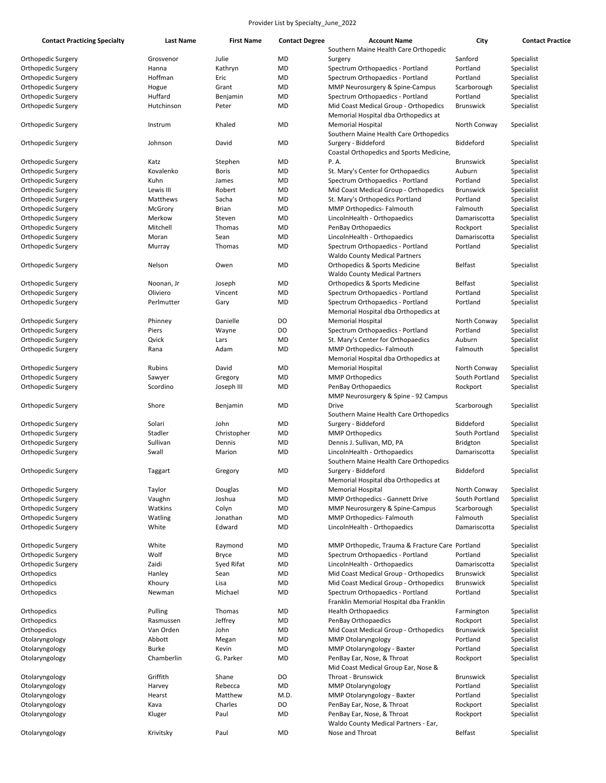| <b>Contact Practicing Specialty</b> | <b>Last Name</b> | <b>First Name</b> | <b>Contact Degree</b> | <b>Account Name</b>                             | City             | <b>Contact Practice</b> |
|-------------------------------------|------------------|-------------------|-----------------------|-------------------------------------------------|------------------|-------------------------|
|                                     |                  |                   |                       | Southern Maine Health Care Orthopedic           |                  |                         |
| Orthopedic Surgery                  | Grosvenor        | Julie             | MD                    | Surgery                                         | Sanford          | Specialist              |
| Orthopedic Surgery                  | Hanna            | Kathryn           | MD                    | Spectrum Orthopaedics - Portland                | Portland         | Specialist              |
| Orthopedic Surgery                  | Hoffman          | Eric              | MD                    | Spectrum Orthopaedics - Portland                | Portland         | Specialist              |
| Orthopedic Surgery                  | Hogue            | Grant             | MD                    | MMP Neurosurgery & Spine-Campus                 | Scarborough      | Specialist              |
| Orthopedic Surgery                  | Huffard          | Benjamin          | MD                    | Spectrum Orthopaedics - Portland                | Portland         | Specialist              |
| Orthopedic Surgery                  | Hutchinson       | Peter             | MD                    | Mid Coast Medical Group - Orthopedics           | <b>Brunswick</b> | Specialist              |
|                                     |                  |                   |                       | Memorial Hospital dba Orthopedics at            |                  |                         |
| Orthopedic Surgery                  | Instrum          | Khaled            | MD                    | <b>Memorial Hospital</b>                        | North Conway     | Specialist              |
|                                     |                  |                   |                       | Southern Maine Health Care Orthopedics          |                  |                         |
| Orthopedic Surgery                  | Johnson          | David             | MD                    | Surgery - Biddeford                             | <b>Biddeford</b> | Specialist              |
|                                     |                  |                   |                       | Coastal Orthopedics and Sports Medicine,        |                  |                         |
|                                     | Katz             | Stephen           |                       |                                                 |                  |                         |
| Orthopedic Surgery                  |                  |                   | MD                    | P.A.                                            | <b>Brunswick</b> | Specialist              |
| Orthopedic Surgery                  | Kovalenko        | <b>Boris</b>      | MD                    | St. Mary's Center for Orthopaedics              | Auburn           | Specialist              |
| Orthopedic Surgery                  | Kuhn             | James             | MD                    | Spectrum Orthopaedics - Portland                | Portland         | Specialist              |
| Orthopedic Surgery                  | Lewis III        | Robert            | MD                    | Mid Coast Medical Group - Orthopedics           | <b>Brunswick</b> | Specialist              |
| Orthopedic Surgery                  | Matthews         | Sacha             | MD                    | St. Mary's Orthopedics Portland                 | Portland         | Specialist              |
| Orthopedic Surgery                  | McGrory          | Brian             | MD                    | MMP Orthopedics- Falmouth                       | Falmouth         | Specialist              |
| Orthopedic Surgery                  | Merkow           | Steven            | MD                    | LincolnHealth - Orthopaedics                    | Damariscotta     | Specialist              |
| Orthopedic Surgery                  | Mitchell         | Thomas            | MD                    | PenBay Orthopaedics                             | Rockport         | Specialist              |
| Orthopedic Surgery                  | Moran            | Sean              | MD                    | LincolnHealth - Orthopaedics                    | Damariscotta     | Specialist              |
| Orthopedic Surgery                  | Murray           | Thomas            | MD                    | Spectrum Orthopaedics - Portland                | Portland         | Specialist              |
|                                     |                  |                   |                       | <b>Waldo County Medical Partners</b>            |                  |                         |
| Orthopedic Surgery                  | Nelson           | Owen              | MD                    | Orthopedics & Sports Medicine                   | <b>Belfast</b>   | Specialist              |
|                                     |                  |                   |                       | <b>Waldo County Medical Partners</b>            |                  |                         |
|                                     |                  |                   |                       |                                                 | <b>Belfast</b>   |                         |
| Orthopedic Surgery                  | Noonan, Jr       | Joseph            | MD                    | Orthopedics & Sports Medicine                   |                  | Specialist              |
| Orthopedic Surgery                  | Oliviero         | Vincent           | MD                    | Spectrum Orthopaedics - Portland                | Portland         | Specialist              |
| Orthopedic Surgery                  | Perlmutter       | Gary              | MD                    | Spectrum Orthopaedics - Portland                | Portland         | Specialist              |
|                                     |                  |                   |                       | Memorial Hospital dba Orthopedics at            |                  |                         |
| Orthopedic Surgery                  | Phinney          | Danielle          | DO                    | <b>Memorial Hospital</b>                        | North Conway     | Specialist              |
| Orthopedic Surgery                  | Piers            | Wayne             | DO                    | Spectrum Orthopaedics - Portland                | Portland         | Specialist              |
| Orthopedic Surgery                  | Qvick            | Lars              | MD                    | St. Mary's Center for Orthopaedics              | Auburn           | Specialist              |
| Orthopedic Surgery                  | Rana             | Adam              | MD                    | MMP Orthopedics- Falmouth                       | Falmouth         | Specialist              |
|                                     |                  |                   |                       | Memorial Hospital dba Orthopedics at            |                  |                         |
| Orthopedic Surgery                  | Rubins           | David             | MD                    | <b>Memorial Hospital</b>                        | North Conway     | Specialist              |
| Orthopedic Surgery                  | Sawyer           | Gregory           | MD                    | <b>MMP Orthopedics</b>                          | South Portland   | Specialist              |
| Orthopedic Surgery                  | Scordino         | Joseph III        | MD                    | PenBay Orthopaedics                             | Rockport         | Specialist              |
|                                     |                  |                   |                       | MMP Neurosurgery & Spine - 92 Campus            |                  |                         |
| Orthopedic Surgery                  | Shore            | Benjamin          | MD                    | Drive                                           | Scarborough      | Specialist              |
|                                     |                  |                   |                       | Southern Maine Health Care Orthopedics          |                  |                         |
| Orthopedic Surgery                  | Solari           | John              | MD                    | Surgery - Biddeford                             | <b>Biddeford</b> | Specialist              |
| Orthopedic Surgery                  | Stadler          | Christopher       | MD                    | <b>MMP Orthopedics</b>                          | South Portland   |                         |
|                                     |                  |                   |                       |                                                 |                  | Specialist              |
| Orthopedic Surgery                  | Sullivan         | Dennis            | MD                    | Dennis J. Sullivan, MD, PA                      | <b>Bridgton</b>  | Specialist              |
| Orthopedic Surgery                  | Swall            | Marion            | MD                    | LincolnHealth - Orthopaedics                    | Damariscotta     | Specialist              |
|                                     |                  |                   |                       | Southern Maine Health Care Orthopedics          |                  |                         |
| Orthopedic Surgery                  | Taggart          | Gregory           | MD                    | Surgery - Biddeford                             | <b>Biddeford</b> | Specialist              |
|                                     |                  |                   |                       | Memorial Hospital dba Orthopedics at            |                  |                         |
| Orthopedic Surgery                  | Taylor           | Douglas           | MD                    | <b>Memorial Hospital</b>                        | North Conway     | Specialist              |
| Orthopedic Surgery                  | Vaughn           | Joshua            | MD                    | MMP Orthopedics - Gannett Drive                 | South Portland   | Specialist              |
| Orthopedic Surgery                  | Watkins          | Colyn             | MD                    | MMP Neurosurgery & Spine-Campus                 | Scarborough      | Specialist              |
| Orthopedic Surgery                  | Watling          | Jonathan          | MD                    | MMP Orthopedics- Falmouth                       | Falmouth         | Specialist              |
| Orthopedic Surgery                  | White            | Edward            | MD                    | LincolnHealth - Orthopaedics                    | Damariscotta     | Specialist              |
|                                     |                  |                   |                       |                                                 |                  |                         |
| Orthopedic Surgery                  | White            | Raymond           | MD                    | MMP Orthopedic, Trauma & Fracture Care Portland |                  | Specialist              |
| Orthopedic Surgery                  | Wolf             | <b>Bryce</b>      | MD                    | Spectrum Orthopaedics - Portland                | Portland         | Specialist              |
| Orthopedic Surgery                  | Zaidi            | Syed Rifat        | MD                    | LincolnHealth - Orthopaedics                    | Damariscotta     | Specialist              |
| Orthopedics                         | Hanley           | Sean              | MD                    | Mid Coast Medical Group - Orthopedics           | <b>Brunswick</b> | Specialist              |
|                                     |                  |                   |                       |                                                 |                  |                         |
| Orthopedics                         | Khoury           | Lisa              | MD                    | Mid Coast Medical Group - Orthopedics           | <b>Brunswick</b> | Specialist              |
| Orthopedics                         | Newman           | Michael           | MD                    | Spectrum Orthopaedics - Portland                | Portland         | Specialist              |
|                                     |                  |                   |                       | Franklin Memorial Hospital dba Franklin         |                  |                         |
| Orthopedics                         | Pulling          | Thomas            | MD                    | <b>Health Orthopaedics</b>                      | Farmington       | Specialist              |
| Orthopedics                         | Rasmussen        | Jeffrey           | MD                    | PenBay Orthopaedics                             | Rockport         | Specialist              |
| Orthopedics                         | Van Orden        | John              | MD                    | Mid Coast Medical Group - Orthopedics           | <b>Brunswick</b> | Specialist              |
| Otolaryngology                      | Abbott           | Megan             | MD                    | <b>MMP Otolaryngology</b>                       | Portland         | Specialist              |
| Otolaryngology                      | <b>Burke</b>     | Kevin             | MD                    | MMP Otolaryngology - Baxter                     | Portland         | Specialist              |
| Otolaryngology                      | Chamberlin       | G. Parker         | MD                    | PenBay Ear, Nose, & Throat                      | Rockport         | Specialist              |
|                                     |                  |                   |                       | Mid Coast Medical Group Ear, Nose &             |                  |                         |
| Otolaryngology                      | Griffith         | Shane             | DO                    | Throat - Brunswick                              | <b>Brunswick</b> | Specialist              |
| Otolaryngology                      | Harvey           | Rebecca           | MD                    | <b>MMP Otolaryngology</b>                       | Portland         | Specialist              |
| Otolaryngology                      | Hearst           | Matthew           | M.D.                  | MMP Otolaryngology - Baxter                     | Portland         | Specialist              |
|                                     | Kava             | Charles           | DO                    | PenBay Ear, Nose, & Throat                      | Rockport         |                         |
| Otolaryngology                      |                  |                   |                       |                                                 |                  | Specialist              |
| Otolaryngology                      | Kluger           | Paul              | MD                    | PenBay Ear, Nose, & Throat                      | Rockport         | Specialist              |
|                                     |                  |                   |                       | Waldo County Medical Partners - Ear,            |                  |                         |
| Otolaryngology                      | Krivitsky        | Paul              | MD                    | Nose and Throat                                 | <b>Belfast</b>   | Specialist              |
|                                     |                  |                   |                       |                                                 |                  |                         |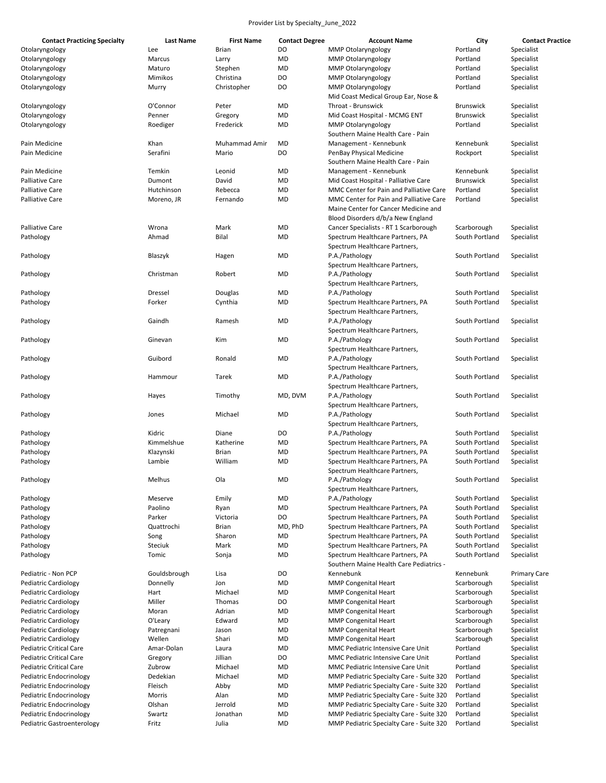| <b>Contact Practicing Specialty</b> | <b>Last Name</b> | <b>First Name</b>    | <b>Contact Degree</b> | <b>Account Name</b>                      | City             | <b>Contact Practice</b> |
|-------------------------------------|------------------|----------------------|-----------------------|------------------------------------------|------------------|-------------------------|
| Otolaryngology                      | Lee              | <b>Brian</b>         | DO                    | <b>MMP Otolaryngology</b>                | Portland         | Specialist              |
| Otolaryngology                      | Marcus           | Larry                | <b>MD</b>             | <b>MMP Otolaryngology</b>                | Portland         | Specialist              |
| Otolaryngology                      | Maturo           | Stephen              | <b>MD</b>             | <b>MMP Otolaryngology</b>                | Portland         | Specialist              |
| Otolaryngology                      | Mimikos          | Christina            | DO                    | <b>MMP Otolaryngology</b>                | Portland         | Specialist              |
| Otolaryngology                      | Murry            | Christopher          | DO                    | <b>MMP Otolaryngology</b>                | Portland         | Specialist              |
|                                     |                  |                      |                       | Mid Coast Medical Group Ear, Nose &      |                  |                         |
| Otolaryngology                      | O'Connor         | Peter                | <b>MD</b>             | Throat - Brunswick                       | <b>Brunswick</b> | Specialist              |
| Otolaryngology                      | Penner           | Gregory              | <b>MD</b>             | Mid Coast Hospital - MCMG ENT            | <b>Brunswick</b> | Specialist              |
| Otolaryngology                      | Roediger         | Frederick            | <b>MD</b>             | <b>MMP Otolaryngology</b>                | Portland         | Specialist              |
|                                     |                  |                      |                       | Southern Maine Health Care - Pain        |                  |                         |
| Pain Medicine                       | Khan             | <b>Muhammad Amir</b> | <b>MD</b>             | Management - Kennebunk                   | Kennebunk        | Specialist              |
| Pain Medicine                       | Serafini         |                      | DO                    |                                          |                  |                         |
|                                     |                  | Mario                |                       | PenBay Physical Medicine                 | Rockport         | Specialist              |
|                                     |                  |                      |                       | Southern Maine Health Care - Pain        |                  |                         |
| Pain Medicine                       | Temkin           | Leonid               | <b>MD</b>             | Management - Kennebunk                   | Kennebunk        | Specialist              |
| <b>Palliative Care</b>              | Dumont           | David                | <b>MD</b>             | Mid Coast Hospital - Palliative Care     | <b>Brunswick</b> | Specialist              |
| <b>Palliative Care</b>              | Hutchinson       | Rebecca              | <b>MD</b>             | MMC Center for Pain and Palliative Care  | Portland         | Specialist              |
| <b>Palliative Care</b>              | Moreno, JR       | Fernando             | <b>MD</b>             | MMC Center for Pain and Palliative Care  | Portland         | Specialist              |
|                                     |                  |                      |                       | Maine Center for Cancer Medicine and     |                  |                         |
|                                     |                  |                      |                       | Blood Disorders d/b/a New England        |                  |                         |
| <b>Palliative Care</b>              | Wrona            | Mark                 | <b>MD</b>             | Cancer Specialists - RT 1 Scarborough    | Scarborough      | Specialist              |
| Pathology                           | Ahmad            | Bilal                | <b>MD</b>             | Spectrum Healthcare Partners, PA         | South Portland   | Specialist              |
|                                     |                  |                      |                       | Spectrum Healthcare Partners,            |                  |                         |
| Pathology                           | Blaszyk          | Hagen                | <b>MD</b>             | P.A./Pathology                           | South Portland   | Specialist              |
|                                     |                  |                      |                       | Spectrum Healthcare Partners,            |                  |                         |
| Pathology                           | Christman        | Robert               | <b>MD</b>             | P.A./Pathology                           | South Portland   | Specialist              |
|                                     |                  |                      |                       | Spectrum Healthcare Partners,            |                  |                         |
| Pathology                           | Dressel          | Douglas              | <b>MD</b>             | P.A./Pathology                           | South Portland   | Specialist              |
| Pathology                           | Forker           | Cynthia              | <b>MD</b>             | Spectrum Healthcare Partners, PA         | South Portland   | Specialist              |
|                                     |                  |                      |                       | Spectrum Healthcare Partners,            |                  |                         |
|                                     |                  |                      | <b>MD</b>             |                                          | South Portland   |                         |
| Pathology                           | Gaindh           | Ramesh               |                       | P.A./Pathology                           |                  | Specialist              |
|                                     |                  |                      |                       | Spectrum Healthcare Partners,            |                  |                         |
| Pathology                           | Ginevan          | Kim                  | <b>MD</b>             | P.A./Pathology                           | South Portland   | Specialist              |
|                                     |                  |                      |                       | Spectrum Healthcare Partners,            |                  |                         |
| Pathology                           | Guibord          | Ronald               | <b>MD</b>             | P.A./Pathology                           | South Portland   | Specialist              |
|                                     |                  |                      |                       | Spectrum Healthcare Partners,            |                  |                         |
| Pathology                           | Hammour          | Tarek                | <b>MD</b>             | P.A./Pathology                           | South Portland   | Specialist              |
|                                     |                  |                      |                       | Spectrum Healthcare Partners,            |                  |                         |
| Pathology                           | Hayes            | Timothy              | MD, DVM               | P.A./Pathology                           | South Portland   | Specialist              |
|                                     |                  |                      |                       | Spectrum Healthcare Partners,            |                  |                         |
| Pathology                           | Jones            | Michael              | <b>MD</b>             | P.A./Pathology                           | South Portland   | Specialist              |
|                                     |                  |                      |                       | Spectrum Healthcare Partners,            |                  |                         |
| Pathology                           | Kidric           | Diane                | DO                    | P.A./Pathology                           | South Portland   | Specialist              |
| Pathology                           | Kimmelshue       | Katherine            | <b>MD</b>             | Spectrum Healthcare Partners, PA         | South Portland   | Specialist              |
| Pathology                           | Klazynski        | <b>Brian</b>         | <b>MD</b>             | Spectrum Healthcare Partners, PA         | South Portland   | Specialist              |
| Pathology                           | Lambie           | William              | <b>MD</b>             | Spectrum Healthcare Partners, PA         | South Portland   | Specialist              |
|                                     |                  |                      |                       | Spectrum Healthcare Partners,            |                  |                         |
|                                     | Melhus           | Ola                  | MD                    | P.A./Pathology                           | South Portland   | Specialist              |
| Pathology                           |                  |                      |                       | Spectrum Healthcare Partners,            |                  |                         |
|                                     | Meserve          |                      |                       |                                          | South Portland   |                         |
| Pathology                           |                  | Emily                | <b>MD</b>             | P.A./Pathology                           |                  | Specialist              |
| Pathology                           | Paolino          | Ryan                 | <b>MD</b>             | Spectrum Healthcare Partners, PA         | South Portland   | Specialist              |
| Pathology                           | Parker           | Victoria             | DO                    | Spectrum Healthcare Partners, PA         | South Portland   | Specialist              |
| Pathology                           | Quattrochi       | <b>Brian</b>         | MD, PhD               | Spectrum Healthcare Partners, PA         | South Portland   | Specialist              |
| Pathology                           | Song             | Sharon               | <b>MD</b>             | Spectrum Healthcare Partners, PA         | South Portland   | Specialist              |
| Pathology                           | Steciuk          | Mark                 | <b>MD</b>             | Spectrum Healthcare Partners, PA         | South Portland   | Specialist              |
| Pathology                           | Tomic            | Sonja                | <b>MD</b>             | Spectrum Healthcare Partners, PA         | South Portland   | Specialist              |
|                                     |                  |                      |                       | Southern Maine Health Care Pediatrics -  |                  |                         |
| Pediatric - Non PCP                 | Gouldsbrough     | Lisa                 | DO                    | Kennebunk                                | Kennebunk        | <b>Primary Care</b>     |
| <b>Pediatric Cardiology</b>         | Donnelly         | Jon                  | <b>MD</b>             | <b>MMP Congenital Heart</b>              | Scarborough      | Specialist              |
| <b>Pediatric Cardiology</b>         | Hart             | Michael              | <b>MD</b>             | <b>MMP Congenital Heart</b>              | Scarborough      | Specialist              |
| <b>Pediatric Cardiology</b>         | Miller           | Thomas               | DO                    | <b>MMP Congenital Heart</b>              | Scarborough      | Specialist              |
| <b>Pediatric Cardiology</b>         | Moran            | Adrian               | MD                    | <b>MMP Congenital Heart</b>              | Scarborough      | Specialist              |
| <b>Pediatric Cardiology</b>         | O'Leary          | Edward               | <b>MD</b>             | <b>MMP Congenital Heart</b>              | Scarborough      | Specialist              |
| <b>Pediatric Cardiology</b>         | Patregnani       | Jason                | MD                    | <b>MMP Congenital Heart</b>              | Scarborough      | Specialist              |
| <b>Pediatric Cardiology</b>         | Wellen           | Shari                | MD                    | <b>MMP Congenital Heart</b>              | Scarborough      | Specialist              |
| Pediatric Critical Care             | Amar-Dolan       | Laura                | MD                    | MMC Pediatric Intensive Care Unit        | Portland         | Specialist              |
|                                     |                  | Jillian              |                       |                                          |                  |                         |
| <b>Pediatric Critical Care</b>      | Gregory          |                      | DO                    | MMC Pediatric Intensive Care Unit        | Portland         | Specialist              |
| Pediatric Critical Care             | Zubrow           | Michael              | MD                    | MMC Pediatric Intensive Care Unit        | Portland         | Specialist              |
| Pediatric Endocrinology             | Dedekian         | Michael              | MD                    | MMP Pediatric Specialty Care - Suite 320 | Portland         | Specialist              |
| Pediatric Endocrinology             | Fleisch          | Abby                 | MD                    | MMP Pediatric Specialty Care - Suite 320 | Portland         | Specialist              |
| Pediatric Endocrinology             | Morris           | Alan                 | MD                    | MMP Pediatric Specialty Care - Suite 320 | Portland         | Specialist              |
| Pediatric Endocrinology             | Olshan           | Jerrold              | MD                    | MMP Pediatric Specialty Care - Suite 320 | Portland         | Specialist              |
| Pediatric Endocrinology             | Swartz           | Jonathan             | MD                    | MMP Pediatric Specialty Care - Suite 320 | Portland         | Specialist              |
| Pediatric Gastroenterology          | Fritz            | Julia                | MD                    | MMP Pediatric Specialty Care - Suite 320 | Portland         | Specialist              |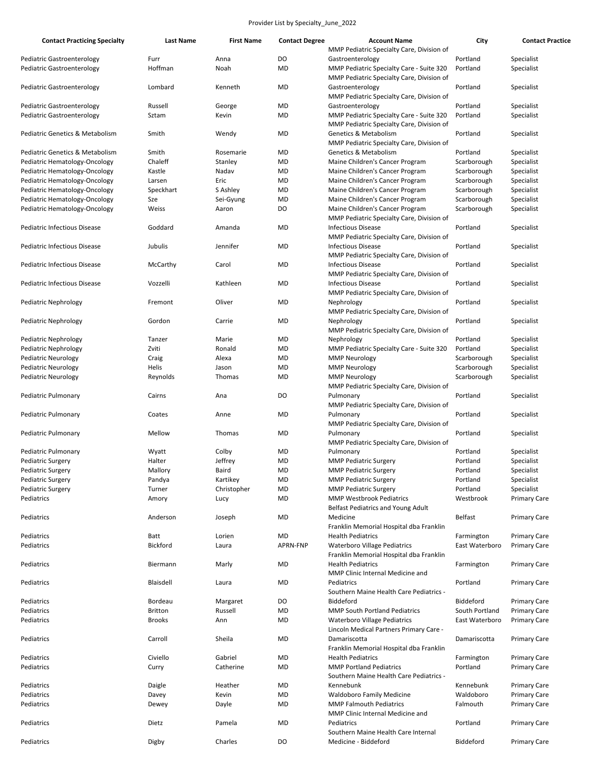| <b>Contact Practicing Specialty</b>        | Last Name       | <b>First Name</b> | <b>Contact Degree</b> | <b>Account Name</b>                       | City             | <b>Contact Practice</b> |
|--------------------------------------------|-----------------|-------------------|-----------------------|-------------------------------------------|------------------|-------------------------|
|                                            |                 |                   |                       | MMP Pediatric Specialty Care, Division of |                  |                         |
| Pediatric Gastroenterology                 | Furr            | Anna              | DO                    | Gastroenterology                          | Portland         | Specialist              |
| Pediatric Gastroenterology                 | Hoffman         | Noah              | <b>MD</b>             | MMP Pediatric Specialty Care - Suite 320  | Portland         | Specialist              |
|                                            |                 |                   |                       | MMP Pediatric Specialty Care, Division of |                  |                         |
| Pediatric Gastroenterology                 | Lombard         | Kenneth           | MD                    | Gastroenterology                          | Portland         | Specialist              |
|                                            |                 |                   |                       | MMP Pediatric Specialty Care, Division of |                  |                         |
| Pediatric Gastroenterology                 | Russell         | George            | <b>MD</b>             | Gastroenterology                          | Portland         | Specialist              |
| Pediatric Gastroenterology                 | Sztam           | Kevin             | <b>MD</b>             | MMP Pediatric Specialty Care - Suite 320  | Portland         | Specialist              |
|                                            |                 |                   |                       | MMP Pediatric Specialty Care, Division of |                  |                         |
| <b>Pediatric Genetics &amp; Metabolism</b> | Smith           | Wendy             | MD                    | <b>Genetics &amp; Metabolism</b>          | Portland         | Specialist              |
|                                            |                 |                   |                       | MMP Pediatric Specialty Care, Division of |                  |                         |
| Pediatric Genetics & Metabolism            | Smith           | Rosemarie         | MD                    | Genetics & Metabolism                     | Portland         | Specialist              |
| Pediatric Hematology-Oncology              | Chaleff         | Stanley           | <b>MD</b>             | Maine Children's Cancer Program           | Scarborough      | Specialist              |
|                                            |                 |                   |                       |                                           |                  |                         |
| Pediatric Hematology-Oncology              | Kastle          | Nadav             | <b>MD</b>             | Maine Children's Cancer Program           | Scarborough      | Specialist              |
| Pediatric Hematology-Oncology              | Larsen          | Eric              | MD                    | Maine Children's Cancer Program           | Scarborough      | Specialist              |
| Pediatric Hematology-Oncology              | Speckhart       | S Ashley          | <b>MD</b>             | Maine Children's Cancer Program           | Scarborough      | Specialist              |
| Pediatric Hematology-Oncology              | Sze             | Sei-Gyung         | <b>MD</b>             | Maine Children's Cancer Program           | Scarborough      | Specialist              |
| Pediatric Hematology-Oncology              | Weiss           | Aaron             | DO                    | Maine Children's Cancer Program           | Scarborough      | Specialist              |
|                                            |                 |                   |                       | MMP Pediatric Specialty Care, Division of |                  |                         |
| Pediatric Infectious Disease               | Goddard         | Amanda            | <b>MD</b>             | <b>Infectious Disease</b>                 | Portland         | Specialist              |
|                                            |                 |                   |                       | MMP Pediatric Specialty Care, Division of |                  |                         |
| Pediatric Infectious Disease               | Jubulis         | Jennifer          | <b>MD</b>             | <b>Infectious Disease</b>                 | Portland         | Specialist              |
|                                            |                 |                   |                       | MMP Pediatric Specialty Care, Division of |                  |                         |
| Pediatric Infectious Disease               | McCarthy        | Carol             | MD                    | <b>Infectious Disease</b>                 | Portland         | Specialist              |
|                                            |                 |                   |                       | MMP Pediatric Specialty Care, Division of |                  |                         |
| Pediatric Infectious Disease               | Vozzelli        | Kathleen          | <b>MD</b>             | <b>Infectious Disease</b>                 | Portland         |                         |
|                                            |                 |                   |                       |                                           |                  | Specialist              |
|                                            |                 |                   |                       | MMP Pediatric Specialty Care, Division of |                  |                         |
| Pediatric Nephrology                       | Fremont         | Oliver            | <b>MD</b>             | Nephrology                                | Portland         | Specialist              |
|                                            |                 |                   |                       | MMP Pediatric Specialty Care, Division of |                  |                         |
| Pediatric Nephrology                       | Gordon          | Carrie            | <b>MD</b>             | Nephrology                                | Portland         | Specialist              |
|                                            |                 |                   |                       | MMP Pediatric Specialty Care, Division of |                  |                         |
| Pediatric Nephrology                       | Tanzer          | Marie             | <b>MD</b>             | Nephrology                                | Portland         | Specialist              |
| <b>Pediatric Nephrology</b>                | Zviti           | Ronald            | <b>MD</b>             | MMP Pediatric Specialty Care - Suite 320  | Portland         | Specialist              |
| <b>Pediatric Neurology</b>                 | Craig           | Alexa             | MD                    | <b>MMP Neurology</b>                      | Scarborough      | Specialist              |
| Pediatric Neurology                        | Helis           | Jason             | <b>MD</b>             | <b>MMP Neurology</b>                      | Scarborough      | Specialist              |
| Pediatric Neurology                        | Reynolds        | Thomas            | <b>MD</b>             | <b>MMP Neurology</b>                      | Scarborough      | Specialist              |
|                                            |                 |                   |                       | MMP Pediatric Specialty Care, Division of |                  |                         |
|                                            | Cairns          | Ana               | DO                    |                                           | Portland         | Specialist              |
| Pediatric Pulmonary                        |                 |                   |                       | Pulmonary                                 |                  |                         |
|                                            |                 |                   |                       | MMP Pediatric Specialty Care, Division of |                  |                         |
| Pediatric Pulmonary                        | Coates          | Anne              | MD                    | Pulmonary                                 | Portland         | Specialist              |
|                                            |                 |                   |                       | MMP Pediatric Specialty Care, Division of |                  |                         |
| Pediatric Pulmonary                        | Mellow          | Thomas            | <b>MD</b>             | Pulmonary                                 | Portland         | Specialist              |
|                                            |                 |                   |                       | MMP Pediatric Specialty Care, Division of |                  |                         |
| Pediatric Pulmonary                        | Wyatt           | Colby             | MD                    | Pulmonary                                 | Portland         | Specialist              |
| Pediatric Surgery                          | Halter          | Jeffrey           | <b>MD</b>             | <b>MMP Pediatric Surgery</b>              | Portland         | Specialist              |
| Pediatric Surgery                          | Mallory         | Baird             | <b>MD</b>             | <b>MMP Pediatric Surgery</b>              | Portland         | Specialist              |
| Pediatric Surgery                          | Pandya          | Kartikey          | MD                    | <b>MMP Pediatric Surgery</b>              | Portland         | Specialist              |
| Pediatric Surgery                          | Turner          | Christopher       | <b>MD</b>             | <b>MMP Pediatric Surgery</b>              | Portland         | Specialist              |
| Pediatrics                                 | Amory           | Lucy              | MD                    | <b>MMP Westbrook Pediatrics</b>           | Westbrook        | <b>Primary Care</b>     |
|                                            |                 |                   |                       | Belfast Pediatrics and Young Adult        |                  |                         |
| Pediatrics                                 | Anderson        | Joseph            | MD                    | Medicine                                  | <b>Belfast</b>   | <b>Primary Care</b>     |
|                                            |                 |                   |                       |                                           |                  |                         |
|                                            |                 |                   |                       | Franklin Memorial Hospital dba Franklin   |                  |                         |
| Pediatrics                                 | Batt            | Lorien            | MD                    | <b>Health Pediatrics</b>                  | Farmington       | <b>Primary Care</b>     |
| Pediatrics                                 | <b>Bickford</b> | Laura             | APRN-FNP              | <b>Waterboro Village Pediatrics</b>       | East Waterboro   | <b>Primary Care</b>     |
|                                            |                 |                   |                       | Franklin Memorial Hospital dba Franklin   |                  |                         |
| Pediatrics                                 | Biermann        | Marly             | MD                    | <b>Health Pediatrics</b>                  | Farmington       | <b>Primary Care</b>     |
|                                            |                 |                   |                       | MMP Clinic Internal Medicine and          |                  |                         |
| Pediatrics                                 | Blaisdell       | Laura             | MD                    | Pediatrics                                | Portland         | <b>Primary Care</b>     |
|                                            |                 |                   |                       | Southern Maine Health Care Pediatrics -   |                  |                         |
| Pediatrics                                 | Bordeau         | Margaret          | DO                    | Biddeford                                 | <b>Biddeford</b> | <b>Primary Care</b>     |
| Pediatrics                                 | <b>Britton</b>  | Russell           | MD                    | MMP South Portland Pediatrics             | South Portland   | <b>Primary Care</b>     |
| Pediatrics                                 | <b>Brooks</b>   | Ann               | <b>MD</b>             | <b>Waterboro Village Pediatrics</b>       | East Waterboro   | <b>Primary Care</b>     |
|                                            |                 |                   |                       | Lincoln Medical Partners Primary Care -   |                  |                         |
| Pediatrics                                 | Carroll         | Sheila            | <b>MD</b>             | Damariscotta                              | Damariscotta     | <b>Primary Care</b>     |
|                                            |                 |                   |                       |                                           |                  |                         |
|                                            |                 |                   |                       | Franklin Memorial Hospital dba Franklin   |                  |                         |
| Pediatrics                                 | Civiello        | Gabriel           | MD                    | <b>Health Pediatrics</b>                  | Farmington       | <b>Primary Care</b>     |
| Pediatrics                                 | Curry           | Catherine         | MD                    | <b>MMP Portland Pediatrics</b>            | Portland         | <b>Primary Care</b>     |
|                                            |                 |                   |                       | Southern Maine Health Care Pediatrics -   |                  |                         |
| Pediatrics                                 | Daigle          | Heather           | MD                    | Kennebunk                                 | Kennebunk        | <b>Primary Care</b>     |
| Pediatrics                                 | Davey           | Kevin             | <b>MD</b>             | <b>Waldoboro Family Medicine</b>          | Waldoboro        | <b>Primary Care</b>     |
| Pediatrics                                 | Dewey           | Dayle             | <b>MD</b>             | <b>MMP Falmouth Pediatrics</b>            | Falmouth         | <b>Primary Care</b>     |
|                                            |                 |                   |                       | MMP Clinic Internal Medicine and          |                  |                         |
| Pediatrics                                 | Dietz           | Pamela            | MD                    | Pediatrics                                | Portland         | <b>Primary Care</b>     |
|                                            |                 |                   |                       | Southern Maine Health Care Internal       |                  |                         |
| Pediatrics                                 | Digby           | Charles           | DO                    | Medicine - Biddeford                      | Biddeford        | <b>Primary Care</b>     |
|                                            |                 |                   |                       |                                           |                  |                         |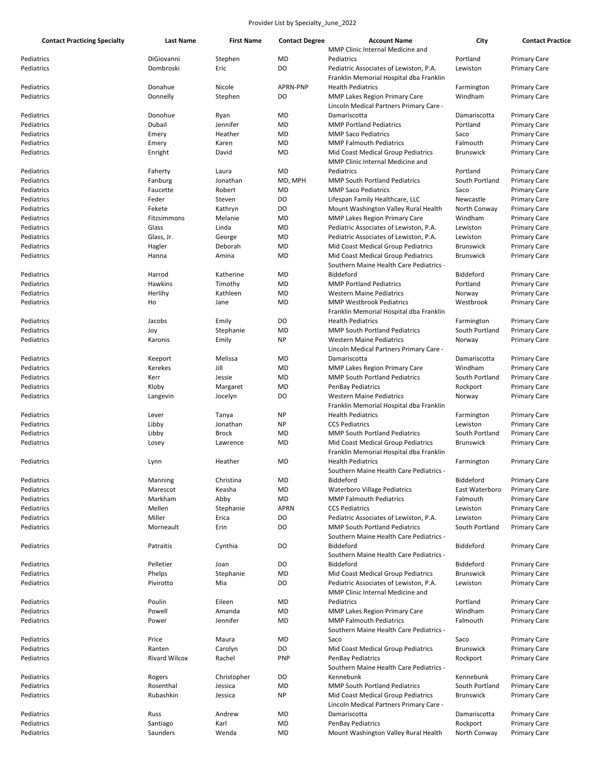| <b>Contact Practicing Specialty</b> | Last Name            | <b>First Name</b> | <b>Contact Degree</b> | <b>Account Name</b>                     | City             | <b>Contact Practice</b> |
|-------------------------------------|----------------------|-------------------|-----------------------|-----------------------------------------|------------------|-------------------------|
|                                     |                      |                   |                       | MMP Clinic Internal Medicine and        |                  |                         |
| Pediatrics                          | DiGiovanni           | Stephen           | MD                    | Pediatrics                              | Portland         | <b>Primary Care</b>     |
| Pediatrics                          | Dombroski            | Eric              | DO                    | Pediatric Associates of Lewiston, P.A.  | Lewiston         | <b>Primary Care</b>     |
|                                     |                      |                   |                       | Franklin Memorial Hospital dba Franklin |                  |                         |
| Pediatrics                          | Donahue              | Nicole            | <b>APRN-PNP</b>       | <b>Health Pediatrics</b>                | Farmington       | <b>Primary Care</b>     |
| Pediatrics                          | Donnelly             | Stephen           | DO                    | <b>MMP Lakes Region Primary Care</b>    | Windham          | <b>Primary Care</b>     |
|                                     |                      |                   |                       | Lincoln Medical Partners Primary Care - |                  |                         |
|                                     | Donohue              |                   | MD                    | Damariscotta                            | Damariscotta     |                         |
| Pediatrics                          |                      | Ryan              |                       |                                         |                  | <b>Primary Care</b>     |
| Pediatrics                          | Dubail               | Jennifer          | MD                    | <b>MMP Portland Pediatrics</b>          | Portland         | <b>Primary Care</b>     |
| Pediatrics                          | Emery                | Heather           | MD                    | <b>MMP Saco Pediatrics</b>              | Saco             | <b>Primary Care</b>     |
| Pediatrics                          | Emery                | Karen             | MD                    | <b>MMP Falmouth Pediatrics</b>          | Falmouth         | <b>Primary Care</b>     |
| Pediatrics                          | Enright              | David             | MD                    | Mid Coast Medical Group Pediatrics      | <b>Brunswick</b> | <b>Primary Care</b>     |
|                                     |                      |                   |                       | MMP Clinic Internal Medicine and        |                  |                         |
| Pediatrics                          | Faherty              | Laura             | MD                    | Pediatrics                              | Portland         | <b>Primary Care</b>     |
| Pediatrics                          | Fanburg              | Jonathan          | MD, MPH               | <b>MMP South Portland Pediatrics</b>    | South Portland   | <b>Primary Care</b>     |
| Pediatrics                          | Faucette             | Robert            | MD                    | <b>MMP Saco Pediatrics</b>              | Saco             | <b>Primary Care</b>     |
| Pediatrics                          | Feder                | Steven            | DO                    | Lifespan Family Healthcare, LLC         | Newcastle        | <b>Primary Care</b>     |
| Pediatrics                          | Fekete               | Kathryn           | DO                    | Mount Washington Valley Rural Health    | North Conway     | <b>Primary Care</b>     |
| Pediatrics                          | Fitzsimmons          | Melanie           | MD                    | <b>MMP Lakes Region Primary Care</b>    | Windham          | <b>Primary Care</b>     |
| Pediatrics                          | Glass                | Linda             | MD                    | Pediatric Associates of Lewiston, P.A.  | Lewiston         |                         |
|                                     |                      |                   |                       |                                         |                  | <b>Primary Care</b>     |
| Pediatrics                          | Glass, Jr.           | George            | MD                    | Pediatric Associates of Lewiston, P.A.  | Lewiston         | <b>Primary Care</b>     |
| Pediatrics                          | Hagler               | Deborah           | MD                    | Mid Coast Medical Group Pediatrics      | <b>Brunswick</b> | <b>Primary Care</b>     |
| Pediatrics                          | Hanna                | Amina             | MD                    | Mid Coast Medical Group Pediatrics      | Brunswick        | <b>Primary Care</b>     |
|                                     |                      |                   |                       | Southern Maine Health Care Pediatrics - |                  |                         |
| Pediatrics                          | Harrod               | Katherine         | MD                    | Biddeford                               | Biddeford        | <b>Primary Care</b>     |
| Pediatrics                          | Hawkins              | Timothy           | MD                    | <b>MMP Portland Pediatrics</b>          | Portland         | <b>Primary Care</b>     |
| Pediatrics                          | Herlihy              | Kathleen          | MD                    | <b>Western Maine Pediatrics</b>         | Norway           | <b>Primary Care</b>     |
| Pediatrics                          | Ho                   | Jane              | MD                    | <b>MMP Westbrook Pediatrics</b>         | Westbrook        | <b>Primary Care</b>     |
|                                     |                      |                   |                       | Franklin Memorial Hospital dba Franklin |                  |                         |
| Pediatrics                          | Jacobs               | Emily             | DO                    | <b>Health Pediatrics</b>                | Farmington       | <b>Primary Care</b>     |
| Pediatrics                          | Joy                  | Stephanie         | MD                    | <b>MMP South Portland Pediatrics</b>    | South Portland   | <b>Primary Care</b>     |
|                                     |                      |                   | <b>NP</b>             |                                         |                  |                         |
| Pediatrics                          | Karonis              | Emily             |                       | <b>Western Maine Pediatrics</b>         | Norway           | <b>Primary Care</b>     |
|                                     |                      |                   |                       | Lincoln Medical Partners Primary Care - |                  |                         |
| Pediatrics                          | Keeport              | Melissa           | MD                    | Damariscotta                            | Damariscotta     | <b>Primary Care</b>     |
| Pediatrics                          | Kerekes              | Jill              | MD                    | <b>MMP Lakes Region Primary Care</b>    | Windham          | <b>Primary Care</b>     |
| Pediatrics                          | Kerr                 | Jessie            | MD                    | <b>MMP South Portland Pediatrics</b>    | South Portland   | <b>Primary Care</b>     |
| Pediatrics                          | Kloby                | Margaret          | MD                    | <b>PenBay Pediatrics</b>                | Rockport         | <b>Primary Care</b>     |
| Pediatrics                          | Langevin             | Jocelyn           | DO                    | <b>Western Maine Pediatrics</b>         | Norway           | Primary Care            |
|                                     |                      |                   |                       | Franklin Memorial Hospital dba Franklin |                  |                         |
| Pediatrics                          | Lever                | Tanya             | NP                    | <b>Health Pediatrics</b>                | Farmington       | <b>Primary Care</b>     |
| Pediatrics                          | Libby                | Jonathan          | NP                    | <b>CCS Pediatrics</b>                   | Lewiston         | <b>Primary Care</b>     |
| Pediatrics                          | Libby                | <b>Brock</b>      | MD                    | <b>MMP South Portland Pediatrics</b>    | South Portland   | <b>Primary Care</b>     |
| Pediatrics                          | Losey                | Lawrence          | MD                    | Mid Coast Medical Group Pediatrics      | <b>Brunswick</b> | <b>Primary Care</b>     |
|                                     |                      |                   |                       | Franklin Memorial Hospital dba Franklin |                  |                         |
|                                     |                      | Heather           |                       |                                         |                  |                         |
| Pediatrics                          | Lynn                 |                   | MD                    | <b>Health Pediatrics</b>                | Farmington       | <b>Primary Care</b>     |
|                                     |                      |                   |                       | Southern Maine Health Care Pediatrics - |                  |                         |
| Pediatrics                          | Manning              | Christina         | MD                    | Biddeford                               | Biddeford        | <b>Primary Care</b>     |
| Pediatrics                          | Marescot             | Keasha            | MD                    | <b>Waterboro Village Pediatrics</b>     | East Waterboro   | <b>Primary Care</b>     |
| Pediatrics                          | Markham              | Abby              | MD                    | <b>MMP Falmouth Pediatrics</b>          | Falmouth         | <b>Primary Care</b>     |
| Pediatrics                          | Mellen               | Stephanie         | <b>APRN</b>           | <b>CCS Pediatrics</b>                   | Lewiston         | <b>Primary Care</b>     |
| Pediatrics                          | Miller               | Erica             | DO                    | Pediatric Associates of Lewiston, P.A.  | Lewiston         | <b>Primary Care</b>     |
| Pediatrics                          | Morneault            | Erin              | DO                    | <b>MMP South Portland Pediatrics</b>    | South Portland   | <b>Primary Care</b>     |
|                                     |                      |                   |                       | Southern Maine Health Care Pediatrics - |                  |                         |
| Pediatrics                          | Patraitis            | Cynthia           | DO                    | Biddeford                               | Biddeford        | <b>Primary Care</b>     |
|                                     |                      |                   |                       | Southern Maine Health Care Pediatrics - |                  |                         |
| Pediatrics                          | Pelletier            | Joan              | DO                    | Biddeford                               | <b>Biddeford</b> | <b>Primary Care</b>     |
|                                     |                      |                   |                       |                                         |                  |                         |
| Pediatrics                          | Phelps               | Stephanie         | MD                    | Mid Coast Medical Group Pediatrics      | <b>Brunswick</b> | <b>Primary Care</b>     |
| Pediatrics                          | Pivirotto            | Mia               | DO                    | Pediatric Associates of Lewiston, P.A.  | Lewiston         | <b>Primary Care</b>     |
|                                     |                      |                   |                       | MMP Clinic Internal Medicine and        |                  |                         |
| Pediatrics                          | Poulin               | Eileen            | MD                    | Pediatrics                              | Portland         | <b>Primary Care</b>     |
| Pediatrics                          | Powell               | Amanda            | MD                    | MMP Lakes Region Primary Care           | Windham          | <b>Primary Care</b>     |
| Pediatrics                          | Power                | Jennifer          | MD                    | <b>MMP Falmouth Pediatrics</b>          | Falmouth         | <b>Primary Care</b>     |
|                                     |                      |                   |                       | Southern Maine Health Care Pediatrics - |                  |                         |
| Pediatrics                          | Price                | Maura             | MD                    | Saco                                    | Saco             | <b>Primary Care</b>     |
| Pediatrics                          | Ranten               | Carolyn           | DO                    | Mid Coast Medical Group Pediatrics      | <b>Brunswick</b> | <b>Primary Care</b>     |
| Pediatrics                          | <b>Rivard Wilcox</b> | Rachel            | <b>PNP</b>            | <b>PenBay Pediatrics</b>                | Rockport         | <b>Primary Care</b>     |
|                                     |                      |                   |                       | Southern Maine Health Care Pediatrics - |                  |                         |
|                                     |                      |                   |                       | Kennebunk                               | Kennebunk        |                         |
| Pediatrics                          | Rogers               | Christopher       | DO                    |                                         |                  | <b>Primary Care</b>     |
| Pediatrics                          | Rosenthal            | Jessica           | MD                    | <b>MMP South Portland Pediatrics</b>    | South Portland   | Primary Care            |
| Pediatrics                          | Rubashkin            | Jessica           | NP                    | Mid Coast Medical Group Pediatrics      | <b>Brunswick</b> | <b>Primary Care</b>     |
|                                     |                      |                   |                       | Lincoln Medical Partners Primary Care - |                  |                         |
| Pediatrics                          | Russ                 | Andrew            | MD                    | Damariscotta                            | Damariscotta     | <b>Primary Care</b>     |
| Pediatrics                          | Santiago             | Karl              | MD                    | <b>PenBay Pediatrics</b>                | Rockport         | <b>Primary Care</b>     |
| Pediatrics                          | Saunders             | Wenda             | MD                    | Mount Washington Valley Rural Health    | North Conway     | Primary Care            |
|                                     |                      |                   |                       |                                         |                  |                         |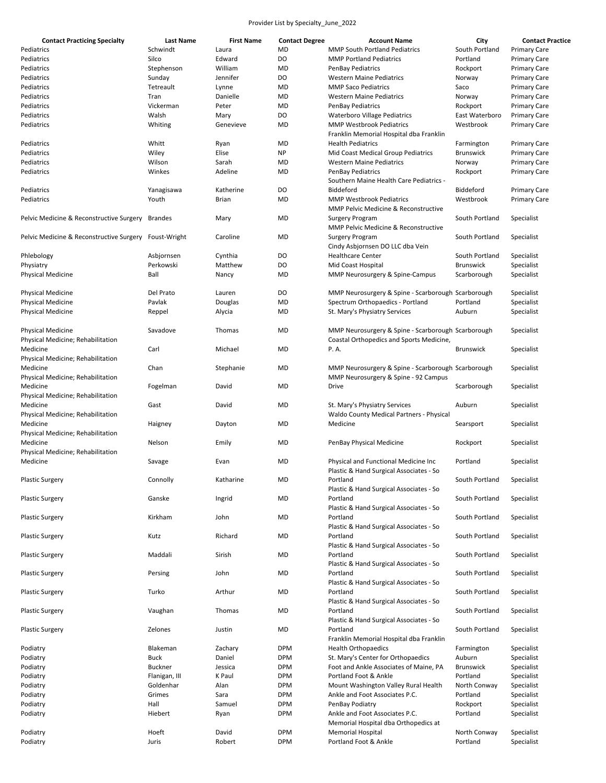| <b>Contact Practicing Specialty</b>      | <b>Last Name</b> | <b>First Name</b> | <b>Contact Degree</b> | <b>Account Name</b>                                | City             | <b>Contact Practice</b> |
|------------------------------------------|------------------|-------------------|-----------------------|----------------------------------------------------|------------------|-------------------------|
| Pediatrics                               | Schwindt         | Laura             | <b>MD</b>             | <b>MMP South Portland Pediatrics</b>               | South Portland   | <b>Primary Care</b>     |
| Pediatrics                               | Silco            | Edward            | DO                    | <b>MMP Portland Pediatrics</b>                     | Portland         | <b>Primary Care</b>     |
| Pediatrics                               | Stephenson       | William           | <b>MD</b>             | PenBay Pediatrics                                  | Rockport         | <b>Primary Care</b>     |
| Pediatrics                               | Sunday           | Jennifer          | DO                    | <b>Western Maine Pediatrics</b>                    | Norway           | <b>Primary Care</b>     |
| Pediatrics                               | Tetreault        | Lynne             | <b>MD</b>             | <b>MMP Saco Pediatrics</b>                         | Saco             | <b>Primary Care</b>     |
| Pediatrics                               | Tran             | Danielle          | <b>MD</b>             | <b>Western Maine Pediatrics</b>                    | Norway           | <b>Primary Care</b>     |
| Pediatrics                               |                  |                   |                       |                                                    | Rockport         |                         |
|                                          | Vickerman        | Peter             | <b>MD</b>             | PenBay Pediatrics                                  |                  | <b>Primary Care</b>     |
| Pediatrics                               | Walsh            | Mary              | DO                    | <b>Waterboro Village Pediatrics</b>                | East Waterboro   | <b>Primary Care</b>     |
| Pediatrics                               | Whiting          | Genevieve         | <b>MD</b>             | <b>MMP Westbrook Pediatrics</b>                    | Westbrook        | <b>Primary Care</b>     |
|                                          |                  |                   |                       | Franklin Memorial Hospital dba Franklin            |                  |                         |
| Pediatrics                               | Whitt            | Ryan              | MD                    | <b>Health Pediatrics</b>                           | Farmington       | <b>Primary Care</b>     |
| Pediatrics                               | Wiley            | Elise             | <b>NP</b>             | Mid Coast Medical Group Pediatrics                 | <b>Brunswick</b> | <b>Primary Care</b>     |
| Pediatrics                               | Wilson           | Sarah             | MD                    | <b>Western Maine Pediatrics</b>                    | Norway           | <b>Primary Care</b>     |
| Pediatrics                               | Winkes           | Adeline           | MD                    | <b>PenBay Pediatrics</b>                           | Rockport         | <b>Primary Care</b>     |
|                                          |                  |                   |                       | Southern Maine Health Care Pediatrics -            |                  |                         |
| Pediatrics                               | Yanagisawa       | Katherine         | DO                    | Biddeford                                          | Biddeford        | <b>Primary Care</b>     |
| Pediatrics                               | Youth            | Brian             | <b>MD</b>             | <b>MMP Westbrook Pediatrics</b>                    | Westbrook        | <b>Primary Care</b>     |
|                                          |                  |                   |                       | MMP Pelvic Medicine & Reconstructive               |                  |                         |
| Pelvic Medicine & Reconstructive Surgery | <b>Brandes</b>   | Mary              | MD                    | <b>Surgery Program</b>                             | South Portland   | Specialist              |
|                                          |                  |                   |                       | MMP Pelvic Medicine & Reconstructive               |                  |                         |
|                                          |                  |                   |                       |                                                    |                  |                         |
| Pelvic Medicine & Reconstructive Surgery | Foust-Wright     | Caroline          | MD                    | <b>Surgery Program</b>                             | South Portland   | Specialist              |
|                                          |                  |                   |                       | Cindy Asbjornsen DO LLC dba Vein                   |                  |                         |
| Phlebology                               | Asbjornsen       | Cynthia           | DO                    | <b>Healthcare Center</b>                           | South Portland   | Specialist              |
| Physiatry                                | Perkowski        | Matthew           | DO                    | Mid Coast Hospital                                 | <b>Brunswick</b> | Specialist              |
| <b>Physical Medicine</b>                 | Ball             | Nancy             | <b>MD</b>             | MMP Neurosurgery & Spine-Campus                    | Scarborough      | Specialist              |
|                                          |                  |                   |                       |                                                    |                  |                         |
| <b>Physical Medicine</b>                 | Del Prato        | Lauren            | DO                    | MMP Neurosurgery & Spine - Scarborough Scarborough |                  | Specialist              |
| <b>Physical Medicine</b>                 | Pavlak           | Douglas           | MD                    | Spectrum Orthopaedics - Portland                   | Portland         | Specialist              |
| <b>Physical Medicine</b>                 | Reppel           | Alycia            | MD                    | St. Mary's Physiatry Services                      | Auburn           | Specialist              |
|                                          |                  |                   |                       |                                                    |                  |                         |
| <b>Physical Medicine</b>                 | Savadove         | Thomas            | MD                    | MMP Neurosurgery & Spine - Scarborough Scarborough |                  | Specialist              |
| Physical Medicine; Rehabilitation        |                  |                   |                       | Coastal Orthopedics and Sports Medicine,           |                  |                         |
|                                          | Carl             | Michael           |                       | P.A.                                               |                  |                         |
| Medicine                                 |                  |                   | MD                    |                                                    | <b>Brunswick</b> | Specialist              |
| Physical Medicine; Rehabilitation        |                  |                   |                       |                                                    |                  |                         |
| Medicine                                 | Chan             | Stephanie         | <b>MD</b>             | MMP Neurosurgery & Spine - Scarborough Scarborough |                  | Specialist              |
| Physical Medicine; Rehabilitation        |                  |                   |                       | MMP Neurosurgery & Spine - 92 Campus               |                  |                         |
| Medicine                                 | Fogelman         | David             | <b>MD</b>             | Drive                                              | Scarborough      | Specialist              |
| Physical Medicine; Rehabilitation        |                  |                   |                       |                                                    |                  |                         |
| Medicine                                 | Gast             | David             | MD                    | St. Mary's Physiatry Services                      | Auburn           | Specialist              |
| Physical Medicine; Rehabilitation        |                  |                   |                       | Waldo County Medical Partners - Physical           |                  |                         |
| Medicine                                 | Haigney          | Dayton            | MD                    | Medicine                                           | Searsport        | Specialist              |
| Physical Medicine; Rehabilitation        |                  |                   |                       |                                                    |                  |                         |
| Medicine                                 | Nelson           | Emily             | MD                    | PenBay Physical Medicine                           | Rockport         | Specialist              |
| Physical Medicine; Rehabilitation        |                  |                   |                       |                                                    |                  |                         |
| Medicine                                 | Savage           | Evan              | <b>MD</b>             | Physical and Functional Medicine Inc               | Portland         | Specialist              |
|                                          |                  |                   |                       | Plastic & Hand Surgical Associates - So            |                  |                         |
| <b>Plastic Surgery</b>                   | Connolly         | Katharine         |                       |                                                    | South Portland   | Specialist              |
|                                          |                  |                   | MD                    | Portland                                           |                  |                         |
|                                          |                  |                   |                       | Plastic & Hand Surgical Associates - So            |                  |                         |
| <b>Plastic Surgery</b>                   | Ganske           | Ingrid            | MD                    | Portland                                           | South Portland   | Specialist              |
|                                          |                  |                   |                       | Plastic & Hand Surgical Associates - So            |                  |                         |
| <b>Plastic Surgery</b>                   | Kirkham          | John              | <b>MD</b>             | Portland                                           | South Portland   | Specialist              |
|                                          |                  |                   |                       | Plastic & Hand Surgical Associates - So            |                  |                         |
| <b>Plastic Surgery</b>                   | Kutz             | Richard           | MD                    | Portland                                           | South Portland   | Specialist              |
|                                          |                  |                   |                       | Plastic & Hand Surgical Associates - So            |                  |                         |
| <b>Plastic Surgery</b>                   | Maddali          | Sirish            | <b>MD</b>             | Portland                                           | South Portland   | Specialist              |
|                                          |                  |                   |                       | Plastic & Hand Surgical Associates - So            |                  |                         |
| <b>Plastic Surgery</b>                   | Persing          | John              | MD                    | Portland                                           | South Portland   | Specialist              |
|                                          |                  |                   |                       | Plastic & Hand Surgical Associates - So            |                  |                         |
| <b>Plastic Surgery</b>                   | Turko            | Arthur            | MD                    | Portland                                           | South Portland   | Specialist              |
|                                          |                  |                   |                       | Plastic & Hand Surgical Associates - So            |                  |                         |
|                                          |                  | Thomas            | MD                    | Portland                                           | South Portland   |                         |
| <b>Plastic Surgery</b>                   | Vaughan          |                   |                       |                                                    |                  | Specialist              |
|                                          |                  |                   |                       | Plastic & Hand Surgical Associates - So            |                  |                         |
| <b>Plastic Surgery</b>                   | Zelones          | Justin            | MD                    | Portland                                           | South Portland   | Specialist              |
|                                          |                  |                   |                       | Franklin Memorial Hospital dba Franklin            |                  |                         |
| Podiatry                                 | Blakeman         | Zachary           | <b>DPM</b>            | <b>Health Orthopaedics</b>                         | Farmington       | Specialist              |
| Podiatry                                 | <b>Buck</b>      | Daniel            | <b>DPM</b>            | St. Mary's Center for Orthopaedics                 | Auburn           | Specialist              |
| Podiatry                                 | Buckner          | Jessica           | <b>DPM</b>            | Foot and Ankle Associates of Maine, PA             | <b>Brunswick</b> | Specialist              |
| Podiatry                                 | Flanigan, III    | K Paul            | <b>DPM</b>            | Portland Foot & Ankle                              | Portland         | Specialist              |
| Podiatry                                 | Goldenhar        | Alan              | <b>DPM</b>            | Mount Washington Valley Rural Health               | North Conway     | Specialist              |
| Podiatry                                 | Grimes           | Sara              | <b>DPM</b>            | Ankle and Foot Associates P.C.                     | Portland         | Specialist              |
| Podiatry                                 | Hall             | Samuel            | <b>DPM</b>            | PenBay Podiatry                                    | Rockport         | Specialist              |
| Podiatry                                 | Hiebert          | Ryan              | <b>DPM</b>            | Ankle and Foot Associates P.C.                     | Portland         | Specialist              |
|                                          |                  |                   |                       | Memorial Hospital dba Orthopedics at               |                  |                         |
| Podiatry                                 | Hoeft            | David             | <b>DPM</b>            | <b>Memorial Hospital</b>                           | North Conway     | Specialist              |
|                                          |                  |                   |                       |                                                    |                  |                         |
| Podiatry                                 | Juris            | Robert            | <b>DPM</b>            | Portland Foot & Ankle                              | Portland         | Specialist              |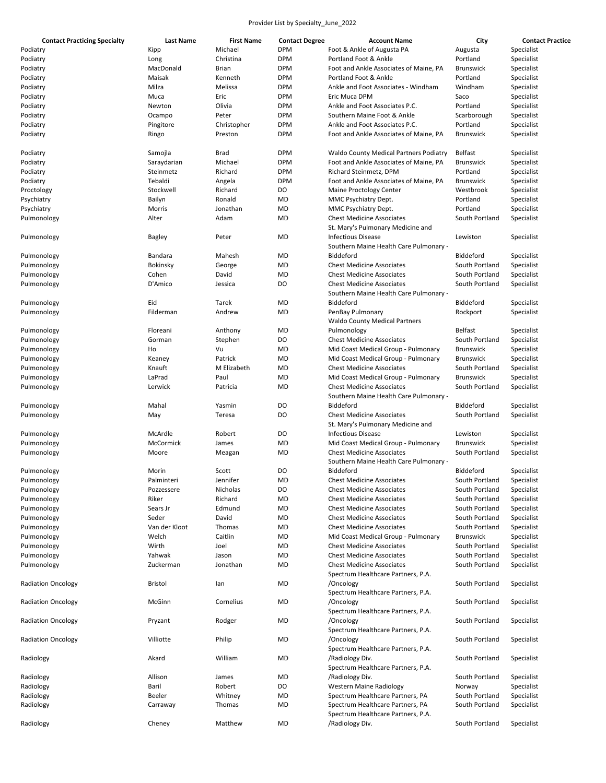| <b>Contact Practicing Specialty</b> | Last Name      | <b>First Name</b> | <b>Contact Degree</b> | <b>Account Name</b>                           | City             | <b>Contact Practice</b> |
|-------------------------------------|----------------|-------------------|-----------------------|-----------------------------------------------|------------------|-------------------------|
| Podiatry                            | Kipp           | Michael           | <b>DPM</b>            | Foot & Ankle of Augusta PA                    | Augusta          | Specialist              |
| Podiatry                            | Long           | Christina         | <b>DPM</b>            | Portland Foot & Ankle                         | Portland         | Specialist              |
| Podiatry                            | MacDonald      | Brian             | <b>DPM</b>            | Foot and Ankle Associates of Maine, PA        | <b>Brunswick</b> | Specialist              |
|                                     | Maisak         | Kenneth           | <b>DPM</b>            | Portland Foot & Ankle                         | Portland         | Specialist              |
| Podiatry                            |                |                   |                       |                                               |                  |                         |
| Podiatry                            | Milza          | Melissa           | <b>DPM</b>            | Ankle and Foot Associates - Windham           | Windham          | Specialist              |
| Podiatry                            | Muca           | Eric              | <b>DPM</b>            | Eric Muca DPM                                 | Saco             | Specialist              |
| Podiatry                            | Newton         | Olivia            | <b>DPM</b>            | Ankle and Foot Associates P.C.                | Portland         | Specialist              |
| Podiatry                            | Ocampo         | Peter             | <b>DPM</b>            | Southern Maine Foot & Ankle                   | Scarborough      | Specialist              |
| Podiatry                            | Pingitore      | Christopher       | <b>DPM</b>            | Ankle and Foot Associates P.C.                | Portland         | Specialist              |
| Podiatry                            | Ringo          | Preston           | <b>DPM</b>            | Foot and Ankle Associates of Maine, PA        | <b>Brunswick</b> | Specialist              |
|                                     |                |                   |                       |                                               |                  |                         |
| Podiatry                            | Samojla        | Brad              | <b>DPM</b>            | <b>Waldo County Medical Partners Podiatry</b> | <b>Belfast</b>   | Specialist              |
| Podiatry                            | Saraydarian    | Michael           | <b>DPM</b>            | Foot and Ankle Associates of Maine, PA        | <b>Brunswick</b> | Specialist              |
| Podiatry                            | Steinmetz      | Richard           | <b>DPM</b>            | Richard Steinmetz, DPM                        | Portland         | Specialist              |
| Podiatry                            | Tebaldi        |                   | <b>DPM</b>            | Foot and Ankle Associates of Maine, PA        | <b>Brunswick</b> |                         |
|                                     |                | Angela            |                       |                                               |                  | Specialist              |
| Proctology                          | Stockwell      | Richard           | DO                    | Maine Proctology Center                       | Westbrook        | Specialist              |
| Psychiatry                          | Bailyn         | Ronald            | MD                    | MMC Psychiatry Dept.                          | Portland         | Specialist              |
| Psychiatry                          | Morris         | Jonathan          | MD                    | MMC Psychiatry Dept.                          | Portland         | Specialist              |
| Pulmonology                         | Alter          | Adam              | MD                    | <b>Chest Medicine Associates</b>              | South Portland   | Specialist              |
|                                     |                |                   |                       | St. Mary's Pulmonary Medicine and             |                  |                         |
| Pulmonology                         | <b>Bagley</b>  | Peter             | MD                    | <b>Infectious Disease</b>                     | Lewiston         | Specialist              |
|                                     |                |                   |                       | Southern Maine Health Care Pulmonary -        |                  |                         |
| Pulmonology                         | Bandara        | Mahesh            | MD                    | Biddeford                                     | Biddeford        | Specialist              |
| Pulmonology                         | Bokinsky       | George            | MD                    | <b>Chest Medicine Associates</b>              | South Portland   | Specialist              |
|                                     |                |                   |                       |                                               |                  |                         |
| Pulmonology                         | Cohen          | David             | MD                    | <b>Chest Medicine Associates</b>              | South Portland   | Specialist              |
| Pulmonology                         | D'Amico        | Jessica           | DO                    | <b>Chest Medicine Associates</b>              | South Portland   | Specialist              |
|                                     |                |                   |                       | Southern Maine Health Care Pulmonary -        |                  |                         |
| Pulmonology                         | Eid            | Tarek             | MD                    | Biddeford                                     | <b>Biddeford</b> | Specialist              |
| Pulmonology                         | Filderman      | Andrew            | MD                    | PenBay Pulmonary                              | Rockport         | Specialist              |
|                                     |                |                   |                       | <b>Waldo County Medical Partners</b>          |                  |                         |
| Pulmonology                         | Floreani       | Anthony           | MD                    | Pulmonology                                   | Belfast          | Specialist              |
| Pulmonology                         | Gorman         | Stephen           | DO                    | <b>Chest Medicine Associates</b>              | South Portland   | Specialist              |
| Pulmonology                         | Ho             | Vu                | MD                    | Mid Coast Medical Group - Pulmonary           | <b>Brunswick</b> | Specialist              |
| Pulmonology                         | Keaney         | Patrick           | MD                    | Mid Coast Medical Group - Pulmonary           | <b>Brunswick</b> | Specialist              |
|                                     |                |                   |                       |                                               |                  |                         |
| Pulmonology                         | Knauft         | M Elizabeth       | MD                    | <b>Chest Medicine Associates</b>              | South Portland   | Specialist              |
| Pulmonology                         | LaPrad         | Paul              | MD                    | Mid Coast Medical Group - Pulmonary           | <b>Brunswick</b> | Specialist              |
| Pulmonology                         | Lerwick        | Patricia          | MD                    | <b>Chest Medicine Associates</b>              | South Portland   | Specialist              |
|                                     |                |                   |                       | Southern Maine Health Care Pulmonary -        |                  |                         |
| Pulmonology                         | Mahal          | Yasmin            | DO                    | Biddeford                                     | Biddeford        | Specialist              |
| Pulmonology                         | May            | Teresa            | DO                    | <b>Chest Medicine Associates</b>              | South Portland   | Specialist              |
|                                     |                |                   |                       | St. Mary's Pulmonary Medicine and             |                  |                         |
| Pulmonology                         | McArdle        | Robert            | DO                    | <b>Infectious Disease</b>                     | Lewiston         | Specialist              |
| Pulmonology                         | McCormick      | James             | MD                    | Mid Coast Medical Group - Pulmonary           | <b>Brunswick</b> | Specialist              |
| Pulmonology                         | Moore          | Meagan            | MD                    | <b>Chest Medicine Associates</b>              | South Portland   | Specialist              |
|                                     |                |                   |                       | Southern Maine Health Care Pulmonary -        |                  |                         |
|                                     |                |                   |                       |                                               |                  |                         |
| Pulmonology                         | Morin          | Scott             | DO                    | Biddeford                                     | <b>Biddeford</b> | Specialist              |
| Pulmonology                         | Palminteri     | Jennifer          | MD                    | <b>Chest Medicine Associates</b>              | South Portland   | Specialist              |
| Pulmonology                         | Pozzessere     | Nicholas          | DO                    | <b>Chest Medicine Associates</b>              | South Portland   | Specialist              |
| Pulmonology                         | Riker          | Richard           | MD                    | <b>Chest Medicine Associates</b>              | South Portland   | Specialist              |
| Pulmonology                         | Sears Jr       | Edmund            | MD                    | <b>Chest Medicine Associates</b>              | South Portland   | Specialist              |
| Pulmonology                         | Seder          | David             | MD                    | <b>Chest Medicine Associates</b>              | South Portland   | Specialist              |
| Pulmonology                         | Van der Kloot  | Thomas            | MD                    | <b>Chest Medicine Associates</b>              | South Portland   | Specialist              |
| Pulmonology                         | Welch          | Caitlin           | MD                    | Mid Coast Medical Group - Pulmonary           | <b>Brunswick</b> | Specialist              |
| Pulmonology                         | Wirth          | Joel              | MD                    | <b>Chest Medicine Associates</b>              | South Portland   | Specialist              |
| Pulmonology                         | Yahwak         | Jason             |                       | <b>Chest Medicine Associates</b>              |                  |                         |
|                                     |                |                   | MD                    |                                               | South Portland   | Specialist              |
| Pulmonology                         | Zuckerman      | Jonathan          | MD                    | <b>Chest Medicine Associates</b>              | South Portland   | Specialist              |
|                                     |                |                   |                       | Spectrum Healthcare Partners, P.A.            |                  |                         |
| <b>Radiation Oncology</b>           | <b>Bristol</b> | lan               | MD                    | /Oncology                                     | South Portland   | Specialist              |
|                                     |                |                   |                       | Spectrum Healthcare Partners, P.A.            |                  |                         |
| <b>Radiation Oncology</b>           | McGinn         | Cornelius         | MD                    | /Oncology                                     | South Portland   | Specialist              |
|                                     |                |                   |                       | Spectrum Healthcare Partners, P.A.            |                  |                         |
| <b>Radiation Oncology</b>           | Pryzant        | Rodger            | MD                    | /Oncology                                     | South Portland   | Specialist              |
|                                     |                |                   |                       | Spectrum Healthcare Partners, P.A.            |                  |                         |
| <b>Radiation Oncology</b>           | Villiotte      | Philip            | MD                    | /Oncology                                     | South Portland   | Specialist              |
|                                     |                |                   |                       |                                               |                  |                         |
|                                     |                |                   |                       | Spectrum Healthcare Partners, P.A.            |                  |                         |
| Radiology                           | Akard          | William           | MD                    | /Radiology Div.                               | South Portland   | Specialist              |
|                                     |                |                   |                       | Spectrum Healthcare Partners, P.A.            |                  |                         |
| Radiology                           | Allison        | James             | MD                    | /Radiology Div.                               | South Portland   | Specialist              |
| Radiology                           | Baril          | Robert            | DO                    | <b>Western Maine Radiology</b>                | Norway           | Specialist              |
| Radiology                           | Beeler         | Whitney           | MD                    | Spectrum Healthcare Partners, PA              | South Portland   | Specialist              |
| Radiology                           | Carraway       | Thomas            | MD                    | Spectrum Healthcare Partners, PA              | South Portland   | Specialist              |
|                                     |                |                   |                       | Spectrum Healthcare Partners, P.A.            |                  |                         |
| Radiology                           | Cheney         | Matthew           | MD                    | /Radiology Div.                               | South Portland   | Specialist              |
|                                     |                |                   |                       |                                               |                  |                         |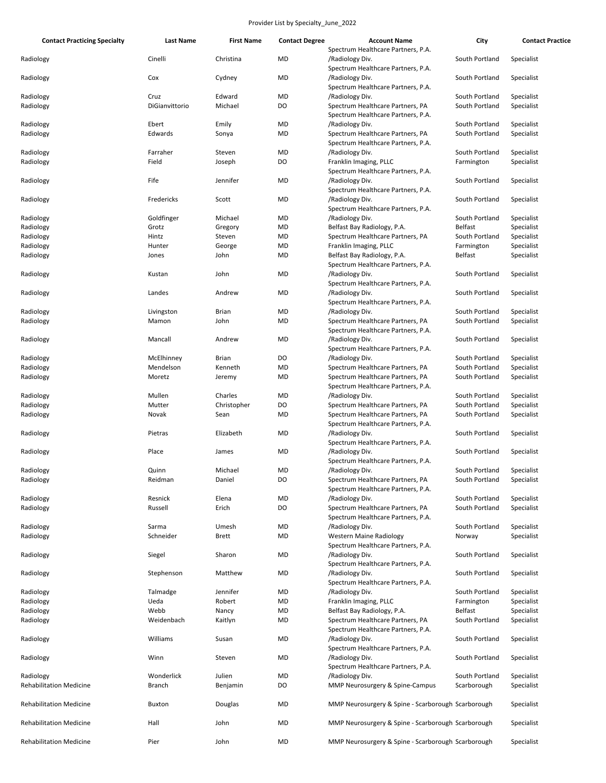| <b>Contact Practicing Specialty</b> | <b>Last Name</b> | <b>First Name</b> | <b>Contact Degree</b> | <b>Account Name</b>                                                    | City           | <b>Contact Practice</b>  |
|-------------------------------------|------------------|-------------------|-----------------------|------------------------------------------------------------------------|----------------|--------------------------|
|                                     |                  |                   |                       | Spectrum Healthcare Partners, P.A.                                     |                |                          |
| Radiology                           | Cinelli          | Christina         | MD                    | /Radiology Div.<br>Spectrum Healthcare Partners, P.A.                  | South Portland | Specialist               |
| Radiology                           | Cox              | Cydney            | MD                    | /Radiology Div.                                                        | South Portland | Specialist               |
|                                     | Cruz             | Edward            | MD                    | Spectrum Healthcare Partners, P.A.                                     | South Portland |                          |
| Radiology<br>Radiology              | DiGianvittorio   | Michael           | DO                    | /Radiology Div.<br>Spectrum Healthcare Partners, PA                    | South Portland | Specialist<br>Specialist |
|                                     |                  |                   |                       | Spectrum Healthcare Partners, P.A.                                     |                |                          |
| Radiology                           | Ebert            | Emily             | MD                    | /Radiology Div.                                                        | South Portland | Specialist               |
| Radiology                           | Edwards          | Sonya             | MD                    | Spectrum Healthcare Partners, PA<br>Spectrum Healthcare Partners, P.A. | South Portland | Specialist               |
| Radiology                           | Farraher         | Steven            | MD                    | /Radiology Div.                                                        | South Portland | Specialist               |
| Radiology                           | Field            | Joseph            | DO                    | Franklin Imaging, PLLC                                                 | Farmington     | Specialist               |
| Radiology                           | Fife             | Jennifer          | MD                    | Spectrum Healthcare Partners, P.A.<br>/Radiology Div.                  | South Portland | Specialist               |
| Radiology                           | Fredericks       | Scott             | MD                    | Spectrum Healthcare Partners, P.A.<br>/Radiology Div.                  | South Portland | Specialist               |
|                                     |                  |                   |                       | Spectrum Healthcare Partners, P.A.                                     |                |                          |
| Radiology                           | Goldfinger       | Michael           | MD                    | /Radiology Div.                                                        | South Portland | Specialist               |
| Radiology                           | Grotz            | Gregory           | MD                    | Belfast Bay Radiology, P.A.                                            | <b>Belfast</b> | Specialist               |
| Radiology                           | Hintz            | Steven            | MD                    | Spectrum Healthcare Partners, PA                                       | South Portland | Specialist               |
| Radiology                           | Hunter           | George            | MD                    | Franklin Imaging, PLLC                                                 | Farmington     | Specialist               |
| Radiology                           | Jones            | John              | MD                    | Belfast Bay Radiology, P.A.<br>Spectrum Healthcare Partners, P.A.      | <b>Belfast</b> | Specialist               |
| Radiology                           | Kustan           | John              | MD                    | /Radiology Div.<br>Spectrum Healthcare Partners, P.A.                  | South Portland | Specialist               |
| Radiology                           | Landes           | Andrew            | MD                    | /Radiology Div.                                                        | South Portland | Specialist               |
|                                     |                  |                   |                       | Spectrum Healthcare Partners, P.A.                                     |                |                          |
| Radiology                           | Livingston       | <b>Brian</b>      | MD                    | /Radiology Div.                                                        | South Portland | Specialist               |
| Radiology                           | Mamon            | John              | MD                    | Spectrum Healthcare Partners, PA                                       | South Portland | Specialist               |
|                                     |                  |                   |                       | Spectrum Healthcare Partners, P.A.                                     |                |                          |
| Radiology                           | Mancall          | Andrew            | MD                    | /Radiology Div.<br>Spectrum Healthcare Partners, P.A.                  | South Portland | Specialist               |
| Radiology                           | McElhinney       | <b>Brian</b>      | DO                    | /Radiology Div.                                                        | South Portland | Specialist               |
| Radiology                           | Mendelson        | Kenneth           | MD                    | Spectrum Healthcare Partners, PA                                       | South Portland | Specialist               |
| Radiology                           | Moretz           | Jeremy            | MD                    | Spectrum Healthcare Partners, PA                                       | South Portland | Specialist               |
|                                     |                  |                   |                       | Spectrum Healthcare Partners, P.A.                                     |                |                          |
| Radiology                           | Mullen           | Charles           | MD                    | /Radiology Div.                                                        | South Portland | Specialist               |
| Radiology                           | Mutter           | Christopher       | DO                    | Spectrum Healthcare Partners, PA                                       | South Portland | Specialist               |
| Radiology                           | Novak            | Sean              | MD                    | Spectrum Healthcare Partners, PA                                       | South Portland | Specialist               |
|                                     |                  |                   |                       | Spectrum Healthcare Partners, P.A.                                     |                |                          |
| Radiology                           | Pietras          | Elizabeth         | MD                    | /Radiology Div.<br>Spectrum Healthcare Partners, P.A.                  | South Portland | Specialist               |
| Radiology                           | Place            | James             | MD                    | /Radiology Div.<br>Spectrum Healthcare Partners, P.A.                  | South Portland | Specialist               |
| Radiology                           | Quinn            | Michael           | MD                    | /Radiology Div.                                                        | South Portland | Specialist               |
| Radiology                           | Reidman          | Daniel            | DO                    | Spectrum Healthcare Partners, PA<br>Spectrum Healthcare Partners, P.A. | South Portland | Specialist               |
| Radiology                           | Resnick          | Elena             | MD                    | /Radiology Div.                                                        | South Portland | Specialist               |
| Radiology                           | Russell          | Erich             | DO                    | Spectrum Healthcare Partners, PA                                       | South Portland | Specialist               |
|                                     |                  |                   |                       | Spectrum Healthcare Partners, P.A.                                     |                |                          |
| Radiology                           | Sarma            | Umesh             | MD                    | /Radiology Div.                                                        | South Portland | Specialist               |
| Radiology                           | Schneider        | <b>Brett</b>      | MD                    | <b>Western Maine Radiology</b>                                         | Norway         | Specialist               |
| Radiology                           | Siegel           | Sharon            | MD                    | Spectrum Healthcare Partners, P.A.<br>/Radiology Div.                  | South Portland | Specialist               |
| Radiology                           | Stephenson       | Matthew           | MD                    | Spectrum Healthcare Partners, P.A.<br>/Radiology Div.                  | South Portland | Specialist               |
| Radiology                           | Talmadge         | Jennifer          | MD                    | Spectrum Healthcare Partners, P.A.<br>/Radiology Div.                  | South Portland | Specialist               |
| Radiology                           | Ueda             | Robert            | MD                    | Franklin Imaging, PLLC                                                 | Farmington     | Specialist               |
| Radiology                           | Webb             | Nancy             | MD                    | Belfast Bay Radiology, P.A.                                            | <b>Belfast</b> | Specialist               |
| Radiology                           | Weidenbach       | Kaitlyn           | MD                    | Spectrum Healthcare Partners, PA                                       | South Portland | Specialist               |
|                                     |                  |                   |                       | Spectrum Healthcare Partners, P.A.                                     |                |                          |
| Radiology                           | Williams         | Susan             | MD                    | /Radiology Div.<br>Spectrum Healthcare Partners, P.A.                  | South Portland | Specialist               |
| Radiology                           | Winn             | Steven            | MD                    | /Radiology Div.<br>Spectrum Healthcare Partners, P.A.                  | South Portland | Specialist               |
| Radiology                           | Wonderlick       | Julien            | MD                    | /Radiology Div.                                                        | South Portland | Specialist               |
| <b>Rehabilitation Medicine</b>      | <b>Branch</b>    | Benjamin          | DO                    | MMP Neurosurgery & Spine-Campus                                        | Scarborough    | Specialist               |
| <b>Rehabilitation Medicine</b>      | Buxton           | Douglas           | MD                    | MMP Neurosurgery & Spine - Scarborough Scarborough                     |                | Specialist               |
| <b>Rehabilitation Medicine</b>      | Hall             | John              | MD                    | MMP Neurosurgery & Spine - Scarborough Scarborough                     |                | Specialist               |
| <b>Rehabilitation Medicine</b>      | Pier             | John              | MD                    | MMP Neurosurgery & Spine - Scarborough Scarborough                     |                | Specialist               |
|                                     |                  |                   |                       |                                                                        |                |                          |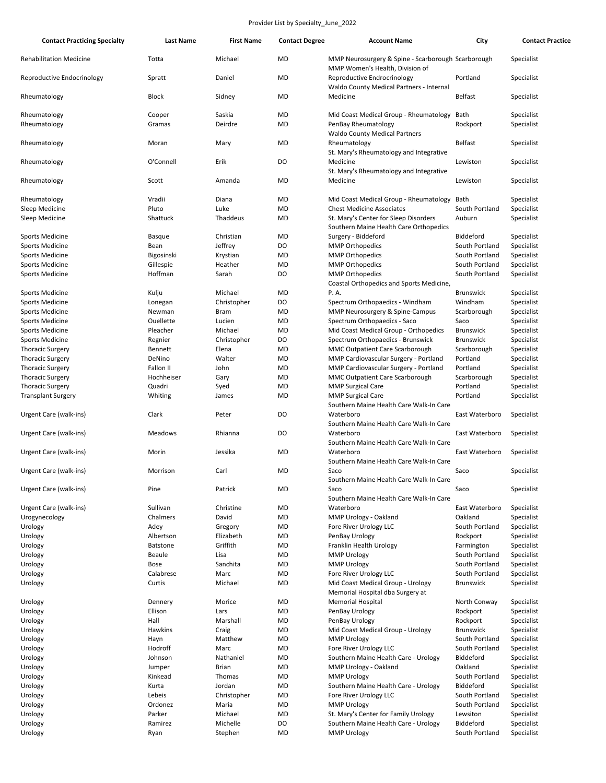| <b>Contact Practicing Specialty</b> | Last Name         | <b>First Name</b>      | <b>Contact Degree</b> | <b>Account Name</b>                                            | City                      | <b>Contact Practice</b>  |
|-------------------------------------|-------------------|------------------------|-----------------------|----------------------------------------------------------------|---------------------------|--------------------------|
| <b>Rehabilitation Medicine</b>      | Totta             | Michael                | MD                    | MMP Neurosurgery & Spine - Scarborough Scarborough             |                           | Specialist               |
| Reproductive Endocrinology          | Spratt            | Daniel                 | <b>MD</b>             | MMP Women's Health, Division of<br>Reproductive Endrocrinology | Portland                  | Specialist               |
| Rheumatology                        | <b>Block</b>      | Sidney                 | MD                    | Waldo County Medical Partners - Internal<br>Medicine           | <b>Belfast</b>            | Specialist               |
|                                     |                   |                        |                       |                                                                |                           |                          |
| Rheumatology                        | Cooper            | Saskia                 | MD                    | Mid Coast Medical Group - Rheumatology                         | Bath                      | Specialist               |
| Rheumatology                        | Gramas            | Deirdre                | MD                    | PenBay Rheumatology<br><b>Waldo County Medical Partners</b>    | Rockport                  | Specialist               |
| Rheumatology                        | Moran             | Mary                   | MD                    | Rheumatology                                                   | Belfast                   | Specialist               |
|                                     |                   |                        |                       | St. Mary's Rheumatology and Integrative                        |                           |                          |
| Rheumatology                        | O'Connell         | Erik                   | DO                    | Medicine                                                       | Lewiston                  | Specialist               |
|                                     |                   |                        |                       | St. Mary's Rheumatology and Integrative                        |                           |                          |
| Rheumatology                        | Scott             | Amanda                 | MD                    | Medicine                                                       | Lewiston                  | Specialist               |
| Rheumatology                        | Vradii            | Diana                  | MD                    | Mid Coast Medical Group - Rheumatology                         | Bath                      | Specialist               |
| Sleep Medicine                      | Pluto             | Luke                   | MD                    | <b>Chest Medicine Associates</b>                               | South Portland            | Specialist               |
| Sleep Medicine                      | Shattuck          | Thaddeus               | MD                    | St. Mary's Center for Sleep Disorders                          | Auburn                    | Specialist               |
|                                     |                   |                        |                       | Southern Maine Health Care Orthopedics                         |                           |                          |
| Sports Medicine                     | <b>Basque</b>     | Christian              | MD                    | Surgery - Biddeford                                            | Biddeford                 | Specialist               |
| <b>Sports Medicine</b>              | Bean              | Jeffrey                | DO                    | <b>MMP Orthopedics</b>                                         | South Portland            | Specialist               |
| Sports Medicine                     | Bigosinski        | Krystian               | <b>MD</b>             | <b>MMP Orthopedics</b>                                         | South Portland            | Specialist               |
| Sports Medicine                     | Gillespie         | Heather                | MD                    | <b>MMP Orthopedics</b>                                         | South Portland            | Specialist               |
| <b>Sports Medicine</b>              | Hoffman           | Sarah                  | DO                    | <b>MMP Orthopedics</b>                                         | South Portland            | Specialist               |
|                                     |                   |                        |                       | Coastal Orthopedics and Sports Medicine,                       |                           |                          |
| <b>Sports Medicine</b>              | Kulju             | Michael                | MD                    | P.A.                                                           | <b>Brunswick</b>          | Specialist               |
| Sports Medicine                     | Lonegan           | Christopher            | DO                    | Spectrum Orthopaedics - Windham                                | Windham                   | Specialist               |
| Sports Medicine                     | Newman            | Bram                   | <b>MD</b>             | MMP Neurosurgery & Spine-Campus                                | Scarborough               | Specialist               |
| Sports Medicine                     | Ouellette         | Lucien                 | MD                    | Spectrum Orthopaedics - Saco                                   | Saco                      | Specialist               |
| Sports Medicine                     | Pleacher          | Michael                | MD                    | Mid Coast Medical Group - Orthopedics                          | <b>Brunswick</b>          | Specialist               |
| Sports Medicine                     | Regnier           | Christopher            | DO                    | Spectrum Orthopaedics - Brunswick                              | <b>Brunswick</b>          | Specialist               |
| <b>Thoracic Surgery</b>             | Bennett           | Elena                  | MD                    | MMC Outpatient Care Scarborough                                | Scarborough               | Specialist               |
| <b>Thoracic Surgery</b>             | DeNino            | Walter                 | MD                    | MMP Cardiovascular Surgery - Portland                          | Portland                  | Specialist               |
| <b>Thoracic Surgery</b>             | Fallon II         | John                   | MD                    | MMP Cardiovascular Surgery - Portland                          | Portland                  | Specialist               |
| <b>Thoracic Surgery</b>             | Hochheiser        | Gary                   | MD                    | MMC Outpatient Care Scarborough                                | Scarborough               | Specialist               |
| <b>Thoracic Surgery</b>             | Quadri            | Syed                   | MD                    | <b>MMP Surgical Care</b>                                       | Portland                  | Specialist               |
| <b>Transplant Surgery</b>           | Whiting           | James                  | MD                    | <b>MMP Surgical Care</b>                                       | Portland                  | Specialist               |
|                                     |                   |                        |                       | Southern Maine Health Care Walk-In Care                        |                           |                          |
| Urgent Care (walk-ins)              | Clark             | Peter                  | DO                    | Waterboro                                                      | East Waterboro            | Specialist               |
|                                     |                   |                        |                       | Southern Maine Health Care Walk-In Care                        |                           |                          |
| Urgent Care (walk-ins)              | Meadows           | Rhianna                | DO                    | Waterboro                                                      | East Waterboro            | Specialist               |
|                                     |                   |                        |                       | Southern Maine Health Care Walk-In Care                        |                           |                          |
| Urgent Care (walk-ins)              | Morin             | Jessika                | MD                    | Waterboro                                                      | East Waterboro            | Specialist               |
|                                     |                   |                        |                       | Southern Maine Health Care Walk-In Care                        |                           |                          |
| Urgent Care (walk-ins)              | Morrison          | Carl                   | MD                    | Saco                                                           | Saco                      | Specialist               |
|                                     |                   |                        |                       | Southern Maine Health Care Walk-In Care                        |                           |                          |
| Urgent Care (walk-ins)              | Pine              | Patrick                | <b>MD</b>             | Saco                                                           | Saco                      | Specialist               |
|                                     |                   |                        |                       | Southern Maine Health Care Walk-In Care                        |                           |                          |
| Urgent Care (walk-ins)              | Sullivan          | Christine              | MD                    | Waterboro                                                      | East Waterboro            | Specialist               |
| Urogynecology                       | Chalmers          | David                  | MD                    | MMP Urology - Oakland                                          | Oakland                   | Specialist               |
| Urology                             | Adey              | Gregory                | MD                    | Fore River Urology LLC                                         | South Portland            | Specialist               |
| Urology                             | Albertson         | Elizabeth              | MD                    | PenBay Urology                                                 | Rockport                  | Specialist               |
| Urology                             | Batstone          | Griffith               | MD                    | Franklin Health Urology                                        | Farmington                | Specialist               |
| Urology                             | Beaule            | Lisa                   | MD                    | <b>MMP Urology</b>                                             | South Portland            | Specialist               |
| Urology                             | Bose              | Sanchita               | MD                    | <b>MMP Urology</b>                                             | South Portland            | Specialist               |
| Urology                             | Calabrese         | Marc                   | MD                    | Fore River Urology LLC                                         | South Portland            | Specialist               |
| Urology                             | Curtis            | Michael                | MD                    | Mid Coast Medical Group - Urology                              | <b>Brunswick</b>          | Specialist               |
|                                     |                   |                        |                       | Memorial Hospital dba Surgery at                               |                           |                          |
| Urology                             | Dennery           | Morice                 | MD                    | <b>Memorial Hospital</b>                                       | North Conway              | Specialist               |
| Urology                             | Ellison           | Lars                   | MD                    | PenBay Urology                                                 | Rockport                  | Specialist               |
| Urology                             | Hall              | Marshall               | MD                    | PenBay Urology                                                 | Rockport                  | Specialist               |
| Urology                             | Hawkins           | Craig                  | MD                    | Mid Coast Medical Group - Urology                              | <b>Brunswick</b>          | Specialist               |
| Urology                             | Hayn              | Matthew                | MD                    | <b>MMP Urology</b>                                             | South Portland            | Specialist               |
| Urology                             | Hodroff           | Marc                   | MD                    | Fore River Urology LLC                                         | South Portland            | Specialist               |
| Urology                             | Johnson           | Nathaniel              | MD                    | Southern Maine Health Care - Urology                           | Biddeford                 | Specialist               |
|                                     |                   |                        |                       |                                                                |                           |                          |
| Urology                             | Jumper<br>Kinkead | <b>Brian</b><br>Thomas | MD<br>MD              | MMP Urology - Oakland<br><b>MMP Urology</b>                    | Oakland<br>South Portland | Specialist<br>Specialist |
| Urology                             |                   |                        |                       |                                                                |                           |                          |
| Urology                             | Kurta             | Jordan                 | MD                    | Southern Maine Health Care - Urology                           | Biddeford                 | Specialist               |
| Urology                             | Lebeis            | Christopher            | MD                    | Fore River Urology LLC                                         | South Portland            | Specialist               |
| Urology                             | Ordonez           | Maria                  | MD                    | <b>MMP Urology</b>                                             | South Portland            | Specialist               |
| Urology                             | Parker            | Michael                | MD                    | St. Mary's Center for Family Urology                           | Lewsiton                  | Specialist               |
| Urology                             | Ramirez           | Michelle               | DO                    | Southern Maine Health Care - Urology                           | Biddeford                 | Specialist               |
| Urology                             | Ryan              | Stephen                | <b>MD</b>             | <b>MMP Urology</b>                                             | South Portland            | Specialist               |